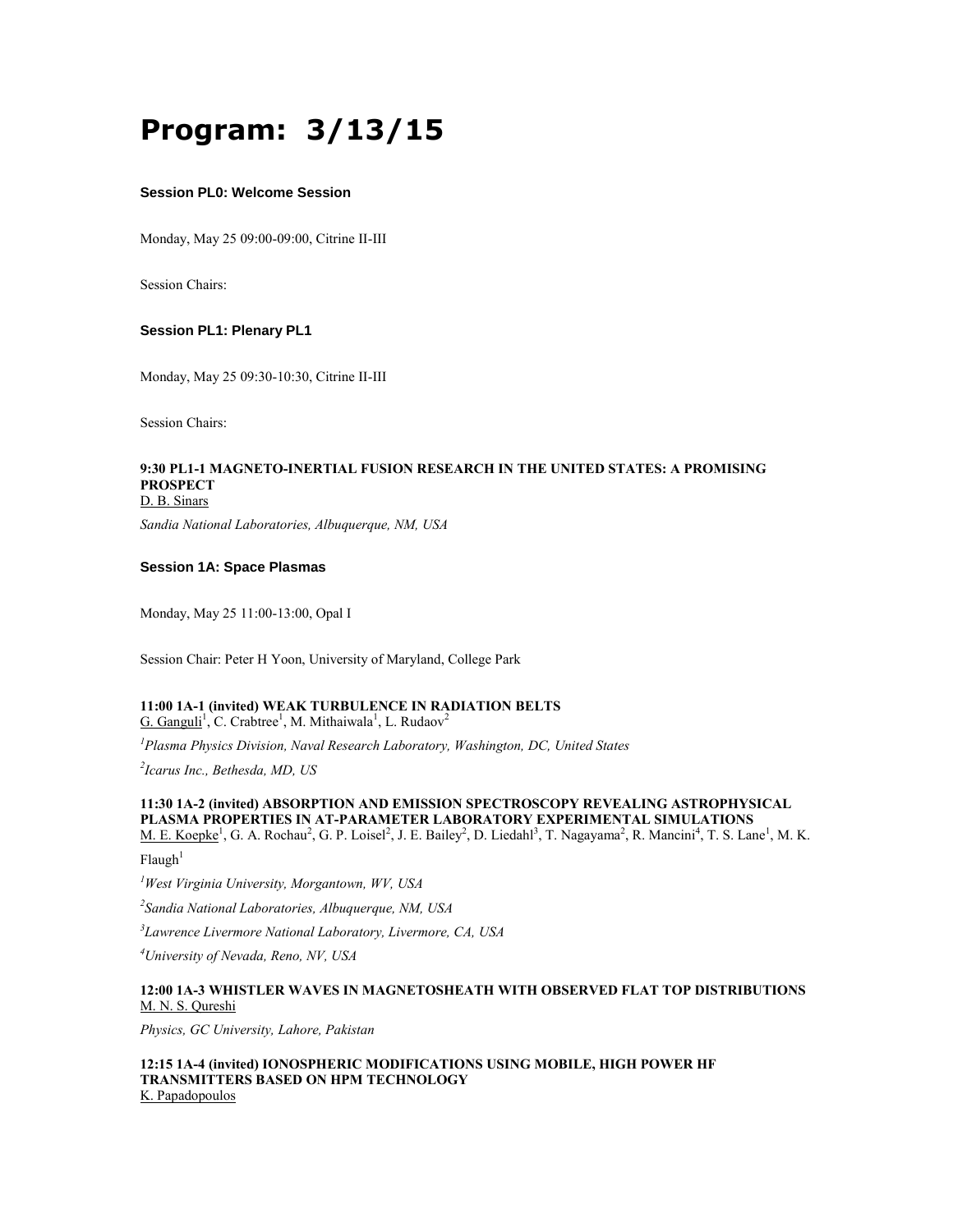# **Program: 3/13/15**

#### **Session PL0: Welcome Session**

Monday, May 25 09:00-09:00, Citrine II-III

Session Chairs:

### **Session PL1: Plenary PL1**

Monday, May 25 09:30-10:30, Citrine II-III

Session Chairs:

#### **9:30 PL1-1 MAGNETO-INERTIAL FUSION RESEARCH IN THE UNITED STATES: A PROMISING PROSPECT** D. B. Sinars

*Sandia National Laboratories, Albuquerque, NM, USA*

### **Session 1A: Space Plasmas**

Monday, May 25 11:00-13:00, Opal I

Session Chair: Peter H Yoon, University of Maryland, College Park

#### **11:00 1A-1 (invited) WEAK TURBULENCE IN RADIATION BELTS** G. Ganguli<sup>1</sup>, C. Crabtree<sup>1</sup>, M. Mithaiwala<sup>1</sup>, L. Rudaov<sup>2</sup>

*<sup>1</sup>Plasma Physics Division, Naval Research Laboratory, Washington, DC, United States*

*2 Icarus Inc., Bethesda, MD, US*

## **11:30 1A-2 (invited) ABSORPTION AND EMISSION SPECTROSCOPY REVEALING ASTROPHYSICAL PLASMA PROPERTIES IN AT-PARAMETER LABORATORY EXPERIMENTAL SIMULATIONS**

M. E. Koepke<sup>1</sup>, G. A. Rochau<sup>2</sup>, G. P. Loisel<sup>2</sup>, J. E. Bailey<sup>2</sup>, D. Liedahl<sup>3</sup>, T. Nagayama<sup>2</sup>, R. Mancini<sup>4</sup>, T. S. Lane<sup>1</sup>, M. K.  $Flaugh<sup>1</sup>$ 

*<sup>1</sup>West Virginia University, Morgantown, WV, USA*

*2 Sandia National Laboratories, Albuquerque, NM, USA*

*3 Lawrence Livermore National Laboratory, Livermore, CA, USA*

*<sup>4</sup>University of Nevada, Reno, NV, USA*

#### **12:00 1A-3 WHISTLER WAVES IN MAGNETOSHEATH WITH OBSERVED FLAT TOP DISTRIBUTIONS** M. N. S. Qureshi

*Physics, GC University, Lahore, Pakistan*

**12:15 1A-4 (invited) IONOSPHERIC MODIFICATIONS USING MOBILE, HIGH POWER HF TRANSMITTERS BASED ON HPM TECHNOLOGY** K. Papadopoulos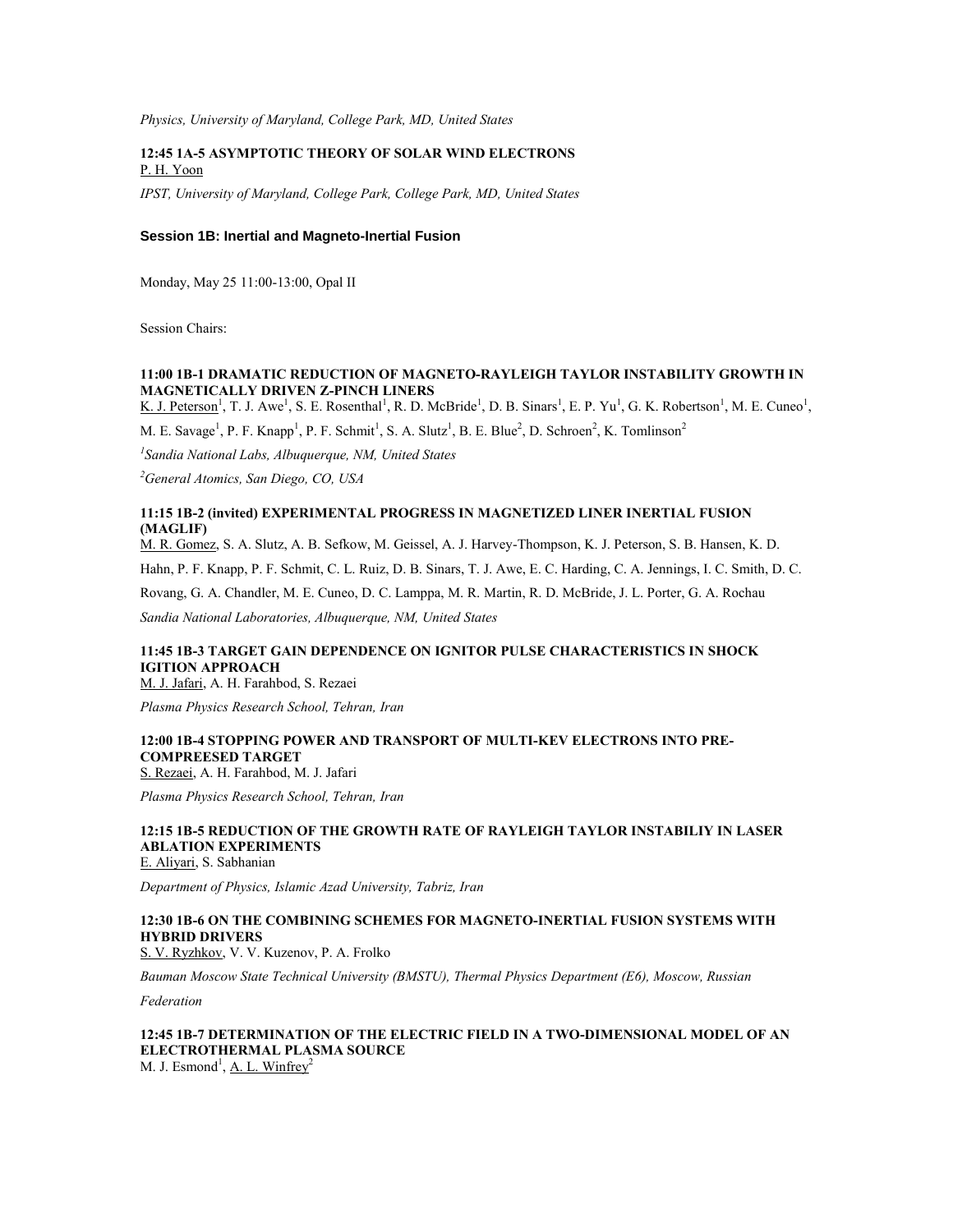*Physics, University of Maryland, College Park, MD, United States*

#### **12:45 1A-5 ASYMPTOTIC THEORY OF SOLAR WIND ELECTRONS** P. H. Yoon

*IPST, University of Maryland, College Park, College Park, MD, United States*

#### **Session 1B: Inertial and Magneto-Inertial Fusion**

Monday, May 25 11:00-13:00, Opal II

Session Chairs:

### **11:00 1B-1 DRAMATIC REDUCTION OF MAGNETO-RAYLEIGH TAYLOR INSTABILITY GROWTH IN MAGNETICALLY DRIVEN Z-PINCH LINERS**

K. J. Peterson<sup>1</sup>, T. J. Awe<sup>1</sup>, S. E. Rosenthal<sup>1</sup>, R. D. McBride<sup>1</sup>, D. B. Sinars<sup>1</sup>, E. P. Yu<sup>1</sup>, G. K. Robertson<sup>1</sup>, M. E. Cuneo<sup>1</sup>, M. E. Savage<sup>1</sup>, P. F. Knapp<sup>1</sup>, P. F. Schmit<sup>1</sup>, S. A. Slutz<sup>1</sup>, B. E. Blue<sup>2</sup>, D. Schroen<sup>2</sup>, K. Tomlinson<sup>2</sup>

*1 Sandia National Labs, Albuquerque, NM, United States*

*<sup>2</sup>General Atomics, San Diego, CO, USA*

#### **11:15 1B-2 (invited) EXPERIMENTAL PROGRESS IN MAGNETIZED LINER INERTIAL FUSION (MAGLIF)**

M. R. Gomez, S. A. Slutz, A. B. Sefkow, M. Geissel, A. J. Harvey-Thompson, K. J. Peterson, S. B. Hansen, K. D.

Hahn, P. F. Knapp, P. F. Schmit, C. L. Ruiz, D. B. Sinars, T. J. Awe, E. C. Harding, C. A. Jennings, I. C. Smith, D. C.

Rovang, G. A. Chandler, M. E. Cuneo, D. C. Lamppa, M. R. Martin, R. D. McBride, J. L. Porter, G. A. Rochau

*Sandia National Laboratories, Albuquerque, NM, United States*

## **11:45 1B-3 TARGET GAIN DEPENDENCE ON IGNITOR PULSE CHARACTERISTICS IN SHOCK IGITION APPROACH**

M. J. Jafari, A. H. Farahbod, S. Rezaei

*Plasma Physics Research School, Tehran, Iran*

### **12:00 1B-4 STOPPING POWER AND TRANSPORT OF MULTI-KEV ELECTRONS INTO PRE-COMPREESED TARGET**

S. Rezaei, A. H. Farahbod, M. J. Jafari

*Plasma Physics Research School, Tehran, Iran*

## **12:15 1B-5 REDUCTION OF THE GROWTH RATE OF RAYLEIGH TAYLOR INSTABILIY IN LASER ABLATION EXPERIMENTS**

E. Aliyari, S. Sabhanian

*Department of Physics, Islamic Azad University, Tabriz, Iran*

### **12:30 1B-6 ON THE COMBINING SCHEMES FOR MAGNETO-INERTIAL FUSION SYSTEMS WITH HYBRID DRIVERS**

S. V. Ryzhkov, V. V. Kuzenov, P. A. Frolko

*Bauman Moscow State Technical University (BMSTU), Thermal Physics Department (E6), Moscow, Russian* 

*Federation*

#### **12:45 1B-7 DETERMINATION OF THE ELECTRIC FIELD IN A TWO-DIMENSIONAL MODEL OF AN ELECTROTHERMAL PLASMA SOURCE** M. J. Esmond<sup>1</sup>, <u>A. L. Winfrey</u><sup>2</sup>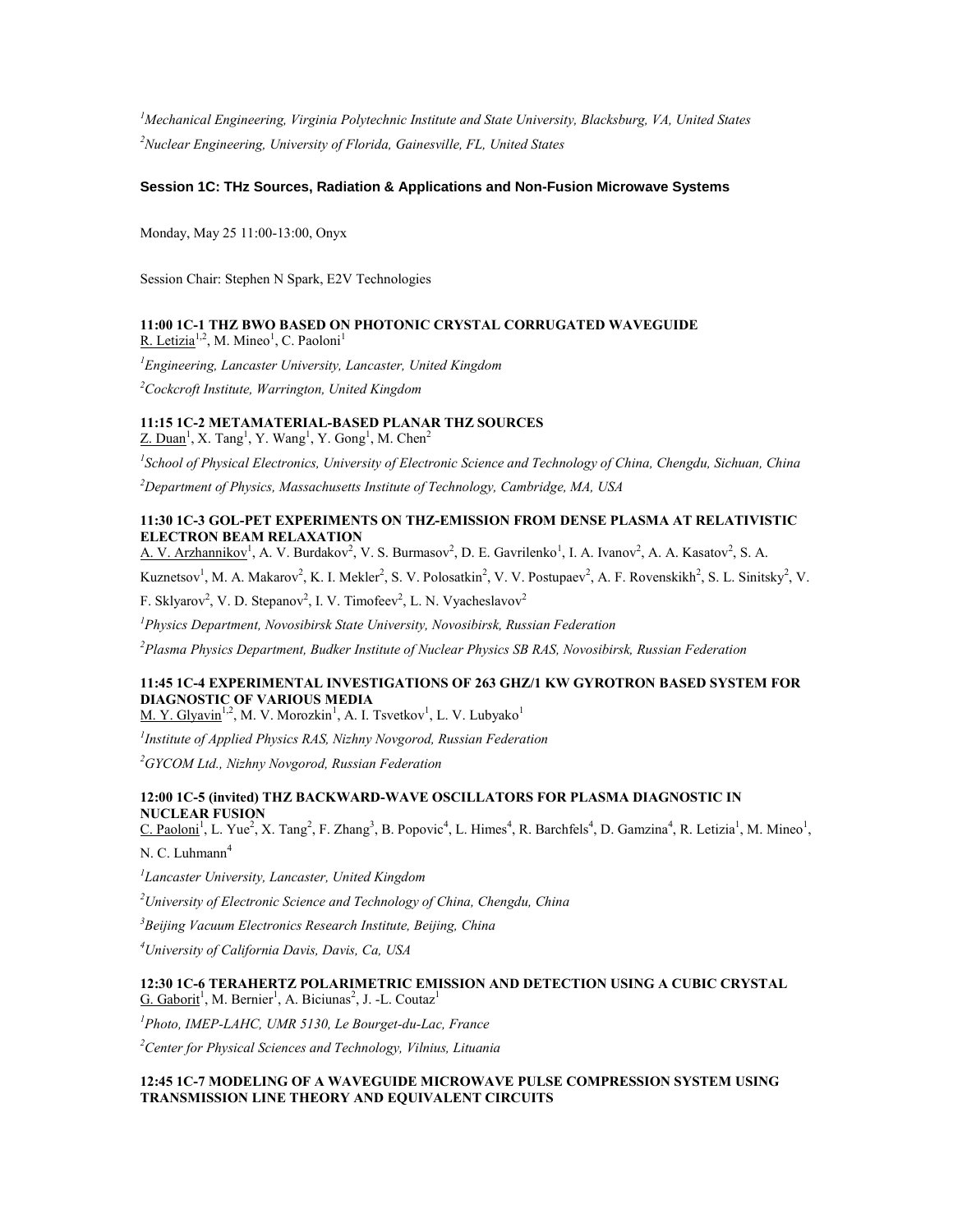*<sup>1</sup>Mechanical Engineering, Virginia Polytechnic Institute and State University, Blacksburg, VA, United States <sup>2</sup>Nuclear Engineering, University of Florida, Gainesville, FL, United States*

### **Session 1C: THz Sources, Radiation & Applications and Non-Fusion Microwave Systems**

Monday, May 25 11:00-13:00, Onyx

Session Chair: Stephen N Spark, E2V Technologies

### **11:00 1C-1 THZ BWO BASED ON PHOTONIC CRYSTAL CORRUGATED WAVEGUIDE** R. Letizia<sup>1,2</sup>, M. Mineo<sup>1</sup>, C. Paoloni<sup>1</sup>

*<sup>1</sup>Engineering, Lancaster University, Lancaster, United Kingdom <sup>2</sup>Cockcroft Institute, Warrington, United Kingdom*

### **11:15 1C-2 METAMATERIAL-BASED PLANAR THZ SOURCES**

 $Z.$  Duan<sup>1</sup>, X. Tang<sup>1</sup>, Y. Wang<sup>1</sup>, Y. Gong<sup>1</sup>, M. Chen<sup>2</sup>

*1 School of Physical Electronics, University of Electronic Science and Technology of China, Chengdu, Sichuan, China*

*<sup>2</sup>Department of Physics, Massachusetts Institute of Technology, Cambridge, MA, USA*

### **11:30 1C-3 GOL-PET EXPERIMENTS ON THZ-EMISSION FROM DENSE PLASMA AT RELATIVISTIC ELECTRON BEAM RELAXATION**

A. V. Arzhannikov<sup>1</sup>, A. V. Burdakov<sup>2</sup>, V. S. Burmasov<sup>2</sup>, D. E. Gavrilenko<sup>1</sup>, I. A. Ivanov<sup>2</sup>, A. A. Kasatov<sup>2</sup>, S. A.

Kuznetsov<sup>1</sup>, M. A. Makarov<sup>2</sup>, K. I. Mekler<sup>2</sup>, S. V. Polosatkin<sup>2</sup>, V. V. Postupaev<sup>2</sup>, A. F. Rovenskikh<sup>2</sup>, S. L. Sinitsky<sup>2</sup>, V.

F. Sklyarov<sup>2</sup>, V. D. Stepanov<sup>2</sup>, I. V. Timofeev<sup>2</sup>, L. N. Vyacheslavov<sup>2</sup>

*<sup>1</sup>Physics Department, Novosibirsk State University, Novosibirsk, Russian Federation*

*<sup>2</sup>Plasma Physics Department, Budker Institute of Nuclear Physics SB RAS, Novosibirsk, Russian Federation*

### **11:45 1C-4 EXPERIMENTAL INVESTIGATIONS OF 263 GHZ/1 KW GYROTRON BASED SYSTEM FOR DIAGNOSTIC OF VARIOUS MEDIA**

M. Y. Glyavin<sup>1,2</sup>, M. V. Morozkin<sup>1</sup>, A. I. Tsvetkov<sup>1</sup>, L. V. Lubyako<sup>1</sup>

*1 Institute of Applied Physics RAS, Nizhny Novgorod, Russian Federation*

*<sup>2</sup>GYCOM Ltd., Nizhny Novgorod, Russian Federation*

### **12:00 1C-5 (invited) THZ BACKWARD-WAVE OSCILLATORS FOR PLASMA DIAGNOSTIC IN NUCLEAR FUSION**

C. Paoloni<sup>1</sup>, L. Yue<sup>2</sup>, X. Tang<sup>2</sup>, F. Zhang<sup>3</sup>, B. Popovic<sup>4</sup>, L. Himes<sup>4</sup>, R. Barchfels<sup>4</sup>, D. Gamzina<sup>4</sup>, R. Letizia<sup>1</sup>, M. Mineo<sup>1</sup>,

N. C. Luhmann<sup>4</sup>

*1 Lancaster University, Lancaster, United Kingdom*

*<sup>2</sup>University of Electronic Science and Technology of China, Chengdu, China*

*<sup>3</sup>Beijing Vacuum Electronics Research Institute, Beijing, China*

*<sup>4</sup>University of California Davis, Davis, Ca, USA*

### **12:30 1C-6 TERAHERTZ POLARIMETRIC EMISSION AND DETECTION USING A CUBIC CRYSTAL**  $G.$  Gaborit<sup>1</sup>, M. Bernier<sup>1</sup>, A. Biciunas<sup>2</sup>, J. -L. Coutaz<sup>1</sup>

*<sup>1</sup>Photo, IMEP-LAHC, UMR 5130, Le Bourget-du-Lac, France*

*<sup>2</sup>Center for Physical Sciences and Technology, Vilnius, Lituania*

### **12:45 1C-7 MODELING OF A WAVEGUIDE MICROWAVE PULSE COMPRESSION SYSTEM USING TRANSMISSION LINE THEORY AND EQUIVALENT CIRCUITS**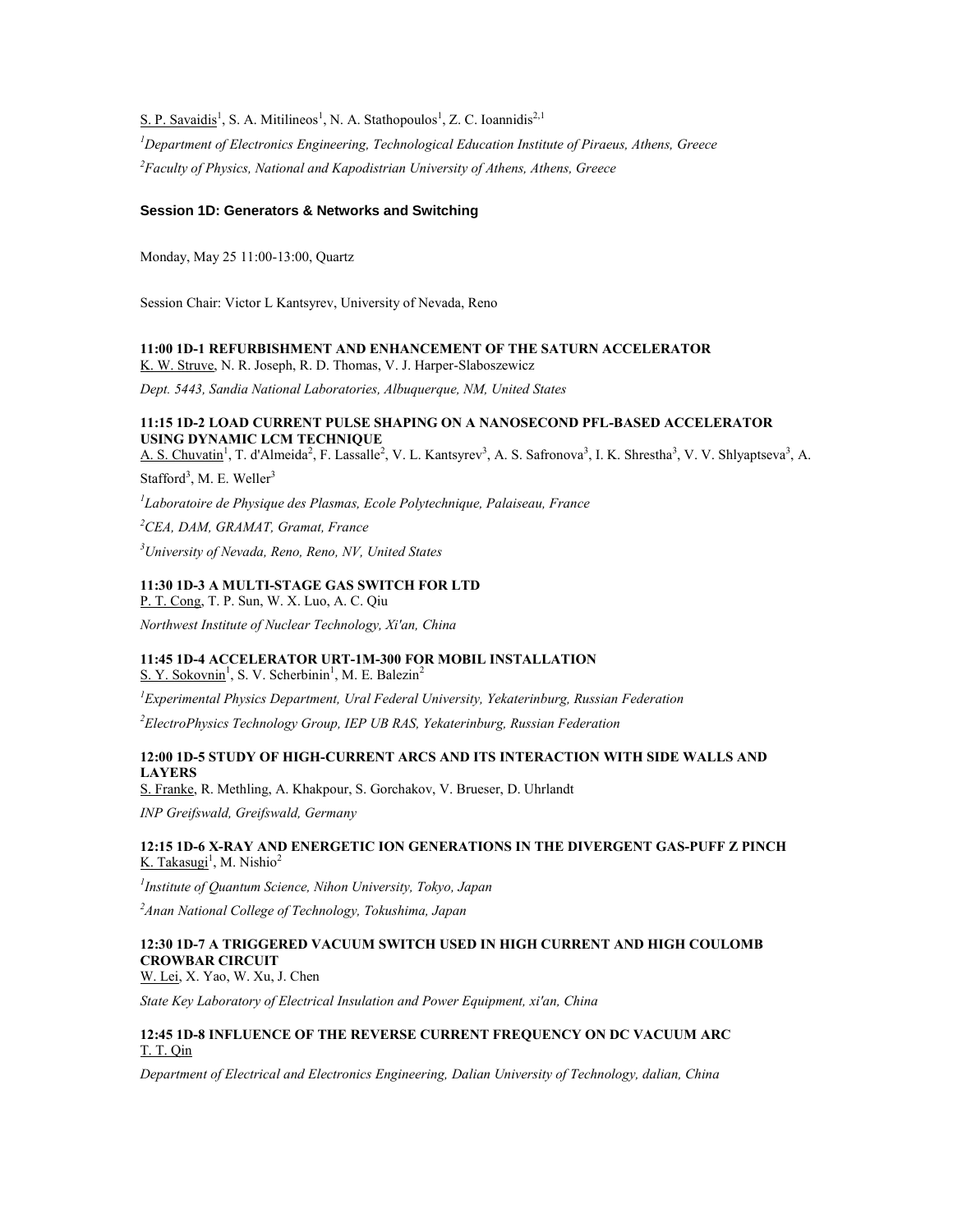S. P. Savaidis<sup>1</sup>, S. A. Mitilineos<sup>1</sup>, N. A. Stathopoulos<sup>1</sup>, Z. C. Ioannidis<sup>2,1</sup>

*<sup>1</sup>Department of Electronics Engineering, Technological Education Institute of Piraeus, Athens, Greece <sup>2</sup>Faculty of Physics, National and Kapodistrian University of Athens, Athens, Greece*

#### **Session 1D: Generators & Networks and Switching**

Monday, May 25 11:00-13:00, Quartz

Session Chair: Victor L Kantsyrev, University of Nevada, Reno

#### **11:00 1D-1 REFURBISHMENT AND ENHANCEMENT OF THE SATURN ACCELERATOR** K. W. Struve, N. R. Joseph, R. D. Thomas, V. J. Harper-Slaboszewicz

*Dept. 5443, Sandia National Laboratories, Albuquerque, NM, United States*

### **11:15 1D-2 LOAD CURRENT PULSE SHAPING ON A NANOSECOND PFL-BASED ACCELERATOR USING DYNAMIC LCM TECHNIQUE**

A. S. Chuvatin<sup>1</sup>, T. d'Almeida<sup>2</sup>, F. Lassalle<sup>2</sup>, V. L. Kantsyrev<sup>3</sup>, A. S. Safronova<sup>3</sup>, I. K. Shrestha<sup>3</sup>, V. V. Shlyaptseva<sup>3</sup>, A.

Stafford<sup>3</sup>, M. E. Weller<sup>3</sup>

*1 Laboratoire de Physique des Plasmas, Ecole Polytechnique, Palaiseau, France*

*<sup>2</sup>CEA, DAM, GRAMAT, Gramat, France*

*<sup>3</sup>University of Nevada, Reno, Reno, NV, United States*

### **11:30 1D-3 A MULTI-STAGE GAS SWITCH FOR LTD**

P. T. Cong, T. P. Sun, W. X. Luo, A. C. Qiu

*Northwest Institute of Nuclear Technology, Xi'an, China*

### **11:45 1D-4 ACCELERATOR URT-1M-300 FOR MOBIL INSTALLATION**

S. Y. Sokovnin<sup>1</sup>, S. V. Scherbinin<sup>1</sup>, M. E. Balezin<sup>2</sup>

*<sup>1</sup>Experimental Physics Department, Ural Federal University, Yekaterinburg, Russian Federation*

*<sup>2</sup>ElectroPhysics Technology Group, IEP UB RAS, Yekaterinburg, Russian Federation*

### **12:00 1D-5 STUDY OF HIGH-CURRENT ARCS AND ITS INTERACTION WITH SIDE WALLS AND LAYERS**

S. Franke, R. Methling, A. Khakpour, S. Gorchakov, V. Brueser, D. Uhrlandt

*INP Greifswald, Greifswald, Germany*

### **12:15 1D-6 X-RAY AND ENERGETIC ION GENERATIONS IN THE DIVERGENT GAS-PUFF Z PINCH** K. Takasugi<sup>1</sup>, M. Nishio<sup>2</sup>

*1 Institute of Quantum Science, Nihon University, Tokyo, Japan*

*<sup>2</sup>Anan National College of Technology, Tokushima, Japan*

### **12:30 1D-7 A TRIGGERED VACUUM SWITCH USED IN HIGH CURRENT AND HIGH COULOMB CROWBAR CIRCUIT**

W. Lei, X. Yao, W. Xu, J. Chen

*State Key Laboratory of Electrical Insulation and Power Equipment, xi'an, China*

### **12:45 1D-8 INFLUENCE OF THE REVERSE CURRENT FREQUENCY ON DC VACUUM ARC** T. T. Qin

*Department of Electrical and Electronics Engineering, Dalian University of Technology, dalian, China*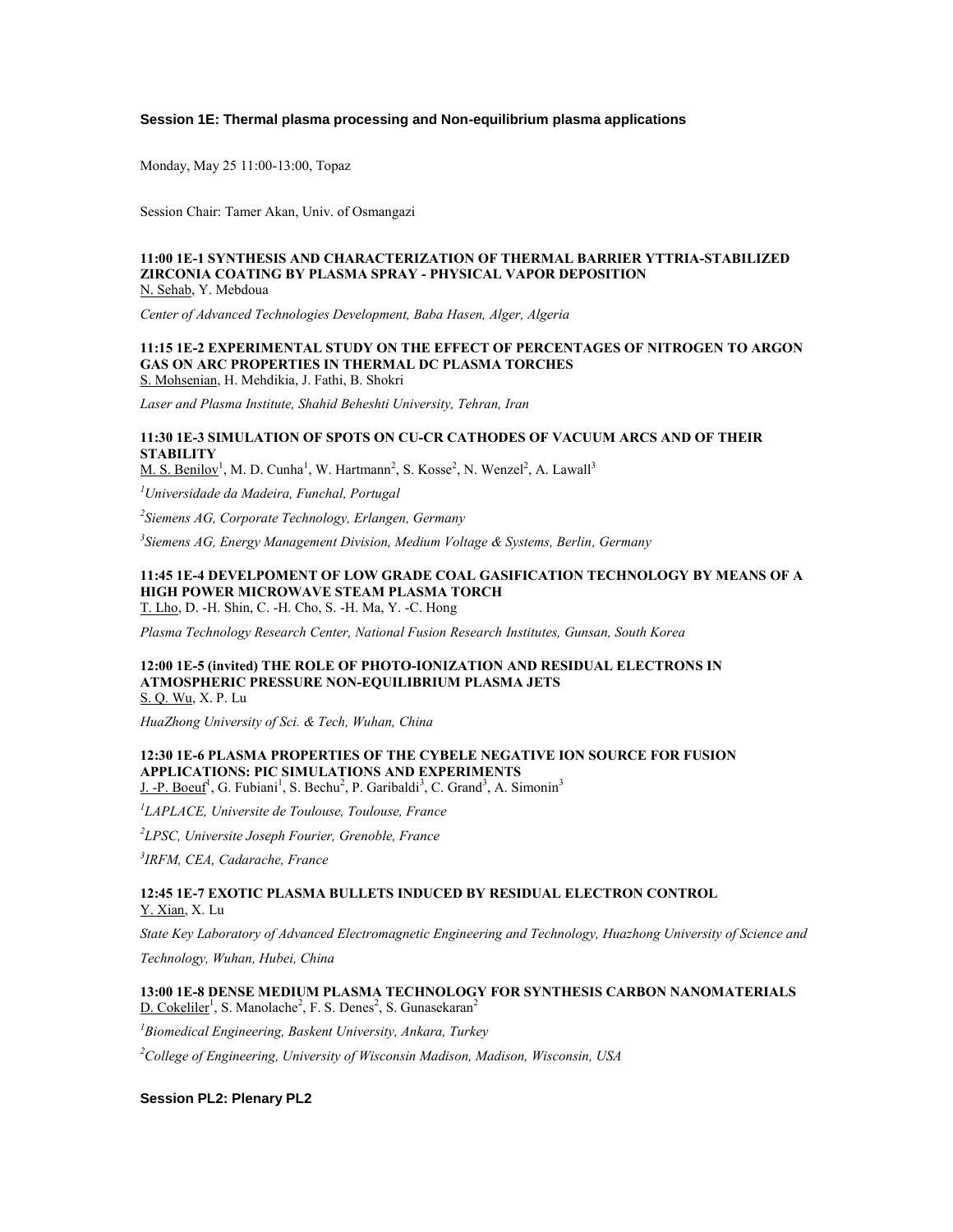#### **Session 1E: Thermal plasma processing and Non-equilibrium plasma applications**

Monday, May 25 11:00-13:00, Topaz

Session Chair: Tamer Akan, Univ. of Osmangazi

#### **11:00 1E-1 SYNTHESIS AND CHARACTERIZATION OF THERMAL BARRIER YTTRIA-STABILIZED ZIRCONIA COATING BY PLASMA SPRAY - PHYSICAL VAPOR DEPOSITION** N. Sehab, Y. Mebdoua

*Center of Advanced Technologies Development, Baba Hasen, Alger, Algeria*

#### **11:15 1E-2 EXPERIMENTAL STUDY ON THE EFFECT OF PERCENTAGES OF NITROGEN TO ARGON GAS ON ARC PROPERTIES IN THERMAL DC PLASMA TORCHES** S. Mohsenian, H. Mehdikia, J. Fathi, B. Shokri

*Laser and Plasma Institute, Shahid Beheshti University, Tehran, Iran*

### **11:30 1E-3 SIMULATION OF SPOTS ON CU-CR CATHODES OF VACUUM ARCS AND OF THEIR STABILITY**

M. S. Benilov<sup>1</sup>, M. D. Cunha<sup>1</sup>, W. Hartmann<sup>2</sup>, S. Kosse<sup>2</sup>, N. Wenzel<sup>2</sup>, A. Lawall<sup>3</sup>

*<sup>1</sup>Universidade da Madeira, Funchal, Portugal*

*2 Siemens AG, Corporate Technology, Erlangen, Germany*

*3 Siemens AG, Energy Management Division, Medium Voltage & Systems, Berlin, Germany*

#### **11:45 1E-4 DEVELPOMENT OF LOW GRADE COAL GASIFICATION TECHNOLOGY BY MEANS OF A HIGH POWER MICROWAVE STEAM PLASMA TORCH** T. Lho, D. -H. Shin, C. -H. Cho, S. -H. Ma, Y. -C. Hong

*Plasma Technology Research Center, National Fusion Research Institutes, Gunsan, South Korea*

#### **12:00 1E-5 (invited) THE ROLE OF PHOTO-IONIZATION AND RESIDUAL ELECTRONS IN ATMOSPHERIC PRESSURE NON-EQUILIBRIUM PLASMA JETS** S. Q. Wu, X. P. Lu

*HuaZhong University of Sci. & Tech, Wuhan, China*

### **12:30 1E-6 PLASMA PROPERTIES OF THE CYBELE NEGATIVE ION SOURCE FOR FUSION APPLICATIONS: PIC SIMULATIONS AND EXPERIMENTS**

J. -P. Boeuf<sup>1</sup>, G. Fubiani<sup>1</sup>, S. Bechu<sup>2</sup>, P. Garibaldi<sup>3</sup>, C. Grand<sup>3</sup>, A. Simonin<sup>3</sup>

*1 LAPLACE, Universite de Toulouse, Toulouse, France*

*2 LPSC, Universite Joseph Fourier, Grenoble, France*

*3 IRFM, CEA, Cadarache, France*

**12:45 1E-7 EXOTIC PLASMA BULLETS INDUCED BY RESIDUAL ELECTRON CONTROL** Y. Xian, X. Lu

*State Key Laboratory of Advanced Electromagnetic Engineering and Technology, Huazhong University of Science and* 

*Technology, Wuhan, Hubei, China*

**13:00 1E-8 DENSE MEDIUM PLASMA TECHNOLOGY FOR SYNTHESIS CARBON NANOMATERIALS**  $D. Cokeliler<sup>1</sup>, S. Manolache<sup>2</sup>, F. S. Denes<sup>2</sup>, S. Gunasekaran<sup>2</sup>$ 

*<sup>1</sup>Biomedical Engineering, Baskent University, Ankara, Turkey*

*<sup>2</sup>College of Engineering, University of Wisconsin Madison, Madison, Wisconsin, USA*

**Session PL2: Plenary PL2**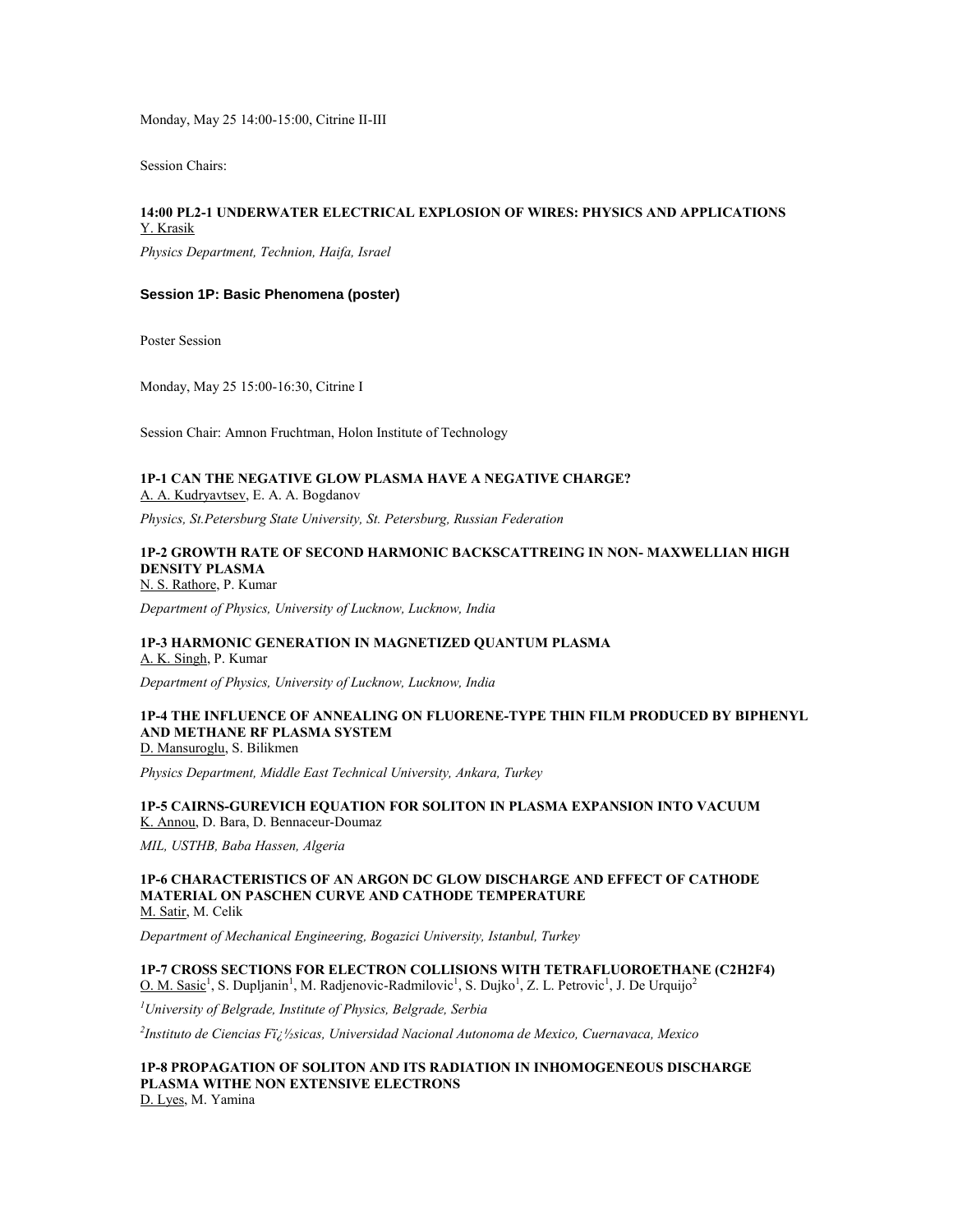Monday, May 25 14:00-15:00, Citrine II-III

Session Chairs:

### **14:00 PL2-1 UNDERWATER ELECTRICAL EXPLOSION OF WIRES: PHYSICS AND APPLICATIONS** Y. Krasik

*Physics Department, Technion, Haifa, Israel*

#### **Session 1P: Basic Phenomena (poster)**

Poster Session

Monday, May 25 15:00-16:30, Citrine I

Session Chair: Amnon Fruchtman, Holon Institute of Technology

#### **1P-1 CAN THE NEGATIVE GLOW PLASMA HAVE A NEGATIVE CHARGE?** A. A. Kudryavtsev, E. A. A. Bogdanov

*Physics, St.Petersburg State University, St. Petersburg, Russian Federation*

#### **1P-2 GROWTH RATE OF SECOND HARMONIC BACKSCATTREING IN NON- MAXWELLIAN HIGH DENSITY PLASMA** N. S. Rathore, P. Kumar

*Department of Physics, University of Lucknow, Lucknow, India*

### **1P-3 HARMONIC GENERATION IN MAGNETIZED QUANTUM PLASMA**

A. K. Singh, P. Kumar

*Department of Physics, University of Lucknow, Lucknow, India*

#### **1P-4 THE INFLUENCE OF ANNEALING ON FLUORENE-TYPE THIN FILM PRODUCED BY BIPHENYL AND METHANE RF PLASMA SYSTEM** D. Mansuroglu, S. Bilikmen

*Physics Department, Middle East Technical University, Ankara, Turkey*

**1P-5 CAIRNS-GUREVICH EQUATION FOR SOLITON IN PLASMA EXPANSION INTO VACUUM** K. Annou, D. Bara, D. Bennaceur-Doumaz

*MIL, USTHB, Baba Hassen, Algeria*

#### **1P-6 CHARACTERISTICS OF AN ARGON DC GLOW DISCHARGE AND EFFECT OF CATHODE MATERIAL ON PASCHEN CURVE AND CATHODE TEMPERATURE** M. Satir, M. Celik

*Department of Mechanical Engineering, Bogazici University, Istanbul, Turkey*

## **1P-7 CROSS SECTIONS FOR ELECTRON COLLISIONS WITH TETRAFLUOROETHANE (C2H2F4)**

O. M. Sasic<sup>1</sup>, S. Dupljanin<sup>1</sup>, M. Radjenovic-Radmilovic<sup>1</sup>, S. Dujko<sup>1</sup>, Z. L. Petrovic<sup>1</sup>, J. De Urquijo<sup>2</sup>

*<sup>1</sup>University of Belgrade, Institute of Physics, Belgrade, Serbia*

*2 Instituto de Ciencias F�sicas, Universidad Nacional Autonoma de Mexico, Cuernavaca, Mexico*

#### **1P-8 PROPAGATION OF SOLITON AND ITS RADIATION IN INHOMOGENEOUS DISCHARGE PLASMA WITHE NON EXTENSIVE ELECTRONS** D. Lyes, M. Yamina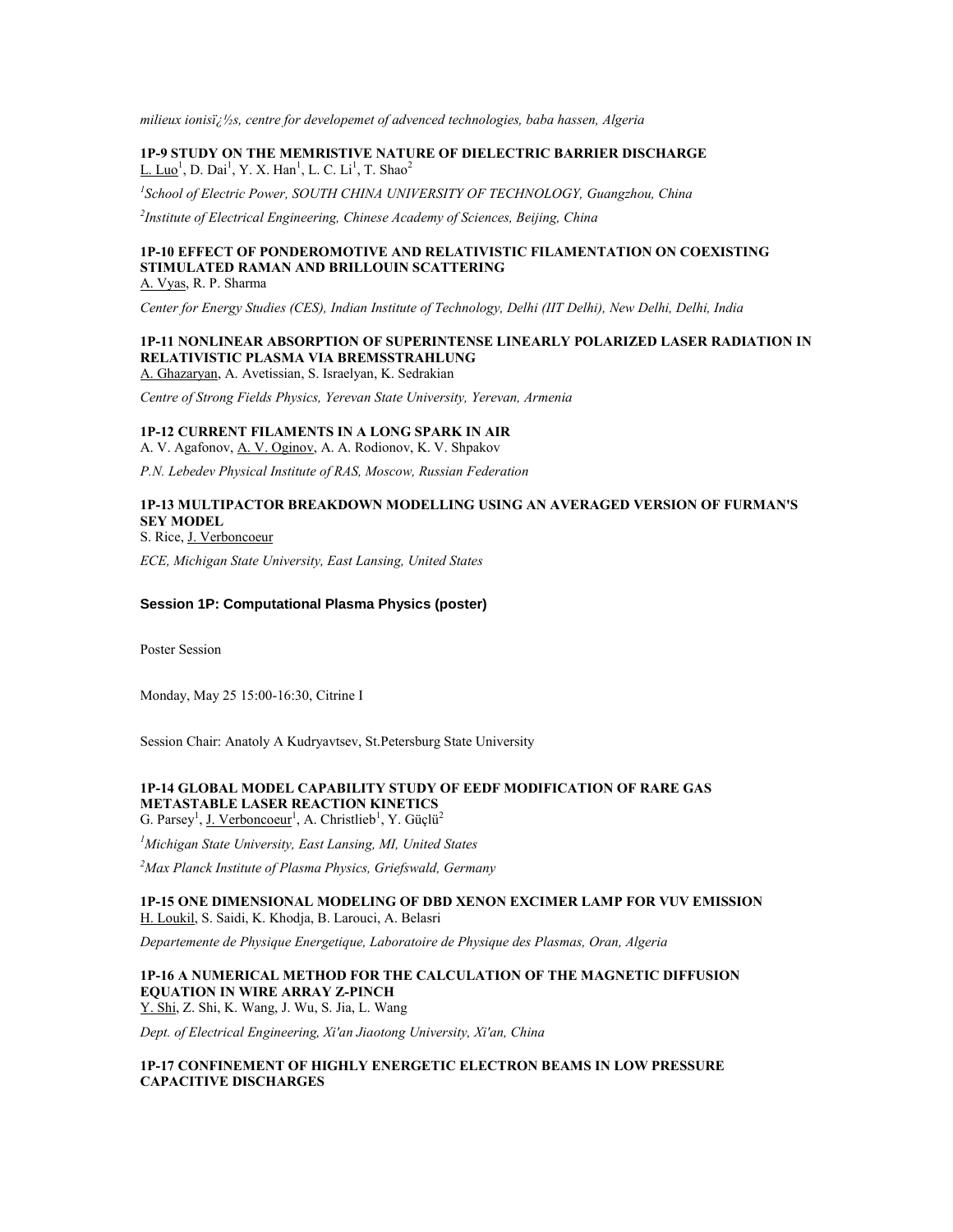*milieux ionis�s, centre for developemet of advenced technologies, baba hassen, Algeria*

### **1P-9 STUDY ON THE MEMRISTIVE NATURE OF DIELECTRIC BARRIER DISCHARGE**  $L$ . Luo<sup>1</sup>, D. Dai<sup>1</sup>, Y. X. Han<sup>1</sup>, L. C. Li<sup>1</sup>, T. Shao<sup>2</sup>

*1 School of Electric Power, SOUTH CHINA UNIVERSITY OF TECHNOLOGY, Guangzhou, China*

*2 Institute of Electrical Engineering, Chinese Academy of Sciences, Beijing, China*

#### **1P-10 EFFECT OF PONDEROMOTIVE AND RELATIVISTIC FILAMENTATION ON COEXISTING STIMULATED RAMAN AND BRILLOUIN SCATTERING** A. Vyas, R. P. Sharma

*Center for Energy Studies (CES), Indian Institute of Technology, Delhi (IIT Delhi), New Delhi, Delhi, India*

## **1P-11 NONLINEAR ABSORPTION OF SUPERINTENSE LINEARLY POLARIZED LASER RADIATION IN RELATIVISTIC PLASMA VIA BREMSSTRAHLUNG**

A. Ghazaryan, A. Avetissian, S. Israelyan, K. Sedrakian

*Centre of Strong Fields Physics, Yerevan State University, Yerevan, Armenia*

### **1P-12 CURRENT FILAMENTS IN A LONG SPARK IN AIR**

A. V. Agafonov, A. V. Oginov, A. A. Rodionov, K. V. Shpakov

*P.N. Lebedev Physical Institute of RAS, Moscow, Russian Federation*

#### **1P-13 MULTIPACTOR BREAKDOWN MODELLING USING AN AVERAGED VERSION OF FURMAN'S SEY MODEL** S. Rice, J. Verboncoeur

*ECE, Michigan State University, East Lansing, United States*

#### **Session 1P: Computational Plasma Physics (poster)**

Poster Session

Monday, May 25 15:00-16:30, Citrine I

Session Chair: Anatoly A Kudryavtsev, St.Petersburg State University

### **1P-14 GLOBAL MODEL CAPABILITY STUDY OF EEDF MODIFICATION OF RARE GAS METASTABLE LASER REACTION KINETICS**

G. Parsey<sup>1</sup>, J. Verboncoeur<sup>1</sup>, A. Christlieb<sup>1</sup>, Y. Güçlü<sup>2</sup>

*<sup>1</sup>Michigan State University, East Lansing, MI, United States*

*<sup>2</sup>Max Planck Institute of Plasma Physics, Griefswald, Germany*

#### **1P-15 ONE DIMENSIONAL MODELING OF DBD XENON EXCIMER LAMP FOR VUV EMISSION** H. Loukil, S. Saidi, K. Khodja, B. Larouci, A. Belasri

*Departemente de Physique Energetique, Laboratoire de Physique des Plasmas, Oran, Algeria*

## **1P-16 A NUMERICAL METHOD FOR THE CALCULATION OF THE MAGNETIC DIFFUSION EQUATION IN WIRE ARRAY Z-PINCH**

Y. Shi, Z. Shi, K. Wang, J. Wu, S. Jia, L. Wang

*Dept. of Electrical Engineering, Xi'an Jiaotong University, Xi'an, China*

#### **1P-17 CONFINEMENT OF HIGHLY ENERGETIC ELECTRON BEAMS IN LOW PRESSURE CAPACITIVE DISCHARGES**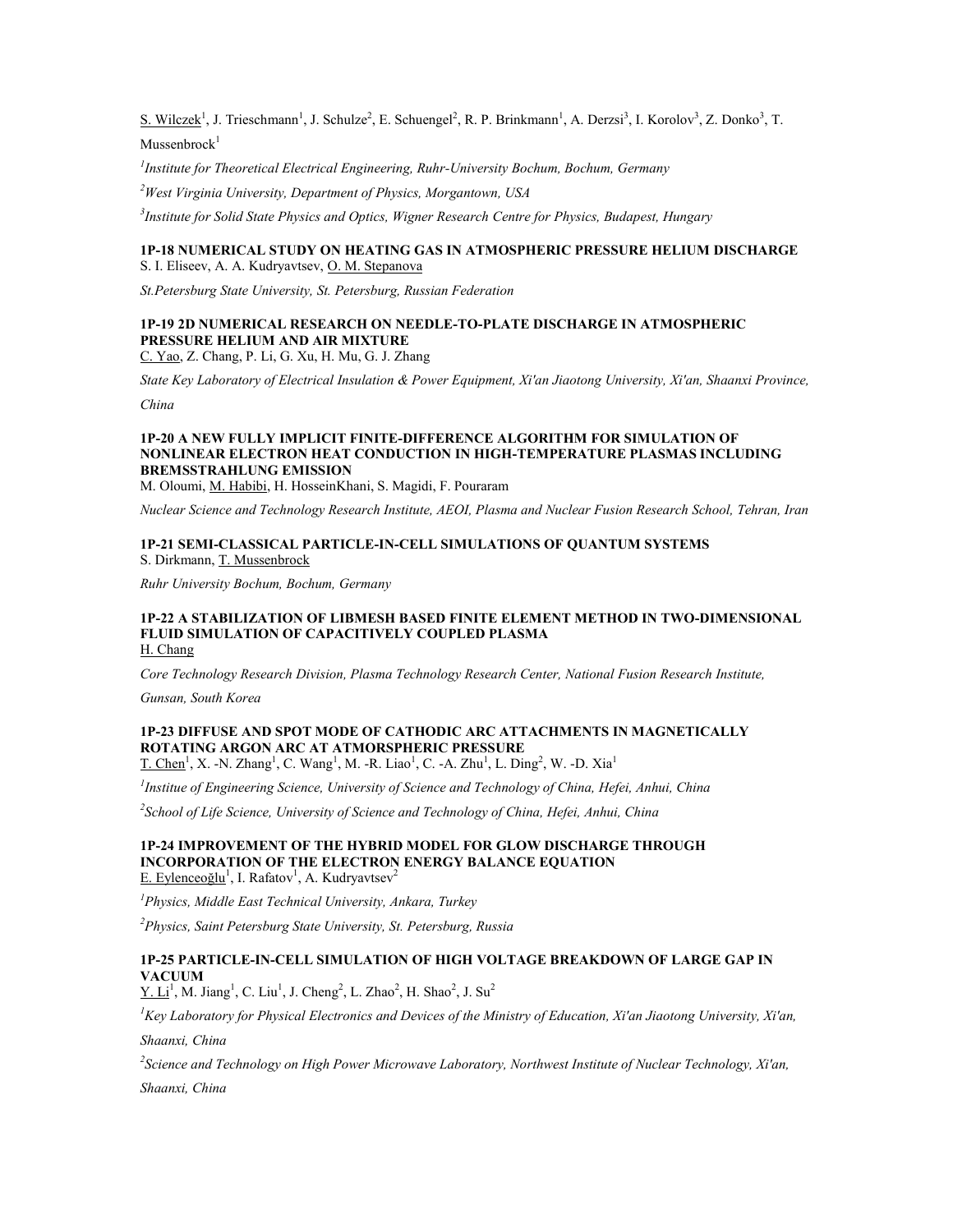S. Wilczek<sup>1</sup>, J. Trieschmann<sup>1</sup>, J. Schulze<sup>2</sup>, E. Schuengel<sup>2</sup>, R. P. Brinkmann<sup>1</sup>, A. Derzsi<sup>3</sup>, I. Korolov<sup>3</sup>, Z. Donko<sup>3</sup>, T.  $M$ ussenbrock $1$ 

*1 Institute for Theoretical Electrical Engineering, Ruhr-University Bochum, Bochum, Germany*

*<sup>2</sup>West Virginia University, Department of Physics, Morgantown, USA*

*3 Institute for Solid State Physics and Optics, Wigner Research Centre for Physics, Budapest, Hungary*

### **1P-18 NUMERICAL STUDY ON HEATING GAS IN ATMOSPHERIC PRESSURE HELIUM DISCHARGE** S. I. Eliseev, A. A. Kudryavtsev, O. M. Stepanova

*St.Petersburg State University, St. Petersburg, Russian Federation*

### **1P-19 2D NUMERICAL RESEARCH ON NEEDLE-TO-PLATE DISCHARGE IN ATMOSPHERIC PRESSURE HELIUM AND AIR MIXTURE**

C. Yao, Z. Chang, P. Li, G. Xu, H. Mu, G. J. Zhang

*State Key Laboratory of Electrical Insulation & Power Equipment, Xi'an Jiaotong University, Xi'an, Shaanxi Province,* 

*China*

### **1P-20 A NEW FULLY IMPLICIT FINITE-DIFFERENCE ALGORITHM FOR SIMULATION OF NONLINEAR ELECTRON HEAT CONDUCTION IN HIGH-TEMPERATURE PLASMAS INCLUDING BREMSSTRAHLUNG EMISSION**

M. Oloumi, M. Habibi, H. HosseinKhani, S. Magidi, F. Pouraram

*Nuclear Science and Technology Research Institute, AEOI, Plasma and Nuclear Fusion Research School, Tehran, Iran*

### **1P-21 SEMI-CLASSICAL PARTICLE-IN-CELL SIMULATIONS OF QUANTUM SYSTEMS** S. Dirkmann, T. Mussenbrock

*Ruhr University Bochum, Bochum, Germany*

#### **1P-22 A STABILIZATION OF LIBMESH BASED FINITE ELEMENT METHOD IN TWO-DIMENSIONAL FLUID SIMULATION OF CAPACITIVELY COUPLED PLASMA** H. Chang

*Core Technology Research Division, Plasma Technology Research Center, National Fusion Research Institute,* 

*Gunsan, South Korea*

#### **1P-23 DIFFUSE AND SPOT MODE OF CATHODIC ARC ATTACHMENTS IN MAGNETICALLY ROTATING ARGON ARC AT ATMORSPHERIC PRESSURE**

T. Chen<sup>1</sup>, X. -N. Zhang<sup>1</sup>, C. Wang<sup>1</sup>, M. -R. Liao<sup>1</sup>, C. -A. Zhu<sup>1</sup>, L. Ding<sup>2</sup>, W. -D. Xia<sup>1</sup>

*1 Institue of Engineering Science, University of Science and Technology of China, Hefei, Anhui, China*

*2 School of Life Science, University of Science and Technology of China, Hefei, Anhui, China*

#### **1P-24 IMPROVEMENT OF THE HYBRID MODEL FOR GLOW DISCHARGE THROUGH INCORPORATION OF THE ELECTRON ENERGY BALANCE EQUATION** E. Eylenceoğlu<sup>1</sup>, I. Rafatov<sup>1</sup>, A. Kudryavtsev<sup>2</sup>

*<sup>1</sup>Physics, Middle East Technical University, Ankara, Turkey*

*<sup>2</sup>Physics, Saint Petersburg State University, St. Petersburg, Russia*

### **1P-25 PARTICLE-IN-CELL SIMULATION OF HIGH VOLTAGE BREAKDOWN OF LARGE GAP IN VACUUM**

 $Y. Li<sup>1</sup>, M. Jiang<sup>1</sup>, C. Liu<sup>1</sup>, J. Cheng<sup>2</sup>, L. Zhao<sup>2</sup>, H. Shao<sup>2</sup>, J. Su<sup>2</sup>$ 

*<sup>1</sup>Key Laboratory for Physical Electronics and Devices of the Ministry of Education, Xi'an Jiaotong University, Xi'an,* 

*Shaanxi, China*

*2 Science and Technology on High Power Microwave Laboratory, Northwest Institute of Nuclear Technology, Xi'an,* 

*Shaanxi, China*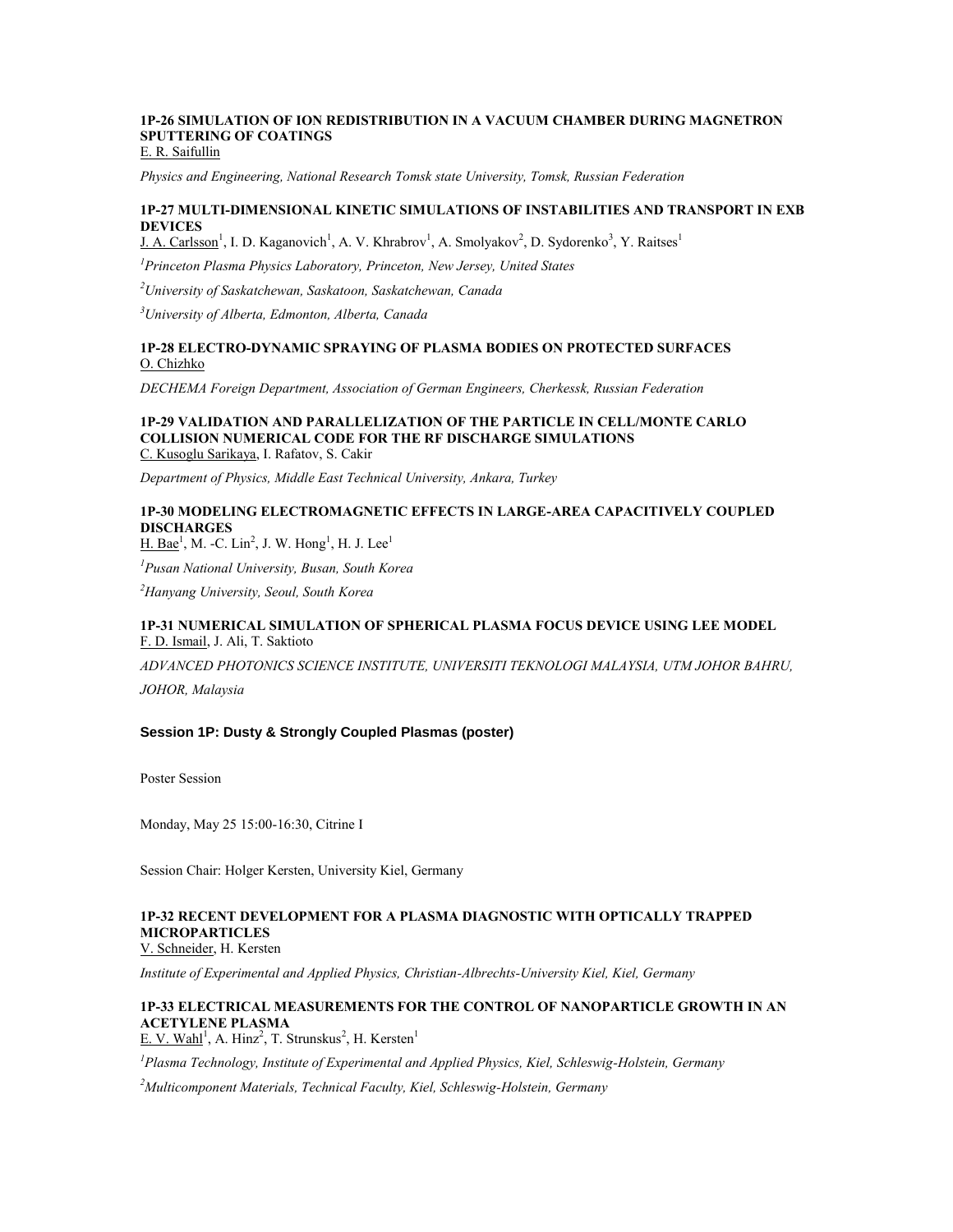## **1P-26 SIMULATION OF ION REDISTRIBUTION IN A VACUUM CHAMBER DURING MAGNETRON SPUTTERING OF COATINGS**

E. R. Saifullin

*Physics and Engineering, National Research Tomsk state University, Tomsk, Russian Federation*

### **1P-27 MULTI-DIMENSIONAL KINETIC SIMULATIONS OF INSTABILITIES AND TRANSPORT IN EXB DEVICES**

J. A. Carlsson<sup>1</sup>, I. D. Kaganovich<sup>1</sup>, A. V. Khrabrov<sup>1</sup>, A. Smolyakov<sup>2</sup>, D. Sydorenko<sup>3</sup>, Y. Raitses<sup>1</sup>

*<sup>1</sup>Princeton Plasma Physics Laboratory, Princeton, New Jersey, United States*

*<sup>2</sup>University of Saskatchewan, Saskatoon, Saskatchewan, Canada*

*<sup>3</sup>University of Alberta, Edmonton, Alberta, Canada*

### **1P-28 ELECTRO-DYNAMIC SPRAYING OF PLASMA BODIES ON PROTECTED SURFACES** O. Chizhko

*DECHEMA Foreign Department, Association of German Engineers, Cherkessk, Russian Federation*

#### **1P-29 VALIDATION AND PARALLELIZATION OF THE PARTICLE IN CELL/MONTE CARLO COLLISION NUMERICAL CODE FOR THE RF DISCHARGE SIMULATIONS** C. Kusoglu Sarikaya, I. Rafatov, S. Cakir

*Department of Physics, Middle East Technical University, Ankara, Turkey*

### **1P-30 MODELING ELECTROMAGNETIC EFFECTS IN LARGE-AREA CAPACITIVELY COUPLED DISCHARGES**

 $H. Bae<sup>1</sup>, M. -C. Lin<sup>2</sup>, J. W. Hong<sup>1</sup>, H. J. Lee<sup>1</sup>$ 

*<sup>1</sup>Pusan National University, Busan, South Korea*

*<sup>2</sup>Hanyang University, Seoul, South Korea*

### **1P-31 NUMERICAL SIMULATION OF SPHERICAL PLASMA FOCUS DEVICE USING LEE MODEL** F. D. Ismail, J. Ali, T. Saktioto

*ADVANCED PHOTONICS SCIENCE INSTITUTE, UNIVERSITI TEKNOLOGI MALAYSIA, UTM JOHOR BAHRU,* 

*JOHOR, Malaysia*

### **Session 1P: Dusty & Strongly Coupled Plasmas (poster)**

Poster Session

Monday, May 25 15:00-16:30, Citrine I

Session Chair: Holger Kersten, University Kiel, Germany

## **1P-32 RECENT DEVELOPMENT FOR A PLASMA DIAGNOSTIC WITH OPTICALLY TRAPPED MICROPARTICLES**

V. Schneider, H. Kersten

*Institute of Experimental and Applied Physics, Christian-Albrechts-University Kiel, Kiel, Germany*

#### **1P-33 ELECTRICAL MEASUREMENTS FOR THE CONTROL OF NANOPARTICLE GROWTH IN AN ACETYLENE PLASMA**  $E$ . V. Wahl<sup>1</sup>, A. Hinz<sup>2</sup>, T. Strunskus<sup>2</sup>, H. Kersten<sup>1</sup>

*<sup>1</sup>Plasma Technology, Institute of Experimental and Applied Physics, Kiel, Schleswig-Holstein, Germany*

*<sup>2</sup>Multicomponent Materials, Technical Faculty, Kiel, Schleswig-Holstein, Germany*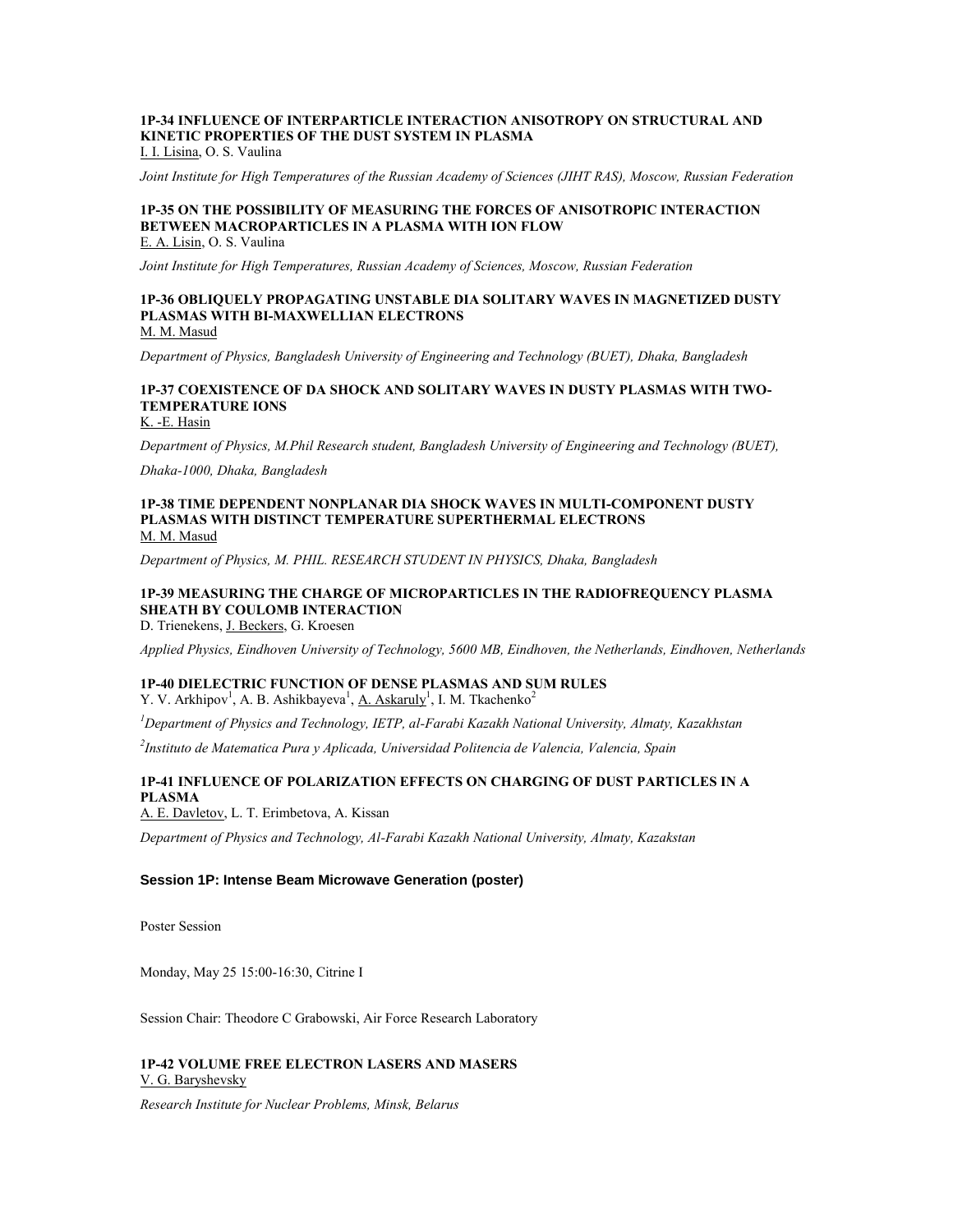## **1P-34 INFLUENCE OF INTERPARTICLE INTERACTION ANISOTROPY ON STRUCTURAL AND KINETIC PROPERTIES OF THE DUST SYSTEM IN PLASMA**

I. I. Lisina, O. S. Vaulina

*Joint Institute for High Temperatures of the Russian Academy of Sciences (JIHT RAS), Moscow, Russian Federation*

## **1P-35 ON THE POSSIBILITY OF MEASURING THE FORCES OF ANISOTROPIC INTERACTION BETWEEN MACROPARTICLES IN A PLASMA WITH ION FLOW**

E. A. Lisin, O. S. Vaulina

*Joint Institute for High Temperatures, Russian Academy of Sciences, Moscow, Russian Federation*

#### **1P-36 OBLIQUELY PROPAGATING UNSTABLE DIA SOLITARY WAVES IN MAGNETIZED DUSTY PLASMAS WITH BI-MAXWELLIAN ELECTRONS** M. M. Masud

*Department of Physics, Bangladesh University of Engineering and Technology (BUET), Dhaka, Bangladesh*

### **1P-37 COEXISTENCE OF DA SHOCK AND SOLITARY WAVES IN DUSTY PLASMAS WITH TWO-TEMPERATURE IONS**

K. -E. Hasin

*Department of Physics, M.Phil Research student, Bangladesh University of Engineering and Technology (BUET),* 

*Dhaka-1000, Dhaka, Bangladesh*

#### **1P-38 TIME DEPENDENT NONPLANAR DIA SHOCK WAVES IN MULTI-COMPONENT DUSTY PLASMAS WITH DISTINCT TEMPERATURE SUPERTHERMAL ELECTRONS** M. M. Masud

*Department of Physics, M. PHIL. RESEARCH STUDENT IN PHYSICS, Dhaka, Bangladesh*

#### **1P-39 MEASURING THE CHARGE OF MICROPARTICLES IN THE RADIOFREQUENCY PLASMA SHEATH BY COULOMB INTERACTION** D. Trienekens, J. Beckers, G. Kroesen

*Applied Physics, Eindhoven University of Technology, 5600 MB, Eindhoven, the Netherlands, Eindhoven, Netherlands*

## **1P-40 DIELECTRIC FUNCTION OF DENSE PLASMAS AND SUM RULES**

Y. V. Arkhipov<sup>1</sup>, A. B. Ashikbayeva<sup>1</sup>, <u>A. Askaruly</u><sup>1</sup>, I. M. Tkachenko<sup>2</sup>

*<sup>1</sup>Department of Physics and Technology, IETP, al-Farabi Kazakh National University, Almaty, Kazakhstan*

*2 Instituto de Matematica Pura y Aplicada, Universidad Politencia de Valencia, Valencia, Spain*

### **1P-41 INFLUENCE OF POLARIZATION EFFECTS ON CHARGING OF DUST PARTICLES IN A PLASMA**

A. E. Davletov, L. T. Erimbetova, A. Kissan

*Department of Physics and Technology, Al-Farabi Kazakh National University, Almaty, Kazakstan*

#### **Session 1P: Intense Beam Microwave Generation (poster)**

Poster Session

Monday, May 25 15:00-16:30, Citrine I

Session Chair: Theodore C Grabowski, Air Force Research Laboratory

### **1P-42 VOLUME FREE ELECTRON LASERS AND MASERS** V. G. Baryshevsky

*Research Institute for Nuclear Problems, Minsk, Belarus*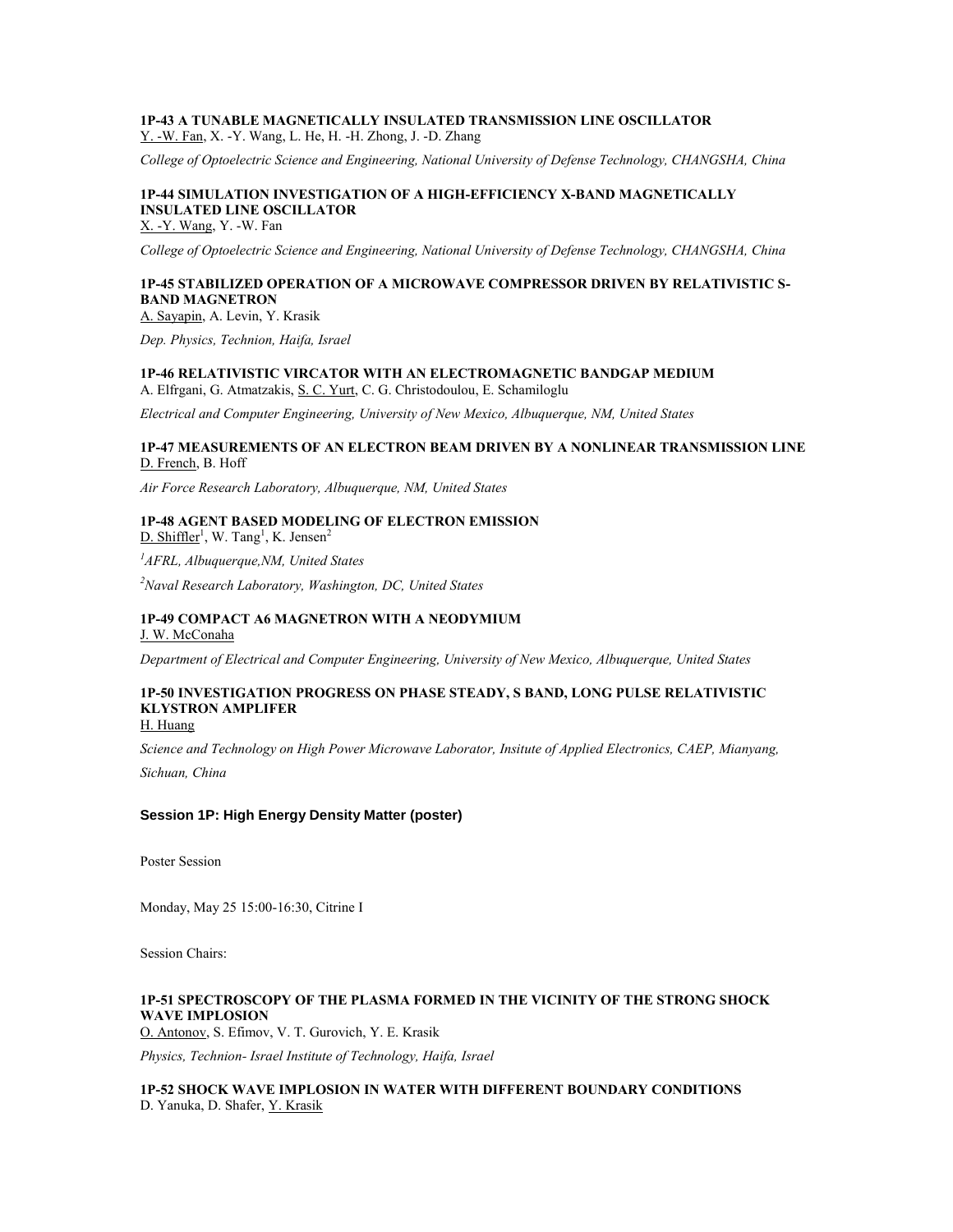### **1P-43 A TUNABLE MAGNETICALLY INSULATED TRANSMISSION LINE OSCILLATOR** Y. -W. Fan, X. -Y. Wang, L. He, H. -H. Zhong, J. -D. Zhang

*College of Optoelectric Science and Engineering, National University of Defense Technology, CHANGSHA, China*

## **1P-44 SIMULATION INVESTIGATION OF A HIGH-EFFICIENCY X-BAND MAGNETICALLY INSULATED LINE OSCILLATOR**

X. -Y. Wang, Y. -W. Fan

*College of Optoelectric Science and Engineering, National University of Defense Technology, CHANGSHA, China*

### **1P-45 STABILIZED OPERATION OF A MICROWAVE COMPRESSOR DRIVEN BY RELATIVISTIC S-BAND MAGNETRON**

A. Sayapin, A. Levin, Y. Krasik

*Dep. Physics, Technion, Haifa, Israel*

#### **1P-46 RELATIVISTIC VIRCATOR WITH AN ELECTROMAGNETIC BANDGAP MEDIUM** A. Elfrgani, G. Atmatzakis, S. C. Yurt, C. G. Christodoulou, E. Schamiloglu

*Electrical and Computer Engineering, University of New Mexico, Albuquerque, NM, United States*

#### **1P-47 MEASUREMENTS OF AN ELECTRON BEAM DRIVEN BY A NONLINEAR TRANSMISSION LINE** D. French, B. Hoff

*Air Force Research Laboratory, Albuquerque, NM, United States*

#### **1P-48 AGENT BASED MODELING OF ELECTRON EMISSION**  $D. Shiffler<sup>1</sup>, W. Tang<sup>1</sup>, K. Jensen<sup>2</sup>$

*<sup>1</sup>AFRL, Albuquerque,NM, United States*

*<sup>2</sup>Naval Research Laboratory, Washington, DC, United States*

#### **1P-49 COMPACT A6 MAGNETRON WITH A NEODYMIUM** J. W. McConaha

*Department of Electrical and Computer Engineering, University of New Mexico, Albuquerque, United States*

## **1P-50 INVESTIGATION PROGRESS ON PHASE STEADY, S BAND, LONG PULSE RELATIVISTIC KLYSTRON AMPLIFER**

H. Huang

*Science and Technology on High Power Microwave Laborator, Insitute of Applied Electronics, CAEP, Mianyang,* 

*Sichuan, China*

### **Session 1P: High Energy Density Matter (poster)**

Poster Session

Monday, May 25 15:00-16:30, Citrine I

Session Chairs:

### **1P-51 SPECTROSCOPY OF THE PLASMA FORMED IN THE VICINITY OF THE STRONG SHOCK WAVE IMPLOSION**

O. Antonov, S. Efimov, V. T. Gurovich, Y. E. Krasik

*Physics, Technion- Israel Institute of Technology, Haifa, Israel*

**1P-52 SHOCK WAVE IMPLOSION IN WATER WITH DIFFERENT BOUNDARY CONDITIONS** D. Yanuka, D. Shafer, Y. Krasik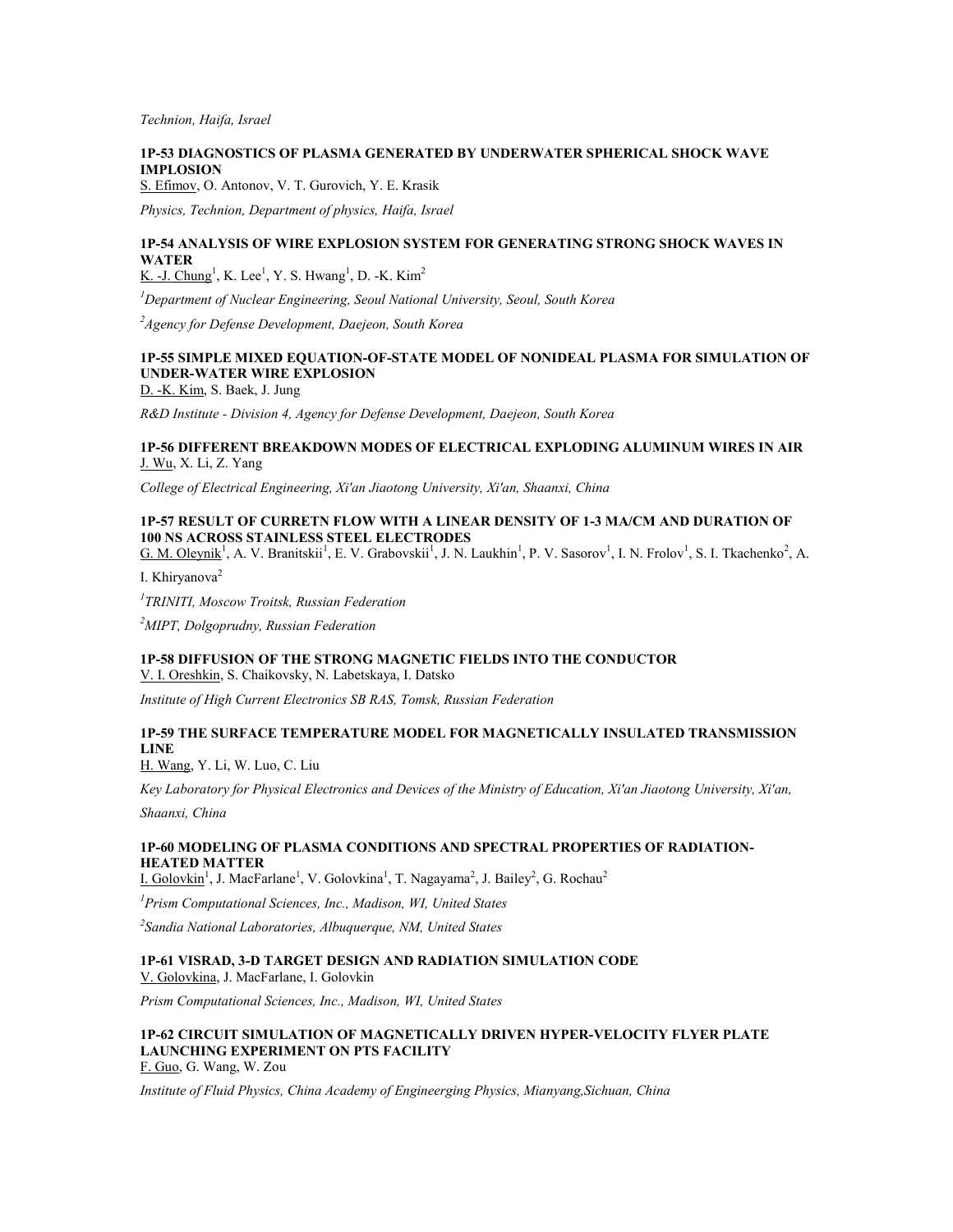*Technion, Haifa, Israel*

### **1P-53 DIAGNOSTICS OF PLASMA GENERATED BY UNDERWATER SPHERICAL SHOCK WAVE IMPLOSION**

S. Efimov, O. Antonov, V. T. Gurovich, Y. E. Krasik

*Physics, Technion, Department of physics, Haifa, Israel*

### **1P-54 ANALYSIS OF WIRE EXPLOSION SYSTEM FOR GENERATING STRONG SHOCK WAVES IN WATER**

K. -J. Chung<sup>1</sup>, K. Lee<sup>1</sup>, Y. S. Hwang<sup>1</sup>, D. -K. Kim<sup>2</sup>

*<sup>1</sup>Department of Nuclear Engineering, Seoul National University, Seoul, South Korea*

*<sup>2</sup>Agency for Defense Development, Daejeon, South Korea*

### **1P-55 SIMPLE MIXED EQUATION-OF-STATE MODEL OF NONIDEAL PLASMA FOR SIMULATION OF UNDER-WATER WIRE EXPLOSION**

D. -K. Kim, S. Baek, J. Jung

*R&D Institute - Division 4, Agency for Defense Development, Daejeon, South Korea*

### **1P-56 DIFFERENT BREAKDOWN MODES OF ELECTRICAL EXPLODING ALUMINUM WIRES IN AIR** J. Wu, X. Li, Z. Yang

*College of Electrical Engineering, Xi'an Jiaotong University, Xi'an, Shaanxi, China*

### **1P-57 RESULT OF CURRETN FLOW WITH A LINEAR DENSITY OF 1-3 MA/CM AND DURATION OF 100 NS ACROSS STAINLESS STEEL ELECTRODES**

G. M. Oleynik<sup>1</sup>, A. V. Branitskii<sup>1</sup>, E. V. Grabovskii<sup>1</sup>, J. N. Laukhin<sup>1</sup>, P. V. Sasorov<sup>1</sup>, I. N. Frolov<sup>1</sup>, S. I. Tkachenko<sup>2</sup>, A.

I. Khiryanova<sup>2</sup>

*1 TRINITI, Moscow Troitsk, Russian Federation*

*<sup>2</sup>MIPT, Dolgoprudny, Russian Federation*

### **1P-58 DIFFUSION OF THE STRONG MAGNETIC FIELDS INTO THE CONDUCTOR**

V. I. Oreshkin, S. Chaikovsky, N. Labetskaya, I. Datsko

*Institute of High Current Electronics SB RAS, Tomsk, Russian Federation*

### **1P-59 THE SURFACE TEMPERATURE MODEL FOR MAGNETICALLY INSULATED TRANSMISSION LINE**

H. Wang, Y. Li, W. Luo, C. Liu

*Key Laboratory for Physical Electronics and Devices of the Ministry of Education, Xi'an Jiaotong University, Xi'an,* 

*Shaanxi, China*

#### **1P-60 MODELING OF PLASMA CONDITIONS AND SPECTRAL PROPERTIES OF RADIATION-HEATED MATTER**

I. Golovkin<sup>1</sup>, J. MacFarlane<sup>1</sup>, V. Golovkina<sup>1</sup>, T. Nagayama<sup>2</sup>, J. Bailey<sup>2</sup>, G. Rochau<sup>2</sup>

*<sup>1</sup>Prism Computational Sciences, Inc., Madison, WI, United States*

*2 Sandia National Laboratories, Albuquerque, NM, United States*

#### **1P-61 VISRAD, 3-D TARGET DESIGN AND RADIATION SIMULATION CODE** V. Golovkina, J. MacFarlane, I. Golovkin

*Prism Computational Sciences, Inc., Madison, WI, United States*

## **1P-62 CIRCUIT SIMULATION OF MAGNETICALLY DRIVEN HYPER-VELOCITY FLYER PLATE LAUNCHING EXPERIMENT ON PTS FACILITY**

F. Guo, G. Wang, W. Zou

*Institute of Fluid Physics, China Academy of Engineerging Physics, Mianyang,Sichuan, China*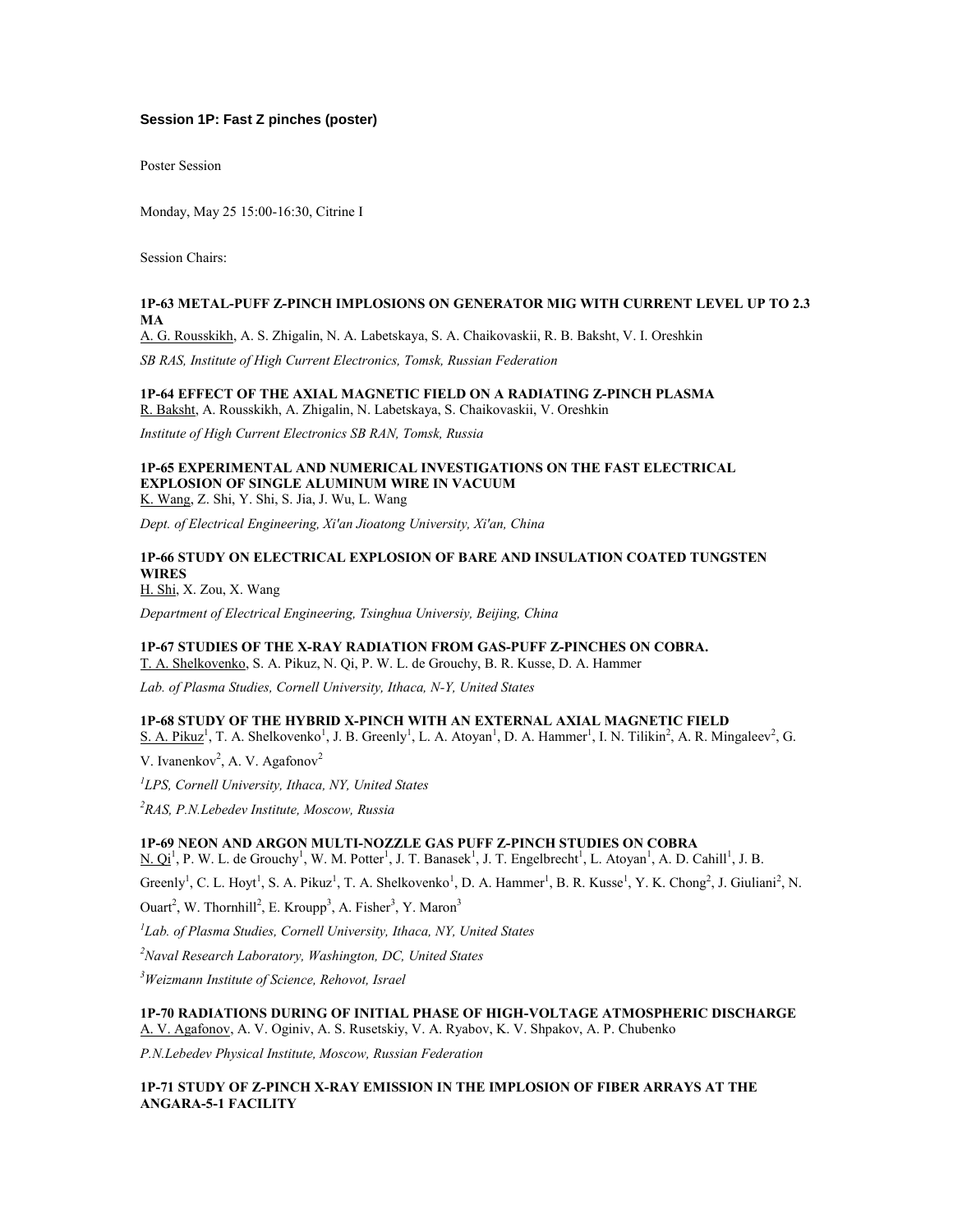### **Session 1P: Fast Z pinches (poster)**

Poster Session

Monday, May 25 15:00-16:30, Citrine I

Session Chairs:

#### **1P-63 METAL-PUFF Z-PINCH IMPLOSIONS ON GENERATOR MIG WITH CURRENT LEVEL UP TO 2.3 MA**

A. G. Rousskikh, A. S. Zhigalin, N. A. Labetskaya, S. A. Chaikovaskii, R. B. Baksht, V. I. Oreshkin

*SB RAS, Institute of High Current Electronics, Tomsk, Russian Federation*

## **1P-64 EFFECT OF THE AXIAL MAGNETIC FIELD ON A RADIATING Z-PINCH PLASMA**

R. Baksht, A. Rousskikh, A. Zhigalin, N. Labetskaya, S. Chaikovaskii, V. Oreshkin

*Institute of High Current Electronics SB RAN, Tomsk, Russia*

#### **1P-65 EXPERIMENTAL AND NUMERICAL INVESTIGATIONS ON THE FAST ELECTRICAL EXPLOSION OF SINGLE ALUMINUM WIRE IN VACUUM** K. Wang, Z. Shi, Y. Shi, S. Jia, J. Wu, L. Wang

*Dept. of Electrical Engineering, Xi'an Jioatong University, Xi'an, China*

### **1P-66 STUDY ON ELECTRICAL EXPLOSION OF BARE AND INSULATION COATED TUNGSTEN WIRES**

H. Shi, X. Zou, X. Wang

*Department of Electrical Engineering, Tsinghua Universiy, Beijing, China*

### **1P-67 STUDIES OF THE X-RAY RADIATION FROM GAS-PUFF Z-PINCHES ON COBRA.**

T. A. Shelkovenko, S. A. Pikuz, N. Qi, P. W. L. de Grouchy, B. R. Kusse, D. A. Hammer

*Lab. of Plasma Studies, Cornell University, Ithaca, N-Y, United States*

### **1P-68 STUDY OF THE HYBRID X-PINCH WITH AN EXTERNAL AXIAL MAGNETIC FIELD**

S. A. Pikuz<sup>1</sup>, T. A. Shelkovenko<sup>1</sup>, J. B. Greenly<sup>1</sup>, L. A. Atoyan<sup>1</sup>, D. A. Hammer<sup>1</sup>, I. N. Tilikin<sup>2</sup>, A. R. Mingaleev<sup>2</sup>, G.

V. Ivanenkov<sup>2</sup>, A. V. Agafonov<sup>2</sup>

*1 LPS, Cornell University, Ithaca, NY, United States*

*<sup>2</sup>RAS, P.N.Lebedev Institute, Moscow, Russia*

### **1P-69 NEON AND ARGON MULTI-NOZZLE GAS PUFF Z-PINCH STUDIES ON COBRA**

 $N$ .  $Q_1^1$ , P. W. L. de Grouchy<sup>1</sup>, W. M. Potter<sup>1</sup>, J. T. Banasek<sup>1</sup>, J. T. Engelbrecht<sup>1</sup>, L. Atoyan<sup>1</sup>, A. D. Cahill<sup>1</sup>, J. B.

Greenly<sup>1</sup>, C. L. Hoyt<sup>1</sup>, S. A. Pikuz<sup>1</sup>, T. A. Shelkovenko<sup>1</sup>, D. A. Hammer<sup>1</sup>, B. R. Kusse<sup>1</sup>, Y. K. Chong<sup>2</sup>, J. Giuliani<sup>2</sup>, N.

Ouart<sup>2</sup>, W. Thornhill<sup>2</sup>, E. Kroupp<sup>3</sup>, A. Fisher<sup>3</sup>, Y. Maron<sup>3</sup>

*1 Lab. of Plasma Studies, Cornell University, Ithaca, NY, United States*

*<sup>2</sup>Naval Research Laboratory, Washington, DC, United States*

*<sup>3</sup>Weizmann Institute of Science, Rehovot, Israel*

#### **1P-70 RADIATIONS DURING OF INITIAL PHASE OF HIGH-VOLTAGE ATMOSPHERIC DISCHARGE** A. V. Agafonov, A. V. Oginiv, A. S. Rusetskiy, V. A. Ryabov, K. V. Shpakov, A. P. Chubenko

*P.N.Lebedev Physical Institute, Moscow, Russian Federation*

### **1P-71 STUDY OF Z-PINCH X-RAY EMISSION IN THE IMPLOSION OF FIBER ARRAYS AT THE ANGARA-5-1 FACILITY**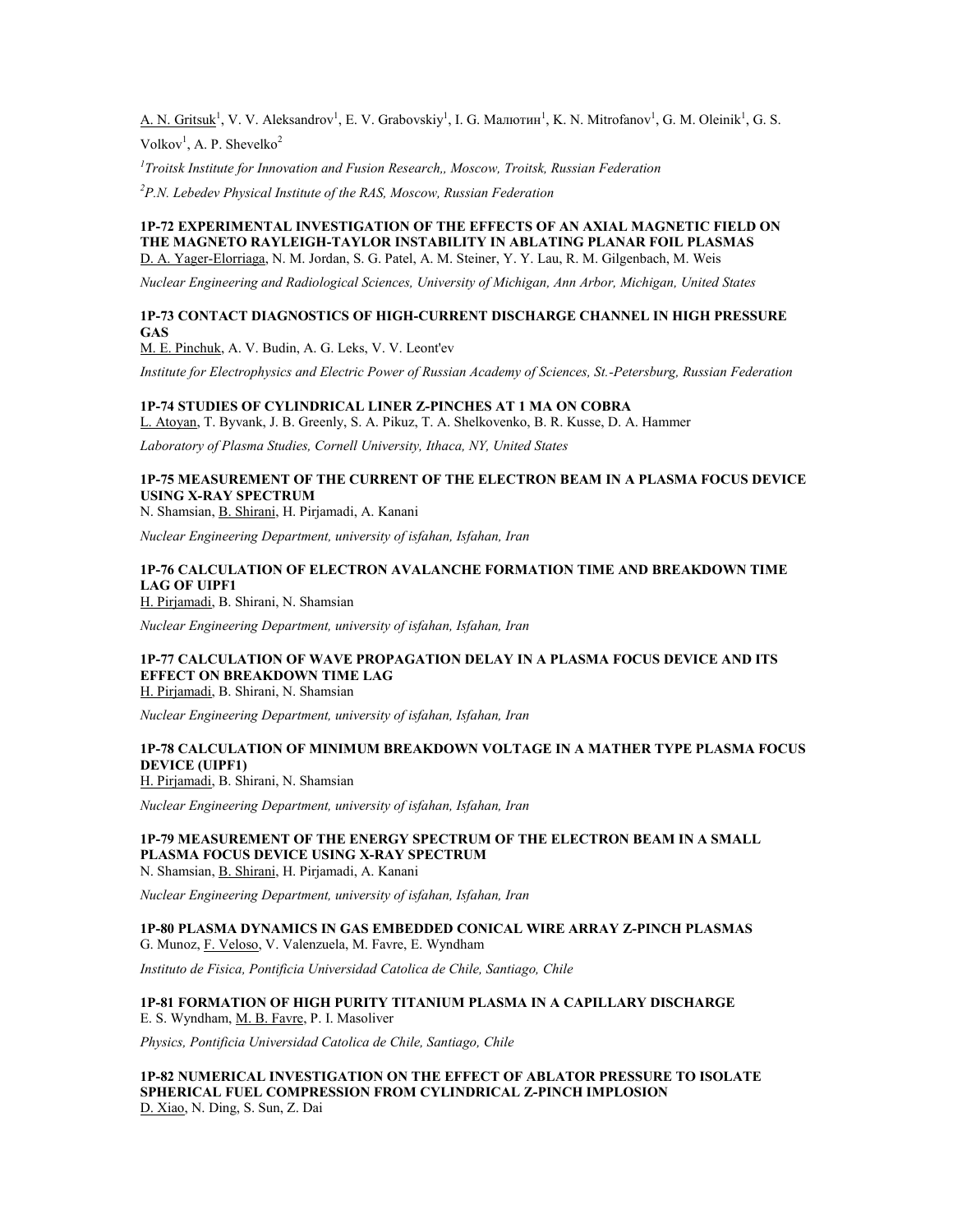$A. N.$  Gritsuk<sup>1</sup>, V. V. Aleksandrov<sup>1</sup>, E. V. Grabovskiy<sup>1</sup>, I. G. Малютин<sup>1</sup>, K. N. Mitrofanov<sup>1</sup>, G. M. Oleinik<sup>1</sup>, G. S.

Volkov<sup>1</sup>, A. P. Shevelko<sup>2</sup>

*1 Troitsk Institute for Innovation and Fusion Research,, Moscow, Troitsk, Russian Federation*

*<sup>2</sup>P.N. Lebedev Physical Institute of the RAS, Moscow, Russian Federation*

#### **1P-72 EXPERIMENTAL INVESTIGATION OF THE EFFECTS OF AN AXIAL MAGNETIC FIELD ON THE MAGNETO RAYLEIGH-TAYLOR INSTABILITY IN ABLATING PLANAR FOIL PLASMAS** D. A. Yager-Elorriaga, N. M. Jordan, S. G. Patel, A. M. Steiner, Y. Y. Lau, R. M. Gilgenbach, M. Weis

*Nuclear Engineering and Radiological Sciences, University of Michigan, Ann Arbor, Michigan, United States*

### **1P-73 CONTACT DIAGNOSTICS OF HIGH-CURRENT DISCHARGE CHANNEL IN HIGH PRESSURE GAS**

M. E. Pinchuk, A. V. Budin, A. G. Leks, V. V. Leont'ev

*Institute for Electrophysics and Electric Power of Russian Academy of Sciences, St.-Petersburg, Russian Federation*

### **1P-74 STUDIES OF CYLINDRICAL LINER Z-PINCHES AT 1 MA ON COBRA**

L. Atoyan, T. Byvank, J. B. Greenly, S. A. Pikuz, T. A. Shelkovenko, B. R. Kusse, D. A. Hammer

*Laboratory of Plasma Studies, Cornell University, Ithaca, NY, United States*

### **1P-75 MEASUREMENT OF THE CURRENT OF THE ELECTRON BEAM IN A PLASMA FOCUS DEVICE USING X-RAY SPECTRUM**

N. Shamsian, B. Shirani, H. Pirjamadi, A. Kanani

*Nuclear Engineering Department, university of isfahan, Isfahan, Iran*

### **1P-76 CALCULATION OF ELECTRON AVALANCHE FORMATION TIME AND BREAKDOWN TIME LAG OF UIPF1**

H. Pirjamadi, B. Shirani, N. Shamsian

*Nuclear Engineering Department, university of isfahan, Isfahan, Iran*

### **1P-77 CALCULATION OF WAVE PROPAGATION DELAY IN A PLASMA FOCUS DEVICE AND ITS EFFECT ON BREAKDOWN TIME LAG**

H. Pirjamadi, B. Shirani, N. Shamsian

*Nuclear Engineering Department, university of isfahan, Isfahan, Iran*

### **1P-78 CALCULATION OF MINIMUM BREAKDOWN VOLTAGE IN A MATHER TYPE PLASMA FOCUS DEVICE (UIPF1)**

H. Pirjamadi, B. Shirani, N. Shamsian

*Nuclear Engineering Department, university of isfahan, Isfahan, Iran*

## **1P-79 MEASUREMENT OF THE ENERGY SPECTRUM OF THE ELECTRON BEAM IN A SMALL PLASMA FOCUS DEVICE USING X-RAY SPECTRUM**

N. Shamsian, B. Shirani, H. Pirjamadi, A. Kanani

*Nuclear Engineering Department, university of isfahan, Isfahan, Iran*

#### **1P-80 PLASMA DYNAMICS IN GAS EMBEDDED CONICAL WIRE ARRAY Z-PINCH PLASMAS** G. Munoz, F. Veloso, V. Valenzuela, M. Favre, E. Wyndham

*Instituto de Fisica, Pontificia Universidad Catolica de Chile, Santiago, Chile*

## **1P-81 FORMATION OF HIGH PURITY TITANIUM PLASMA IN A CAPILLARY DISCHARGE**

E. S. Wyndham, M. B. Favre, P. I. Masoliver

*Physics, Pontificia Universidad Catolica de Chile, Santiago, Chile*

**1P-82 NUMERICAL INVESTIGATION ON THE EFFECT OF ABLATOR PRESSURE TO ISOLATE SPHERICAL FUEL COMPRESSION FROM CYLINDRICAL Z-PINCH IMPLOSION** D. Xiao, N. Ding, S. Sun, Z. Dai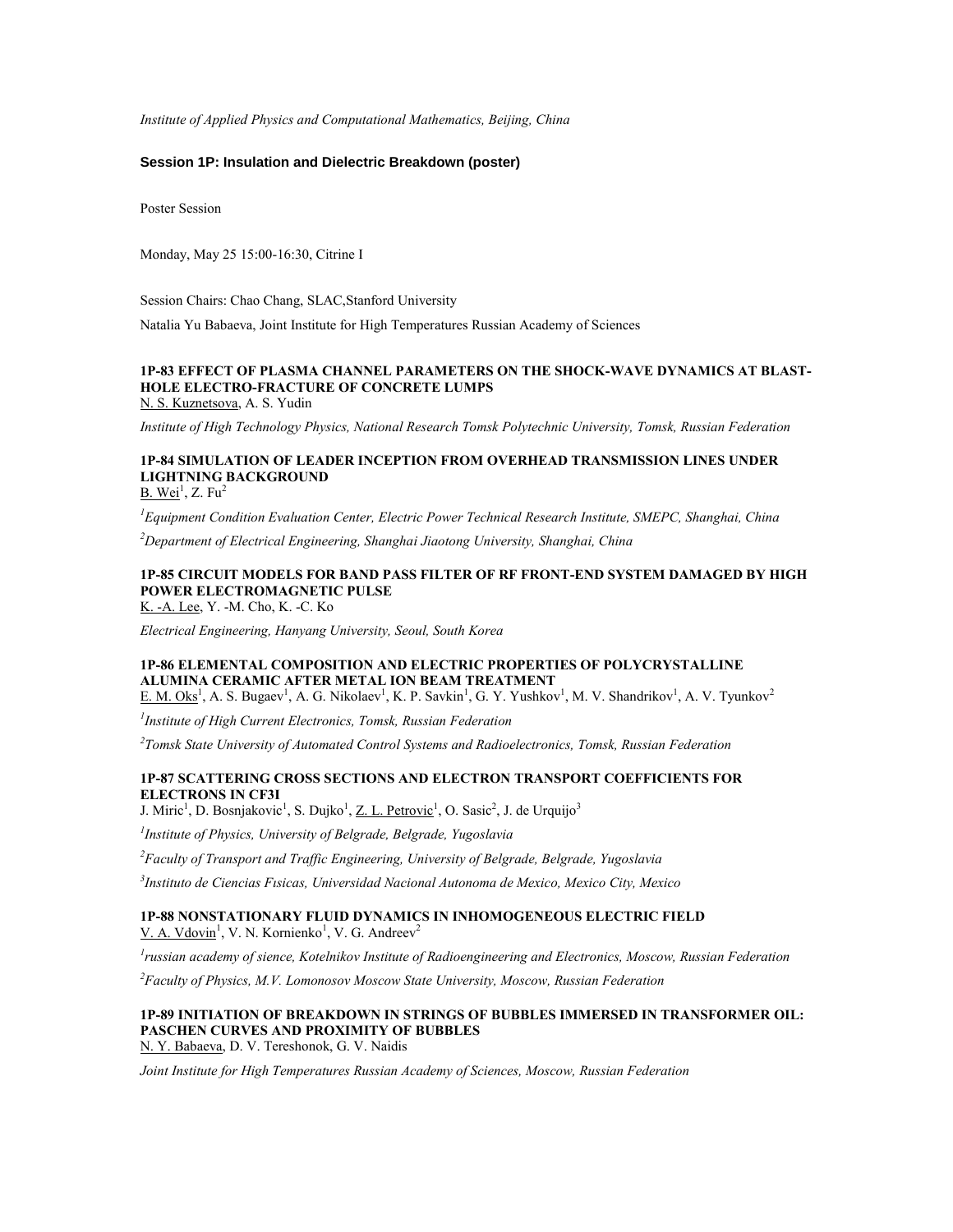*Institute of Applied Physics and Computational Mathematics, Beijing, China*

### **Session 1P: Insulation and Dielectric Breakdown (poster)**

Poster Session

Monday, May 25 15:00-16:30, Citrine I

Session Chairs: Chao Chang, SLAC,Stanford University

Natalia Yu Babaeva, Joint Institute for High Temperatures Russian Academy of Sciences

## **1P-83 EFFECT OF PLASMA CHANNEL PARAMETERS ON THE SHOCK-WAVE DYNAMICS AT BLAST-HOLE ELECTRO-FRACTURE OF CONCRETE LUMPS**

N. S. Kuznetsova, A. S. Yudin

*Institute of High Technology Physics, National Research Tomsk Polytechnic University, Tomsk, Russian Federation*

## **1P-84 SIMULATION OF LEADER INCEPTION FROM OVERHEAD TRANSMISSION LINES UNDER LIGHTNING BACKGROUND**

B. Wei<sup>1</sup>, Z. Fu<sup>2</sup>

*<sup>1</sup>Equipment Condition Evaluation Center, Electric Power Technical Research Institute, SMEPC, Shanghai, China*

*<sup>2</sup>Department of Electrical Engineering, Shanghai Jiaotong University, Shanghai, China*

## **1P-85 CIRCUIT MODELS FOR BAND PASS FILTER OF RF FRONT-END SYSTEM DAMAGED BY HIGH POWER ELECTROMAGNETIC PULSE**

K. -A. Lee, Y. -M. Cho, K. -C. Ko

*Electrical Engineering, Hanyang University, Seoul, South Korea*

#### **1P-86 ELEMENTAL COMPOSITION AND ELECTRIC PROPERTIES OF POLYCRYSTALLINE ALUMINA CERAMIC AFTER METAL ION BEAM TREATMENT** E. M. Oks<sup>1</sup>, A. S. Bugaev<sup>1</sup>, A. G. Nikolaev<sup>1</sup>, K. P. Savkin<sup>1</sup>, G. Y. Yushkov<sup>1</sup>, M. V. Shandrikov<sup>1</sup>, A. V. Tyunkov<sup>2</sup>

*1 Institute of High Current Electronics, Tomsk, Russian Federation*

*2 Tomsk State University of Automated Control Systems and Radioelectronics, Tomsk, Russian Federation*

### **1P-87 SCATTERING CROSS SECTIONS AND ELECTRON TRANSPORT COEFFICIENTS FOR ELECTRONS IN CF3I**

J. Miric<sup>1</sup>, D. Bosnjakovic<sup>1</sup>, S. Dujko<sup>1</sup>, <u>Z. L. Petrovic<sup>1</sup>, O. Sasic<sup>2</sup>, J. de Urquijo<sup>3</sup></u>

*1 Institute of Physics, University of Belgrade, Belgrade, Yugoslavia*

*<sup>2</sup>Faculty of Transport and Traffic Engineering, University of Belgrade, Belgrade, Yugoslavia*

*3 Instituto de Ciencias Fısicas, Universidad Nacional Autonoma de Mexico, Mexico City, Mexico*

#### **1P-88 NONSTATIONARY FLUID DYNAMICS IN INHOMOGENEOUS ELECTRIC FIELD**  $V. A. Vdovin<sup>1</sup>, V. N. Kornienko<sup>1</sup>, V. G. Andreev<sup>2</sup>$

*1 russian academy of sience, Kotelnikov Institute of Radioengineering and Electronics, Moscow, Russian Federation*

*<sup>2</sup>Faculty of Physics, M.V. Lomonosov Moscow State University, Moscow, Russian Federation*

#### **1P-89 INITIATION OF BREAKDOWN IN STRINGS OF BUBBLES IMMERSED IN TRANSFORMER OIL: PASCHEN CURVES AND PROXIMITY OF BUBBLES** N. Y. Babaeva, D. V. Tereshonok, G. V. Naidis

*Joint Institute for High Temperatures Russian Academy of Sciences, Moscow, Russian Federation*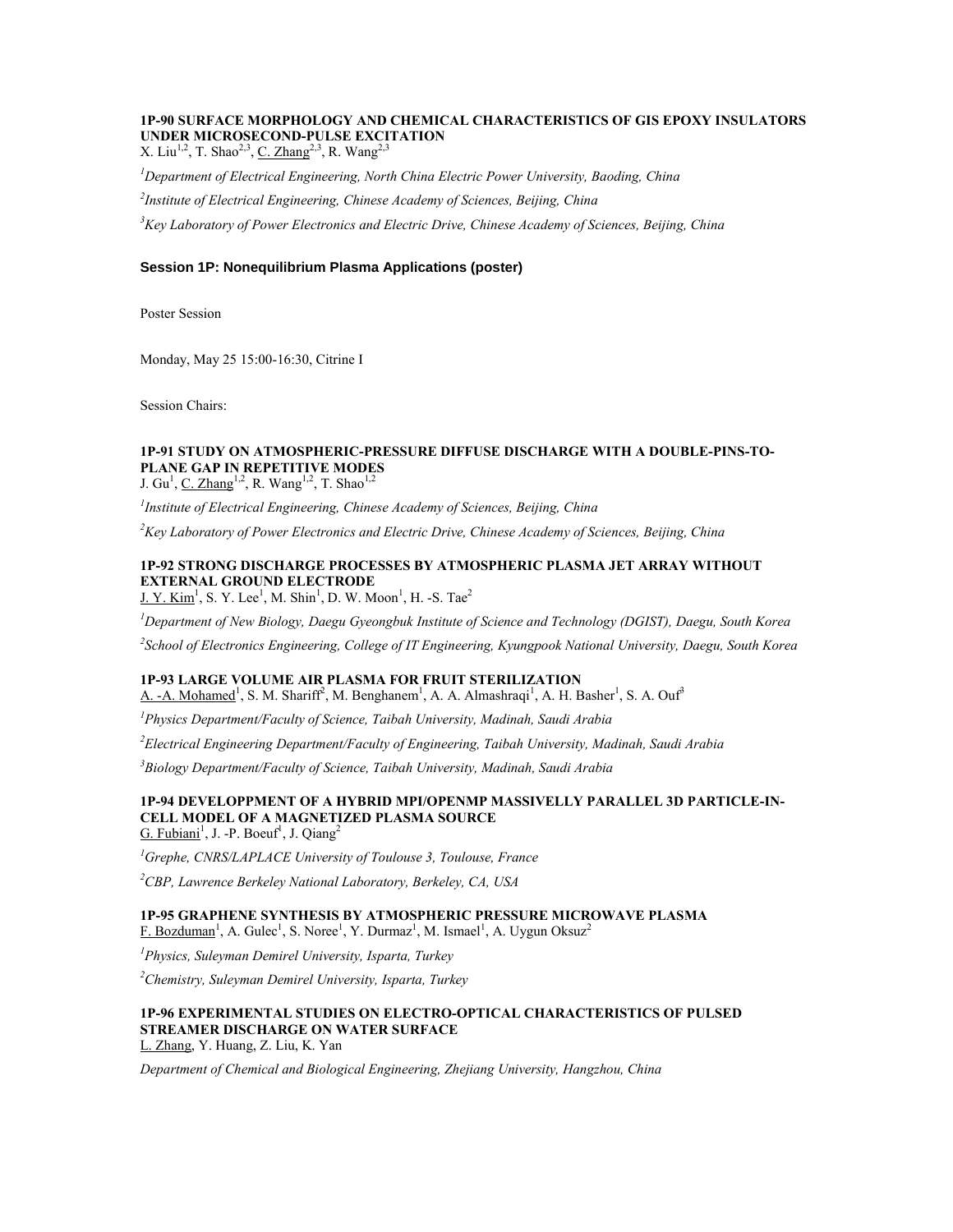### **1P-90 SURFACE MORPHOLOGY AND CHEMICAL CHARACTERISTICS OF GIS EPOXY INSULATORS UNDER MICROSECOND-PULSE EXCITATION**

X. Liu<sup>1,2</sup>, T. Shao<sup>2,3</sup>, <u>C. Zhang<sup>2,3</sup></u>, R. Wang<sup>2,3</sup>

*<sup>1</sup>Department of Electrical Engineering, North China Electric Power University, Baoding, China*

*2 Institute of Electrical Engineering, Chinese Academy of Sciences, Beijing, China*

*<sup>3</sup>Key Laboratory of Power Electronics and Electric Drive, Chinese Academy of Sciences, Beijing, China*

### **Session 1P: Nonequilibrium Plasma Applications (poster)**

Poster Session

Monday, May 25 15:00-16:30, Citrine I

Session Chairs:

### **1P-91 STUDY ON ATMOSPHERIC-PRESSURE DIFFUSE DISCHARGE WITH A DOUBLE-PINS-TO-PLANE GAP IN REPETITIVE MODES**

J.  $\text{Gu}^1$ , C. Zhang<sup>1,2</sup>, R. Wang<sup>1,2</sup>, T. Shao<sup>1,2</sup>

*1 Institute of Electrical Engineering, Chinese Academy of Sciences, Beijing, China*

*<sup>2</sup>Key Laboratory of Power Electronics and Electric Drive, Chinese Academy of Sciences, Beijing, China*

#### **1P-92 STRONG DISCHARGE PROCESSES BY ATMOSPHERIC PLASMA JET ARRAY WITHOUT EXTERNAL GROUND ELECTRODE**  $J. Y.$  Kim<sup>1</sup>, S. Y. Lee<sup>1</sup>, M. Shin<sup>1</sup>, D. W. Moon<sup>1</sup>, H. -S. Tae<sup>2</sup>

*<sup>1</sup>Department of New Biology, Daegu Gyeongbuk Institute of Science and Technology (DGIST), Daegu, South Korea*

*2 School of Electronics Engineering, College of IT Engineering, Kyungpook National University, Daegu, South Korea*

#### **1P-93 LARGE VOLUME AIR PLASMA FOR FRUIT STERILIZATION**

A. -A. Mohamed<sup>1</sup>, S. M. Shariff<sup>2</sup>, M. Benghanem<sup>1</sup>, A. A. Almashraqi<sup>1</sup>, A. H. Basher<sup>1</sup>, S. A. Ouf<sup>3</sup>

*<sup>1</sup>Physics Department/Faculty of Science, Taibah University, Madinah, Saudi Arabia*

*<sup>2</sup>Electrical Engineering Department/Faculty of Engineering, Taibah University, Madinah, Saudi Arabia*

*<sup>3</sup>Biology Department/Faculty of Science, Taibah University, Madinah, Saudi Arabia*

#### **1P-94 DEVELOPPMENT OF A HYBRID MPI/OPENMP MASSIVELLY PARALLEL 3D PARTICLE-IN-CELL MODEL OF A MAGNETIZED PLASMA SOURCE** G. Fubiani<sup>1</sup>, J. -P. Boeuf<sup>1</sup>, J. Qiang<sup>2</sup>

*<sup>1</sup>Grephe, CNRS/LAPLACE University of Toulouse 3, Toulouse, France*

*<sup>2</sup>CBP, Lawrence Berkeley National Laboratory, Berkeley, CA, USA*

### **1P-95 GRAPHENE SYNTHESIS BY ATMOSPHERIC PRESSURE MICROWAVE PLASMA**  $F.$  Bozduman<sup>1</sup>, A. Gulec<sup>1</sup>, S. Noree<sup>1</sup>, Y. Durmaz<sup>1</sup>, M. Ismael<sup>1</sup>, A. Uygun Oksuz<sup>2</sup>

*<sup>1</sup>Physics, Suleyman Demirel University, Isparta, Turkey*

*<sup>2</sup>Chemistry, Suleyman Demirel University, Isparta, Turkey*

#### **1P-96 EXPERIMENTAL STUDIES ON ELECTRO-OPTICAL CHARACTERISTICS OF PULSED STREAMER DISCHARGE ON WATER SURFACE** L. Zhang, Y. Huang, Z. Liu, K. Yan

*Department of Chemical and Biological Engineering, Zhejiang University, Hangzhou, China*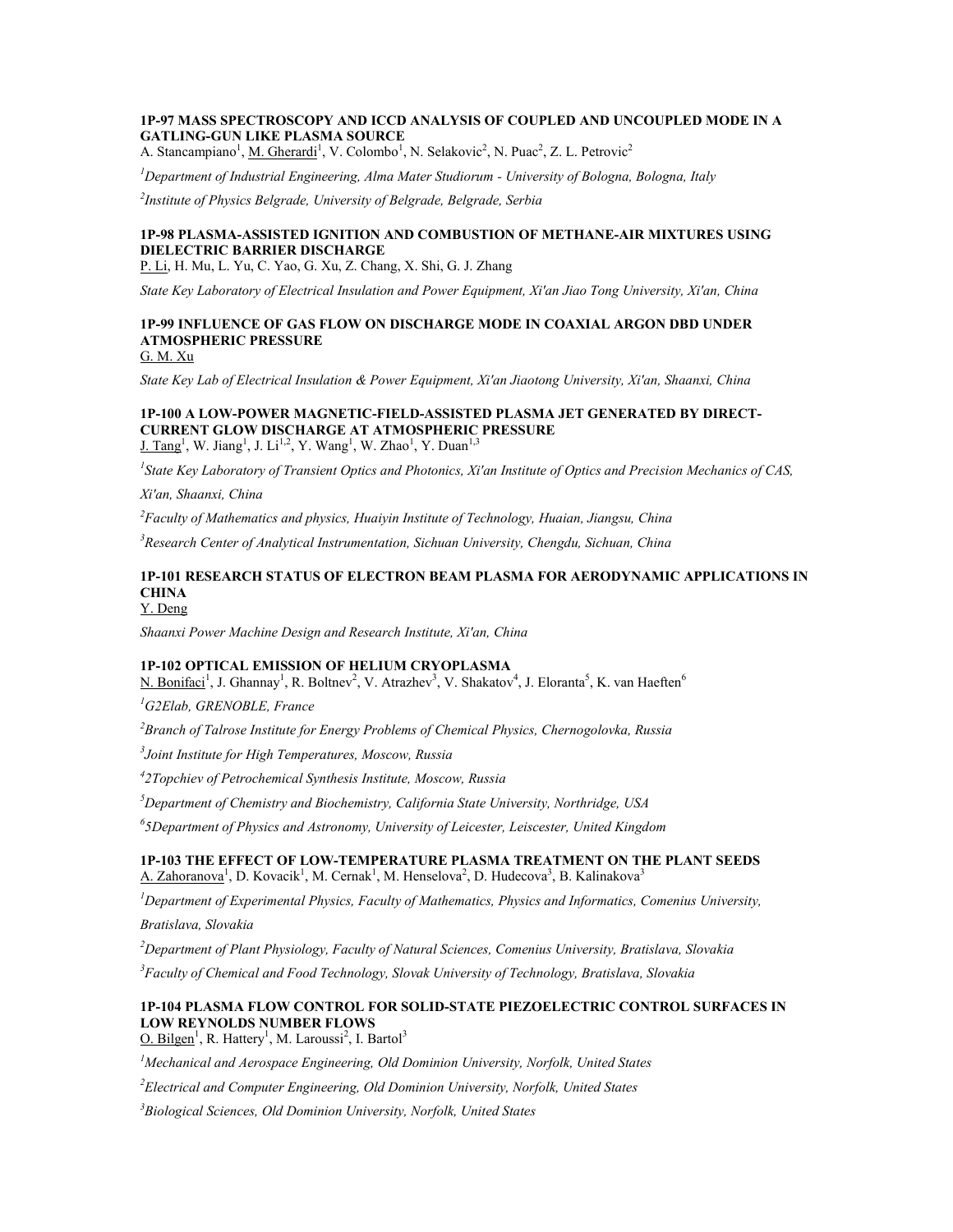### **1P-97 MASS SPECTROSCOPY AND ICCD ANALYSIS OF COUPLED AND UNCOUPLED MODE IN A GATLING-GUN LIKE PLASMA SOURCE**

A. Stancampiano<sup>1</sup>, M. Gherardi<sup>1</sup>, V. Colombo<sup>1</sup>, N. Selakovic<sup>2</sup>, N. Puac<sup>2</sup>, Z. L. Petrovic<sup>2</sup>

*<sup>1</sup>Department of Industrial Engineering, Alma Mater Studiorum - University of Bologna, Bologna, Italy*

*2 Institute of Physics Belgrade, University of Belgrade, Belgrade, Serbia*

### **1P-98 PLASMA-ASSISTED IGNITION AND COMBUSTION OF METHANE-AIR MIXTURES USING DIELECTRIC BARRIER DISCHARGE**

P. Li, H. Mu, L. Yu, C. Yao, G. Xu, Z. Chang, X. Shi, G. J. Zhang

*State Key Laboratory of Electrical Insulation and Power Equipment, Xi'an Jiao Tong University, Xi'an, China*

## **1P-99 INFLUENCE OF GAS FLOW ON DISCHARGE MODE IN COAXIAL ARGON DBD UNDER ATMOSPHERIC PRESSURE**

G. M. Xu

*State Key Lab of Electrical Insulation & Power Equipment, Xi'an Jiaotong University, Xi'an, Shaanxi, China*

#### **1P-100 A LOW-POWER MAGNETIC-FIELD-ASSISTED PLASMA JET GENERATED BY DIRECT-CURRENT GLOW DISCHARGE AT ATMOSPHERIC PRESSURE**  $J.$  Tang<sup>1</sup>, W. Jiang<sup>1</sup>, J. Li<sup>1,2</sup>, Y. Wang<sup>1</sup>, W. Zhao<sup>1</sup>, Y. Duan<sup>1,3</sup>

*1 State Key Laboratory of Transient Optics and Photonics, Xi'an Institute of Optics and Precision Mechanics of CAS,* 

*Xi'an, Shaanxi, China*

*<sup>2</sup>Faculty of Mathematics and physics, Huaiyin Institute of Technology, Huaian, Jiangsu, China*

*<sup>3</sup>Research Center of Analytical Instrumentation, Sichuan University, Chengdu, Sichuan, China*

#### **1P-101 RESEARCH STATUS OF ELECTRON BEAM PLASMA FOR AERODYNAMIC APPLICATIONS IN CHINA** Y. Deng

*Shaanxi Power Machine Design and Research Institute, Xi'an, China*

#### **1P-102 OPTICAL EMISSION OF HELIUM CRYOPLASMA**

N. Bonifaci<sup>1</sup>, J. Ghannay<sup>1</sup>, R. Boltnev<sup>2</sup>, V. Atrazhev<sup>3</sup>, V. Shakatov<sup>4</sup>, J. Eloranta<sup>5</sup>, K. van Haeften<sup>6</sup>

*<sup>1</sup>G2Elab, GRENOBLE, France*

*<sup>2</sup>Branch of Talrose Institute for Energy Problems of Chemical Physics, Chernogolovka, Russia*

*3 Joint Institute for High Temperatures, Moscow, Russia*

*4 2Topchiev of Petrochemical Synthesis Institute, Moscow, Russia*

*<sup>5</sup>Department of Chemistry and Biochemistry, California State University, Northridge, USA*

*6 5Department of Physics and Astronomy, University of Leicester, Leiscester, United Kingdom*

### **1P-103 THE EFFECT OF LOW-TEMPERATURE PLASMA TREATMENT ON THE PLANT SEEDS** A. Zahoranova<sup>1</sup>, D. Kovacik<sup>1</sup>, M. Cernak<sup>1</sup>, M. Henselova<sup>2</sup>, D. Hudecova<sup>3</sup>, B. Kalinakova<sup>3</sup>

*<sup>1</sup>Department of Experimental Physics, Faculty of Mathematics, Physics and Informatics, Comenius University,* 

*Bratislava, Slovakia*

*<sup>2</sup>Department of Plant Physiology, Faculty of Natural Sciences, Comenius University, Bratislava, Slovakia*

*<sup>3</sup>Faculty of Chemical and Food Technology, Slovak University of Technology, Bratislava, Slovakia*

#### **1P-104 PLASMA FLOW CONTROL FOR SOLID-STATE PIEZOELECTRIC CONTROL SURFACES IN LOW REYNOLDS NUMBER FLOWS** O. Bilgen<sup>1</sup>, R. Hattery<sup>1</sup>, M. Laroussi<sup>2</sup>, I. Bartol<sup>3</sup>

*<sup>1</sup>Mechanical and Aerospace Engineering, Old Dominion University, Norfolk, United States*

*<sup>2</sup>Electrical and Computer Engineering, Old Dominion University, Norfolk, United States*

*<sup>3</sup>Biological Sciences, Old Dominion University, Norfolk, United States*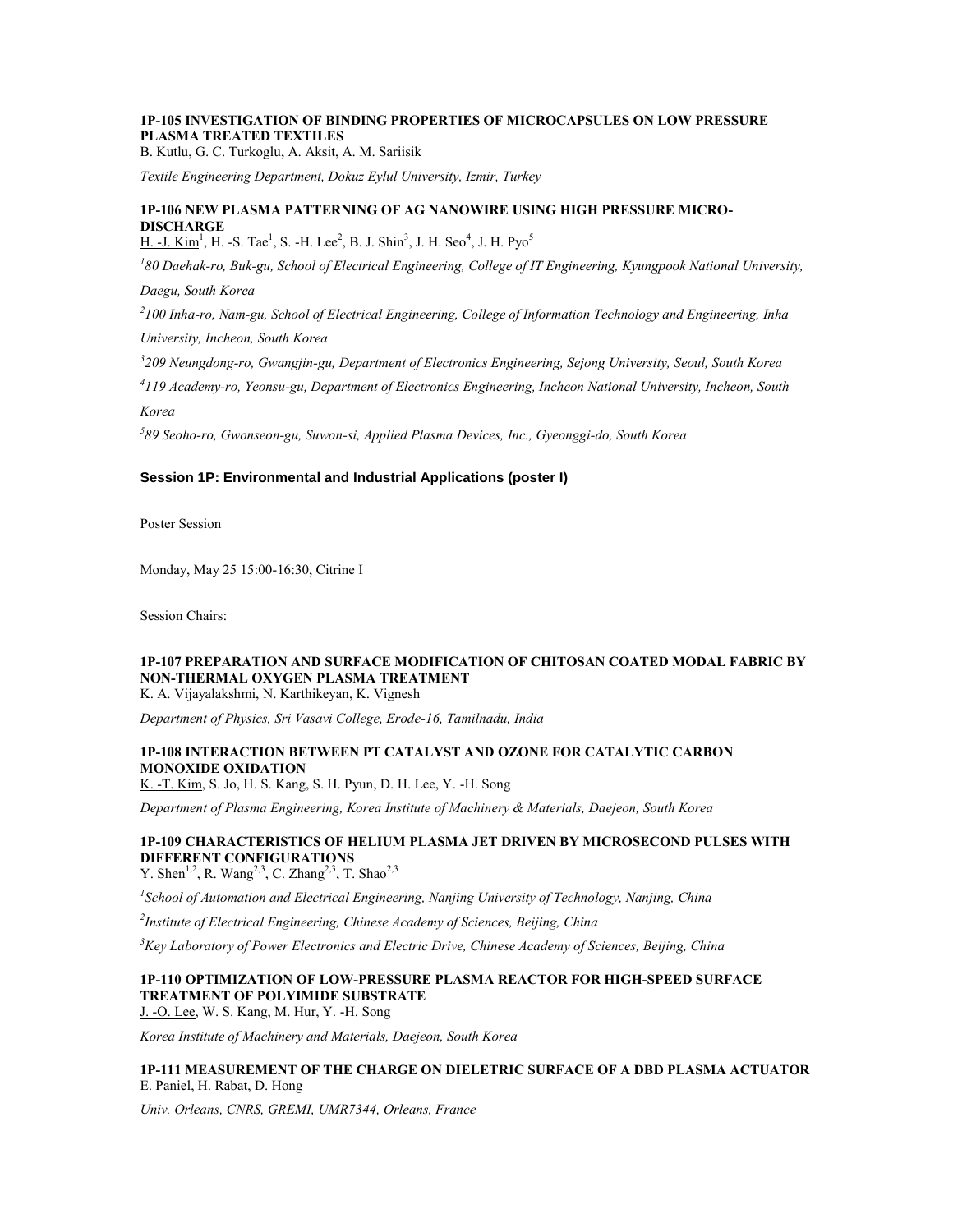### **1P-105 INVESTIGATION OF BINDING PROPERTIES OF MICROCAPSULES ON LOW PRESSURE PLASMA TREATED TEXTILES**

B. Kutlu, G. C. Turkoglu, A. Aksit, A. M. Sariisik

*Textile Engineering Department, Dokuz Eylul University, Izmir, Turkey*

## **1P-106 NEW PLASMA PATTERNING OF AG NANOWIRE USING HIGH PRESSURE MICRO-DISCHARGE**

H. -J. Kim<sup>1</sup>, H. -S. Tae<sup>1</sup>, S. -H. Lee<sup>2</sup>, B. J. Shin<sup>3</sup>, J. H. Seo<sup>4</sup>, J. H. Pyo<sup>5</sup>

<sup>1</sup>80 Daehak-ro, Buk-gu, School of Electrical Engineering, College of IT Engineering, Kyungpook National University,

*Daegu, South Korea*

*2 100 Inha-ro, Nam-gu, School of Electrical Engineering, College of Information Technology and Engineering, Inha University, Incheon, South Korea*

*3 209 Neungdong-ro, Gwangjin-gu, Department of Electronics Engineering, Sejong University, Seoul, South Korea*

*4 119 Academy-ro, Yeonsu-gu, Department of Electronics Engineering, Incheon National University, Incheon, South Korea*

*5 89 Seoho-ro, Gwonseon-gu, Suwon-si, Applied Plasma Devices, Inc., Gyeonggi-do, South Korea*

### **Session 1P: Environmental and Industrial Applications (poster I)**

Poster Session

Monday, May 25 15:00-16:30, Citrine I

Session Chairs:

### **1P-107 PREPARATION AND SURFACE MODIFICATION OF CHITOSAN COATED MODAL FABRIC BY NON-THERMAL OXYGEN PLASMA TREATMENT**

K. A. Vijayalakshmi, N. Karthikeyan, K. Vignesh

*Department of Physics, Sri Vasavi College, Erode-16, Tamilnadu, India*

### **1P-108 INTERACTION BETWEEN PT CATALYST AND OZONE FOR CATALYTIC CARBON MONOXIDE OXIDATION**

K. -T. Kim, S. Jo, H. S. Kang, S. H. Pyun, D. H. Lee, Y. -H. Song

*Department of Plasma Engineering, Korea Institute of Machinery & Materials, Daejeon, South Korea*

### **1P-109 CHARACTERISTICS OF HELIUM PLASMA JET DRIVEN BY MICROSECOND PULSES WITH DIFFERENT CONFIGURATIONS**

Y. Shen<sup>1,2</sup>, R. Wang<sup>2,3</sup>, C. Zhang<sup>2,3</sup>, <u>T. Shao</u><sup>2,3</sup>

*1 School of Automation and Electrical Engineering, Nanjing University of Technology, Nanjing, China*

*2 Institute of Electrical Engineering, Chinese Academy of Sciences, Beijing, China*

*<sup>3</sup>Key Laboratory of Power Electronics and Electric Drive, Chinese Academy of Sciences, Beijing, China*

#### **1P-110 OPTIMIZATION OF LOW-PRESSURE PLASMA REACTOR FOR HIGH-SPEED SURFACE TREATMENT OF POLYIMIDE SUBSTRATE** J. -O. Lee, W. S. Kang, M. Hur, Y. -H. Song

*Korea Institute of Machinery and Materials, Daejeon, South Korea*

**1P-111 MEASUREMENT OF THE CHARGE ON DIELETRIC SURFACE OF A DBD PLASMA ACTUATOR** E. Paniel, H. Rabat, D. Hong

*Univ. Orleans, CNRS, GREMI, UMR7344, Orleans, France*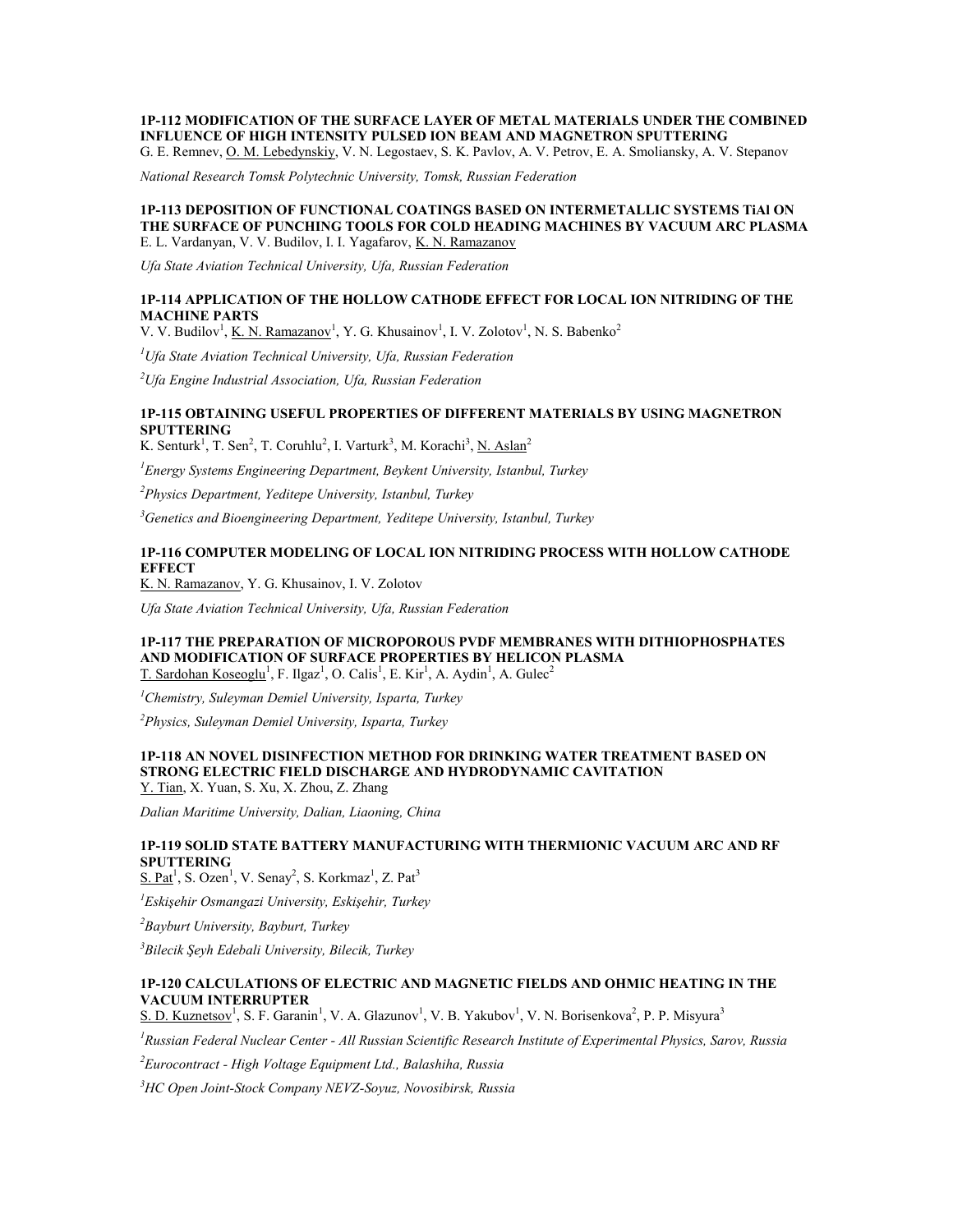### **1P-112 MODIFICATION OF THE SURFACE LAYER OF METAL MATERIALS UNDER THE COMBINED INFLUENCE OF HIGH INTENSITY PULSED ION BEAM AND MAGNETRON SPUTTERING**

G. E. Remnev, O. M. Lebedynskiy, V. N. Legostaev, S. K. Pavlov, A. V. Petrov, E. A. Smoliansky, A. V. Stepanov

*National Research Tomsk Polytechnic University, Tomsk, Russian Federation*

#### **1P-113 DEPOSITION OF FUNCTIONAL COATINGS BASED ON INTERMETALLIC SYSTEMS TiAl ON THE SURFACE OF PUNCHING TOOLS FOR COLD HEADING MACHINES BY VACUUM ARC PLASMA** E. L. Vardanyan, V. V. Budilov, I. I. Yagafarov, K. N. Ramazanov

*Ufa State Aviation Technical University, Ufa, Russian Federation*

### **1P-114 APPLICATION OF THE HOLLOW CATHODE EFFECT FOR LOCAL ION NITRIDING OF THE MACHINE PARTS**

V. V. Budilov<sup>1</sup>, <u>K. N. Ramazanov</u><sup>1</sup>, Y. G. Khusainov<sup>1</sup>, I. V. Zolotov<sup>1</sup>, N. S. Babenko<sup>2</sup>

*<sup>1</sup>Ufa State Aviation Technical University, Ufa, Russian Federation*

*<sup>2</sup>Ufa Engine Industrial Association, Ufa, Russian Federation*

### **1P-115 OBTAINING USEFUL PROPERTIES OF DIFFERENT MATERIALS BY USING MAGNETRON SPUTTERING**

K. Senturk<sup>1</sup>, T. Sen<sup>2</sup>, T. Coruhlu<sup>2</sup>, I. Varturk<sup>3</sup>, M. Korachi<sup>3</sup>, <u>N. Aslan</u><sup>2</sup>

*<sup>1</sup>Energy Systems Engineering Department, Beykent University, Istanbul, Turkey*

*<sup>2</sup>Physics Department, Yeditepe University, Istanbul, Turkey*

*<sup>3</sup>Genetics and Bioengineering Department, Yeditepe University, Istanbul, Turkey*

### **1P-116 COMPUTER MODELING OF LOCAL ION NITRIDING PROCESS WITH HOLLOW CATHODE EFFECT**

K. N. Ramazanov, Y. G. Khusainov, I. V. Zolotov

*Ufa State Aviation Technical University, Ufa, Russian Federation*

#### **1P-117 THE PREPARATION OF MICROPOROUS PVDF MEMBRANES WITH DITHIOPHOSPHATES AND MODIFICATION OF SURFACE PROPERTIES BY HELICON PLASMA** T. Sardohan Koseoglu<sup>1</sup>, F. Ilgaz<sup>1</sup>, O. Calis<sup>1</sup>, E. Kir<sup>1</sup>, A. Aydin<sup>1</sup>, A. Gulec<sup>2</sup>

*<sup>1</sup>Chemistry, Suleyman Demiel University, Isparta, Turkey*

*<sup>2</sup>Physics, Suleyman Demiel University, Isparta, Turkey*

#### **1P-118 AN NOVEL DISINFECTION METHOD FOR DRINKING WATER TREATMENT BASED ON STRONG ELECTRIC FIELD DISCHARGE AND HYDRODYNAMIC CAVITATION** Y. Tian, X. Yuan, S. Xu, X. Zhou, Z. Zhang

*Dalian Maritime University, Dalian, Liaoning, China*

#### **1P-119 SOLID STATE BATTERY MANUFACTURING WITH THERMIONIC VACUUM ARC AND RF SPUTTERING**

 $S. Pat<sup>1</sup>$ , S. Ozen<sup>1</sup>, V. Senay<sup>2</sup>, S. Korkmaz<sup>1</sup>, Z. Pat<sup>3</sup>

*<sup>1</sup>Eskişehir Osmangazi University, Eskişehir, Turkey*

*<sup>2</sup>Bayburt University, Bayburt, Turkey*

*<sup>3</sup>Bilecik Şeyh Edebali University, Bilecik, Turkey*

### **1P-120 CALCULATIONS OF ELECTRIC AND MAGNETIC FIELDS AND OHMIC HEATING IN THE VACUUM INTERRUPTER**

S. D. Kuznetsov<sup>1</sup>, S. F. Garanin<sup>1</sup>, V. A. Glazunov<sup>1</sup>, V. B. Yakubov<sup>1</sup>, V. N. Borisenkova<sup>2</sup>, P. P. Misyura<sup>3</sup>

*<sup>1</sup>Russian Federal Nuclear Center - All Russian Scientific Research Institute of Experimental Physics, Sarov, Russia*

*<sup>2</sup>Eurocontract - High Voltage Equipment Ltd., Balashiha, Russia*

*<sup>3</sup>HC Open Joint-Stock Company NEVZ-Soyuz, Novosibirsk, Russia*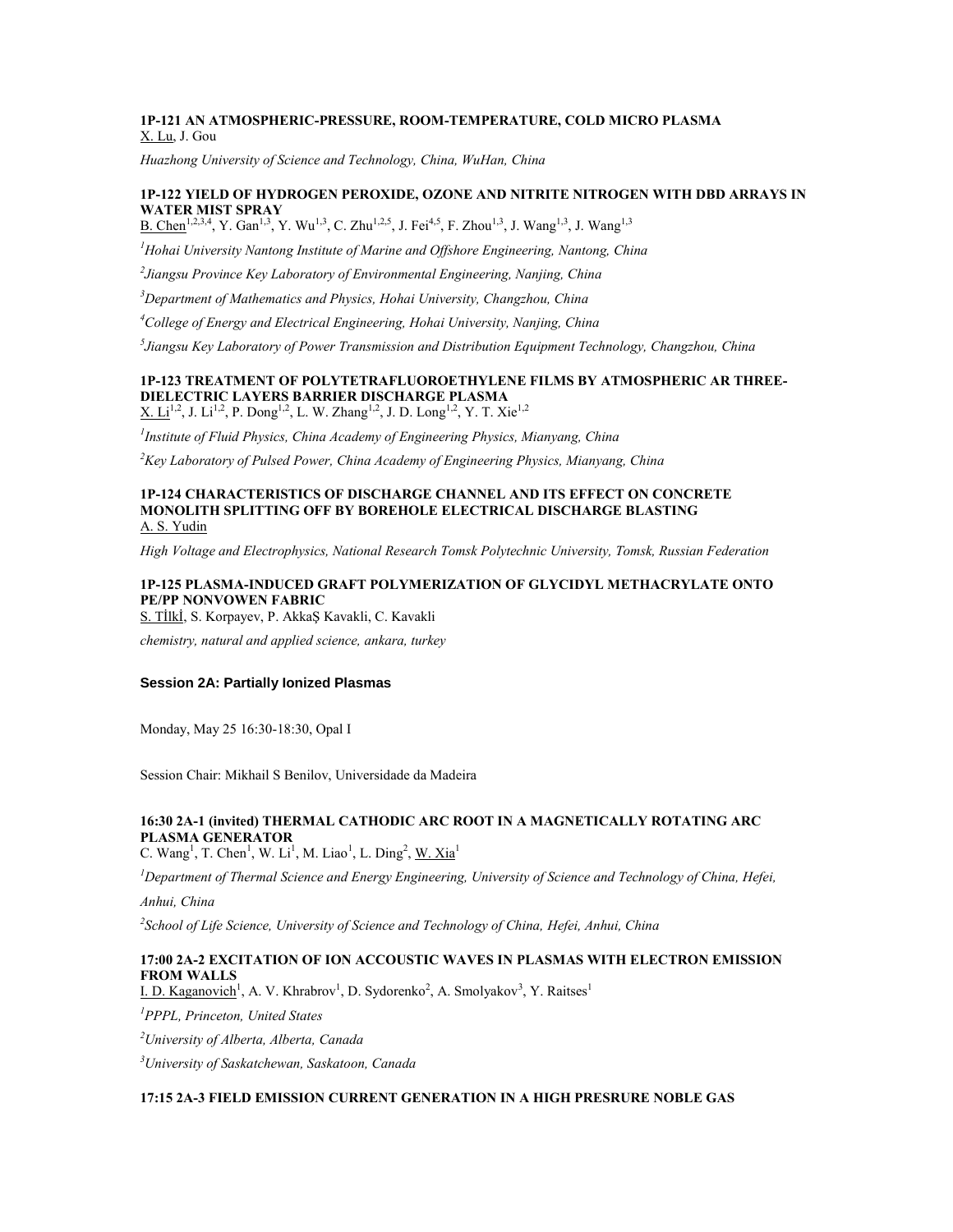### **1P-121 AN ATMOSPHERIC-PRESSURE, ROOM-TEMPERATURE, COLD MICRO PLASMA** X. Lu, J. Gou

*Huazhong University of Science and Technology, China, WuHan, China*

### **1P-122 YIELD OF HYDROGEN PEROXIDE, OZONE AND NITRITE NITROGEN WITH DBD ARRAYS IN WATER MIST SPRAY**

B. Chen<sup>1,2,3,4</sup>, Y. Gan<sup>1,3</sup>, Y. Wu<sup>1,3</sup>, C. Zhu<sup>1,2,5</sup>, J. Fei<sup>4,5</sup>, F. Zhou<sup>1,3</sup>, J. Wang<sup>1,3</sup>, J. Wang<sup>1,3</sup>

*<sup>1</sup>Hohai University Nantong Institute of Marine and Offshore Engineering, Nantong, China*

*2 Jiangsu Province Key Laboratory of Environmental Engineering, Nanjing, China*

*<sup>3</sup>Department of Mathematics and Physics, Hohai University, Changzhou, China*

*<sup>4</sup>College of Energy and Electrical Engineering, Hohai University, Nanjing, China*

*5 Jiangsu Key Laboratory of Power Transmission and Distribution Equipment Technology, Changzhou, China*

### **1P-123 TREATMENT OF POLYTETRAFLUOROETHYLENE FILMS BY ATMOSPHERIC AR THREE-DIELECTRIC LAYERS BARRIER DISCHARGE PLASMA**

 $X. Li^{1,2}, J. Li^{1,2}, P.$   $\text{Dong}^{1,2}, L.$  W.  $\text{Zhang}^{1,2}, J.$  D.  $\text{Long}^{1,2}, Y.$  T.  $\text{Xie}^{1,2}$ 

*1 Institute of Fluid Physics, China Academy of Engineering Physics, Mianyang, China*

*<sup>2</sup>Key Laboratory of Pulsed Power, China Academy of Engineering Physics, Mianyang, China*

#### **1P-124 CHARACTERISTICS OF DISCHARGE CHANNEL AND ITS EFFECT ON CONCRETE MONOLITH SPLITTING OFF BY BOREHOLE ELECTRICAL DISCHARGE BLASTING** A. S. Yudin

*High Voltage and Electrophysics, National Research Tomsk Polytechnic University, Tomsk, Russian Federation*

### **1P-125 PLASMA-INDUCED GRAFT POLYMERIZATION OF GLYCIDYL METHACRYLATE ONTO PE/PP NONVOWEN FABRIC**

S. Tİlkİ, S. Korpayev, P. AkkaŞ Kavakli, C. Kavakli

*chemistry, natural and applied science, ankara, turkey*

#### **Session 2A: Partially Ionized Plasmas**

Monday, May 25 16:30-18:30, Opal I

Session Chair: Mikhail S Benilov, Universidade da Madeira

## **16:30 2A-1 (invited) THERMAL CATHODIC ARC ROOT IN A MAGNETICALLY ROTATING ARC PLASMA GENERATOR**

C. Wang<sup>1</sup>, T. Chen<sup>1</sup>, W. Li<sup>1</sup>, M. Liao<sup>1</sup>, L. Ding<sup>2</sup>, <u>W. Xia</u><sup>1</sup>

*<sup>1</sup>Department of Thermal Science and Energy Engineering, University of Science and Technology of China, Hefei,* 

*Anhui, China*

*2 School of Life Science, University of Science and Technology of China, Hefei, Anhui, China*

### **17:00 2A-2 EXCITATION OF ION ACCOUSTIC WAVES IN PLASMAS WITH ELECTRON EMISSION FROM WALLS**

I. D. Kaganovich<sup>1</sup>, A. V. Khrabrov<sup>1</sup>, D. Sydorenko<sup>2</sup>, A. Smolyakov<sup>3</sup>, Y. Raitses<sup>1</sup>

*<sup>1</sup>PPPL, Princeton, United States*

*<sup>2</sup>University of Alberta, Alberta, Canada*

*<sup>3</sup>University of Saskatchewan, Saskatoon, Canada*

### **17:15 2A-3 FIELD EMISSION CURRENT GENERATION IN A HIGH PRESRURE NOBLE GAS**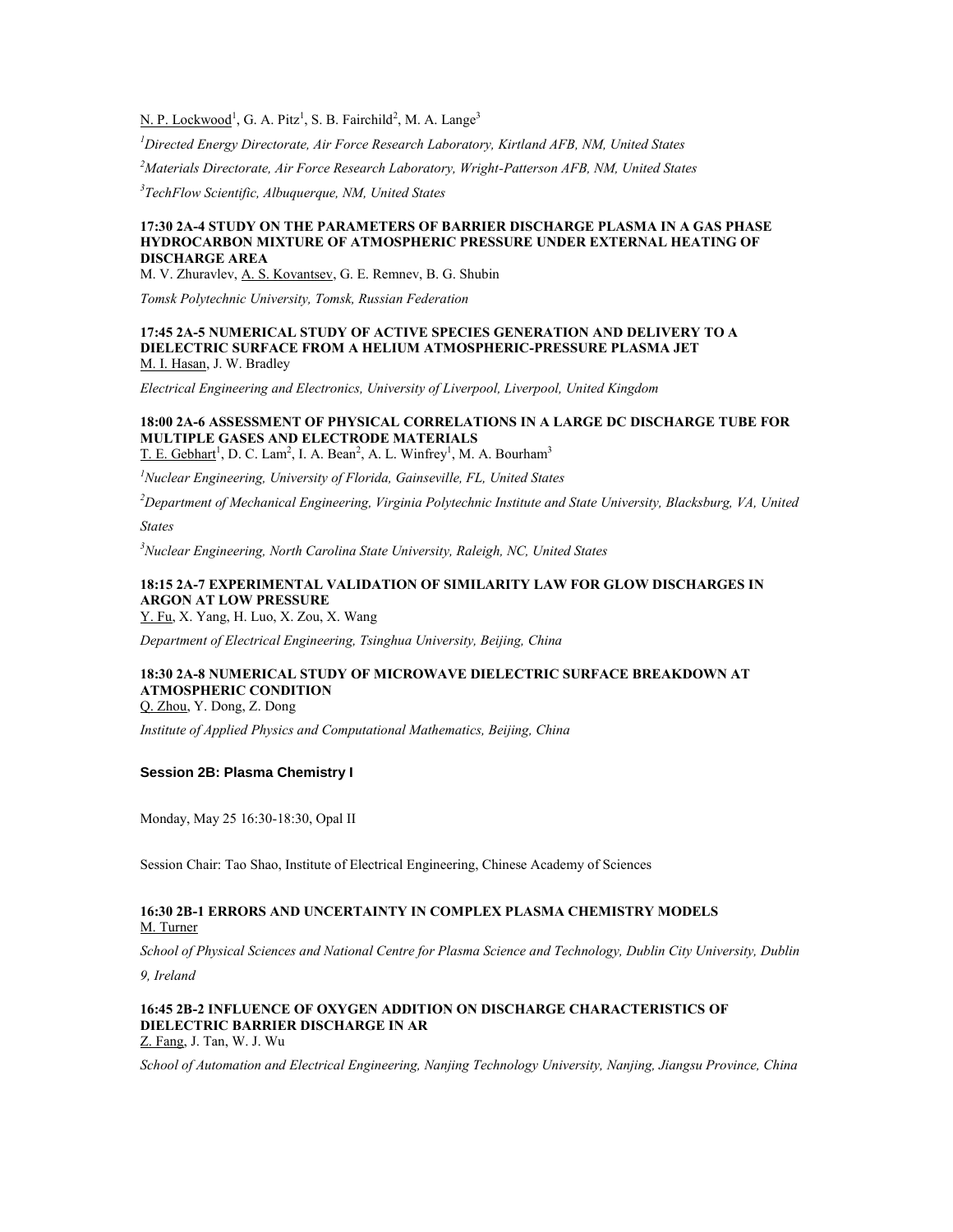N. P. Lockwood<sup>1</sup>, G. A. Pitz<sup>1</sup>, S. B. Fairchild<sup>2</sup>, M. A. Lange<sup>3</sup>

*<sup>1</sup>Directed Energy Directorate, Air Force Research Laboratory, Kirtland AFB, NM, United States*

*<sup>2</sup>Materials Directorate, Air Force Research Laboratory, Wright-Patterson AFB, NM, United States*

*3 TechFlow Scientific, Albuquerque, NM, United States*

#### **17:30 2A-4 STUDY ON THE PARAMETERS OF BARRIER DISCHARGE PLASMA IN A GAS PHASE HYDROCARBON MIXTURE OF ATMOSPHERIC PRESSURE UNDER EXTERNAL HEATING OF DISCHARGE AREA**

M. V. Zhuravlev, A. S. Kovantsev, G. E. Remnev, B. G. Shubin

*Tomsk Polytechnic University, Tomsk, Russian Federation*

#### **17:45 2A-5 NUMERICAL STUDY OF ACTIVE SPECIES GENERATION AND DELIVERY TO A DIELECTRIC SURFACE FROM A HELIUM ATMOSPHERIC-PRESSURE PLASMA JET** M. I. Hasan, J. W. Bradley

*Electrical Engineering and Electronics, University of Liverpool, Liverpool, United Kingdom*

### **18:00 2A-6 ASSESSMENT OF PHYSICAL CORRELATIONS IN A LARGE DC DISCHARGE TUBE FOR MULTIPLE GASES AND ELECTRODE MATERIALS**

T. E. Gebhart<sup>1</sup>, D. C. Lam<sup>2</sup>, I. A. Bean<sup>2</sup>, A. L. Winfrey<sup>1</sup>, M. A. Bourham<sup>3</sup>

*<sup>1</sup>Nuclear Engineering, University of Florida, Gainseville, FL, United States*

*<sup>2</sup>Department of Mechanical Engineering, Virginia Polytechnic Institute and State University, Blacksburg, VA, United* 

*States*

*<sup>3</sup>Nuclear Engineering, North Carolina State University, Raleigh, NC, United States*

### **18:15 2A-7 EXPERIMENTAL VALIDATION OF SIMILARITY LAW FOR GLOW DISCHARGES IN ARGON AT LOW PRESSURE**

Y. Fu, X. Yang, H. Luo, X. Zou, X. Wang

*Department of Electrical Engineering, Tsinghua University, Beijing, China*

## **18:30 2A-8 NUMERICAL STUDY OF MICROWAVE DIELECTRIC SURFACE BREAKDOWN AT ATMOSPHERIC CONDITION**

Q. Zhou, Y. Dong, Z. Dong

*Institute of Applied Physics and Computational Mathematics, Beijing, China*

#### **Session 2B: Plasma Chemistry I**

Monday, May 25 16:30-18:30, Opal II

Session Chair: Tao Shao, Institute of Electrical Engineering, Chinese Academy of Sciences

#### **16:30 2B-1 ERRORS AND UNCERTAINTY IN COMPLEX PLASMA CHEMISTRY MODELS** M. Turner

*School of Physical Sciences and National Centre for Plasma Science and Technology, Dublin City University, Dublin* 

*9, Ireland*

#### **16:45 2B-2 INFLUENCE OF OXYGEN ADDITION ON DISCHARGE CHARACTERISTICS OF DIELECTRIC BARRIER DISCHARGE IN AR** Z. Fang, J. Tan, W. J. Wu

*School of Automation and Electrical Engineering, Nanjing Technology University, Nanjing, Jiangsu Province, China*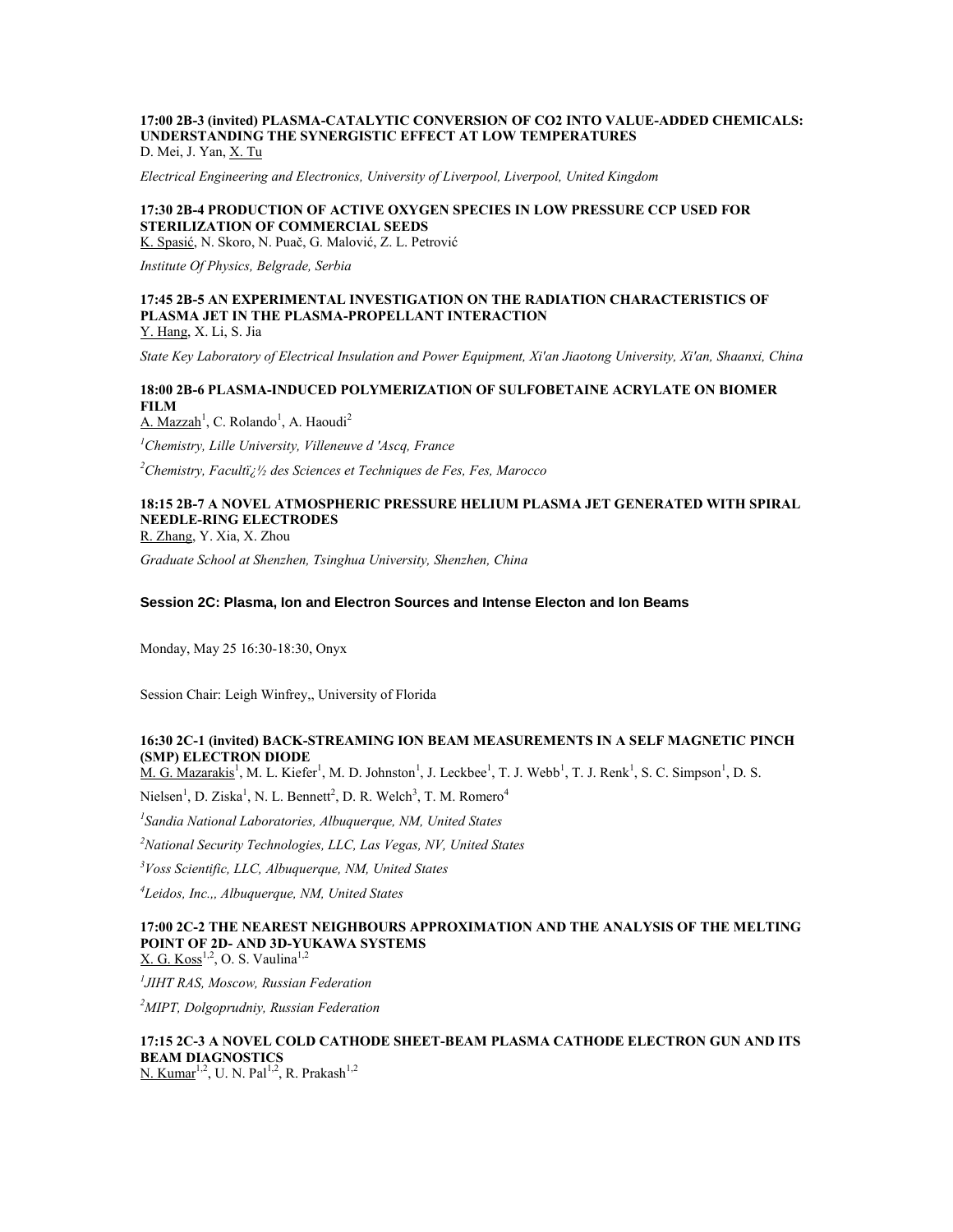#### **17:00 2B-3 (invited) PLASMA-CATALYTIC CONVERSION OF CO2 INTO VALUE-ADDED CHEMICALS: UNDERSTANDING THE SYNERGISTIC EFFECT AT LOW TEMPERATURES** D. Mei, J. Yan, X. Tu

*Electrical Engineering and Electronics, University of Liverpool, Liverpool, United Kingdom*

### **17:30 2B-4 PRODUCTION OF ACTIVE OXYGEN SPECIES IN LOW PRESSURE CCP USED FOR STERILIZATION OF COMMERCIAL SEEDS**

K. Spasić, N. Skoro, N. Puač, G. Malović, Z. L. Petrović

*Institute Of Physics, Belgrade, Serbia*

#### **17:45 2B-5 AN EXPERIMENTAL INVESTIGATION ON THE RADIATION CHARACTERISTICS OF PLASMA JET IN THE PLASMA-PROPELLANT INTERACTION** Y. Hang, X. Li, S. Jia

*State Key Laboratory of Electrical Insulation and Power Equipment, Xi'an Jiaotong University, Xi'an, Shaanxi, China*

### **18:00 2B-6 PLASMA-INDUCED POLYMERIZATION OF SULFOBETAINE ACRYLATE ON BIOMER FILM**

A. Mazzah<sup>1</sup>, C. Rolando<sup>1</sup>, A. Haoudi<sup>2</sup>

*<sup>1</sup>Chemistry, Lille University, Villeneuve d 'Ascq, France*

<sup>2</sup>*Chemistry, Faculti<sub><i>i*</sub><sup>1</sup>/<sub>2</sub> des Sciences et Techniques de Fes, Fes, Marocco

## **18:15 2B-7 A NOVEL ATMOSPHERIC PRESSURE HELIUM PLASMA JET GENERATED WITH SPIRAL NEEDLE-RING ELECTRODES**

R. Zhang, Y. Xia, X. Zhou

*Graduate School at Shenzhen, Tsinghua University, Shenzhen, China*

#### **Session 2C: Plasma, Ion and Electron Sources and Intense Electon and Ion Beams**

Monday, May 25 16:30-18:30, Onyx

Session Chair: Leigh Winfrey,, University of Florida

### **16:30 2C-1 (invited) BACK-STREAMING ION BEAM MEASUREMENTS IN A SELF MAGNETIC PINCH (SMP) ELECTRON DIODE**

 $M. G.$  Mazarakis<sup>1</sup>, M. L. Kiefer<sup>1</sup>, M. D. Johnston<sup>1</sup>, J. Leckbee<sup>1</sup>, T. J. Webb<sup>1</sup>, T. J. Renk<sup>1</sup>, S. C. Simpson<sup>1</sup>, D. S.

Nielsen<sup>1</sup>, D. Ziska<sup>1</sup>, N. L. Bennett<sup>2</sup>, D. R. Welch<sup>3</sup>, T. M. Romero<sup>4</sup>

*1 Sandia National Laboratories, Albuquerque, NM, United States*

*<sup>2</sup>National Security Technologies, LLC, Las Vegas, NV, United States*

*<sup>3</sup>Voss Scientific, LLC, Albuquerque, NM, United States*

*4 Leidos, Inc.,, Albuquerque, NM, United States*

## **17:00 2C-2 THE NEAREST NEIGHBOURS APPROXIMATION AND THE ANALYSIS OF THE MELTING POINT OF 2D- AND 3D-YUKAWA SYSTEMS**

 $X. G. Koss<sup>1,2</sup>, O. S. Vaulina<sup>1,2</sup>$ 

*1 JIHT RAS, Moscow, Russian Federation*

*<sup>2</sup>MIPT, Dolgoprudniy, Russian Federation*

## **17:15 2C-3 A NOVEL COLD CATHODE SHEET-BEAM PLASMA CATHODE ELECTRON GUN AND ITS BEAM DIAGNOSTICS**

N. Kumar<sup>1,2</sup>, U. N. Pal<sup>1,2</sup>, R. Prakash<sup>1,2</sup>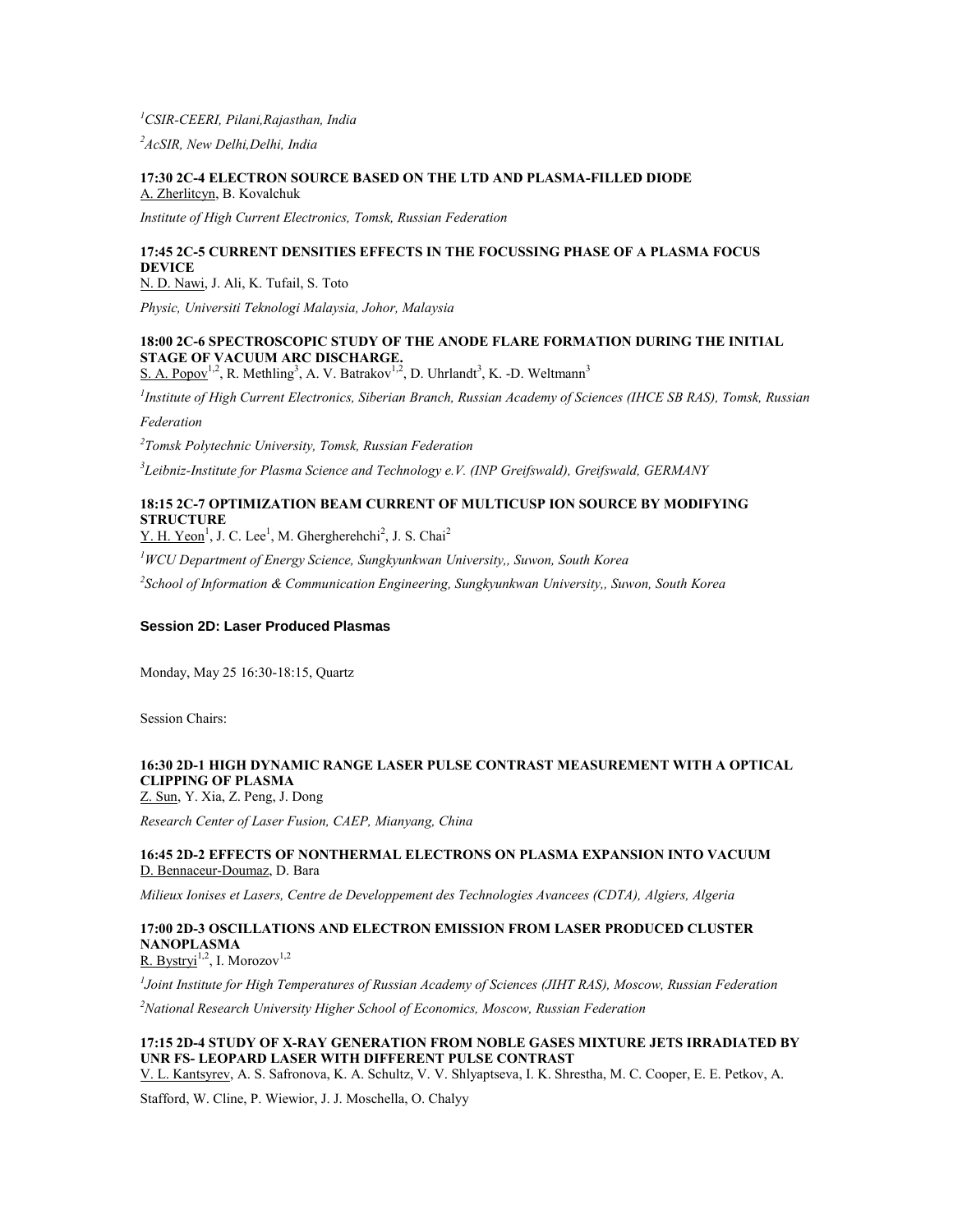### *<sup>1</sup>CSIR-CEERI, Pilani,Rajasthan, India*

*<sup>2</sup>AcSIR, New Delhi,Delhi, India*

#### **17:30 2C-4 ELECTRON SOURCE BASED ON THE LTD AND PLASMA-FILLED DIODE** A. Zherlitcyn, B. Kovalchuk

*Institute of High Current Electronics, Tomsk, Russian Federation*

### **17:45 2C-5 CURRENT DENSITIES EFFECTS IN THE FOCUSSING PHASE OF A PLASMA FOCUS DEVICE**

N. D. Nawi, J. Ali, K. Tufail, S. Toto

*Physic, Universiti Teknologi Malaysia, Johor, Malaysia*

### **18:00 2C-6 SPECTROSCOPIC STUDY OF THE ANODE FLARE FORMATION DURING THE INITIAL STAGE OF VACUUM ARC DISCHARGE.**

S. A. Popov<sup>1,2</sup>, R. Methling<sup>3</sup>, A. V. Batrakov<sup>1,2</sup>, D. Uhrlandt<sup>3</sup>, K. -D. Weltmann<sup>3</sup>

*1 Institute of High Current Electronics, Siberian Branch, Russian Academy of Sciences (IHCE SB RAS), Tomsk, Russian* 

*Federation*

*2 Tomsk Polytechnic University, Tomsk, Russian Federation*

*3 Leibniz-Institute for Plasma Science and Technology e.V. (INP Greifswald), Greifswald, GERMANY*

### **18:15 2C-7 OPTIMIZATION BEAM CURRENT OF MULTICUSP ION SOURCE BY MODIFYING STRUCTURE**

 $Y. H. Yeon<sup>1</sup>, J. C. Lee<sup>1</sup>, M. Ghergherehchi<sup>2</sup>, J. S. Chai<sup>2</sup>$ 

*<sup>1</sup>WCU Department of Energy Science, Sungkyunkwan University,, Suwon, South Korea*

*2 School of Information & Communication Engineering, Sungkyunkwan University,, Suwon, South Korea*

### **Session 2D: Laser Produced Plasmas**

Monday, May 25 16:30-18:15, Quartz

Session Chairs:

### **16:30 2D-1 HIGH DYNAMIC RANGE LASER PULSE CONTRAST MEASUREMENT WITH A OPTICAL CLIPPING OF PLASMA**

Z. Sun, Y. Xia, Z. Peng, J. Dong

*Research Center of Laser Fusion, CAEP, Mianyang, China*

### **16:45 2D-2 EFFECTS OF NONTHERMAL ELECTRONS ON PLASMA EXPANSION INTO VACUUM** D. Bennaceur-Doumaz, D. Bara

*Milieux Ionises et Lasers, Centre de Developpement des Technologies Avancees (CDTA), Algiers, Algeria*

### **17:00 2D-3 OSCILLATIONS AND ELECTRON EMISSION FROM LASER PRODUCED CLUSTER NANOPLASMA**

R. Bystryi<sup>1,2</sup>, I. Morozov<sup>1,2</sup>

*1 Joint Institute for High Temperatures of Russian Academy of Sciences (JIHT RAS), Moscow, Russian Federation*

*<sup>2</sup>National Research University Higher School of Economics, Moscow, Russian Federation*

### **17:15 2D-4 STUDY OF X-RAY GENERATION FROM NOBLE GASES MIXTURE JETS IRRADIATED BY UNR FS- LEOPARD LASER WITH DIFFERENT PULSE CONTRAST**

V. L. Kantsyrev, A. S. Safronova, K. A. Schultz, V. V. Shlyaptseva, I. K. Shrestha, M. C. Cooper, E. E. Petkov, A.

Stafford, W. Cline, P. Wiewior, J. J. Moschella, O. Chalyy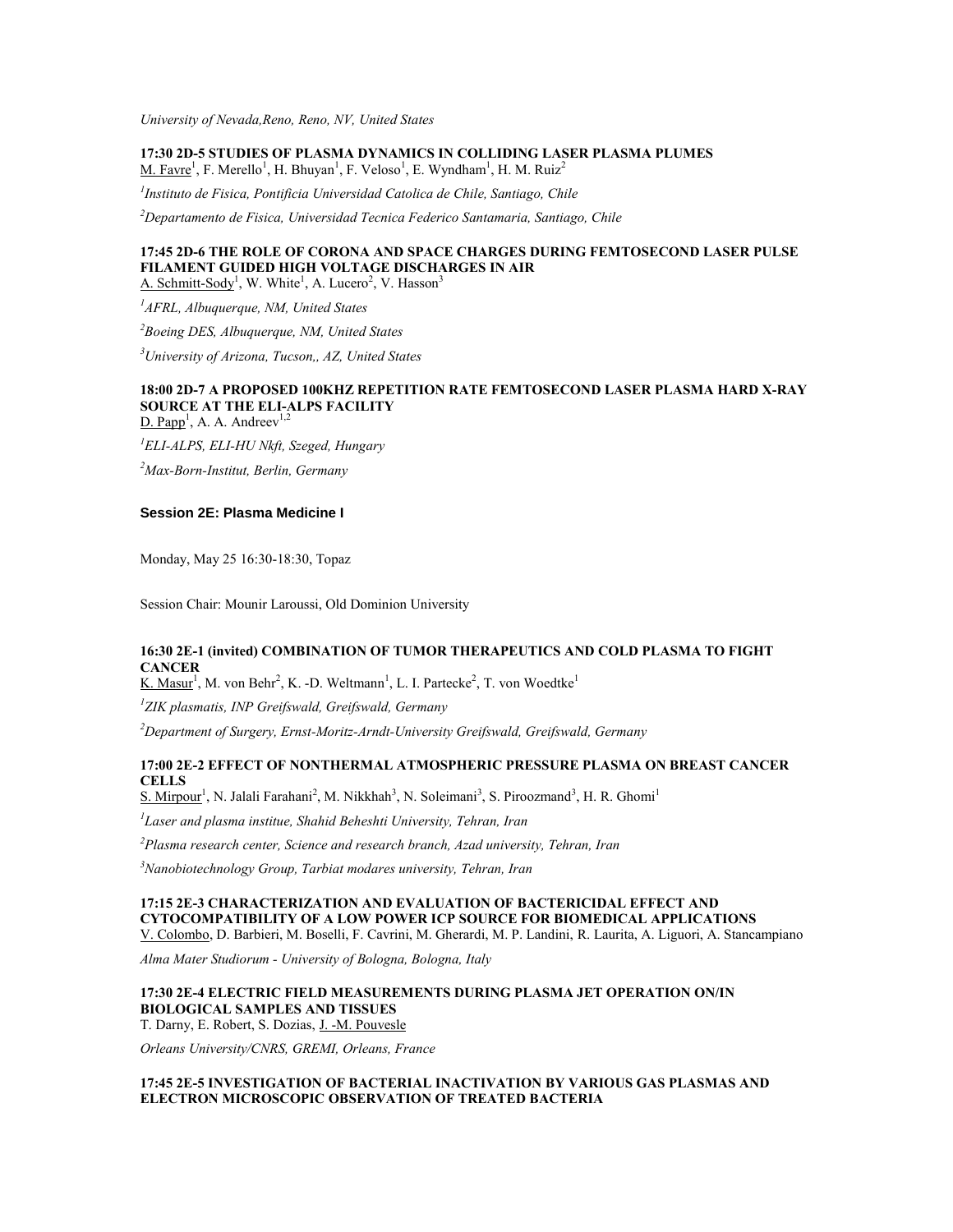*University of Nevada,Reno, Reno, NV, United States*

**17:30 2D-5 STUDIES OF PLASMA DYNAMICS IN COLLIDING LASER PLASMA PLUMES**  $M.$  Favre<sup>1</sup>, F. Merello<sup>1</sup>, H. Bhuyan<sup>1</sup>, F. Veloso<sup>1</sup>, E. Wyndham<sup>1</sup>, H. M. Ruiz<sup>2</sup>

*1 Instituto de Fisica, Pontificia Universidad Catolica de Chile, Santiago, Chile*

*<sup>2</sup>Departamento de Fisica, Universidad Tecnica Federico Santamaria, Santiago, Chile*

## **17:45 2D-6 THE ROLE OF CORONA AND SPACE CHARGES DURING FEMTOSECOND LASER PULSE FILAMENT GUIDED HIGH VOLTAGE DISCHARGES IN AIR**

A. Schmitt-Sody<sup>1</sup>, W. White<sup>1</sup>, A. Lucero<sup>2</sup>, V. Hasson<sup>3</sup>

*<sup>1</sup>AFRL, Albuquerque, NM, United States*

*<sup>2</sup>Boeing DES, Albuquerque, NM, United States*

*<sup>3</sup>University of Arizona, Tucson,, AZ, United States*

### **18:00 2D-7 A PROPOSED 100KHZ REPETITION RATE FEMTOSECOND LASER PLASMA HARD X-RAY SOURCE AT THE ELI-ALPS FACILITY**

 $D.$  Papp<sup>1</sup>, A. A. Andreev<sup>1,2</sup>

*<sup>1</sup>ELI-ALPS, ELI-HU Nkft, Szeged, Hungary*

*<sup>2</sup>Max-Born-Institut, Berlin, Germany*

### **Session 2E: Plasma Medicine I**

Monday, May 25 16:30-18:30, Topaz

Session Chair: Mounir Laroussi, Old Dominion University

### **16:30 2E-1 (invited) COMBINATION OF TUMOR THERAPEUTICS AND COLD PLASMA TO FIGHT CANCER**

K. Masur<sup>1</sup>, M. von Behr<sup>2</sup>, K. -D. Weltmann<sup>1</sup>, L. I. Partecke<sup>2</sup>, T. von Woedtke<sup>1</sup>

*1 ZIK plasmatis, INP Greifswald, Greifswald, Germany*

*<sup>2</sup>Department of Surgery, Ernst-Moritz-Arndt-University Greifswald, Greifswald, Germany*

#### **17:00 2E-2 EFFECT OF NONTHERMAL ATMOSPHERIC PRESSURE PLASMA ON BREAST CANCER CELLS**

S. Mirpour<sup>1</sup>, N. Jalali Farahani<sup>2</sup>, M. Nikkhah<sup>3</sup>, N. Soleimani<sup>3</sup>, S. Piroozmand<sup>3</sup>, H. R. Ghomi<sup>1</sup>

*1 Laser and plasma institue, Shahid Beheshti University, Tehran, Iran*

*<sup>2</sup>Plasma research center, Science and research branch, Azad university, Tehran, Iran*

*<sup>3</sup>Nanobiotechnology Group, Tarbiat modares university, Tehran, Iran*

**17:15 2E-3 CHARACTERIZATION AND EVALUATION OF BACTERICIDAL EFFECT AND CYTOCOMPATIBILITY OF A LOW POWER ICP SOURCE FOR BIOMEDICAL APPLICATIONS** V. Colombo, D. Barbieri, M. Boselli, F. Cavrini, M. Gherardi, M. P. Landini, R. Laurita, A. Liguori, A. Stancampiano

*Alma Mater Studiorum - University of Bologna, Bologna, Italy*

#### **17:30 2E-4 ELECTRIC FIELD MEASUREMENTS DURING PLASMA JET OPERATION ON/IN BIOLOGICAL SAMPLES AND TISSUES** T. Darny, E. Robert, S. Dozias, J. -M. Pouvesle

*Orleans University/CNRS, GREMI, Orleans, France*

### **17:45 2E-5 INVESTIGATION OF BACTERIAL INACTIVATION BY VARIOUS GAS PLASMAS AND ELECTRON MICROSCOPIC OBSERVATION OF TREATED BACTERIA**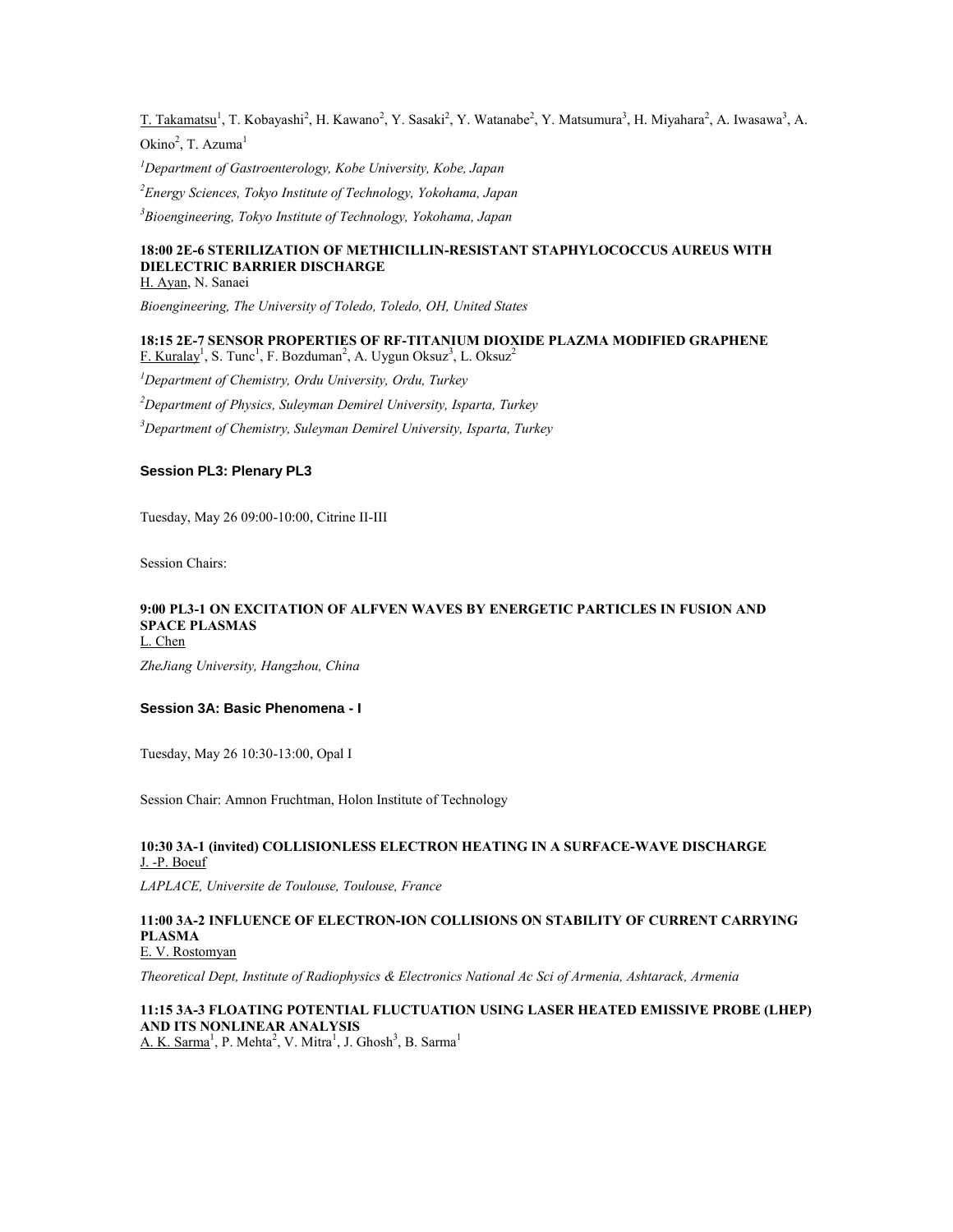T. Takamatsu<sup>1</sup>, T. Kobayashi<sup>2</sup>, H. Kawano<sup>2</sup>, Y. Sasaki<sup>2</sup>, Y. Watanabe<sup>2</sup>, Y. Matsumura<sup>3</sup>, H. Miyahara<sup>2</sup>, A. Iwasawa<sup>3</sup>, A. Okino<sup>2</sup>, T. Azuma<sup>1</sup>

*<sup>1</sup>Department of Gastroenterology, Kobe University, Kobe, Japan*

*<sup>2</sup>Energy Sciences, Tokyo Institute of Technology, Yokohama, Japan*

*<sup>3</sup>Bioengineering, Tokyo Institute of Technology, Yokohama, Japan*

### **18:00 2E-6 STERILIZATION OF METHICILLIN-RESISTANT STAPHYLOCOCCUS AUREUS WITH DIELECTRIC BARRIER DISCHARGE**

H. Ayan, N. Sanaei

*Bioengineering, The University of Toledo, Toledo, OH, United States*

#### **18:15 2E-7 SENSOR PROPERTIES OF RF-TITANIUM DIOXIDE PLAZMA MODIFIED GRAPHENE**  $F.$  Kuralay<sup>1</sup>, S. Tunc<sup>1</sup>, F. Bozduman<sup>2</sup>, A. Uygun Oksuz<sup>3</sup>, L. Oksuz<sup>2</sup>

*<sup>1</sup>Department of Chemistry, Ordu University, Ordu, Turkey <sup>2</sup>Department of Physics, Suleyman Demirel University, Isparta, Turkey <sup>3</sup>Department of Chemistry, Suleyman Demirel University, Isparta, Turkey*

### **Session PL3: Plenary PL3**

Tuesday, May 26 09:00-10:00, Citrine II-III

Session Chairs:

#### **9:00 PL3-1 ON EXCITATION OF ALFVEN WAVES BY ENERGETIC PARTICLES IN FUSION AND SPACE PLASMAS** L. Chen

*ZheJiang University, Hangzhou, China*

#### **Session 3A: Basic Phenomena - I**

Tuesday, May 26 10:30-13:00, Opal I

Session Chair: Amnon Fruchtman, Holon Institute of Technology

### **10:30 3A-1 (invited) COLLISIONLESS ELECTRON HEATING IN A SURFACE-WAVE DISCHARGE** J. -P. Boeuf

*LAPLACE, Universite de Toulouse, Toulouse, France*

#### **11:00 3A-2 INFLUENCE OF ELECTRON-ION COLLISIONS ON STABILITY OF CURRENT CARRYING PLASMA** E. V. Rostomyan

*Theoretical Dept, Institute of Radiophysics & Electronics National Ac Sci of Armenia, Ashtarack, Armenia*

### **11:15 3A-3 FLOATING POTENTIAL FLUCTUATION USING LASER HEATED EMISSIVE PROBE (LHEP) AND ITS NONLINEAR ANALYSIS**

A. K. Sarma<sup>1</sup>, P. Mehta<sup>2</sup>, V. Mitra<sup>1</sup>, J. Ghosh<sup>3</sup>, B. Sarma<sup>1</sup>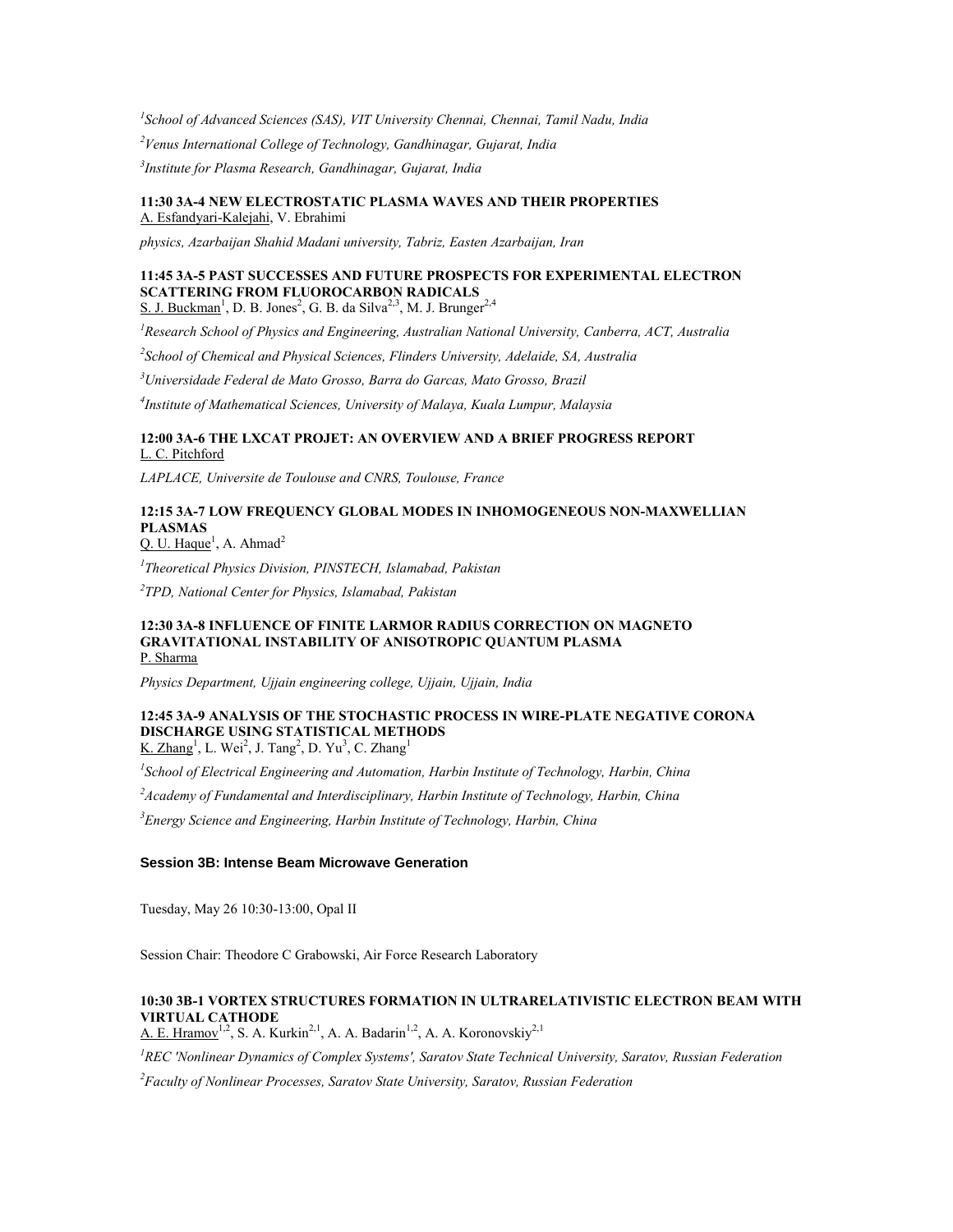*1 School of Advanced Sciences (SAS), VIT University Chennai, Chennai, Tamil Nadu, India <sup>2</sup>Venus International College of Technology, Gandhinagar, Gujarat, India 3 Institute for Plasma Research, Gandhinagar, Gujarat, India*

#### **11:30 3A-4 NEW ELECTROSTATIC PLASMA WAVES AND THEIR PROPERTIES** A. Esfandyari-Kalejahi, V. Ebrahimi

*physics, Azarbaijan Shahid Madani university, Tabriz, Easten Azarbaijan, Iran*

### **11:45 3A-5 PAST SUCCESSES AND FUTURE PROSPECTS FOR EXPERIMENTAL ELECTRON SCATTERING FROM FLUOROCARBON RADICALS**

S. J. Buckman<sup>1</sup>, D. B. Jones<sup>2</sup>, G. B. da Silva<sup>2,3</sup>, M. J. Brunger<sup>2,4</sup>

*<sup>1</sup>Research School of Physics and Engineering, Australian National University, Canberra, ACT, Australia*

*2 School of Chemical and Physical Sciences, Flinders University, Adelaide, SA, Australia*

*<sup>3</sup>Universidade Federal de Mato Grosso, Barra do Garcas, Mato Grosso, Brazil*

*4 Institute of Mathematical Sciences, University of Malaya, Kuala Lumpur, Malaysia*

### **12:00 3A-6 THE LXCAT PROJET: AN OVERVIEW AND A BRIEF PROGRESS REPORT** L. C. Pitchford

*LAPLACE, Universite de Toulouse and CNRS, Toulouse, France*

## **12:15 3A-7 LOW FREQUENCY GLOBAL MODES IN INHOMOGENEOUS NON-MAXWELLIAN PLASMAS**

Q. U. Haque<sup>1</sup>, A. Ahmad<sup>2</sup>

*1 Theoretical Physics Division, PINSTECH, Islamabad, Pakistan*

*2 TPD, National Center for Physics, Islamabad, Pakistan*

#### **12:30 3A-8 INFLUENCE OF FINITE LARMOR RADIUS CORRECTION ON MAGNETO GRAVITATIONAL INSTABILITY OF ANISOTROPIC QUANTUM PLASMA** P. Sharma

*Physics Department, Ujjain engineering college, Ujjain, Ujjain, India*

## **12:45 3A-9 ANALYSIS OF THE STOCHASTIC PROCESS IN WIRE-PLATE NEGATIVE CORONA DISCHARGE USING STATISTICAL METHODS**

K. Zhang<sup>1</sup>, L. Wei<sup>2</sup>, J. Tang<sup>2</sup>, D. Yu<sup>3</sup>, C. Zhang<sup>1</sup>

*1 School of Electrical Engineering and Automation, Harbin Institute of Technology, Harbin, China*

*<sup>2</sup>Academy of Fundamental and Interdisciplinary, Harbin Institute of Technology, Harbin, China*

*<sup>3</sup>Energy Science and Engineering, Harbin Institute of Technology, Harbin, China*

### **Session 3B: Intense Beam Microwave Generation**

Tuesday, May 26 10:30-13:00, Opal II

Session Chair: Theodore C Grabowski, Air Force Research Laboratory

### **10:30 3B-1 VORTEX STRUCTURES FORMATION IN ULTRARELATIVISTIC ELECTRON BEAM WITH VIRTUAL CATHODE**

A. E. Hramov<sup>1,2</sup>, S. A. Kurkin<sup>2,1</sup>, A. A. Badarin<sup>1,2</sup>, A. A. Koronovskiy<sup>2,1</sup>

*<sup>1</sup>REC 'Nonlinear Dynamics of Complex Systems', Saratov State Technical University, Saratov, Russian Federation*

*<sup>2</sup>Faculty of Nonlinear Processes, Saratov State University, Saratov, Russian Federation*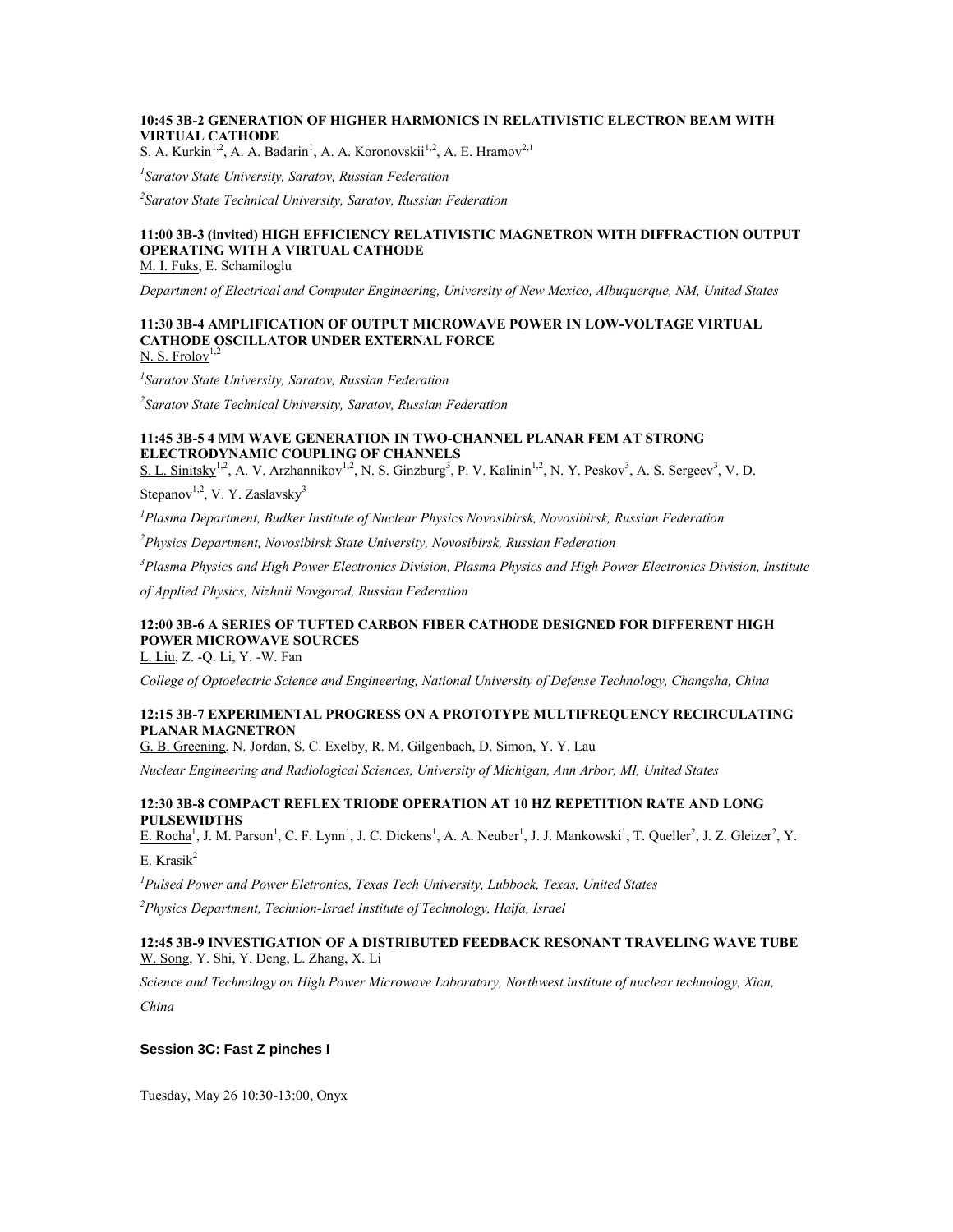### **10:45 3B-2 GENERATION OF HIGHER HARMONICS IN RELATIVISTIC ELECTRON BEAM WITH VIRTUAL CATHODE**

S. A. Kurkin<sup>1,2</sup>, A. A. Badarin<sup>1</sup>, A. A. Koronovskii<sup>1,2</sup>, A. E. Hramov<sup>2,1</sup>

*1 Saratov State University, Saratov, Russian Federation*

*2 Saratov State Technical University, Saratov, Russian Federation*

## **11:00 3B-3 (invited) HIGH EFFICIENCY RELATIVISTIC MAGNETRON WITH DIFFRACTION OUTPUT OPERATING WITH A VIRTUAL CATHODE**

M. I. Fuks, E. Schamiloglu

*Department of Electrical and Computer Engineering, University of New Mexico, Albuquerque, NM, United States*

### **11:30 3B-4 AMPLIFICATION OF OUTPUT MICROWAVE POWER IN LOW-VOLTAGE VIRTUAL CATHODE OSCILLATOR UNDER EXTERNAL FORCE**  $N. S.$  Frolov<sup>1,2</sup>

*1 Saratov State University, Saratov, Russian Federation*

*2 Saratov State Technical University, Saratov, Russian Federation*

### **11:45 3B-5 4 MM WAVE GENERATION IN TWO-CHANNEL PLANAR FEM AT STRONG ELECTRODYNAMIC COUPLING OF CHANNELS**

S. L. Sinitsky<sup>1,2</sup>, A. V. Arzhannikov<sup>1,2</sup>, N. S. Ginzburg<sup>3</sup>, P. V. Kalinin<sup>1,2</sup>, N. Y. Peskov<sup>3</sup>, A. S. Sergeev<sup>3</sup>, V. D.

Stepanov<sup>1,2</sup>, V. Y. Zaslavsky<sup>3</sup>

*<sup>1</sup>Plasma Department, Budker Institute of Nuclear Physics Novosibirsk, Novosibirsk, Russian Federation*

*<sup>2</sup>Physics Department, Novosibirsk State University, Novosibirsk, Russian Federation*

*<sup>3</sup>Plasma Physics and High Power Electronics Division, Plasma Physics and High Power Electronics Division, Institute* 

*of Applied Physics, Nizhnii Novgorod, Russian Federation*

### **12:00 3B-6 A SERIES OF TUFTED CARBON FIBER CATHODE DESIGNED FOR DIFFERENT HIGH POWER MICROWAVE SOURCES**

L. Liu, Z. -Q. Li, Y. -W. Fan

*College of Optoelectric Science and Engineering, National University of Defense Technology, Changsha, China*

#### **12:15 3B-7 EXPERIMENTAL PROGRESS ON A PROTOTYPE MULTIFREQUENCY RECIRCULATING PLANAR MAGNETRON**

G. B. Greening, N. Jordan, S. C. Exelby, R. M. Gilgenbach, D. Simon, Y. Y. Lau

*Nuclear Engineering and Radiological Sciences, University of Michigan, Ann Arbor, MI, United States*

### **12:30 3B-8 COMPACT REFLEX TRIODE OPERATION AT 10 HZ REPETITION RATE AND LONG PULSEWIDTHS**

 $E.$  Rocha<sup>1</sup>, J. M. Parson<sup>1</sup>, C. F. Lynn<sup>1</sup>, J. C. Dickens<sup>1</sup>, A. A. Neuber<sup>1</sup>, J. J. Mankowski<sup>1</sup>, T. Queller<sup>2</sup>, J. Z. Gleizer<sup>2</sup>, Y. E. Krasik $^2$ 

*<sup>1</sup>Pulsed Power and Power Eletronics, Texas Tech University, Lubbock, Texas, United States*

*<sup>2</sup>Physics Department, Technion-Israel Institute of Technology, Haifa, Israel*

### **12:45 3B-9 INVESTIGATION OF A DISTRIBUTED FEEDBACK RESONANT TRAVELING WAVE TUBE** W. Song, Y. Shi, Y. Deng, L. Zhang, X. Li

*Science and Technology on High Power Microwave Laboratory, Northwest institute of nuclear technology, Xian, China*

## **Session 3C: Fast Z pinches I**

Tuesday, May 26 10:30-13:00, Onyx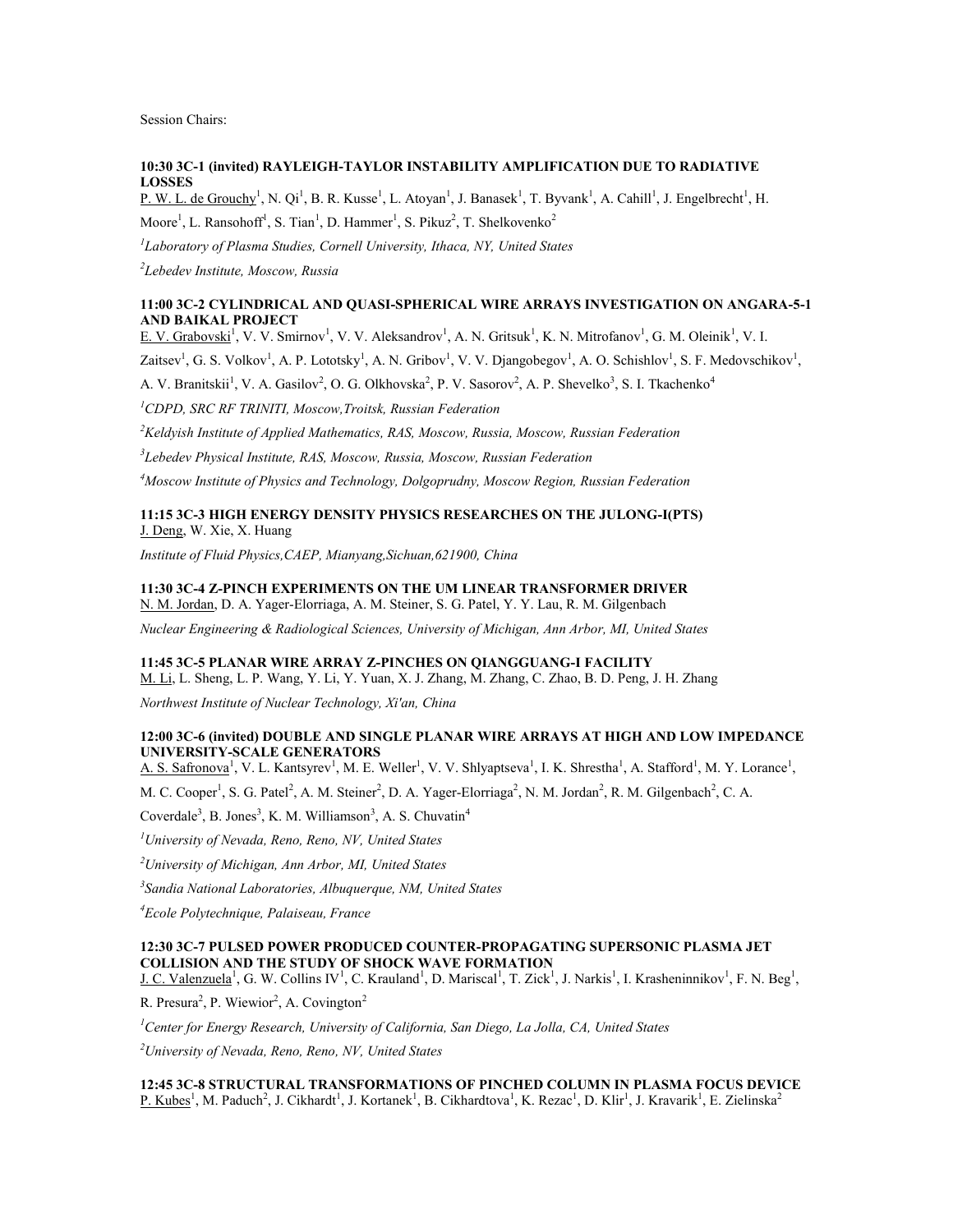Session Chairs:

### **10:30 3C-1 (invited) RAYLEIGH-TAYLOR INSTABILITY AMPLIFICATION DUE TO RADIATIVE LOSSES**

P. W. L. de Grouchy<sup>1</sup>, N. Qi<sup>1</sup>, B. R. Kusse<sup>1</sup>, L. Atoyan<sup>1</sup>, J. Banasek<sup>1</sup>, T. Byvank<sup>1</sup>, A. Cahill<sup>1</sup>, J. Engelbrecht<sup>1</sup>, H. Moore<sup>1</sup>, L. Ransohoff<sup>1</sup>, S. Tian<sup>1</sup>, D. Hammer<sup>1</sup>, S. Pikuz<sup>2</sup>, T. Shelkovenko<sup>2</sup>

*1 Laboratory of Plasma Studies, Cornell University, Ithaca, NY, United States*

*2 Lebedev Institute, Moscow, Russia*

#### **11:00 3C-2 CYLINDRICAL AND QUASI-SPHERICAL WIRE ARRAYS INVESTIGATION ON ANGARA-5-1 AND BAIKAL PROJECT**

E. V. Grabovski<sup>1</sup>, V. V. Smirnov<sup>1</sup>, V. V. Aleksandrov<sup>1</sup>, A. N. Gritsuk<sup>1</sup>, K. N. Mitrofanov<sup>1</sup>, G. M. Oleinik<sup>1</sup>, V. I.

Zaitsev<sup>1</sup>, G. S. Volkov<sup>1</sup>, A. P. Lototsky<sup>1</sup>, A. N. Gribov<sup>1</sup>, V. V. Djangobegov<sup>1</sup>, A. O. Schishlov<sup>1</sup>, S. F. Medovschikov<sup>1</sup>,

A. V. Branitskii<sup>1</sup>, V. A. Gasilov<sup>2</sup>, O. G. Olkhovska<sup>2</sup>, P. V. Sasorov<sup>2</sup>, A. P. Shevelko<sup>3</sup>, S. I. Tkachenko<sup>4</sup>

*<sup>1</sup>CDPD, SRC RF TRINITI, Moscow,Troitsk, Russian Federation*

*<sup>2</sup>Keldyish Institute of Applied Mathematics, RAS, Moscow, Russia, Moscow, Russian Federation*

*3 Lebedev Physical Institute, RAS, Moscow, Russia, Moscow, Russian Federation*

*<sup>4</sup>Moscow Institute of Physics and Technology, Dolgoprudny, Moscow Region, Russian Federation*

### **11:15 3C-3 HIGH ENERGY DENSITY PHYSICS RESEARCHES ON THE JULONG-I(PTS)** J. Deng, W. Xie, X. Huang

*Institute of Fluid Physics,CAEP, Mianyang,Sichuan,621900, China*

### **11:30 3C-4 Z-PINCH EXPERIMENTS ON THE UM LINEAR TRANSFORMER DRIVER**

N. M. Jordan, D. A. Yager-Elorriaga, A. M. Steiner, S. G. Patel, Y. Y. Lau, R. M. Gilgenbach

*Nuclear Engineering & Radiological Sciences, University of Michigan, Ann Arbor, MI, United States*

### **11:45 3C-5 PLANAR WIRE ARRAY Z-PINCHES ON QIANGGUANG-I FACILITY**

M. Li, L. Sheng, L. P. Wang, Y. Li, Y. Yuan, X. J. Zhang, M. Zhang, C. Zhao, B. D. Peng, J. H. Zhang

*Northwest Institute of Nuclear Technology, Xi'an, China*

### **12:00 3C-6 (invited) DOUBLE AND SINGLE PLANAR WIRE ARRAYS AT HIGH AND LOW IMPEDANCE UNIVERSITY-SCALE GENERATORS**

A. S. Safronova<sup>1</sup>, V. L. Kantsyrev<sup>1</sup>, M. E. Weller<sup>1</sup>, V. V. Shlyaptseva<sup>1</sup>, I. K. Shrestha<sup>1</sup>, A. Stafford<sup>1</sup>, M. Y. Lorance<sup>1</sup>,

M. C. Cooper<sup>1</sup>, S. G. Patel<sup>2</sup>, A. M. Steiner<sup>2</sup>, D. A. Yager-Elorriaga<sup>2</sup>, N. M. Jordan<sup>2</sup>, R. M. Gilgenbach<sup>2</sup>, C. A.

Coverdale<sup>3</sup>, B. Jones<sup>3</sup>, K. M. Williamson<sup>3</sup>, A. S. Chuvatin<sup>4</sup>

*<sup>1</sup>University of Nevada, Reno, Reno, NV, United States*

*<sup>2</sup>University of Michigan, Ann Arbor, MI, United States*

*3 Sandia National Laboratories, Albuquerque, NM, United States*

*<sup>4</sup>Ecole Polytechnique, Palaiseau, France*

### **12:30 3C-7 PULSED POWER PRODUCED COUNTER-PROPAGATING SUPERSONIC PLASMA JET COLLISION AND THE STUDY OF SHOCK WAVE FORMATION**

 $J, C.$  Valenzuela<sup>1</sup>, G. W. Collins IV<sup>1</sup>, C. Krauland<sup>1</sup>, D. Mariscal<sup>1</sup>, T. Zick<sup>1</sup>, J. Narkis<sup>1</sup>, I. Krasheninnikov<sup>1</sup>, F. N. Beg<sup>1</sup>,

R. Presura<sup>2</sup>, P. Wiewior<sup>2</sup>, A. Covington<sup>2</sup>

*<sup>1</sup>Center for Energy Research, University of California, San Diego, La Jolla, CA, United States*

*<sup>2</sup>University of Nevada, Reno, Reno, NV, United States*

**12:45 3C-8 STRUCTURAL TRANSFORMATIONS OF PINCHED COLUMN IN PLASMA FOCUS DEVICE** P. Kubes<sup>1</sup>, M. Paduch<sup>2</sup>, J. Cikhardt<sup>1</sup>, J. Kortanek<sup>1</sup>, B. Cikhardtova<sup>1</sup>, K. Rezac<sup>1</sup>, D. Klir<sup>1</sup>, J. Kravarik<sup>1</sup>, E. Zielinska<sup>2</sup>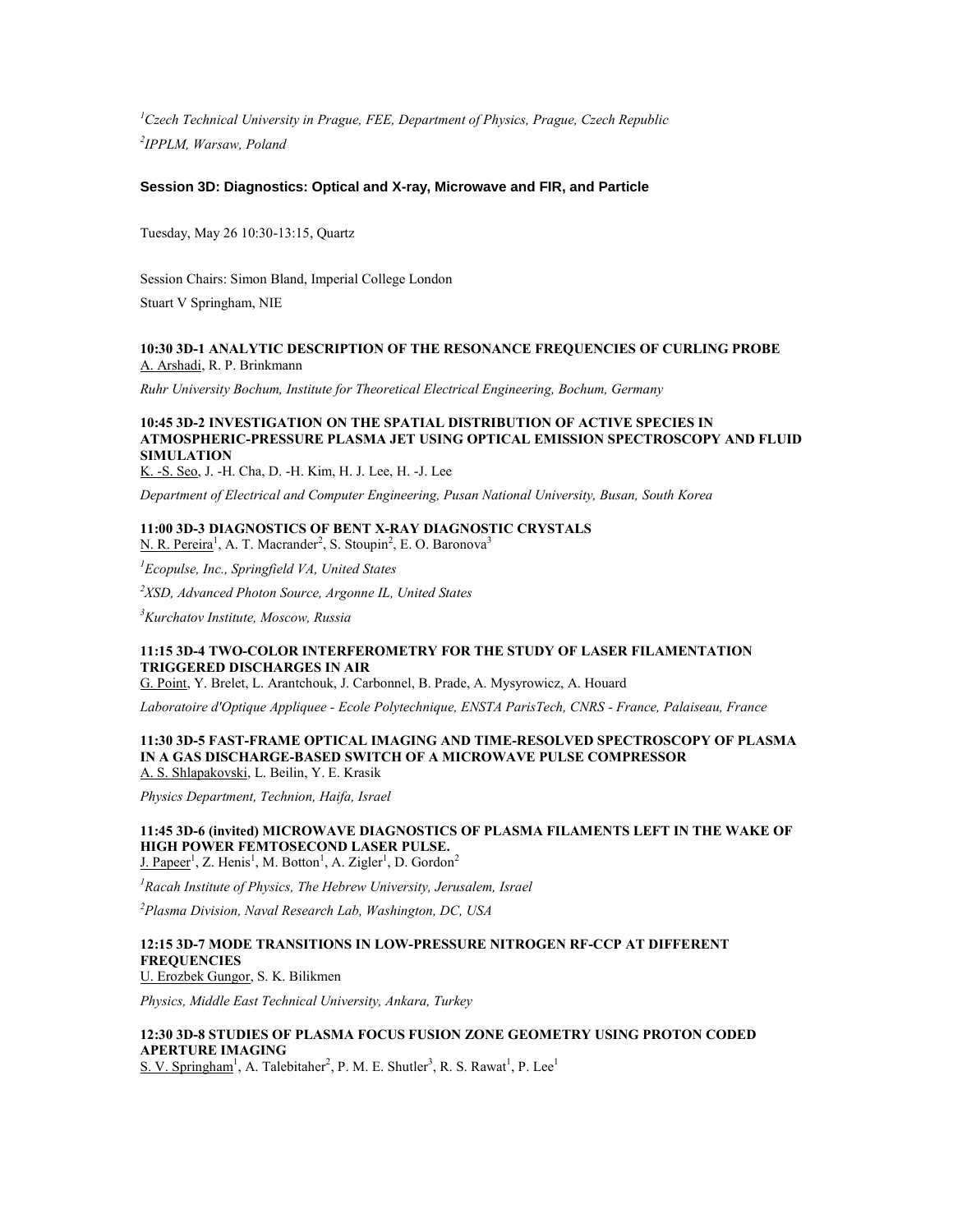*<sup>1</sup>Czech Technical University in Prague, FEE, Department of Physics, Prague, Czech Republic 2 IPPLM, Warsaw, Poland*

#### **Session 3D: Diagnostics: Optical and X-ray, Microwave and FIR, and Particle**

Tuesday, May 26 10:30-13:15, Quartz

Session Chairs: Simon Bland, Imperial College London Stuart V Springham, NIE

#### **10:30 3D-1 ANALYTIC DESCRIPTION OF THE RESONANCE FREQUENCIES OF CURLING PROBE** A. Arshadi, R. P. Brinkmann

*Ruhr University Bochum, Institute for Theoretical Electrical Engineering, Bochum, Germany*

#### **10:45 3D-2 INVESTIGATION ON THE SPATIAL DISTRIBUTION OF ACTIVE SPECIES IN ATMOSPHERIC-PRESSURE PLASMA JET USING OPTICAL EMISSION SPECTROSCOPY AND FLUID SIMULATION**

K. -S. Seo, J. -H. Cha, D. -H. Kim, H. J. Lee, H. -J. Lee

*Department of Electrical and Computer Engineering, Pusan National University, Busan, South Korea*

## **11:00 3D-3 DIAGNOSTICS OF BENT X-RAY DIAGNOSTIC CRYSTALS**

N. R. Pereira<sup>1</sup>, A. T. Macrander<sup>2</sup>, S. Stoupin<sup>2</sup>, E. O. Baronova<sup>3</sup>

*<sup>1</sup>Ecopulse, Inc., Springfield VA, United States*

*<sup>2</sup>XSD, Advanced Photon Source, Argonne IL, United States*

*<sup>3</sup>Kurchatov Institute, Moscow, Russia*

### **11:15 3D-4 TWO-COLOR INTERFEROMETRY FOR THE STUDY OF LASER FILAMENTATION TRIGGERED DISCHARGES IN AIR**

G. Point, Y. Brelet, L. Arantchouk, J. Carbonnel, B. Prade, A. Mysyrowicz, A. Houard

*Laboratoire d'Optique Appliquee - Ecole Polytechnique, ENSTA ParisTech, CNRS - France, Palaiseau, France*

#### **11:30 3D-5 FAST-FRAME OPTICAL IMAGING AND TIME-RESOLVED SPECTROSCOPY OF PLASMA IN A GAS DISCHARGE-BASED SWITCH OF A MICROWAVE PULSE COMPRESSOR** A. S. Shlapakovski, L. Beilin, Y. E. Krasik

*Physics Department, Technion, Haifa, Israel*

#### **11:45 3D-6 (invited) MICROWAVE DIAGNOSTICS OF PLASMA FILAMENTS LEFT IN THE WAKE OF HIGH POWER FEMTOSECOND LASER PULSE.** J. Papeer<sup>1</sup>, Z. Henis<sup>1</sup>, M. Botton<sup>1</sup>, A. Zigler<sup>1</sup>, D. Gordon<sup>2</sup>

*<sup>1</sup>Racah Institute of Physics, The Hebrew University, Jerusalem, Israel*

*<sup>2</sup>Plasma Division, Naval Research Lab, Washington, DC, USA*

### **12:15 3D-7 MODE TRANSITIONS IN LOW-PRESSURE NITROGEN RF-CCP AT DIFFERENT FREQUENCIES**

U. Erozbek Gungor, S. K. Bilikmen

*Physics, Middle East Technical University, Ankara, Turkey*

### **12:30 3D-8 STUDIES OF PLASMA FOCUS FUSION ZONE GEOMETRY USING PROTON CODED APERTURE IMAGING**

S. V. Springham<sup>1</sup>, A. Talebitaher<sup>2</sup>, P. M. E. Shutler<sup>3</sup>, R. S. Rawat<sup>1</sup>, P. Lee<sup>1</sup>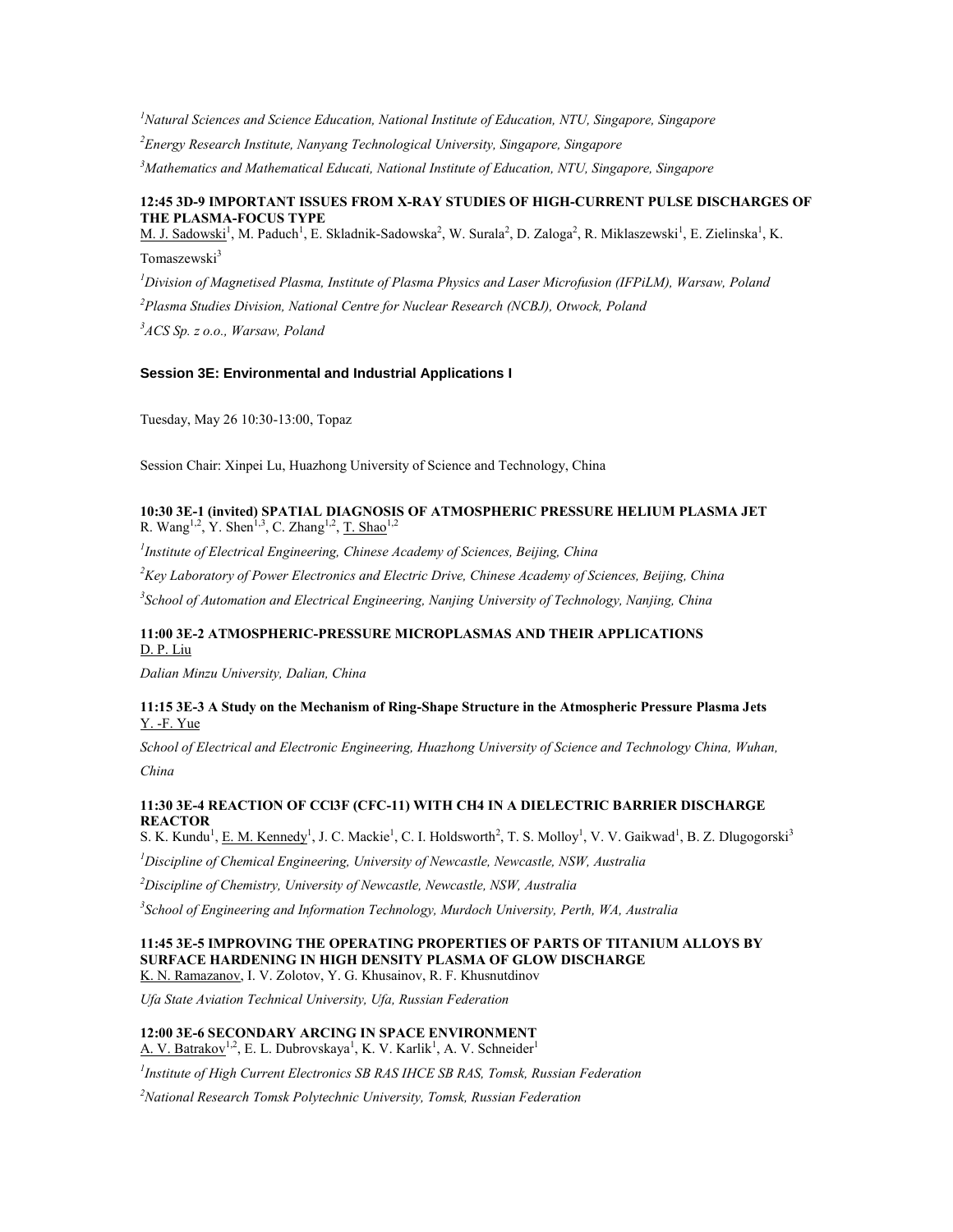*<sup>1</sup>Natural Sciences and Science Education, National Institute of Education, NTU, Singapore, Singapore*

*<sup>2</sup>Energy Research Institute, Nanyang Technological University, Singapore, Singapore*

*<sup>3</sup>Mathematics and Mathematical Educati, National Institute of Education, NTU, Singapore, Singapore*

### **12:45 3D-9 IMPORTANT ISSUES FROM X-RAY STUDIES OF HIGH-CURRENT PULSE DISCHARGES OF THE PLASMA-FOCUS TYPE**

M. J. Sadowski<sup>1</sup>, M. Paduch<sup>1</sup>, E. Skladnik-Sadowska<sup>2</sup>, W. Surala<sup>2</sup>, D. Zaloga<sup>2</sup>, R. Miklaszewski<sup>1</sup>, E. Zielinska<sup>1</sup>, K. Tomaszewski<sup>3</sup>

*<sup>1</sup>Division of Magnetised Plasma, Institute of Plasma Physics and Laser Microfusion (IFPiLM), Warsaw, Poland <sup>2</sup>Plasma Studies Division, National Centre for Nuclear Research (NCBJ), Otwock, Poland <sup>3</sup>ACS Sp. z o.o., Warsaw, Poland*

### **Session 3E: Environmental and Industrial Applications I**

Tuesday, May 26 10:30-13:00, Topaz

Session Chair: Xinpei Lu, Huazhong University of Science and Technology, China

### **10:30 3E-1 (invited) SPATIAL DIAGNOSIS OF ATMOSPHERIC PRESSURE HELIUM PLASMA JET** R. Wang<sup>1,2</sup>, Y. Shen<sup>1,3</sup>, C. Zhang<sup>1,2</sup>, <u>T. Shao</u><sup>1,2</sup>

*1 Institute of Electrical Engineering, Chinese Academy of Sciences, Beijing, China <sup>2</sup>Key Laboratory of Power Electronics and Electric Drive, Chinese Academy of Sciences, Beijing, China 3 School of Automation and Electrical Engineering, Nanjing University of Technology, Nanjing, China*

### **11:00 3E-2 ATMOSPHERIC-PRESSURE MICROPLASMAS AND THEIR APPLICATIONS** D. P. Liu

*Dalian Minzu University, Dalian, China*

#### **11:15 3E-3 A Study on the Mechanism of Ring-Shape Structure in the Atmospheric Pressure Plasma Jets** Y. -F. Yue

*School of Electrical and Electronic Engineering, Huazhong University of Science and Technology China, Wuhan, China*

### **11:30 3E-4 REACTION OF CCl3F (CFC-11) WITH CH4 IN A DIELECTRIC BARRIER DISCHARGE REACTOR**

S. K. Kundu<sup>1</sup>, E. M. Kennedy<sup>1</sup>, J. C. Mackie<sup>1</sup>, C. I. Holdsworth<sup>2</sup>, T. S. Molloy<sup>1</sup>, V. V. Gaikwad<sup>1</sup>, B. Z. Dlugogorski<sup>3</sup>

*<sup>1</sup>Discipline of Chemical Engineering, University of Newcastle, Newcastle, NSW, Australia*

*<sup>2</sup>Discipline of Chemistry, University of Newcastle, Newcastle, NSW, Australia*

*3 School of Engineering and Information Technology, Murdoch University, Perth, WA, Australia*

## **11:45 3E-5 IMPROVING THE OPERATING PROPERTIES OF PARTS OF TITANIUM ALLOYS BY SURFACE HARDENING IN HIGH DENSITY PLASMA OF GLOW DISCHARGE**

K. N. Ramazanov, I. V. Zolotov, Y. G. Khusainov, R. F. Khusnutdinov

*Ufa State Aviation Technical University, Ufa, Russian Federation*

#### **12:00 3E-6 SECONDARY ARCING IN SPACE ENVIRONMENT** A. V. Batrakov<sup>1,2</sup>, E. L. Dubrovskaya<sup>1</sup>, K. V. Karlik<sup>1</sup>, A. V. Schneider<sup>1</sup>

*1 Institute of High Current Electronics SB RAS IHCE SB RAS, Tomsk, Russian Federation*

*<sup>2</sup>National Research Tomsk Polytechnic University, Tomsk, Russian Federation*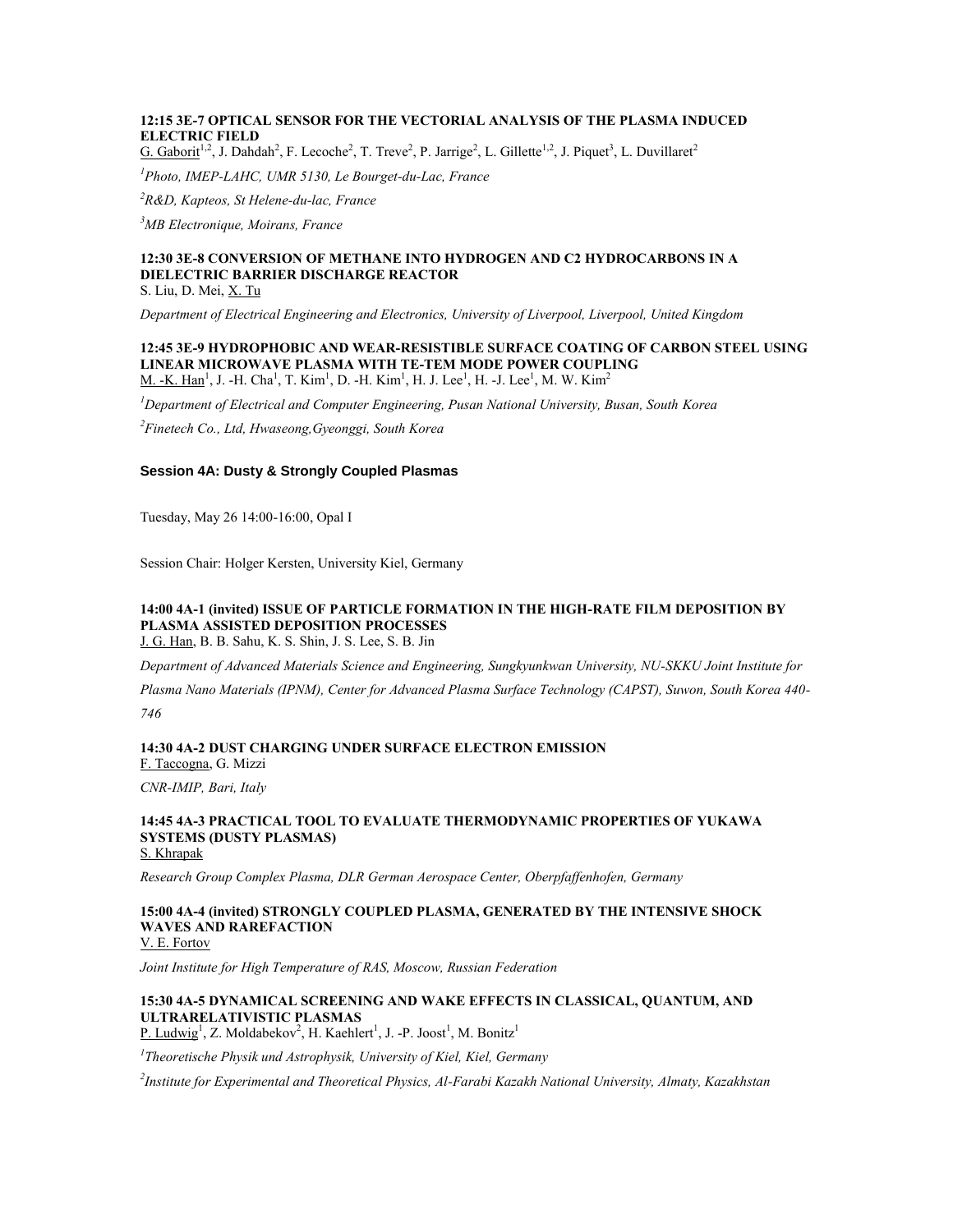### **12:15 3E-7 OPTICAL SENSOR FOR THE VECTORIAL ANALYSIS OF THE PLASMA INDUCED ELECTRIC FIELD**

G. Gaborit<sup>1,2</sup>, J. Dahdah<sup>2</sup>, F. Lecoche<sup>2</sup>, T. Treve<sup>2</sup>, P. Jarrige<sup>2</sup>, L. Gillette<sup>1,2</sup>, J. Piquet<sup>3</sup>, L. Duvillaret<sup>2</sup>

*<sup>1</sup>Photo, IMEP-LAHC, UMR 5130, Le Bourget-du-Lac, France*

*<sup>2</sup>R&D, Kapteos, St Helene-du-lac, France*

*<sup>3</sup>MB Electronique, Moirans, France*

## **12:30 3E-8 CONVERSION OF METHANE INTO HYDROGEN AND C2 HYDROCARBONS IN A DIELECTRIC BARRIER DISCHARGE REACTOR**

S. Liu, D. Mei, X. Tu

*Department of Electrical Engineering and Electronics, University of Liverpool, Liverpool, United Kingdom*

## **12:45 3E-9 HYDROPHOBIC AND WEAR-RESISTIBLE SURFACE COATING OF CARBON STEEL USING LINEAR MICROWAVE PLASMA WITH TE-TEM MODE POWER COUPLING**

M. -K.  $\text{Han}^1$ , J. -H. Cha<sup>1</sup>, T. Kim<sup>1</sup>, D. -H. Kim<sup>1</sup>, H. J. Lee<sup>1</sup>, H. -J. Lee<sup>1</sup>, M. W. Kim<sup>2</sup>

*<sup>1</sup>Department of Electrical and Computer Engineering, Pusan National University, Busan, South Korea*

*<sup>2</sup>Finetech Co., Ltd, Hwaseong,Gyeonggi, South Korea*

#### **Session 4A: Dusty & Strongly Coupled Plasmas**

Tuesday, May 26 14:00-16:00, Opal I

Session Chair: Holger Kersten, University Kiel, Germany

## **14:00 4A-1 (invited) ISSUE OF PARTICLE FORMATION IN THE HIGH-RATE FILM DEPOSITION BY PLASMA ASSISTED DEPOSITION PROCESSES**

J. G. Han, B. B. Sahu, K. S. Shin, J. S. Lee, S. B. Jin

*Department of Advanced Materials Science and Engineering, Sungkyunkwan University, NU-SKKU Joint Institute for* 

*Plasma Nano Materials (IPNM), Center for Advanced Plasma Surface Technology (CAPST), Suwon, South Korea 440- 746*

**14:30 4A-2 DUST CHARGING UNDER SURFACE ELECTRON EMISSION** F. Taccogna, G. Mizzi

*CNR-IMIP, Bari, Italy*

#### **14:45 4A-3 PRACTICAL TOOL TO EVALUATE THERMODYNAMIC PROPERTIES OF YUKAWA SYSTEMS (DUSTY PLASMAS)** S. Khrapak

*Research Group Complex Plasma, DLR German Aerospace Center, Oberpfaffenhofen, Germany*

### **15:00 4A-4 (invited) STRONGLY COUPLED PLASMA, GENERATED BY THE INTENSIVE SHOCK WAVES AND RAREFACTION**

V. E. Fortov

*Joint Institute for High Temperature of RAS, Moscow, Russian Federation*

### **15:30 4A-5 DYNAMICAL SCREENING AND WAKE EFFECTS IN CLASSICAL, QUANTUM, AND ULTRARELATIVISTIC PLASMAS**

P. Ludwig<sup>1</sup>, Z. Moldabekov<sup>2</sup>, H. Kaehlert<sup>1</sup>, J. -P. Joost<sup>1</sup>, M. Bonitz<sup>1</sup>

*1 Theoretische Physik und Astrophysik, University of Kiel, Kiel, Germany*

*2 Institute for Experimental and Theoretical Physics, Al-Farabi Kazakh National University, Almaty, Kazakhstan*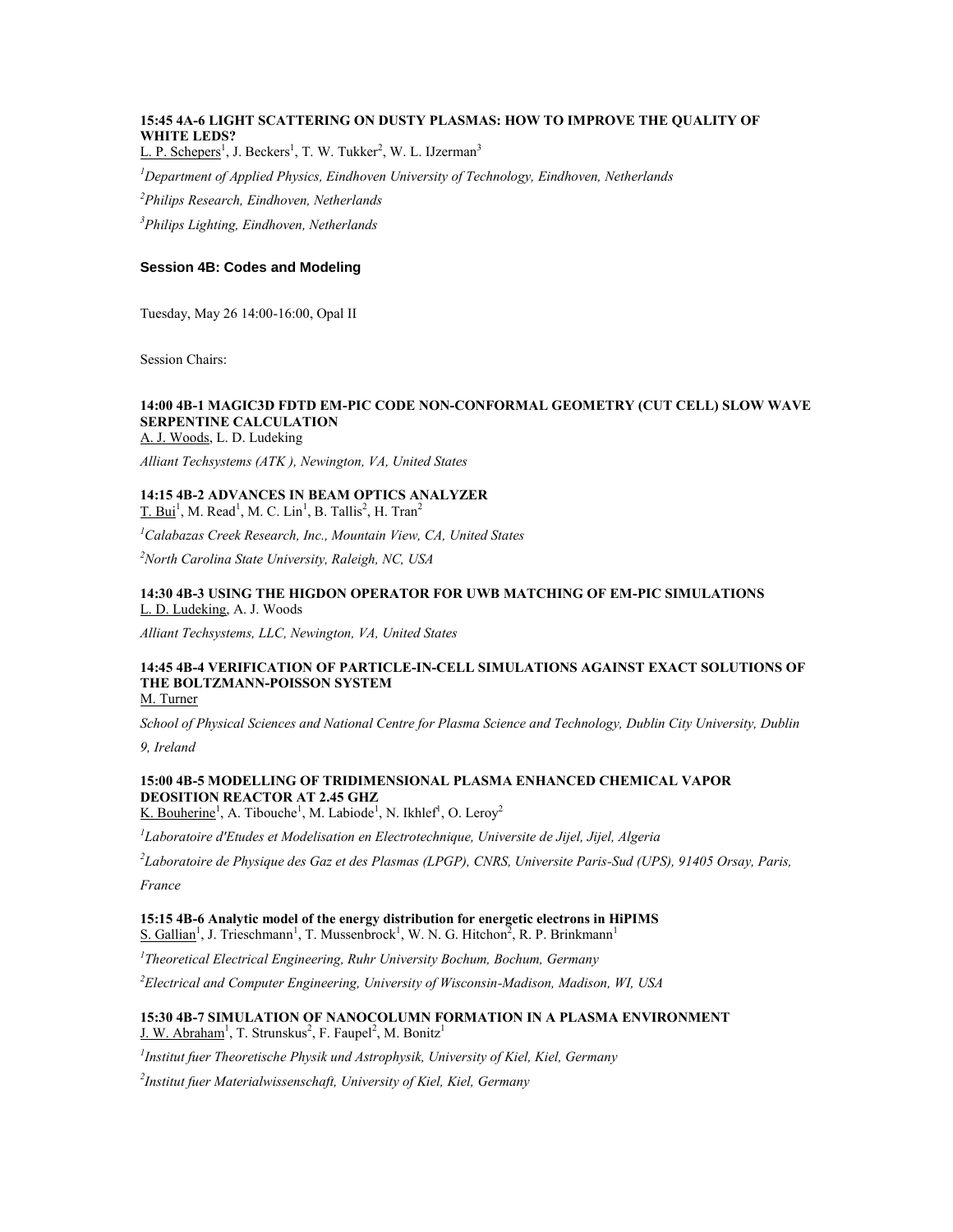### **15:45 4A-6 LIGHT SCATTERING ON DUSTY PLASMAS: HOW TO IMPROVE THE QUALITY OF WHITE LEDS?**

L. P. Schepers<sup>1</sup>, J. Beckers<sup>1</sup>, T. W. Tukker<sup>2</sup>, W. L. IJzerman<sup>3</sup>

*<sup>1</sup>Department of Applied Physics, Eindhoven University of Technology, Eindhoven, Netherlands*

*<sup>2</sup>Philips Research, Eindhoven, Netherlands*

*<sup>3</sup>Philips Lighting, Eindhoven, Netherlands*

#### **Session 4B: Codes and Modeling**

Tuesday, May 26 14:00-16:00, Opal II

Session Chairs:

### **14:00 4B-1 MAGIC3D FDTD EM-PIC CODE NON-CONFORMAL GEOMETRY (CUT CELL) SLOW WAVE SERPENTINE CALCULATION**

A. J. Woods, L. D. Ludeking

*Alliant Techsystems (ATK ), Newington, VA, United States*

#### **14:15 4B-2 ADVANCES IN BEAM OPTICS ANALYZER**  $T.$  Bui<sup>1</sup>, M. Read<sup>1</sup>, M. C. Lin<sup>1</sup>, B. Tallis<sup>2</sup>, H. Tran<sup>2</sup>

*<sup>1</sup>Calabazas Creek Research, Inc., Mountain View, CA, United States*

*<sup>2</sup>North Carolina State University, Raleigh, NC, USA*

### **14:30 4B-3 USING THE HIGDON OPERATOR FOR UWB MATCHING OF EM-PIC SIMULATIONS** L. D. Ludeking, A. J. Woods

*Alliant Techsystems, LLC, Newington, VA, United States*

#### **14:45 4B-4 VERIFICATION OF PARTICLE-IN-CELL SIMULATIONS AGAINST EXACT SOLUTIONS OF THE BOLTZMANN-POISSON SYSTEM** M. Turner

*School of Physical Sciences and National Centre for Plasma Science and Technology, Dublin City University, Dublin* 

*9, Ireland*

### **15:00 4B-5 MODELLING OF TRIDIMENSIONAL PLASMA ENHANCED CHEMICAL VAPOR DEOSITION REACTOR AT 2.45 GHZ**

K. Bouherine<sup>1</sup>, A. Tibouche<sup>1</sup>, M. Labiode<sup>1</sup>, N. Ikhlef<sup>1</sup>, O. Leroy<sup>2</sup>

*1 Laboratoire d'Etudes et Modelisation en Electrotechnique, Universite de Jijel, Jijel, Algeria*

*2 Laboratoire de Physique des Gaz et des Plasmas (LPGP), CNRS, Universite Paris-Sud (UPS), 91405 Orsay, Paris,* 

*France*

### **15:15 4B-6 Analytic model of the energy distribution for energetic electrons in HiPIMS**

S. Gallian<sup>1</sup>, J. Trieschmann<sup>1</sup>, T. Mussenbrock<sup>1</sup>, W. N. G. Hitchon<sup>2</sup>, R. P. Brinkmann<sup>1</sup>

*1 Theoretical Electrical Engineering, Ruhr University Bochum, Bochum, Germany*

*<sup>2</sup>Electrical and Computer Engineering, University of Wisconsin-Madison, Madison, WI, USA*

### **15:30 4B-7 SIMULATION OF NANOCOLUMN FORMATION IN A PLASMA ENVIRONMENT** J. W. Abraham<sup>1</sup>, T. Strunskus<sup>2</sup>, F. Faupel<sup>2</sup>, M. Bonitz<sup>1</sup>

*1 Institut fuer Theoretische Physik und Astrophysik, University of Kiel, Kiel, Germany*

*2 Institut fuer Materialwissenschaft, University of Kiel, Kiel, Germany*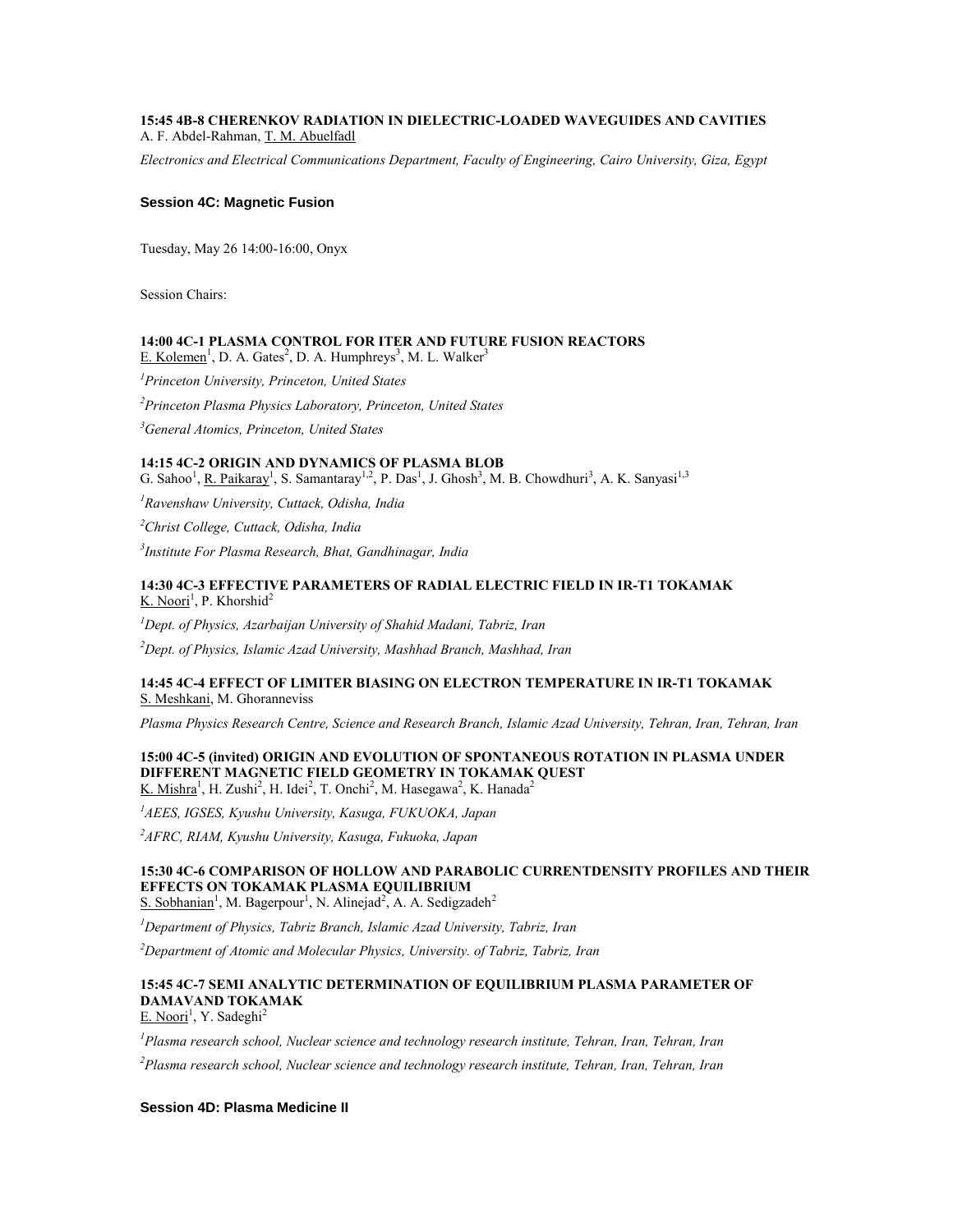### **15:45 4B-8 CHERENKOV RADIATION IN DIELECTRIC-LOADED WAVEGUIDES AND CAVITIES** A. F. Abdel-Rahman, T. M. Abuelfadl

*Electronics and Electrical Communications Department, Faculty of Engineering, Cairo University, Giza, Egypt*

#### **Session 4C: Magnetic Fusion**

Tuesday, May 26 14:00-16:00, Onyx

Session Chairs:

## **14:00 4C-1 PLASMA CONTROL FOR ITER AND FUTURE FUSION REACTORS**

E. Kolemen<sup>1</sup>, D. A. Gates<sup>2</sup>, D. A. Humphreys<sup>3</sup>, M. L. Walker<sup>3</sup>

*<sup>1</sup>Princeton University, Princeton, United States*

*<sup>2</sup>Princeton Plasma Physics Laboratory, Princeton, United States*

*<sup>3</sup>General Atomics, Princeton, United States*

### **14:15 4C-2 ORIGIN AND DYNAMICS OF PLASMA BLOB**

G. Sahoo<sup>1</sup>, <u>R. Paikaray<sup>1</sup>, S. Samantaray<sup>1,2</sup>, P. Das<sup>1</sup>, J. Ghosh<sup>3</sup>, M. B. Chowdhuri<sup>3</sup>, A. K. Sanyasi<sup>1,3</sup></u>

*<sup>1</sup>Ravenshaw University, Cuttack, Odisha, India*

*<sup>2</sup>Christ College, Cuttack, Odisha, India*

*3 Institute For Plasma Research, Bhat, Gandhinagar, India*

#### **14:30 4C-3 EFFECTIVE PARAMETERS OF RADIAL ELECTRIC FIELD IN IR-T1 TOKAMAK** K. Noori<sup>1</sup>, P. Khorshid<sup>2</sup>

*<sup>1</sup>Dept. of Physics, Azarbaijan University of Shahid Madani, Tabriz, Iran*

*<sup>2</sup>Dept. of Physics, Islamic Azad University, Mashhad Branch, Mashhad, Iran*

### **14:45 4C-4 EFFECT OF LIMITER BIASING ON ELECTRON TEMPERATURE IN IR-T1 TOKAMAK** S. Meshkani, M. Ghoranneviss

*Plasma Physics Research Centre, Science and Research Branch, Islamic Azad University, Tehran, Iran, Tehran, Iran*

#### **15:00 4C-5 (invited) ORIGIN AND EVOLUTION OF SPONTANEOUS ROTATION IN PLASMA UNDER DIFFERENT MAGNETIC FIELD GEOMETRY IN TOKAMAK QUEST** K. Mishra<sup>1</sup>, H. Zushi<sup>2</sup>, H. Idei<sup>2</sup>, T. Onchi<sup>2</sup>, M. Hasegawa<sup>2</sup>, K. Hanada<sup>2</sup>

*<sup>1</sup>AEES, IGSES, Kyushu University, Kasuga, FUKUOKA, Japan*

*<sup>2</sup>AFRC, RIAM, Kyushu University, Kasuga, Fukuoka, Japan*

## **15:30 4C-6 COMPARISON OF HOLLOW AND PARABOLIC CURRENTDENSITY PROFILES AND THEIR EFFECTS ON TOKAMAK PLASMA EQUILIBRIUM**

S. Sobhanian<sup>1</sup>, M. Bagerpour<sup>1</sup>, N. Alinejad<sup>2</sup>, A. A. Sedigzadeh<sup>2</sup>

*<sup>1</sup>Department of Physics, Tabriz Branch, Islamic Azad University, Tabriz, Iran*

*<sup>2</sup>Department of Atomic and Molecular Physics, University. of Tabriz, Tabriz, Iran*

### **15:45 4C-7 SEMI ANALYTIC DETERMINATION OF EQUILIBRIUM PLASMA PARAMETER OF DAMAVAND TOKAMAK**

E. Noori<sup>1</sup>, Y. Sadeghi<sup>2</sup>

*<sup>1</sup>Plasma research school, Nuclear science and technology research institute, Tehran, Iran, Tehran, Iran*

*<sup>2</sup>Plasma research school, Nuclear science and technology research institute, Tehran, Iran, Tehran, Iran*

#### **Session 4D: Plasma Medicine II**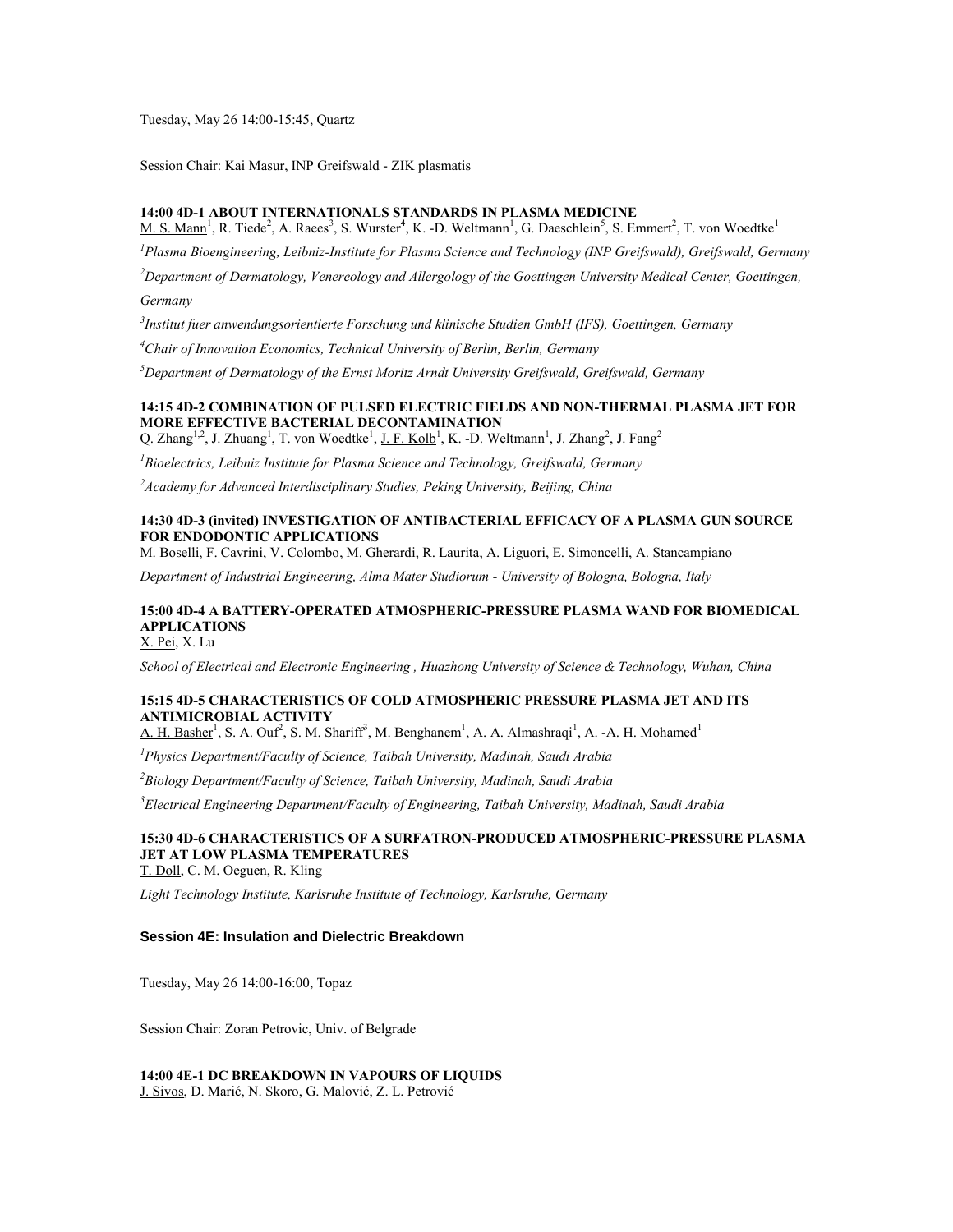Tuesday, May 26 14:00-15:45, Quartz

Session Chair: Kai Masur, INP Greifswald - ZIK plasmatis

#### **14:00 4D-1 ABOUT INTERNATIONALS STANDARDS IN PLASMA MEDICINE**

 $M. S. Mann<sup>1</sup>$ , R. Tiede<sup>2</sup>, A. Raees<sup>3</sup>, S. Wurster<sup>4</sup>, K. -D. Weltmann<sup>1</sup>, G. Daeschlein<sup>5</sup>, S. Emmert<sup>2</sup>, T. von Woedtke<sup>1</sup>

*<sup>1</sup>Plasma Bioengineering, Leibniz-Institute for Plasma Science and Technology (INP Greifswald), Greifswald, Germany*

*<sup>2</sup>Department of Dermatology, Venereology and Allergology of the Goettingen University Medical Center, Goettingen, Germany*

*3 Institut fuer anwendungsorientierte Forschung und klinische Studien GmbH (IFS), Goettingen, Germany*

*<sup>4</sup>Chair of Innovation Economics, Technical University of Berlin, Berlin, Germany*

*<sup>5</sup>Department of Dermatology of the Ernst Moritz Arndt University Greifswald, Greifswald, Germany*

### **14:15 4D-2 COMBINATION OF PULSED ELECTRIC FIELDS AND NON-THERMAL PLASMA JET FOR MORE EFFECTIVE BACTERIAL DECONTAMINATION**

Q. Zhang<sup>1,2</sup>, J. Zhuang<sup>1</sup>, T. von Woedtke<sup>1</sup>, <u>J. F. Kolb<sup>1</sup></u>, K. -D. Weltmann<sup>1</sup>, J. Zhang<sup>2</sup>, J. Fang<sup>2</sup>

*<sup>1</sup>Bioelectrics, Leibniz Institute for Plasma Science and Technology, Greifswald, Germany*

*<sup>2</sup>Academy for Advanced Interdisciplinary Studies, Peking University, Beijing, China*

### **14:30 4D-3 (invited) INVESTIGATION OF ANTIBACTERIAL EFFICACY OF A PLASMA GUN SOURCE FOR ENDODONTIC APPLICATIONS**

M. Boselli, F. Cavrini, V. Colombo, M. Gherardi, R. Laurita, A. Liguori, E. Simoncelli, A. Stancampiano

*Department of Industrial Engineering, Alma Mater Studiorum - University of Bologna, Bologna, Italy*

## **15:00 4D-4 A BATTERY-OPERATED ATMOSPHERIC-PRESSURE PLASMA WAND FOR BIOMEDICAL APPLICATIONS**

X. Pei, X. Lu

*School of Electrical and Electronic Engineering , Huazhong University of Science & Technology, Wuhan, China*

### **15:15 4D-5 CHARACTERISTICS OF COLD ATMOSPHERIC PRESSURE PLASMA JET AND ITS ANTIMICROBIAL ACTIVITY**

A. H. Basher<sup>1</sup>, S. A. Ouf<sup>2</sup>, S. M. Shariff<sup>3</sup>, M. Benghanem<sup>1</sup>, A. A. Almashraqi<sup>1</sup>, A. -A. H. Mohamed<sup>1</sup>

*<sup>1</sup>Physics Department/Faculty of Science, Taibah University, Madinah, Saudi Arabia*

*<sup>2</sup>Biology Department/Faculty of Science, Taibah University, Madinah, Saudi Arabia*

*<sup>3</sup>Electrical Engineering Department/Faculty of Engineering, Taibah University, Madinah, Saudi Arabia*

## **15:30 4D-6 CHARACTERISTICS OF A SURFATRON-PRODUCED ATMOSPHERIC-PRESSURE PLASMA JET AT LOW PLASMA TEMPERATURES**

T. Doll, C. M. Oeguen, R. Kling

*Light Technology Institute, Karlsruhe Institute of Technology, Karlsruhe, Germany*

#### **Session 4E: Insulation and Dielectric Breakdown**

Tuesday, May 26 14:00-16:00, Topaz

Session Chair: Zoran Petrovic, Univ. of Belgrade

**14:00 4E-1 DC BREAKDOWN IN VAPOURS OF LIQUIDS** J. Sivos, D. Marić, N. Skoro, G. Malović, Z. L. Petrović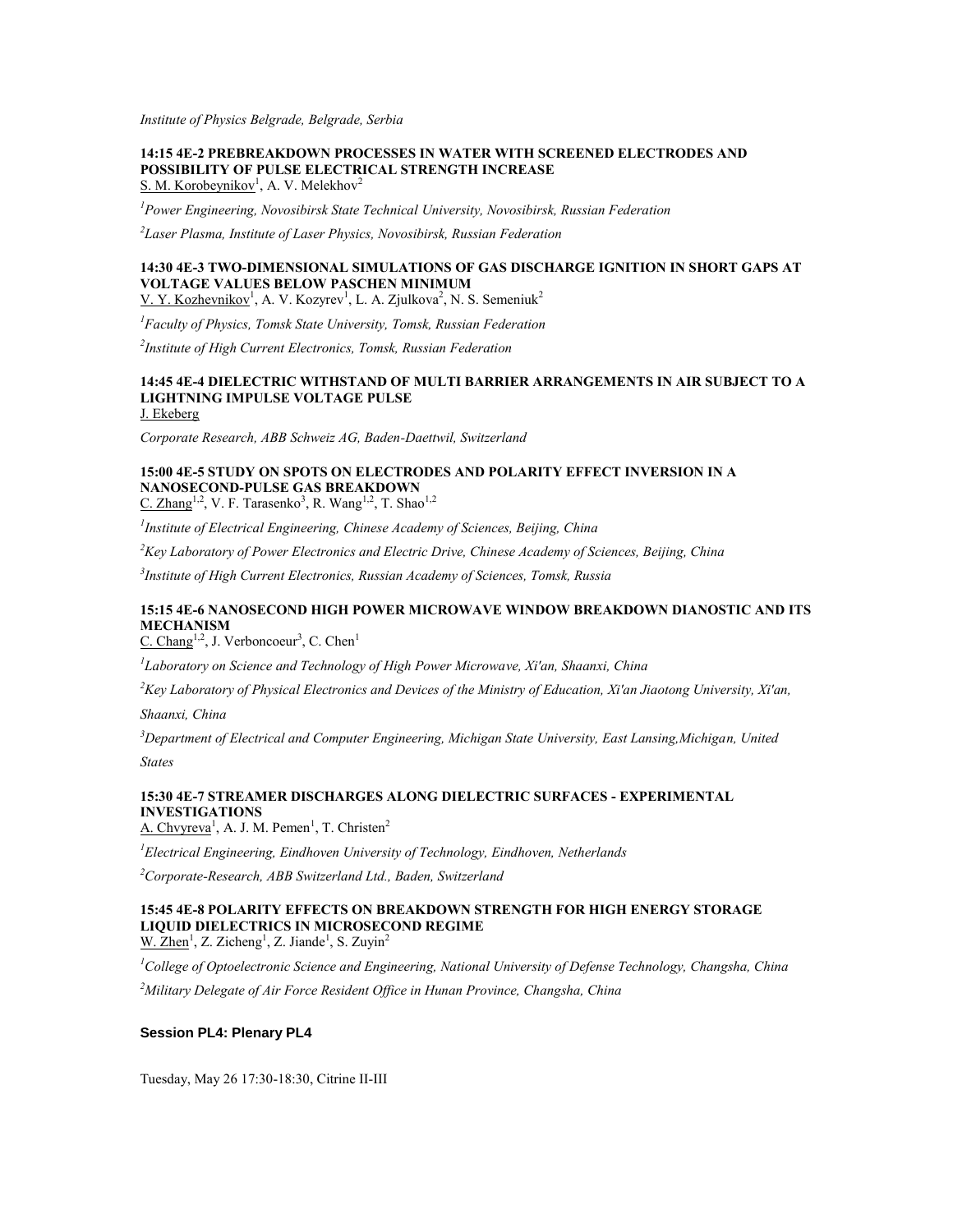*Institute of Physics Belgrade, Belgrade, Serbia*

### **14:15 4E-2 PREBREAKDOWN PROCESSES IN WATER WITH SCREENED ELECTRODES AND POSSIBILITY OF PULSE ELECTRICAL STRENGTH INCREASE** S. M. Korobeynikov<sup>1</sup>, A. V. Melekhov<sup>2</sup>

*<sup>1</sup>Power Engineering, Novosibirsk State Technical University, Novosibirsk, Russian Federation*

*2 Laser Plasma, Institute of Laser Physics, Novosibirsk, Russian Federation*

### **14:30 4E-3 TWO-DIMENSIONAL SIMULATIONS OF GAS DISCHARGE IGNITION IN SHORT GAPS AT VOLTAGE VALUES BELOW PASCHEN MINIMUM**

V. Y. Kozhevnikov<sup>1</sup>, A. V. Kozyrev<sup>1</sup>, L. A. Zjulkova<sup>2</sup>, N. S. Semeniuk<sup>2</sup>

*<sup>1</sup>Faculty of Physics, Tomsk State University, Tomsk, Russian Federation*

*2 Institute of High Current Electronics, Tomsk, Russian Federation*

## **14:45 4E-4 DIELECTRIC WITHSTAND OF MULTI BARRIER ARRANGEMENTS IN AIR SUBJECT TO A LIGHTNING IMPULSE VOLTAGE PULSE**

J. Ekeberg

*Corporate Research, ABB Schweiz AG, Baden-Daettwil, Switzerland*

## **15:00 4E-5 STUDY ON SPOTS ON ELECTRODES AND POLARITY EFFECT INVERSION IN A NANOSECOND-PULSE GAS BREAKDOWN**

C. Zhang<sup>1,2</sup>, V. F. Tarasenko<sup>3</sup>, R. Wang<sup>1,2</sup>, T. Shao<sup>1,2</sup>

*1 Institute of Electrical Engineering, Chinese Academy of Sciences, Beijing, China*

*<sup>2</sup>Key Laboratory of Power Electronics and Electric Drive, Chinese Academy of Sciences, Beijing, China*

*3 Institute of High Current Electronics, Russian Academy of Sciences, Tomsk, Russia*

### **15:15 4E-6 NANOSECOND HIGH POWER MICROWAVE WINDOW BREAKDOWN DIANOSTIC AND ITS MECHANISM**

C. Chang<sup>1,2</sup>, J. Verboncoeur<sup>3</sup>, C. Chen<sup>1</sup>

*1 Laboratory on Science and Technology of High Power Microwave, Xi'an, Shaanxi, China*

*<sup>2</sup>Key Laboratory of Physical Electronics and Devices of the Ministry of Education, Xi'an Jiaotong University, Xi'an,* 

*Shaanxi, China*

*<sup>3</sup>Department of Electrical and Computer Engineering, Michigan State University, East Lansing,Michigan, United* 

*States*

### **15:30 4E-7 STREAMER DISCHARGES ALONG DIELECTRIC SURFACES - EXPERIMENTAL INVESTIGATIONS**

A. Chvyreva<sup>1</sup>, A. J. M. Pemen<sup>1</sup>, T. Christen<sup>2</sup>

*<sup>1</sup>Electrical Engineering, Eindhoven University of Technology, Eindhoven, Netherlands*

*<sup>2</sup>Corporate-Research, ABB Switzerland Ltd., Baden, Switzerland*

#### **15:45 4E-8 POLARITY EFFECTS ON BREAKDOWN STRENGTH FOR HIGH ENERGY STORAGE LIQUID DIELECTRICS IN MICROSECOND REGIME** W.  $\text{Zhen}^1$ , Z. Zicheng<sup>1</sup>, Z. Jiande<sup>1</sup>, S. Zuyin<sup>2</sup>

*<sup>1</sup>College of Optoelectronic Science and Engineering, National University of Defense Technology, Changsha, China <sup>2</sup>Military Delegate of Air Force Resident Office in Hunan Province, Changsha, China*

#### **Session PL4: Plenary PL4**

Tuesday, May 26 17:30-18:30, Citrine II-III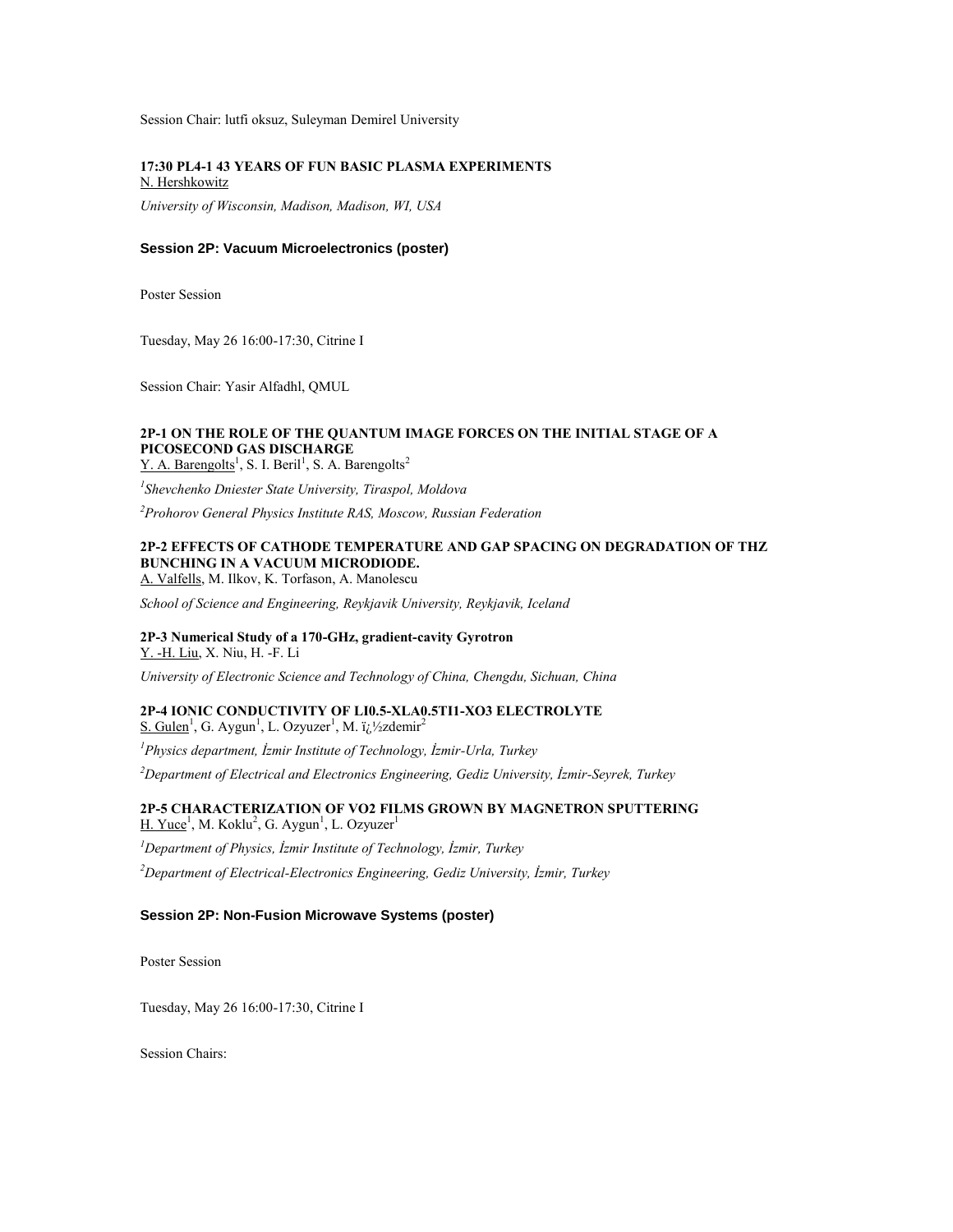Session Chair: lutfi oksuz, Suleyman Demirel University

#### **17:30 PL4-1 43 YEARS OF FUN BASIC PLASMA EXPERIMENTS** N. Hershkowitz

*University of Wisconsin, Madison, Madison, WI, USA*

### **Session 2P: Vacuum Microelectronics (poster)**

Poster Session

Tuesday, May 26 16:00-17:30, Citrine I

Session Chair: Yasir Alfadhl, QMUL

### **2P-1 ON THE ROLE OF THE QUANTUM IMAGE FORCES ON THE INITIAL STAGE OF A PICOSECOND GAS DISCHARGE**

 $Y. A. Barengolts<sup>1</sup>, S. I. Beril<sup>1</sup>, S. A. Barengolts<sup>2</sup>$ 

*1 Shevchenko Dniester State University, Tiraspol, Moldova*

*<sup>2</sup>Prohorov General Physics Institute RAS, Moscow, Russian Federation*

## **2P-2 EFFECTS OF CATHODE TEMPERATURE AND GAP SPACING ON DEGRADATION OF THZ BUNCHING IN A VACUUM MICRODIODE.**

A. Valfells, M. Ilkov, K. Torfason, A. Manolescu

*School of Science and Engineering, Reykjavik University, Reykjavik, Iceland*

#### **2P-3 Numerical Study of a 170-GHz, gradient-cavity Gyrotron** Y. -H. Liu, X. Niu, H. -F. Li

*University of Electronic Science and Technology of China, Chengdu, Sichuan, China*

#### **2P-4 IONIC CONDUCTIVITY OF LI0.5-XLA0.5TI1-XO3 ELECTROLYTE** S. Gulen<sup>1</sup>, G. Aygun<sup>1</sup>, L. Ozyuzer<sup>1</sup>, M. ï<sub>*i*</sub>.<sup>1</sup>/<sub>2</sub>zdemir<sup>2</sup>

*<sup>1</sup>Physics department, İzmir Institute of Technology, İzmir-Urla, Turkey*

*<sup>2</sup>Department of Electrical and Electronics Engineering, Gediz University, İzmir-Seyrek, Turkey*

### **2P-5 CHARACTERIZATION OF VO2 FILMS GROWN BY MAGNETRON SPUTTERING** H. Yuce<sup>1</sup>, M. Koklu<sup>2</sup>, G. Aygun<sup>1</sup>, L. Ozyuzer<sup>1</sup>

*<sup>1</sup>Department of Physics, İzmir Institute of Technology, İzmir, Turkey <sup>2</sup>Department of Electrical-Electronics Engineering, Gediz University, İzmir, Turkey*

### **Session 2P: Non-Fusion Microwave Systems (poster)**

Poster Session

Tuesday, May 26 16:00-17:30, Citrine I

Session Chairs: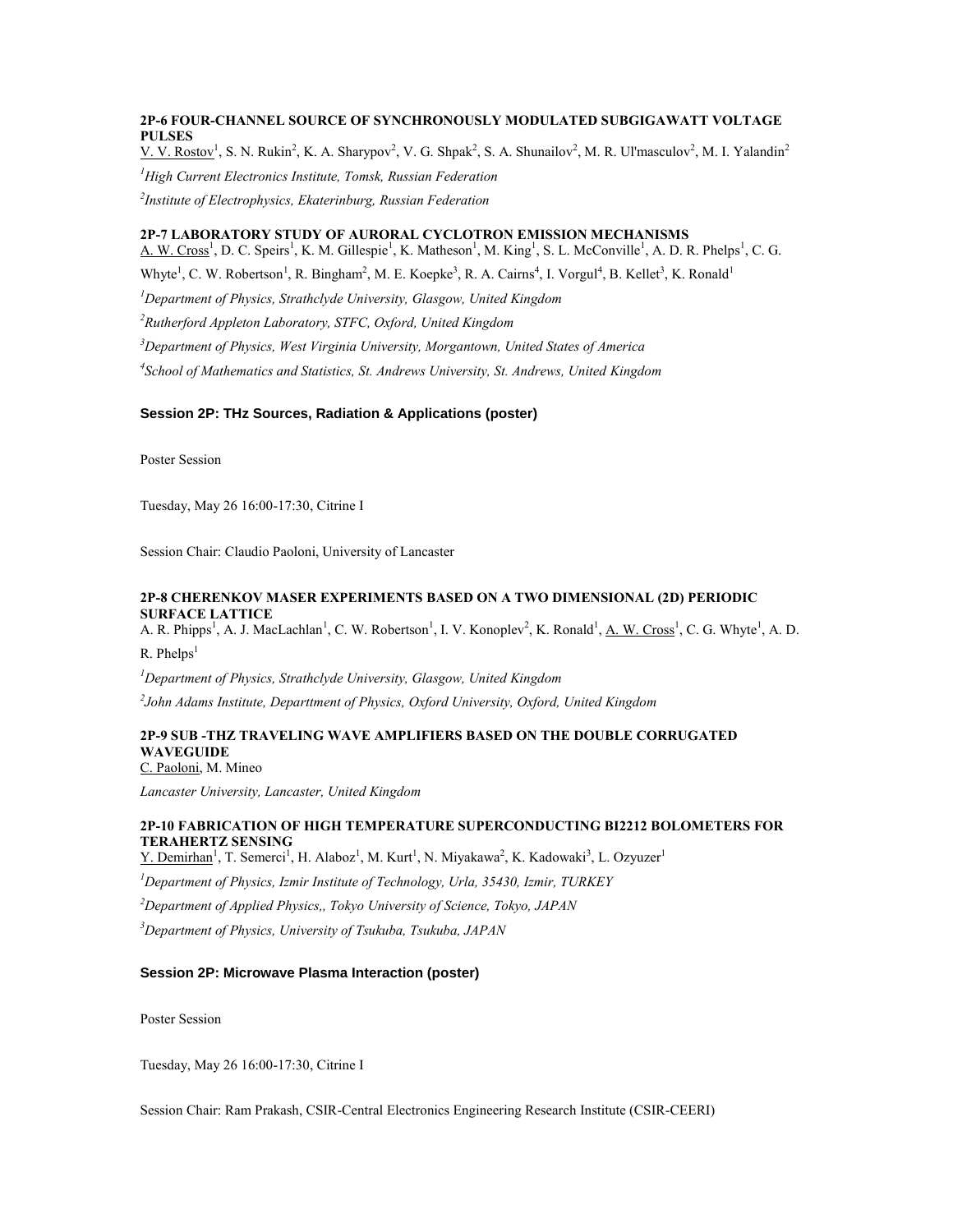# **2P-6 FOUR-CHANNEL SOURCE OF SYNCHRONOUSLY MODULATED SUBGIGAWATT VOLTAGE PULSES**

V. V. Rostov<sup>1</sup>, S. N. Rukin<sup>2</sup>, K. A. Sharypov<sup>2</sup>, V. G. Shpak<sup>2</sup>, S. A. Shunailov<sup>2</sup>, M. R. Ul'masculov<sup>2</sup>, M. I. Yalandin<sup>2</sup>

*<sup>1</sup>High Current Electronics Institute, Tomsk, Russian Federation*

*2 Institute of Electrophysics, Ekaterinburg, Russian Federation*

# **2P-7 LABORATORY STUDY OF AURORAL CYCLOTRON EMISSION MECHANISMS**

A. W. Cross<sup>1</sup>, D. C. Speirs<sup>1</sup>, K. M. Gillespie<sup>1</sup>, K. Matheson<sup>1</sup>, M. King<sup>1</sup>, S. L. McConville<sup>1</sup>, A. D. R. Phelps<sup>1</sup>, C. G.

Whyte<sup>1</sup>, C. W. Robertson<sup>1</sup>, R. Bingham<sup>2</sup>, M. E. Koepke<sup>3</sup>, R. A. Cairns<sup>4</sup>, I. Vorgul<sup>4</sup>, B. Kellet<sup>3</sup>, K. Ronald<sup>1</sup>

*<sup>1</sup>Department of Physics, Strathclyde University, Glasgow, United Kingdom*

*<sup>2</sup>Rutherford Appleton Laboratory, STFC, Oxford, United Kingdom*

*<sup>3</sup>Department of Physics, West Virginia University, Morgantown, United States of America*

*4 School of Mathematics and Statistics, St. Andrews University, St. Andrews, United Kingdom*

### **Session 2P: THz Sources, Radiation & Applications (poster)**

Poster Session

Tuesday, May 26 16:00-17:30, Citrine I

Session Chair: Claudio Paoloni, University of Lancaster

### **2P-8 CHERENKOV MASER EXPERIMENTS BASED ON A TWO DIMENSIONAL (2D) PERIODIC SURFACE LATTICE**

A. R. Phipps<sup>1</sup>, A. J. MacLachlan<sup>1</sup>, C. W. Robertson<sup>1</sup>, I. V. Konoplev<sup>2</sup>, K. Ronald<sup>1</sup>, <u>A. W. Cross<sup>1</sup></u>, C. G. Whyte<sup>1</sup>, A. D.  $R.$  Phelps<sup>1</sup>

*<sup>1</sup>Department of Physics, Strathclyde University, Glasgow, United Kingdom*

*2 John Adams Institute, Departtment of Physics, Oxford University, Oxford, United Kingdom*

# **2P-9 SUB -THZ TRAVELING WAVE AMPLIFIERS BASED ON THE DOUBLE CORRUGATED WAVEGUIDE**

C. Paoloni, M. Mineo

*Lancaster University, Lancaster, United Kingdom*

# **2P-10 FABRICATION OF HIGH TEMPERATURE SUPERCONDUCTING BI2212 BOLOMETERS FOR TERAHERTZ SENSING**

Y. Demirhan<sup>1</sup>, T. Semerci<sup>1</sup>, H. Alaboz<sup>1</sup>, M. Kurt<sup>1</sup>, N. Miyakawa<sup>2</sup>, K. Kadowaki<sup>3</sup>, L. Ozyuzer<sup>1</sup>

*<sup>1</sup>Department of Physics, Izmir Institute of Technology, Urla, 35430, Izmir, TURKEY*

*<sup>2</sup>Department of Applied Physics,, Tokyo University of Science, Tokyo, JAPAN*

*<sup>3</sup>Department of Physics, University of Tsukuba, Tsukuba, JAPAN*

# **Session 2P: Microwave Plasma Interaction (poster)**

Poster Session

Tuesday, May 26 16:00-17:30, Citrine I

Session Chair: Ram Prakash, CSIR-Central Electronics Engineering Research Institute (CSIR-CEERI)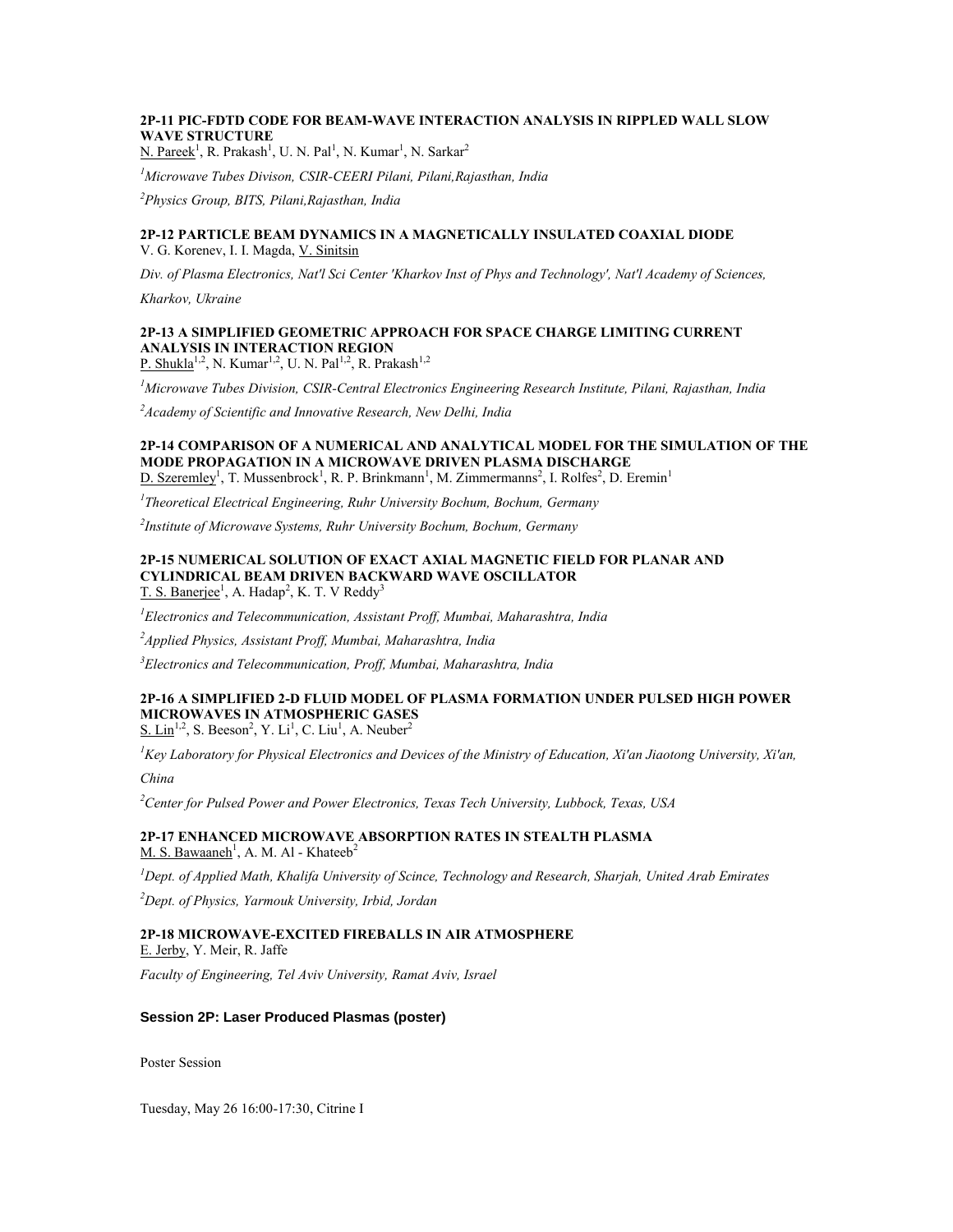# **2P-11 PIC-FDTD CODE FOR BEAM-WAVE INTERACTION ANALYSIS IN RIPPLED WALL SLOW WAVE STRUCTURE**

N. Pareek<sup>1</sup>, R. Prakash<sup>1</sup>, U. N. Pal<sup>1</sup>, N. Kumar<sup>1</sup>, N. Sarkar<sup>2</sup>

*<sup>1</sup>Microwave Tubes Divison, CSIR-CEERI Pilani, Pilani,Rajasthan, India*

*<sup>2</sup>Physics Group, BITS, Pilani,Rajasthan, India*

### **2P-12 PARTICLE BEAM DYNAMICS IN A MAGNETICALLY INSULATED COAXIAL DIODE** V. G. Korenev, I. I. Magda, V. Sinitsin

*Div. of Plasma Electronics, Nat'l Sci Center 'Kharkov Inst of Phys and Technology', Nat'l Academy of Sciences,* 

*Kharkov, Ukraine*

# **2P-13 A SIMPLIFIED GEOMETRIC APPROACH FOR SPACE CHARGE LIMITING CURRENT ANALYSIS IN INTERACTION REGION**

P. Shukla<sup>1,2</sup>, N. Kumar<sup>1,2</sup>, U. N. Pal<sup>1,2</sup>, R. Prakash<sup>1,2</sup>

*<sup>1</sup>Microwave Tubes Division, CSIR-Central Electronics Engineering Research Institute, Pilani, Rajasthan, India*

*<sup>2</sup>Academy of Scientific and Innovative Research, New Delhi, India*

# **2P-14 COMPARISON OF A NUMERICAL AND ANALYTICAL MODEL FOR THE SIMULATION OF THE MODE PROPAGATION IN A MICROWAVE DRIVEN PLASMA DISCHARGE**

 $D.$  Szeremley<sup>1</sup>, T. Mussenbrock<sup>1</sup>, R. P. Brinkmann<sup>1</sup>, M. Zimmermanns<sup>2</sup>, I. Rolfes<sup>2</sup>, D. Eremin<sup>1</sup>

*1 Theoretical Electrical Engineering, Ruhr University Bochum, Bochum, Germany*

*2 Institute of Microwave Systems, Ruhr University Bochum, Bochum, Germany*

# **2P-15 NUMERICAL SOLUTION OF EXACT AXIAL MAGNETIC FIELD FOR PLANAR AND CYLINDRICAL BEAM DRIVEN BACKWARD WAVE OSCILLATOR**

T. S. Banerjee<sup>1</sup>, A. Hadap<sup>2</sup>, K. T. V Reddy<sup>3</sup>

*<sup>1</sup>Electronics and Telecommunication, Assistant Proff, Mumbai, Maharashtra, India*

*<sup>2</sup>Applied Physics, Assistant Proff, Mumbai, Maharashtra, India*

*<sup>3</sup>Electronics and Telecommunication, Proff, Mumbai, Maharashtra, India*

#### **2P-16 A SIMPLIFIED 2-D FLUID MODEL OF PLASMA FORMATION UNDER PULSED HIGH POWER MICROWAVES IN ATMOSPHERIC GASES**  $S.$  Lin<sup>1,2</sup>, S. Beeson<sup>2</sup>, Y. Li<sup>1</sup>, C. Liu<sup>1</sup>, A. Neuber<sup>2</sup>

*<sup>1</sup>Key Laboratory for Physical Electronics and Devices of the Ministry of Education, Xi'an Jiaotong University, Xi'an, China*

*<sup>2</sup>Center for Pulsed Power and Power Electronics, Texas Tech University, Lubbock, Texas, USA*

### **2P-17 ENHANCED MICROWAVE ABSORPTION RATES IN STEALTH PLASMA** M. S. Bawaaneh<sup>1</sup>, A. M. Al - Khateeb<sup>2</sup>

*<sup>1</sup>Dept. of Applied Math, Khalifa University of Scince, Technology and Research, Sharjah, United Arab Emirates*

*<sup>2</sup>Dept. of Physics, Yarmouk University, Irbid, Jordan*

# **2P-18 MICROWAVE-EXCITED FIREBALLS IN AIR ATMOSPHERE**

E. Jerby, Y. Meir, R. Jaffe

*Faculty of Engineering, Tel Aviv University, Ramat Aviv, Israel*

#### **Session 2P: Laser Produced Plasmas (poster)**

Poster Session

Tuesday, May 26 16:00-17:30, Citrine I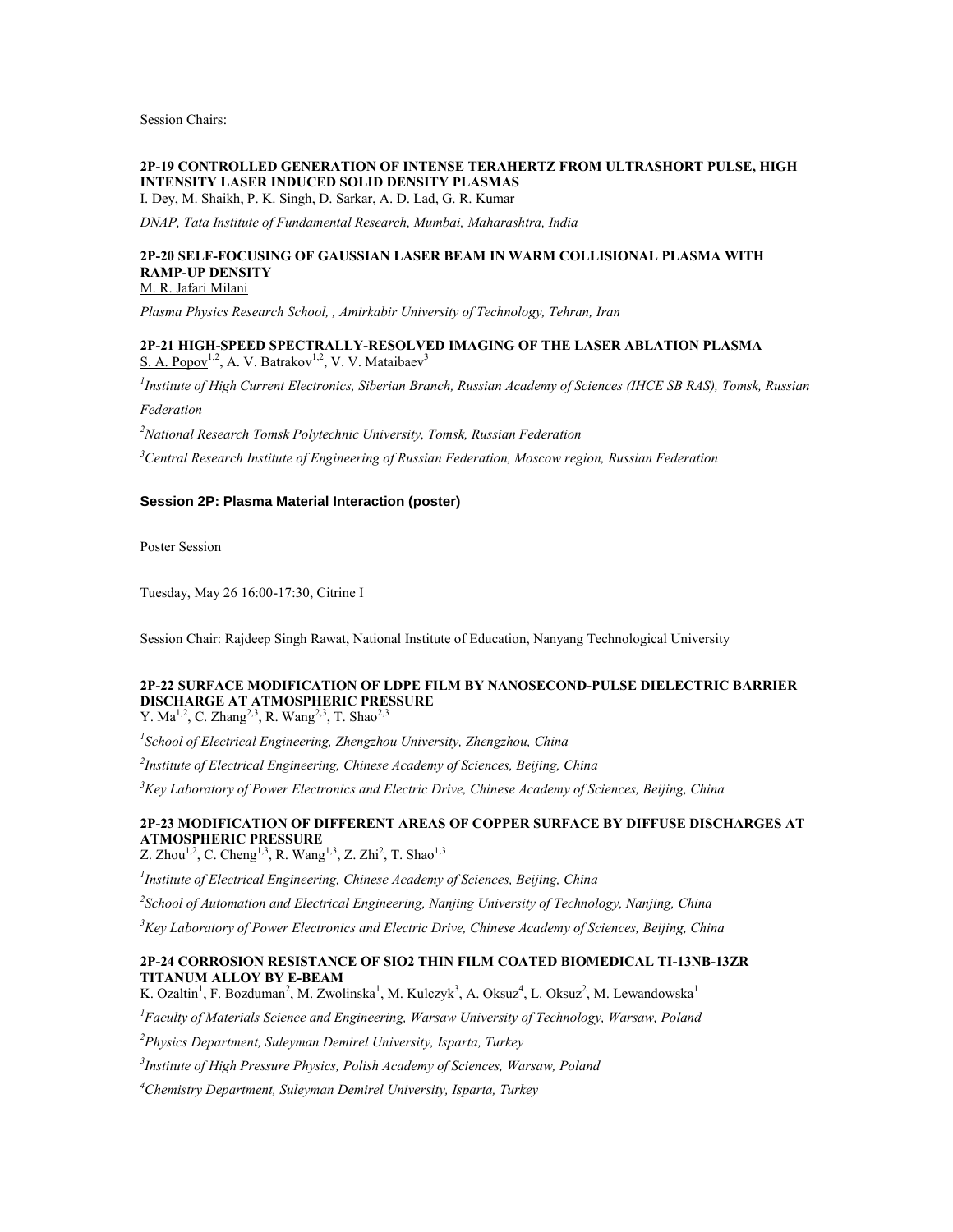Session Chairs:

# **2P-19 CONTROLLED GENERATION OF INTENSE TERAHERTZ FROM ULTRASHORT PULSE, HIGH INTENSITY LASER INDUCED SOLID DENSITY PLASMAS**

I. Dey, M. Shaikh, P. K. Singh, D. Sarkar, A. D. Lad, G. R. Kumar

*DNAP, Tata Institute of Fundamental Research, Mumbai, Maharashtra, India*

#### **2P-20 SELF-FOCUSING OF GAUSSIAN LASER BEAM IN WARM COLLISIONAL PLASMA WITH RAMP-UP DENSITY** M. R. Jafari Milani

*Plasma Physics Research School, , Amirkabir University of Technology, Tehran, Iran*

### **2P-21 HIGH-SPEED SPECTRALLY-RESOLVED IMAGING OF THE LASER ABLATION PLASMA** S. A. Popov<sup>1,2</sup>, A. V. Batrakov<sup>1,2</sup>, V. V. Mataibaev<sup>3</sup>

*1 Institute of High Current Electronics, Siberian Branch, Russian Academy of Sciences (IHCE SB RAS), Tomsk, Russian Federation*

*<sup>2</sup>National Research Tomsk Polytechnic University, Tomsk, Russian Federation*

*<sup>3</sup>Central Research Institute of Engineering of Russian Federation, Moscow region, Russian Federation*

### **Session 2P: Plasma Material Interaction (poster)**

Poster Session

Tuesday, May 26 16:00-17:30, Citrine I

Session Chair: Rajdeep Singh Rawat, National Institute of Education, Nanyang Technological University

# **2P-22 SURFACE MODIFICATION OF LDPE FILM BY NANOSECOND-PULSE DIELECTRIC BARRIER DISCHARGE AT ATMOSPHERIC PRESSURE**

Y. Ma<sup>1,2</sup>, C. Zhang<sup>2,3</sup>, R. Wang<sup>2,3</sup>, <u>T. Shao</u><sup>2,3</sup>

*1 School of Electrical Engineering, Zhengzhou University, Zhengzhou, China*

*2 Institute of Electrical Engineering, Chinese Academy of Sciences, Beijing, China*

*<sup>3</sup>Key Laboratory of Power Electronics and Electric Drive, Chinese Academy of Sciences, Beijing, China*

#### **2P-23 MODIFICATION OF DIFFERENT AREAS OF COPPER SURFACE BY DIFFUSE DISCHARGES AT ATMOSPHERIC PRESSURE** Z. Zhou<sup>1,2</sup>, C. Cheng<sup>1,3</sup>, R. Wang<sup>1,3</sup>, Z. Zhi<sup>2</sup>, <u>T. Shao</u><sup>1,3</sup>

*1 Institute of Electrical Engineering, Chinese Academy of Sciences, Beijing, China*

*2 School of Automation and Electrical Engineering, Nanjing University of Technology, Nanjing, China*

*<sup>3</sup>Key Laboratory of Power Electronics and Electric Drive, Chinese Academy of Sciences, Beijing, China*

# **2P-24 CORROSION RESISTANCE OF SIO2 THIN FILM COATED BIOMEDICAL TI-13NB-13ZR TITANUM ALLOY BY E-BEAM**

K. Ozaltin<sup>1</sup>, F. Bozduman<sup>2</sup>, M. Zwolinska<sup>1</sup>, M. Kulczyk<sup>3</sup>, A. Oksuz<sup>4</sup>, L. Oksuz<sup>2</sup>, M. Lewandowska<sup>1</sup>

*<sup>1</sup>Faculty of Materials Science and Engineering, Warsaw University of Technology, Warsaw, Poland*

*<sup>2</sup>Physics Department, Suleyman Demirel University, Isparta, Turkey*

*3 Institute of High Pressure Physics, Polish Academy of Sciences, Warsaw, Poland*

*<sup>4</sup>Chemistry Department, Suleyman Demirel University, Isparta, Turkey*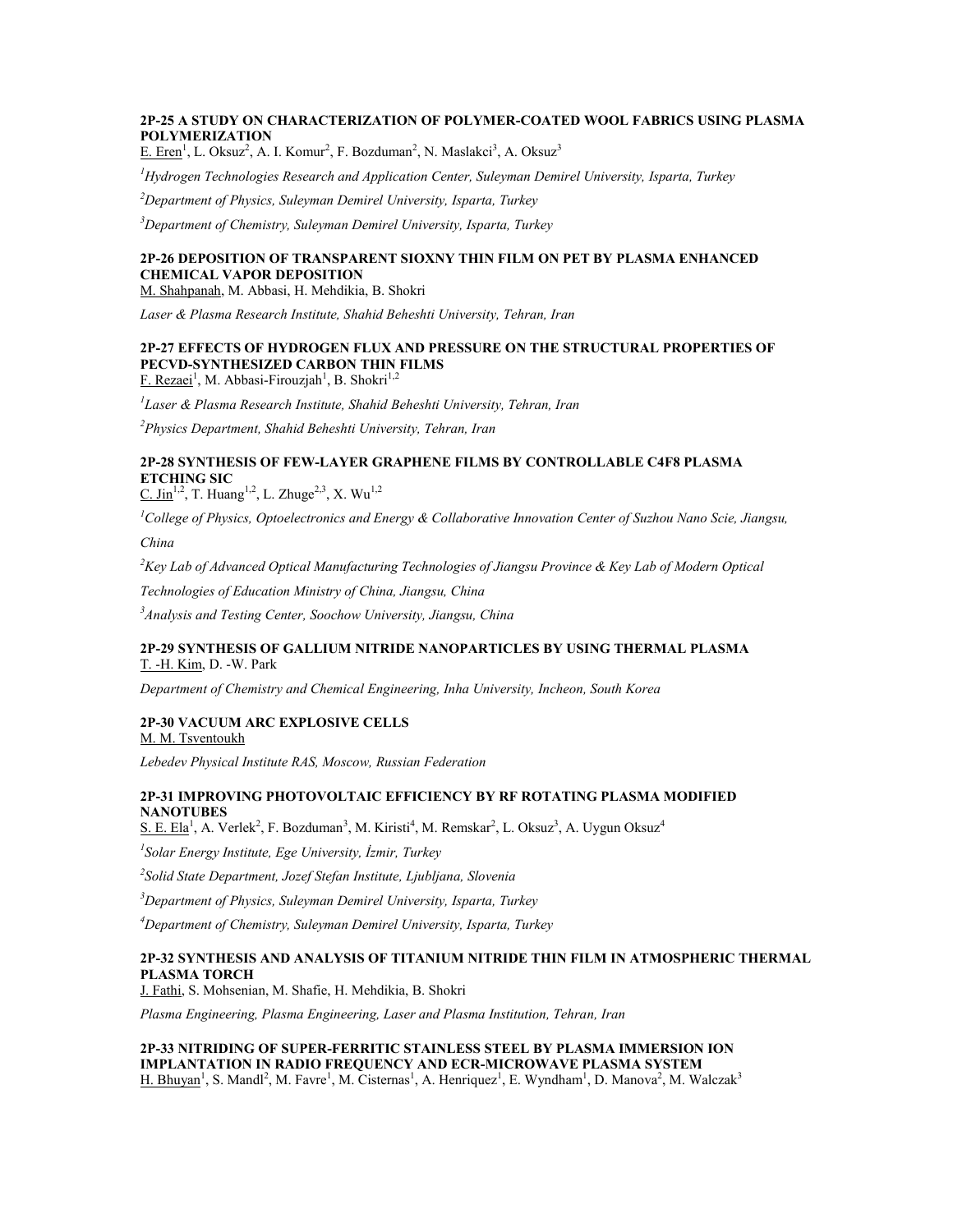# **2P-25 A STUDY ON CHARACTERIZATION OF POLYMER-COATED WOOL FABRICS USING PLASMA POLYMERIZATION**

E. Eren<sup>1</sup>, L. Oksuz<sup>2</sup>, A. I. Komur<sup>2</sup>, F. Bozduman<sup>2</sup>, N. Maslakci<sup>3</sup>, A. Oksuz<sup>3</sup>

*<sup>1</sup>Hydrogen Technologies Research and Application Center, Suleyman Demirel University, Isparta, Turkey*

*<sup>2</sup>Department of Physics, Suleyman Demirel University, Isparta, Turkey*

*<sup>3</sup>Department of Chemistry, Suleyman Demirel University, Isparta, Turkey*

# **2P-26 DEPOSITION OF TRANSPARENT SIOXNY THIN FILM ON PET BY PLASMA ENHANCED CHEMICAL VAPOR DEPOSITION**

M. Shahpanah, M. Abbasi, H. Mehdikia, B. Shokri

*Laser & Plasma Research Institute, Shahid Beheshti University, Tehran, Iran*

# **2P-27 EFFECTS OF HYDROGEN FLUX AND PRESSURE ON THE STRUCTURAL PROPERTIES OF PECVD-SYNTHESIZED CARBON THIN FILMS**

F. Rezaei<sup>1</sup>, M. Abbasi-Firouzjah<sup>1</sup>, B. Shokri<sup>1,2</sup>

*1 Laser & Plasma Research Institute, Shahid Beheshti University, Tehran, Iran*

*<sup>2</sup>Physics Department, Shahid Beheshti University, Tehran, Iran*

# **2P-28 SYNTHESIS OF FEW-LAYER GRAPHENE FILMS BY CONTROLLABLE C4F8 PLASMA ETCHING SIC**

 $C.$  Jin<sup>1,2</sup>, T. Huang<sup>1,2</sup>, L. Zhuge<sup>2,3</sup>, X. Wu<sup>1,2</sup>

*<sup>1</sup>College of Physics, Optoelectronics and Energy & Collaborative Innovation Center of Suzhou Nano Scie, Jiangsu,* 

*China*

*<sup>2</sup>Key Lab of Advanced Optical Manufacturing Technologies of Jiangsu Province & Key Lab of Modern Optical* 

*Technologies of Education Ministry of China, Jiangsu, China*

*<sup>3</sup>Analysis and Testing Center, Soochow University, Jiangsu, China*

#### **2P-29 SYNTHESIS OF GALLIUM NITRIDE NANOPARTICLES BY USING THERMAL PLASMA** T. -H. Kim, D. -W. Park

*Department of Chemistry and Chemical Engineering, Inha University, Incheon, South Korea*

# **2P-30 VACUUM ARC EXPLOSIVE CELLS**

M. M. Tsventoukh

*Lebedev Physical Institute RAS, Moscow, Russian Federation*

# **2P-31 IMPROVING PHOTOVOLTAIC EFFICIENCY BY RF ROTATING PLASMA MODIFIED NANOTUBES**

 $S. E. Ela<sup>1</sup>$ , A. Verlek<sup>2</sup>, F. Bozduman<sup>3</sup>, M. Kiristi<sup>4</sup>, M. Remskar<sup>2</sup>, L. Oksuz<sup>3</sup>, A. Uygun Oksuz<sup>4</sup>

*1 Solar Energy Institute, Ege University, İzmir, Turkey*

*2 Solid State Department, Jozef Stefan Institute, Ljubljana, Slovenia*

*<sup>3</sup>Department of Physics, Suleyman Demirel University, Isparta, Turkey*

*<sup>4</sup>Department of Chemistry, Suleyman Demirel University, Isparta, Turkey*

# **2P-32 SYNTHESIS AND ANALYSIS OF TITANIUM NITRIDE THIN FILM IN ATMOSPHERIC THERMAL PLASMA TORCH**

J. Fathi, S. Mohsenian, M. Shafie, H. Mehdikia, B. Shokri

*Plasma Engineering, Plasma Engineering, Laser and Plasma Institution, Tehran, Iran*

**2P-33 NITRIDING OF SUPER-FERRITIC STAINLESS STEEL BY PLASMA IMMERSION ION IMPLANTATION IN RADIO FREQUENCY AND ECR-MICROWAVE PLASMA SYSTEM** H. Bhuyan<sup>1</sup>, S. Mandl<sup>2</sup>, M. Favre<sup>1</sup>, M. Cisternas<sup>1</sup>, A. Henriquez<sup>1</sup>, E. Wyndham<sup>1</sup>, D. Manova<sup>2</sup>, M. Walczak<sup>3</sup>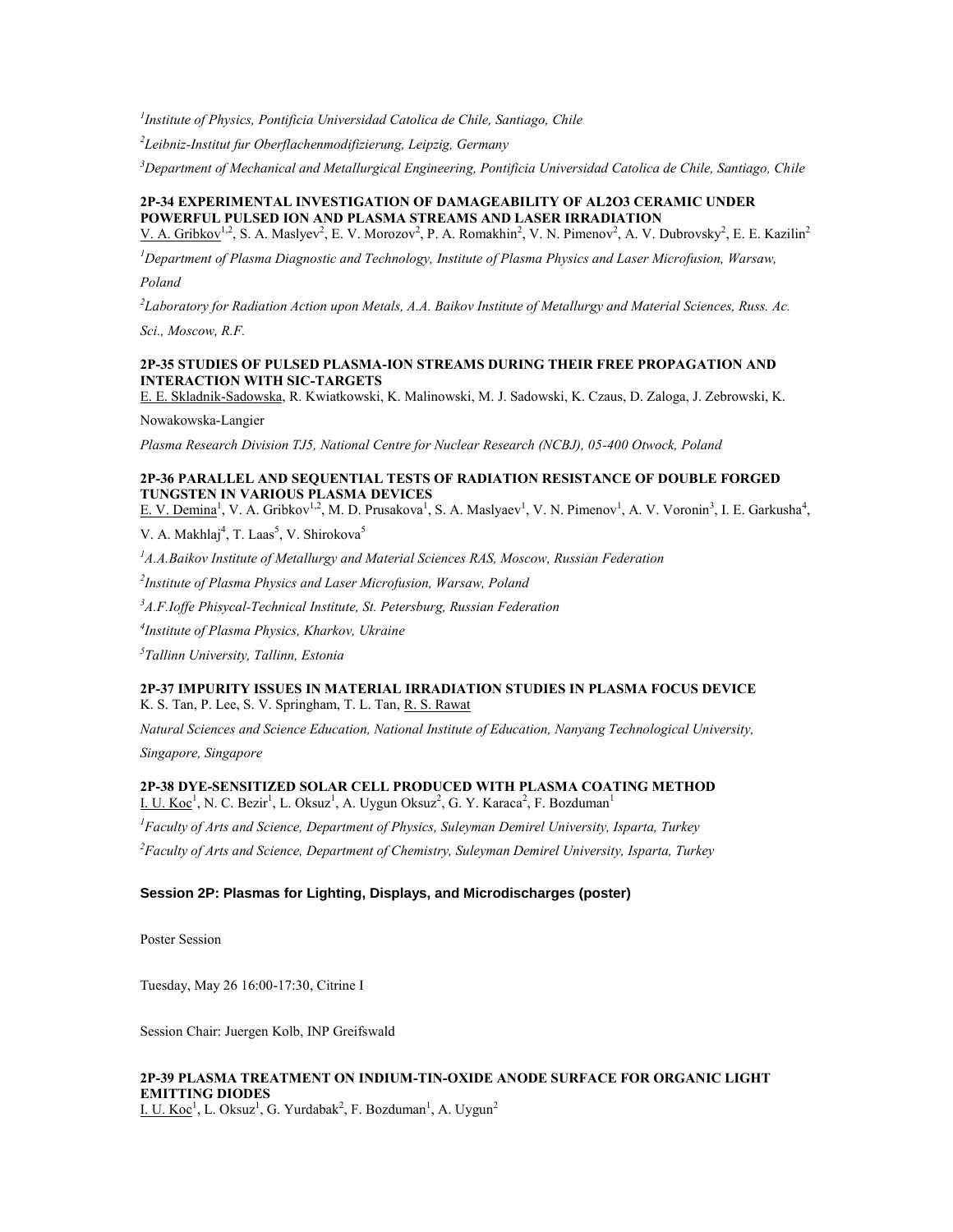*1 Institute of Physics, Pontificia Universidad Catolica de Chile, Santiago, Chile*

*2 Leibniz-Institut fur Oberflachenmodifizierung, Leipzig, Germany*

*<sup>3</sup>Department of Mechanical and Metallurgical Engineering, Pontificia Universidad Catolica de Chile, Santiago, Chile*

# **2P-34 EXPERIMENTAL INVESTIGATION OF DAMAGEABILITY OF AL2O3 CERAMIC UNDER POWERFUL PULSED ION AND PLASMA STREAMS AND LASER IRRADIATION**

V. A. Gribkov<sup>1,2</sup>, S. A. Maslyev<sup>2</sup>, E. V. Morozov<sup>2</sup>, P. A. Romakhin<sup>2</sup>, V. N. Pimenov<sup>2</sup>, A. V. Dubrovsky<sup>2</sup>, E. E. Kazilin<sup>2</sup>

*<sup>1</sup>Department of Plasma Diagnostic and Technology, Institute of Plasma Physics and Laser Microfusion, Warsaw, Poland*

*2 Laboratory for Radiation Action upon Metals, A.A. Baikov Institute of Metallurgy and Material Sciences, Russ. Ac.* 

*Sci., Moscow, R.F.*

# **2P-35 STUDIES OF PULSED PLASMA-ION STREAMS DURING THEIR FREE PROPAGATION AND INTERACTION WITH SIC-TARGETS**

E. E. Skladnik-Sadowska, R. Kwiatkowski, K. Malinowski, M. J. Sadowski, K. Czaus, D. Zaloga, J. Zebrowski, K.

Nowakowska-Langier

*Plasma Research Division TJ5, National Centre for Nuclear Research (NCBJ), 05-400 Otwock, Poland*

# **2P-36 PARALLEL AND SEQUENTIAL TESTS OF RADIATION RESISTANCE OF DOUBLE FORGED TUNGSTEN IN VARIOUS PLASMA DEVICES**

E. V. Demina<sup>1</sup>, V. A. Gribkov<sup>1,2</sup>, M. D. Prusakova<sup>1</sup>, S. A. Maslyaev<sup>1</sup>, V. N. Pimenov<sup>1</sup>, A. V. Voronin<sup>3</sup>, I. E. Garkusha<sup>4</sup>,

V. A. Makhlaj<sup>4</sup>, T. Laas<sup>5</sup>, V. Shirokova<sup>5</sup>

*<sup>1</sup>A.A.Baikov Institute of Metallurgy and Material Sciences RAS, Moscow, Russian Federation*

*2 Institute of Plasma Physics and Laser Microfusion, Warsaw, Poland*

*<sup>3</sup>A.F.Ioffe Phisycal-Technical Institute, St. Petersburg, Russian Federation*

*4 Institute of Plasma Physics, Kharkov, Ukraine*

*5 Tallinn University, Tallinn, Estonia*

### **2P-37 IMPURITY ISSUES IN MATERIAL IRRADIATION STUDIES IN PLASMA FOCUS DEVICE** K. S. Tan, P. Lee, S. V. Springham, T. L. Tan, R. S. Rawat

*Natural Sciences and Science Education, National Institute of Education, Nanyang Technological University,* 

*Singapore, Singapore*

# **2P-38 DYE-SENSITIZED SOLAR CELL PRODUCED WITH PLASMA COATING METHOD**

I. U. Koc<sup>1</sup>, N. C. Bezir<sup>1</sup>, L. Oksuz<sup>1</sup>, A. Uygun Oksuz<sup>2</sup>, G. Y. Karaca<sup>2</sup>, F. Bozduman<sup>1</sup>

*<sup>1</sup>Faculty of Arts and Science, Department of Physics, Suleyman Demirel University, Isparta, Turkey <sup>2</sup>Faculty of Arts and Science, Department of Chemistry, Suleyman Demirel University, Isparta, Turkey*

# **Session 2P: Plasmas for Lighting, Displays, and Microdischarges (poster)**

Poster Session

Tuesday, May 26 16:00-17:30, Citrine I

Session Chair: Juergen Kolb, INP Greifswald

# **2P-39 PLASMA TREATMENT ON INDIUM-TIN-OXIDE ANODE SURFACE FOR ORGANIC LIGHT EMITTING DIODES**

I. U. Koc<sup>1</sup>, L. Oksuz<sup>1</sup>, G. Yurdabak<sup>2</sup>, F. Bozduman<sup>1</sup>, A. Uygun<sup>2</sup>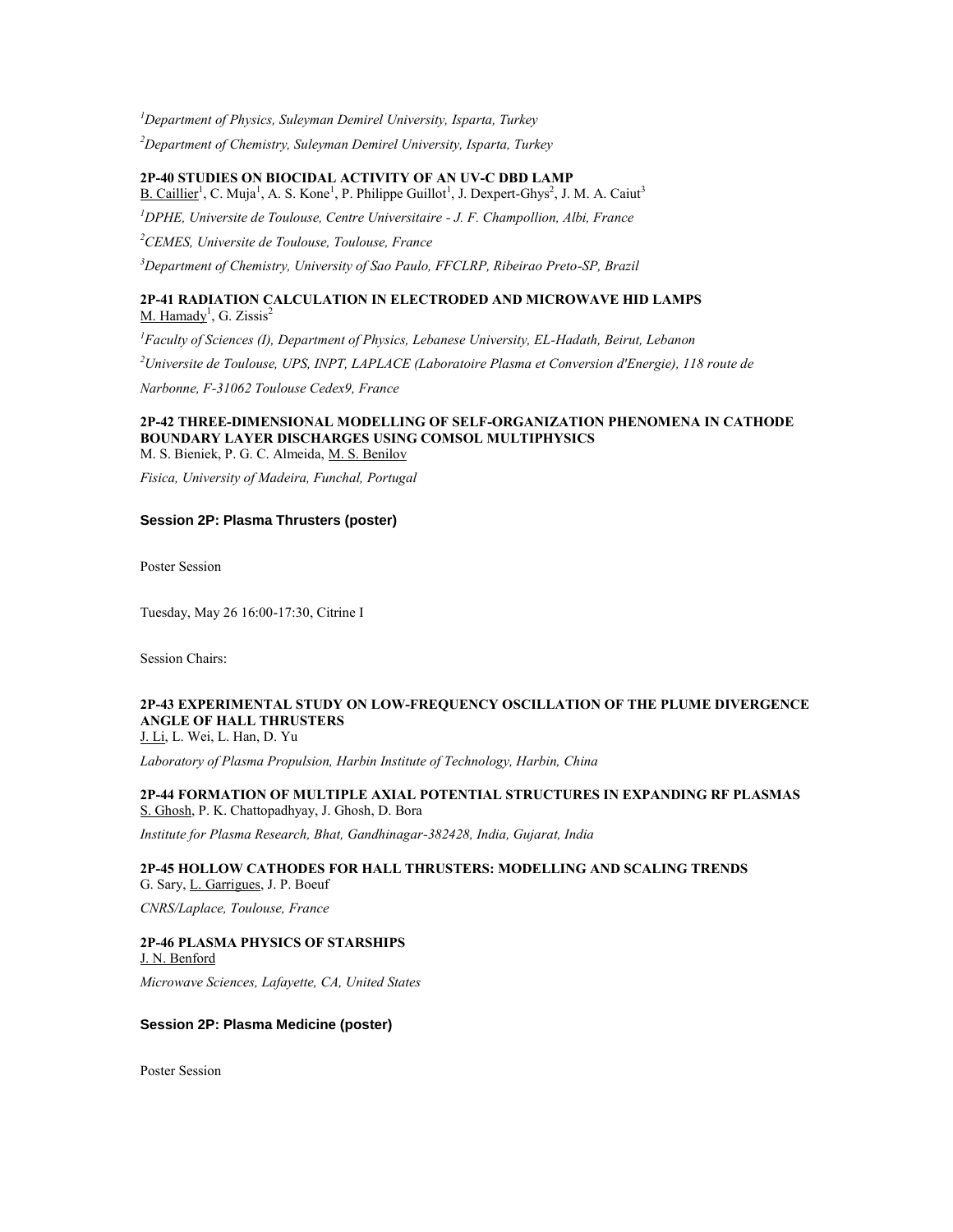*<sup>1</sup>Department of Physics, Suleyman Demirel University, Isparta, Turkey*

*<sup>2</sup>Department of Chemistry, Suleyman Demirel University, Isparta, Turkey*

**2P-40 STUDIES ON BIOCIDAL ACTIVITY OF AN UV-C DBD LAMP** B. Caillier<sup>1</sup>, C. Muja<sup>1</sup>, A. S. Kone<sup>1</sup>, P. Philippe Guillot<sup>1</sup>, J. Dexpert-Ghys<sup>2</sup>, J. M. A. Caiut<sup>3</sup>

*<sup>1</sup>DPHE, Universite de Toulouse, Centre Universitaire - J. F. Champollion, Albi, France*

*<sup>2</sup>CEMES, Universite de Toulouse, Toulouse, France*

*<sup>3</sup>Department of Chemistry, University of Sao Paulo, FFCLRP, Ribeirao Preto-SP, Brazil*

# **2P-41 RADIATION CALCULATION IN ELECTRODED AND MICROWAVE HID LAMPS** M. Hamady<sup>1</sup>, G. Zissis<sup>2</sup>

*<sup>1</sup>Faculty of Sciences (I), Department of Physics, Lebanese University, EL-Hadath, Beirut, Lebanon <sup>2</sup>Universite de Toulouse, UPS, INPT, LAPLACE (Laboratoire Plasma et Conversion d'Energie), 118 route de Narbonne, F-31062 Toulouse Cedex9, France*

### **2P-42 THREE-DIMENSIONAL MODELLING OF SELF-ORGANIZATION PHENOMENA IN CATHODE BOUNDARY LAYER DISCHARGES USING COMSOL MULTIPHYSICS** M. S. Bieniek, P. G. C. Almeida, M. S. Benilov

*Fisica, University of Madeira, Funchal, Portugal*

#### **Session 2P: Plasma Thrusters (poster)**

Poster Session

Tuesday, May 26 16:00-17:30, Citrine I

Session Chairs:

# **2P-43 EXPERIMENTAL STUDY ON LOW-FREQUENCY OSCILLATION OF THE PLUME DIVERGENCE ANGLE OF HALL THRUSTERS**

J. Li, L. Wei, L. Han, D. Yu

*Laboratory of Plasma Propulsion, Harbin Institute of Technology, Harbin, China*

### **2P-44 FORMATION OF MULTIPLE AXIAL POTENTIAL STRUCTURES IN EXPANDING RF PLASMAS** S. Ghosh, P. K. Chattopadhyay, J. Ghosh, D. Bora

*Institute for Plasma Research, Bhat, Gandhinagar-382428, India, Gujarat, India*

#### **2P-45 HOLLOW CATHODES FOR HALL THRUSTERS: MODELLING AND SCALING TRENDS** G. Sary, L. Garrigues, J. P. Boeuf

*CNRS/Laplace, Toulouse, France*

#### **2P-46 PLASMA PHYSICS OF STARSHIPS** J. N. Benford

*Microwave Sciences, Lafayette, CA, United States*

### **Session 2P: Plasma Medicine (poster)**

Poster Session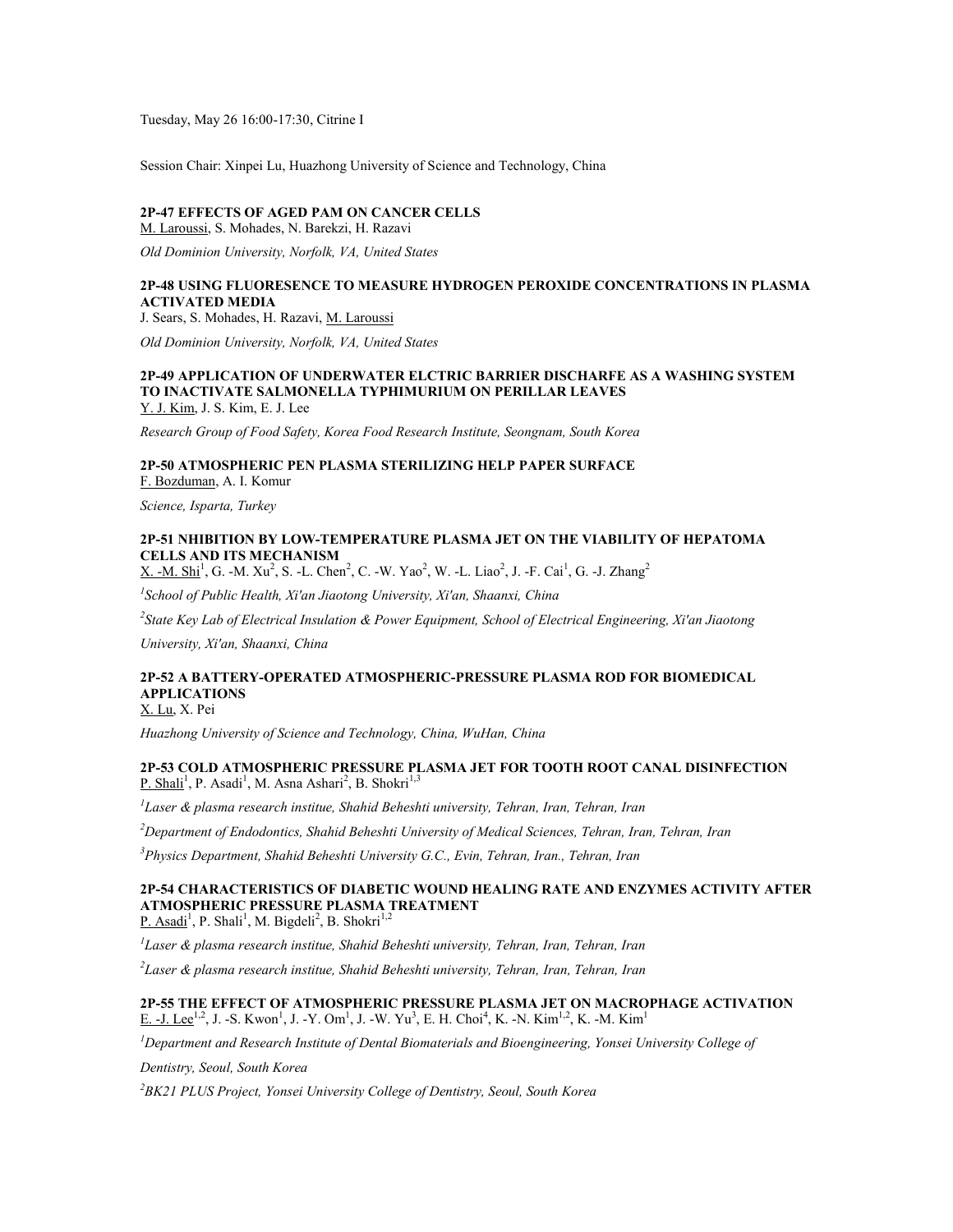Tuesday, May 26 16:00-17:30, Citrine I

Session Chair: Xinpei Lu, Huazhong University of Science and Technology, China

#### **2P-47 EFFECTS OF AGED PAM ON CANCER CELLS**

M. Laroussi, S. Mohades, N. Barekzi, H. Razavi

*Old Dominion University, Norfolk, VA, United States*

# **2P-48 USING FLUORESENCE TO MEASURE HYDROGEN PEROXIDE CONCENTRATIONS IN PLASMA ACTIVATED MEDIA**

J. Sears, S. Mohades, H. Razavi, M. Laroussi

*Old Dominion University, Norfolk, VA, United States*

# **2P-49 APPLICATION OF UNDERWATER ELCTRIC BARRIER DISCHARFE AS A WASHING SYSTEM TO INACTIVATE SALMONELLA TYPHIMURIUM ON PERILLAR LEAVES**

Y. J. Kim, J. S. Kim, E. J. Lee

*Research Group of Food Safety, Korea Food Research Institute, Seongnam, South Korea*

# **2P-50 ATMOSPHERIC PEN PLASMA STERILIZING HELP PAPER SURFACE**

F. Bozduman, A. I. Komur

*Science, Isparta, Turkey*

### **2P-51 NHIBITION BY LOW-TEMPERATURE PLASMA JET ON THE VIABILITY OF HEPATOMA CELLS AND ITS MECHANISM**

 $X. -M. Shi<sup>1</sup>, G. -M. Xu<sup>2</sup>, S. -L. Chen<sup>2</sup>, C. -W. Yao<sup>2</sup>, W. -L. Liao<sup>2</sup>, J. -F. Cai<sup>1</sup>, G. -J. Zhang<sup>2</sup>$ 

*1 School of Public Health, Xi'an Jiaotong University, Xi'an, Shaanxi, China*

*2 State Key Lab of Electrical Insulation & Power Equipment, School of Electrical Engineering, Xi'an Jiaotong* 

*University, Xi'an, Shaanxi, China*

# **2P-52 A BATTERY-OPERATED ATMOSPHERIC-PRESSURE PLASMA ROD FOR BIOMEDICAL APPLICATIONS**

X. Lu, X. Pei

*Huazhong University of Science and Technology, China, WuHan, China*

#### **2P-53 COLD ATMOSPHERIC PRESSURE PLASMA JET FOR TOOTH ROOT CANAL DISINFECTION** P. Shali<sup>1</sup>, P. Asadi<sup>1</sup>, M. Asna Ashari<sup>2</sup>, B. Shokri<sup>1,3</sup>

*1 Laser & plasma research institue, Shahid Beheshti university, Tehran, Iran, Tehran, Iran*

*<sup>2</sup>Department of Endodontics, Shahid Beheshti University of Medical Sciences, Tehran, Iran, Tehran, Iran*

*<sup>3</sup>Physics Department, Shahid Beheshti University G.C., Evin, Tehran, Iran., Tehran, Iran*

# **2P-54 CHARACTERISTICS OF DIABETIC WOUND HEALING RATE AND ENZYMES ACTIVITY AFTER ATMOSPHERIC PRESSURE PLASMA TREATMENT**

P. Asadi<sup>1</sup>, P. Shali<sup>1</sup>, M. Bigdeli<sup>2</sup>, B. Shokri<sup>1,2</sup>

*1 Laser & plasma research institue, Shahid Beheshti university, Tehran, Iran, Tehran, Iran*

*2 Laser & plasma research institue, Shahid Beheshti university, Tehran, Iran, Tehran, Iran*

# **2P-55 THE EFFECT OF ATMOSPHERIC PRESSURE PLASMA JET ON MACROPHAGE ACTIVATION** E. -J. Lee<sup>1,2</sup>, J. -S. Kwon<sup>1</sup>, J. -Y. Om<sup>1</sup>, J. -W. Yu<sup>3</sup>, E. H. Choi<sup>4</sup>, K. -N. Kim<sup>1,2</sup>, K. -M. Kim<sup>1</sup>

*<sup>1</sup>Department and Research Institute of Dental Biomaterials and Bioengineering, Yonsei University College of* 

*Dentistry, Seoul, South Korea*

*<sup>2</sup>BK21 PLUS Project, Yonsei University College of Dentistry, Seoul, South Korea*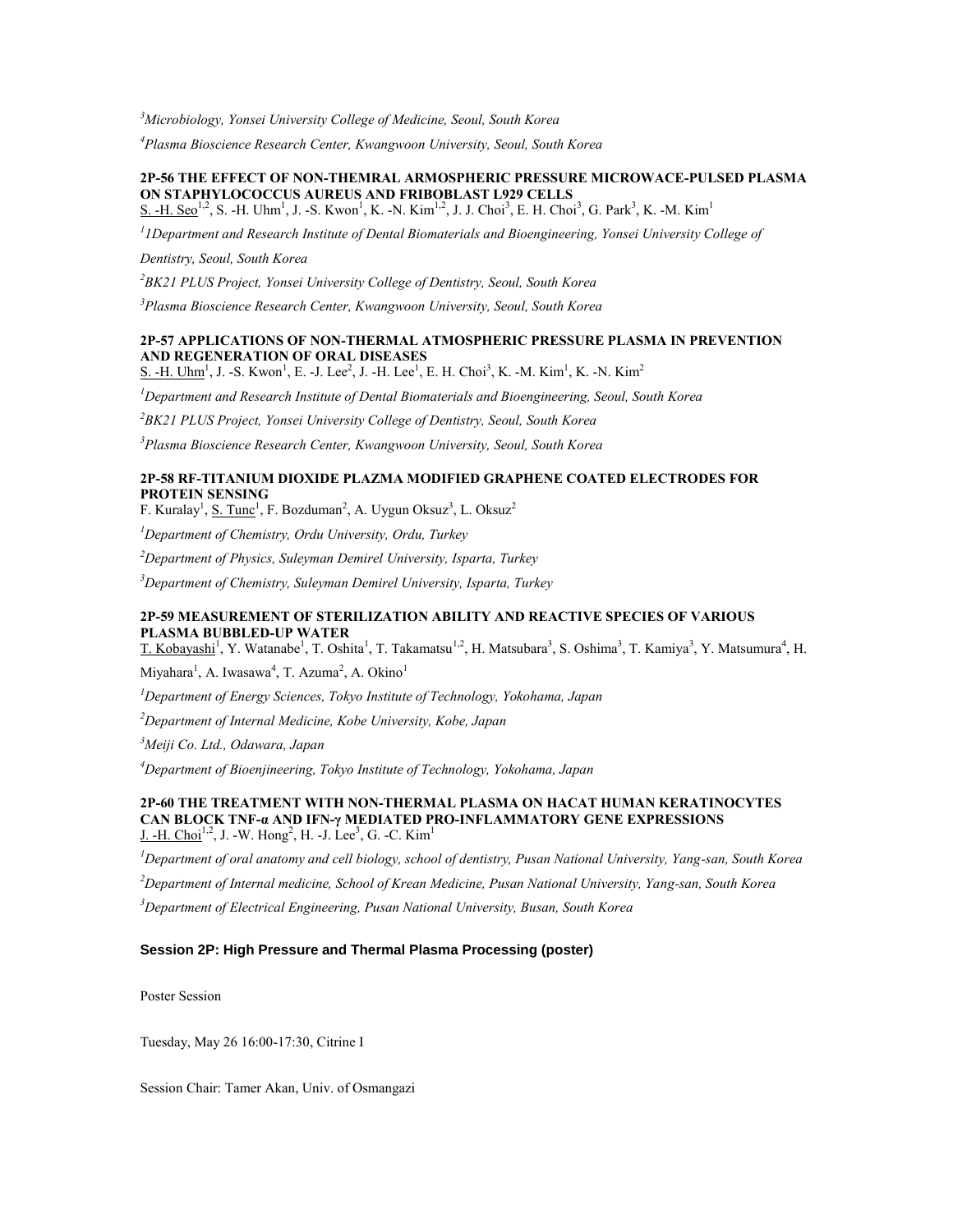*<sup>3</sup>Microbiology, Yonsei University College of Medicine, Seoul, South Korea*

*<sup>4</sup>Plasma Bioscience Research Center, Kwangwoon University, Seoul, South Korea*

#### **2P-56 THE EFFECT OF NON-THEMRAL ARMOSPHERIC PRESSURE MICROWACE-PULSED PLASMA ON STAPHYLOCOCCUS AUREUS AND FRIBOBLAST L929 CELLS** S. -H. Seo<sup>1,2</sup>, S. -H. Uhm<sup>1</sup>, J. -S. Kwon<sup>1</sup>, K. -N. Kim<sup>1,2</sup>, J. J. Choi<sup>3</sup>, E. H. Choi<sup>3</sup>, G. Park<sup>3</sup>, K. -M. Kim<sup>1</sup>

<sup>1</sup> IDepartment and Research Institute of Dental Biomaterials and Bioengineering, Yonsei University College of

*Dentistry, Seoul, South Korea*

*<sup>2</sup>BK21 PLUS Project, Yonsei University College of Dentistry, Seoul, South Korea*

*<sup>3</sup>Plasma Bioscience Research Center, Kwangwoon University, Seoul, South Korea*

# **2P-57 APPLICATIONS OF NON-THERMAL ATMOSPHERIC PRESSURE PLASMA IN PREVENTION AND REGENERATION OF ORAL DISEASES**

S. -H. Uhm<sup>1</sup>, J. -S. Kwon<sup>1</sup>, E. -J. Lee<sup>2</sup>, J. -H. Lee<sup>1</sup>, E. H. Choi<sup>3</sup>, K. -M. Kim<sup>1</sup>, K. -N. Kim<sup>2</sup>

*<sup>1</sup>Department and Research Institute of Dental Biomaterials and Bioengineering, Seoul, South Korea*

*<sup>2</sup>BK21 PLUS Project, Yonsei University College of Dentistry, Seoul, South Korea*

*<sup>3</sup>Plasma Bioscience Research Center, Kwangwoon University, Seoul, South Korea*

# **2P-58 RF-TITANIUM DIOXIDE PLAZMA MODIFIED GRAPHENE COATED ELECTRODES FOR PROTEIN SENSING**

F. Kuralay<sup>1</sup>, <u>S. Tunc</u><sup>1</sup>, F. Bozduman<sup>2</sup>, A. Uygun Oksuz<sup>3</sup>, L. Oksuz<sup>2</sup>

*<sup>1</sup>Department of Chemistry, Ordu University, Ordu, Turkey*

*<sup>2</sup>Department of Physics, Suleyman Demirel University, Isparta, Turkey*

*<sup>3</sup>Department of Chemistry, Suleyman Demirel University, Isparta, Turkey*

# **2P-59 MEASUREMENT OF STERILIZATION ABILITY AND REACTIVE SPECIES OF VARIOUS PLASMA BUBBLED-UP WATER**

T. Kobayashi<sup>1</sup>, Y. Watanabe<sup>1</sup>, T. Oshita<sup>1</sup>, T. Takamatsu<sup>1,2</sup>, H. Matsubara<sup>3</sup>, S. Oshima<sup>3</sup>, T. Kamiya<sup>3</sup>, Y. Matsumura<sup>4</sup>, H.

Miyahara<sup>1</sup>, A. Iwasawa<sup>4</sup>, T. Azuma<sup>2</sup>, A. Okino<sup>1</sup>

*<sup>1</sup>Department of Energy Sciences, Tokyo Institute of Technology, Yokohama, Japan*

*<sup>2</sup>Department of Internal Medicine, Kobe University, Kobe, Japan*

*<sup>3</sup>Meiji Co. Ltd., Odawara, Japan*

*<sup>4</sup>Department of Bioenjineering, Tokyo Institute of Technology, Yokohama, Japan*

### **2P-60 THE TREATMENT WITH NON-THERMAL PLASMA ON HACAT HUMAN KERATINOCYTES CAN BLOCK TNF-α AND IFN-γ MEDIATED PRO-INFLAMMATORY GENE EXPRESSIONS** <u>J. -H. Choi</u><sup>1,2</sup>, J. -W. Hong<sup>2</sup>, H. -J. Lee<sup>3</sup>, G. -C. Kim<sup>1</sup>

*<sup>1</sup>Department of oral anatomy and cell biology, school of dentistry, Pusan National University, Yang-san, South Korea*

*<sup>2</sup>Department of Internal medicine, School of Krean Medicine, Pusan National University, Yang-san, South Korea*

*<sup>3</sup>Department of Electrical Engineering, Pusan National University, Busan, South Korea*

# **Session 2P: High Pressure and Thermal Plasma Processing (poster)**

Poster Session

Tuesday, May 26 16:00-17:30, Citrine I

Session Chair: Tamer Akan, Univ. of Osmangazi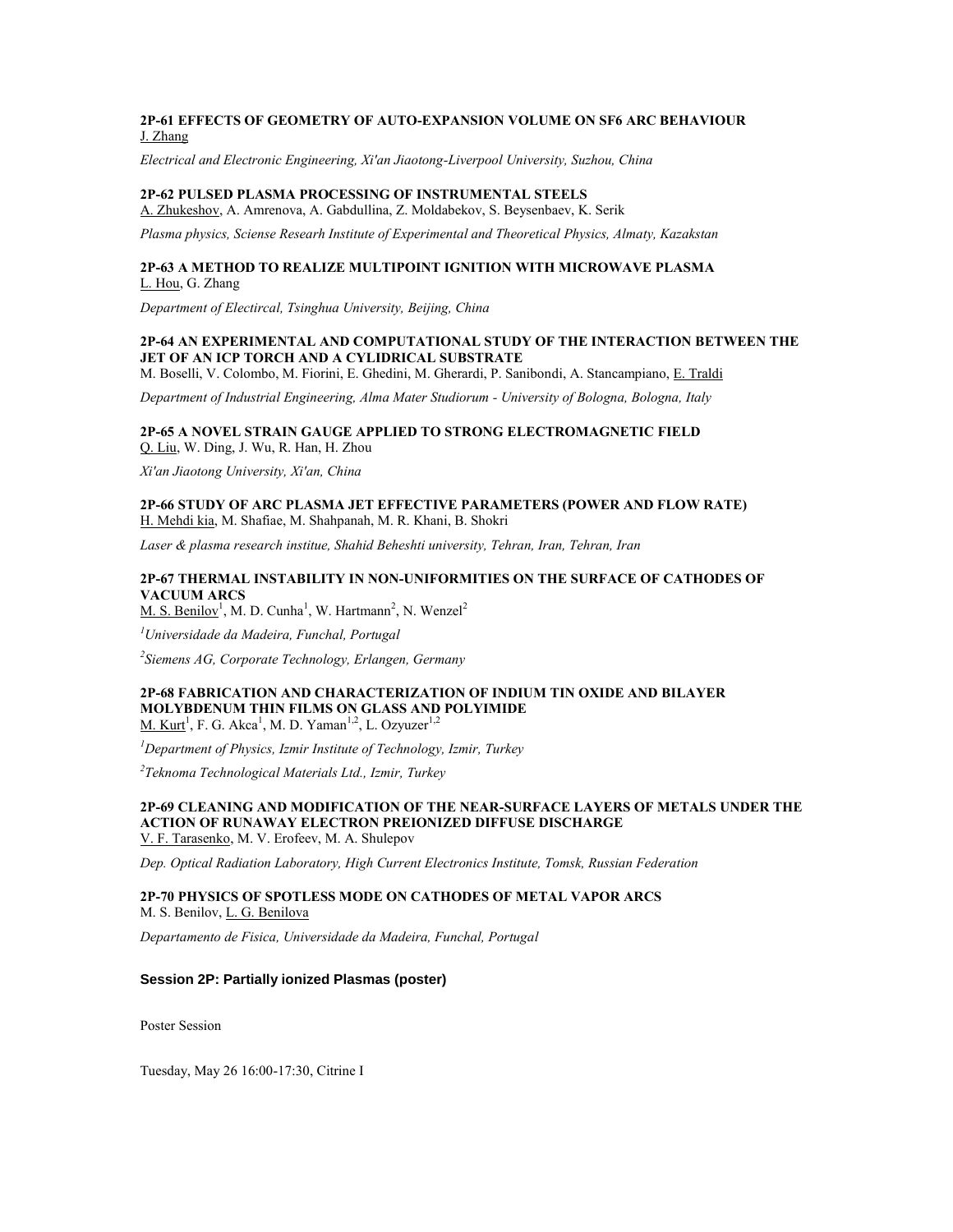# **2P-61 EFFECTS OF GEOMETRY OF AUTO-EXPANSION VOLUME ON SF6 ARC BEHAVIOUR** J. Zhang

*Electrical and Electronic Engineering, Xi'an Jiaotong-Liverpool University, Suzhou, China*

#### **2P-62 PULSED PLASMA PROCESSING OF INSTRUMENTAL STEELS**

A. Zhukeshov, A. Amrenova, A. Gabdullina, Z. Moldabekov, S. Beysenbaev, K. Serik

*Plasma physics, Sciense Researh Institute of Experimental and Theoretical Physics, Almaty, Kazakstan*

### **2P-63 A METHOD TO REALIZE MULTIPOINT IGNITION WITH MICROWAVE PLASMA** L. Hou, G. Zhang

*Department of Electircal, Tsinghua University, Beijing, China*

# **2P-64 AN EXPERIMENTAL AND COMPUTATIONAL STUDY OF THE INTERACTION BETWEEN THE JET OF AN ICP TORCH AND A CYLIDRICAL SUBSTRATE**

M. Boselli, V. Colombo, M. Fiorini, E. Ghedini, M. Gherardi, P. Sanibondi, A. Stancampiano, E. Traldi *Department of Industrial Engineering, Alma Mater Studiorum - University of Bologna, Bologna, Italy*

**2P-65 A NOVEL STRAIN GAUGE APPLIED TO STRONG ELECTROMAGNETIC FIELD** Q. Liu, W. Ding, J. Wu, R. Han, H. Zhou

*Xi'an Jiaotong University, Xi'an, China*

**2P-66 STUDY OF ARC PLASMA JET EFFECTIVE PARAMETERS (POWER AND FLOW RATE)** H. Mehdi kia, M. Shafiae, M. Shahpanah, M. R. Khani, B. Shokri

*Laser & plasma research institue, Shahid Beheshti university, Tehran, Iran, Tehran, Iran*

# **2P-67 THERMAL INSTABILITY IN NON-UNIFORMITIES ON THE SURFACE OF CATHODES OF VACUUM ARCS**

 $M. S. Benilov<sup>1</sup>, M. D. Cunha<sup>1</sup>, W. Hartmann<sup>2</sup>, N. Wenzel<sup>2</sup>$ 

*<sup>1</sup>Universidade da Madeira, Funchal, Portugal*

*2 Siemens AG, Corporate Technology, Erlangen, Germany*

#### **2P-68 FABRICATION AND CHARACTERIZATION OF INDIUM TIN OXIDE AND BILAYER MOLYBDENUM THIN FILMS ON GLASS AND POLYIMIDE** M. Kurt<sup>1</sup>, F. G. Akca<sup>1</sup>, M. D. Yaman<sup>1,2</sup>, L. Ozyuzer<sup>1,2</sup>

*<sup>1</sup>Department of Physics, Izmir Institute of Technology, Izmir, Turkey*

*2 Teknoma Technological Materials Ltd., Izmir, Turkey*

# **2P-69 CLEANING AND MODIFICATION OF THE NEAR-SURFACE LAYERS OF METALS UNDER THE ACTION OF RUNAWAY ELECTRON PREIONIZED DIFFUSE DISCHARGE**

V. F. Tarasenko, M. V. Erofeev, M. A. Shulepov

*Dep. Optical Radiation Laboratory, High Current Electronics Institute, Tomsk, Russian Federation*

# **2P-70 PHYSICS OF SPOTLESS MODE ON CATHODES OF METAL VAPOR ARCS**

M. S. Benilov, L. G. Benilova

*Departamento de Fisica, Universidade da Madeira, Funchal, Portugal*

#### **Session 2P: Partially ionized Plasmas (poster)**

Poster Session

Tuesday, May 26 16:00-17:30, Citrine I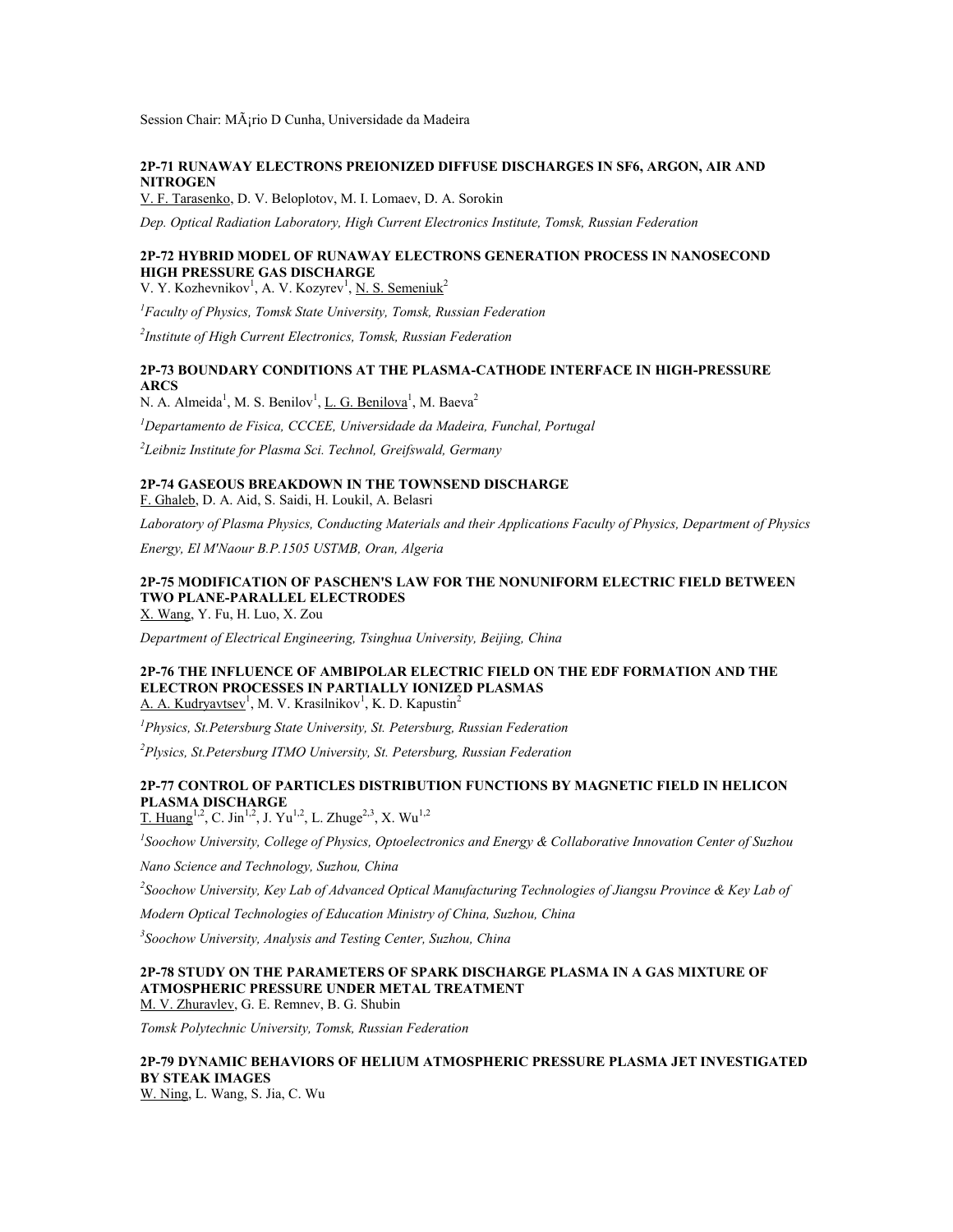Session Chair: M¡rio D Cunha, Universidade da Madeira

### **2P-71 RUNAWAY ELECTRONS PREIONIZED DIFFUSE DISCHARGES IN SF6, ARGON, AIR AND NITROGEN**

V. F. Tarasenko, D. V. Beloplotov, M. I. Lomaev, D. A. Sorokin

*Dep. Optical Radiation Laboratory, High Current Electronics Institute, Tomsk, Russian Federation*

# **2P-72 HYBRID MODEL OF RUNAWAY ELECTRONS GENERATION PROCESS IN NANOSECOND HIGH PRESSURE GAS DISCHARGE**

V. Y. Kozhevnikov<sup>1</sup>, A. V. Kozyrev<sup>1</sup>, <u>N. S. Semeniuk</u><sup>2</sup>

*<sup>1</sup>Faculty of Physics, Tomsk State University, Tomsk, Russian Federation*

*2 Institute of High Current Electronics, Tomsk, Russian Federation*

# **2P-73 BOUNDARY CONDITIONS AT THE PLASMA-CATHODE INTERFACE IN HIGH-PRESSURE ARCS**

N. A. Almeida<sup>1</sup>, M. S. Benilov<sup>1</sup>, <u>L. G. Benilova<sup>1</sup></u>, M. Baeva<sup>2</sup>

*<sup>1</sup>Departamento de Fisica, CCCEE, Universidade da Madeira, Funchal, Portugal*

*2 Leibniz Institute for Plasma Sci. Technol, Greifswald, Germany*

# **2P-74 GASEOUS BREAKDOWN IN THE TOWNSEND DISCHARGE**

F. Ghaleb, D. A. Aid, S. Saidi, H. Loukil, A. Belasri

*Laboratory of Plasma Physics, Conducting Materials and their Applications Faculty of Physics, Department of Physics* 

*Energy, El M'Naour B.P.1505 USTMB, Oran, Algeria*

# **2P-75 MODIFICATION OF PASCHEN'S LAW FOR THE NONUNIFORM ELECTRIC FIELD BETWEEN TWO PLANE-PARALLEL ELECTRODES**

X. Wang, Y. Fu, H. Luo, X. Zou

*Department of Electrical Engineering, Tsinghua University, Beijing, China*

#### **2P-76 THE INFLUENCE OF AMBIPOLAR ELECTRIC FIELD ON THE EDF FORMATION AND THE ELECTRON PROCESSES IN PARTIALLY IONIZED PLASMAS** A. A. Kudryavtsev<sup>1</sup>, M. V. Krasilnikov<sup>1</sup>, K. D. Kapustin<sup>2</sup>

*<sup>1</sup>Physics, St.Petersburg State University, St. Petersburg, Russian Federation*

*<sup>2</sup>Plysics, St.Petersburg ITMO University, St. Petersburg, Russian Federation*

# **2P-77 CONTROL OF PARTICLES DISTRIBUTION FUNCTIONS BY MAGNETIC FIELD IN HELICON PLASMA DISCHARGE**

 $T.$  Huang<sup>1,2</sup>, C. Jin<sup>1,2</sup>, J. Yu<sup>1,2</sup>, L. Zhuge<sup>2,3</sup>, X. Wu<sup>1,2</sup>

*1 Soochow University, College of Physics, Optoelectronics and Energy & Collaborative Innovation Center of Suzhou* 

*Nano Science and Technology, Suzhou, China*

*2 Soochow University, Key Lab of Advanced Optical Manufacturing Technologies of Jiangsu Province & Key Lab of* 

*Modern Optical Technologies of Education Ministry of China, Suzhou, China*

*3 Soochow University, Analysis and Testing Center, Suzhou, China*

# **2P-78 STUDY ON THE PARAMETERS OF SPARK DISCHARGE PLASMA IN A GAS MIXTURE OF ATMOSPHERIC PRESSURE UNDER METAL TREATMENT**

M. V. Zhuravlev, G. E. Remnev, B. G. Shubin

*Tomsk Polytechnic University, Tomsk, Russian Federation*

# **2P-79 DYNAMIC BEHAVIORS OF HELIUM ATMOSPHERIC PRESSURE PLASMA JET INVESTIGATED BY STEAK IMAGES**

W. Ning, L. Wang, S. Jia, C. Wu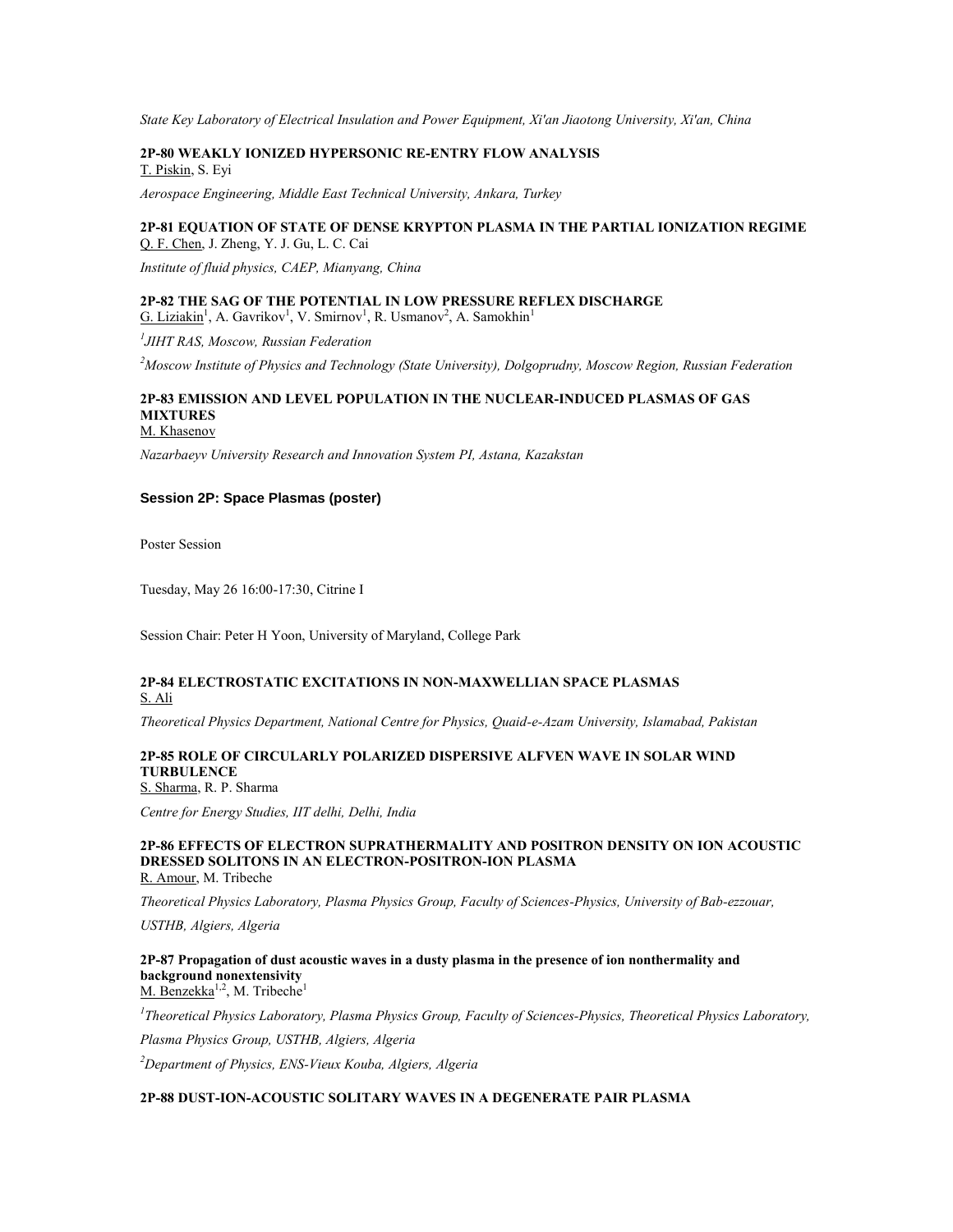*State Key Laboratory of Electrical Insulation and Power Equipment, Xi'an Jiaotong University, Xi'an, China*

**2P-80 WEAKLY IONIZED HYPERSONIC RE-ENTRY FLOW ANALYSIS** T. Piskin, S. Eyi

*Aerospace Engineering, Middle East Technical University, Ankara, Turkey*

### **2P-81 EQUATION OF STATE OF DENSE KRYPTON PLASMA IN THE PARTIAL IONIZATION REGIME** Q. F. Chen, J. Zheng, Y. J. Gu, L. C. Cai

*Institute of fluid physics, CAEP, Mianyang, China*

**2P-82 THE SAG OF THE POTENTIAL IN LOW PRESSURE REFLEX DISCHARGE** G. Liziakin<sup>1</sup>, A. Gavrikov<sup>1</sup>, V. Smirnov<sup>1</sup>, R. Usmanov<sup>2</sup>, A. Samokhin<sup>1</sup>

*1 JIHT RAS, Moscow, Russian Federation*

*<sup>2</sup>Moscow Institute of Physics and Technology (State University), Dolgoprudny, Moscow Region, Russian Federation*

# **2P-83 EMISSION AND LEVEL POPULATION IN THE NUCLEAR-INDUCED PLASMAS OF GAS MIXTURES**

M. Khasenov

*Nazarbaeyv University Research and Innovation System PI, Astana, Kazakstan*

#### **Session 2P: Space Plasmas (poster)**

Poster Session

Tuesday, May 26 16:00-17:30, Citrine I

Session Chair: Peter H Yoon, University of Maryland, College Park

### **2P-84 ELECTROSTATIC EXCITATIONS IN NON-MAXWELLIAN SPACE PLASMAS** S. Ali

*Theoretical Physics Department, National Centre for Physics, Quaid-e-Azam University, Islamabad, Pakistan*

# **2P-85 ROLE OF CIRCULARLY POLARIZED DISPERSIVE ALFVEN WAVE IN SOLAR WIND TURBULENCE**

S. Sharma, R. P. Sharma

*Centre for Energy Studies, IIT delhi, Delhi, India*

#### **2P-86 EFFECTS OF ELECTRON SUPRATHERMALITY AND POSITRON DENSITY ON ION ACOUSTIC DRESSED SOLITONS IN AN ELECTRON-POSITRON-ION PLASMA** R. Amour, M. Tribeche

*Theoretical Physics Laboratory, Plasma Physics Group, Faculty of Sciences-Physics, University of Bab-ezzouar,* 

*USTHB, Algiers, Algeria*

**2P-87 Propagation of dust acoustic waves in a dusty plasma in the presence of ion nonthermality and background nonextensivity** M. Benzekka<sup>1,2</sup>, M. Tribeche<sup>1</sup>

*1 Theoretical Physics Laboratory, Plasma Physics Group, Faculty of Sciences-Physics, Theoretical Physics Laboratory, Plasma Physics Group, USTHB, Algiers, Algeria*

*<sup>2</sup>Department of Physics, ENS-Vieux Kouba, Algiers, Algeria*

# **2P-88 DUST-ION-ACOUSTIC SOLITARY WAVES IN A DEGENERATE PAIR PLASMA**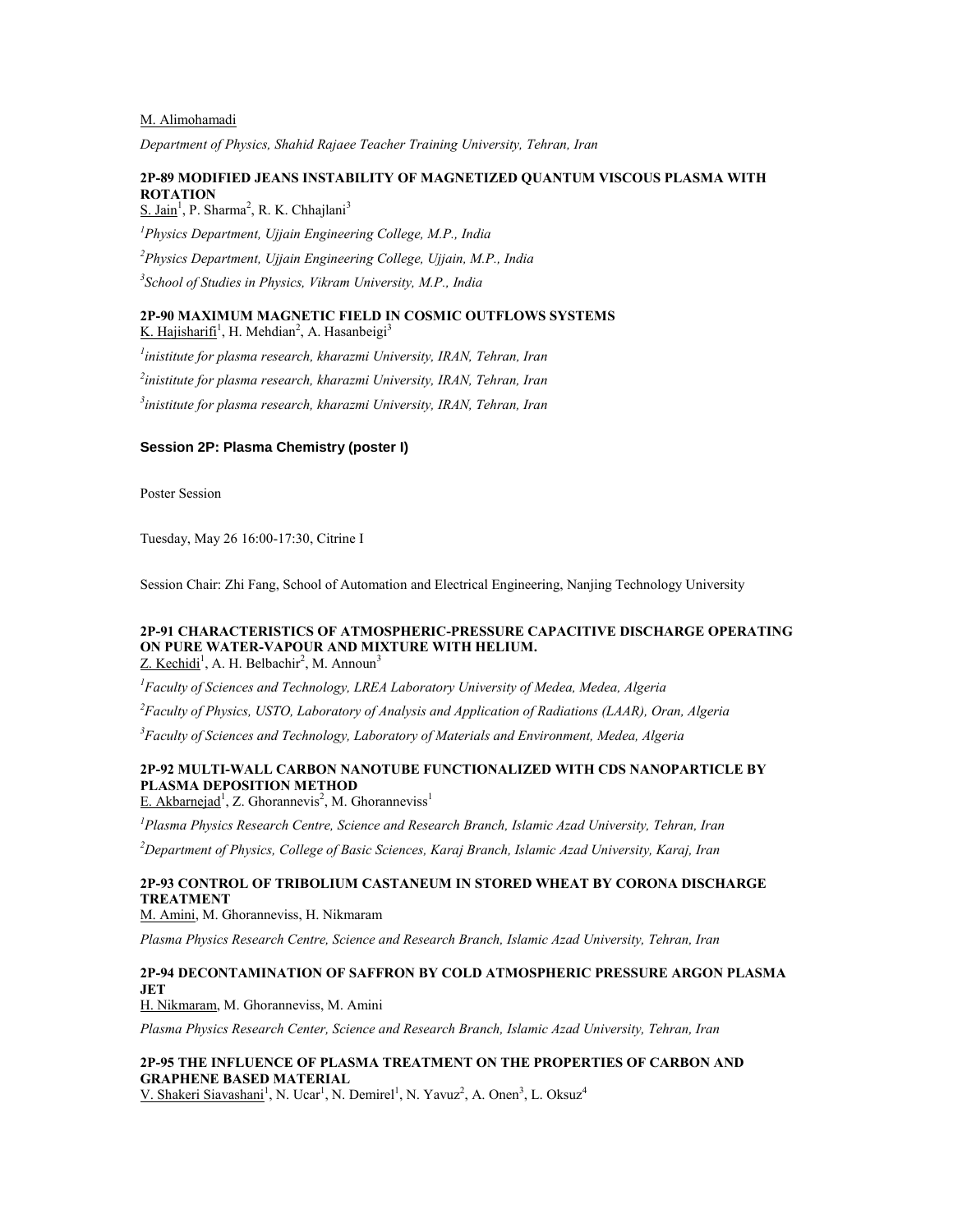#### M. Alimohamadi

*Department of Physics, Shahid Rajaee Teacher Training University, Tehran, Iran*

# **2P-89 MODIFIED JEANS INSTABILITY OF MAGNETIZED QUANTUM VISCOUS PLASMA WITH ROTATION**

S. Jain<sup>1</sup>, P. Sharma<sup>2</sup>, R. K. Chhajlani<sup>3</sup> *Physics Department, Ujjain Engineering College, M.P., India Physics Department, Ujjain Engineering College, Ujjain, M.P., India School of Studies in Physics, Vikram University, M.P., India*

# **2P-90 MAXIMUM MAGNETIC FIELD IN COSMIC OUTFLOWS SYSTEMS**

K. Hajisharifi<sup>1</sup>, H. Mehdian<sup>2</sup>, A. Hasanbeigi<sup>3</sup>

*1 inistitute for plasma research, kharazmi University, IRAN, Tehran, Iran*

*2 inistitute for plasma research, kharazmi University, IRAN, Tehran, Iran*

*3 inistitute for plasma research, kharazmi University, IRAN, Tehran, Iran*

### **Session 2P: Plasma Chemistry (poster I)**

Poster Session

Tuesday, May 26 16:00-17:30, Citrine I

Session Chair: Zhi Fang, School of Automation and Electrical Engineering, Nanjing Technology University

#### **2P-91 CHARACTERISTICS OF ATMOSPHERIC-PRESSURE CAPACITIVE DISCHARGE OPERATING ON PURE WATER-VAPOUR AND MIXTURE WITH HELIUM.**  $Z$ . Kechidi<sup>1</sup>, A. H. Belbachir<sup>2</sup>, M. Announ<sup>3</sup>

*<sup>1</sup>Faculty of Sciences and Technology, LREA Laboratory University of Medea, Medea, Algeria*

*<sup>2</sup>Faculty of Physics, USTO, Laboratory of Analysis and Application of Radiations (LAAR), Oran, Algeria*

*<sup>3</sup>Faculty of Sciences and Technology, Laboratory of Materials and Environment, Medea, Algeria*

# **2P-92 MULTI-WALL CARBON NANOTUBE FUNCTIONALIZED WITH CDS NANOPARTICLE BY PLASMA DEPOSITION METHOD**

E. Akbarnejad<sup>1</sup>, Z. Ghorannevis<sup>2</sup>, M. Ghoranneviss<sup>1</sup>

*<sup>1</sup>Plasma Physics Research Centre, Science and Research Branch, Islamic Azad University, Tehran, Iran*

*<sup>2</sup>Department of Physics, College of Basic Sciences, Karaj Branch, Islamic Azad University, Karaj, Iran*

# **2P-93 CONTROL OF TRIBOLIUM CASTANEUM IN STORED WHEAT BY CORONA DISCHARGE TREATMENT**

M. Amini, M. Ghoranneviss, H. Nikmaram

*Plasma Physics Research Centre, Science and Research Branch, Islamic Azad University, Tehran, Iran*

### **2P-94 DECONTAMINATION OF SAFFRON BY COLD ATMOSPHERIC PRESSURE ARGON PLASMA JET**

H. Nikmaram, M. Ghoranneviss, M. Amini

*Plasma Physics Research Center, Science and Research Branch, Islamic Azad University, Tehran, Iran*

# **2P-95 THE INFLUENCE OF PLASMA TREATMENT ON THE PROPERTIES OF CARBON AND GRAPHENE BASED MATERIAL**

V. Shakeri Siavashani<sup>1</sup>, N. Ucar<sup>1</sup>, N. Demirel<sup>1</sup>, N. Yavuz<sup>2</sup>, A. Onen<sup>3</sup>, L. Oksuz<sup>4</sup>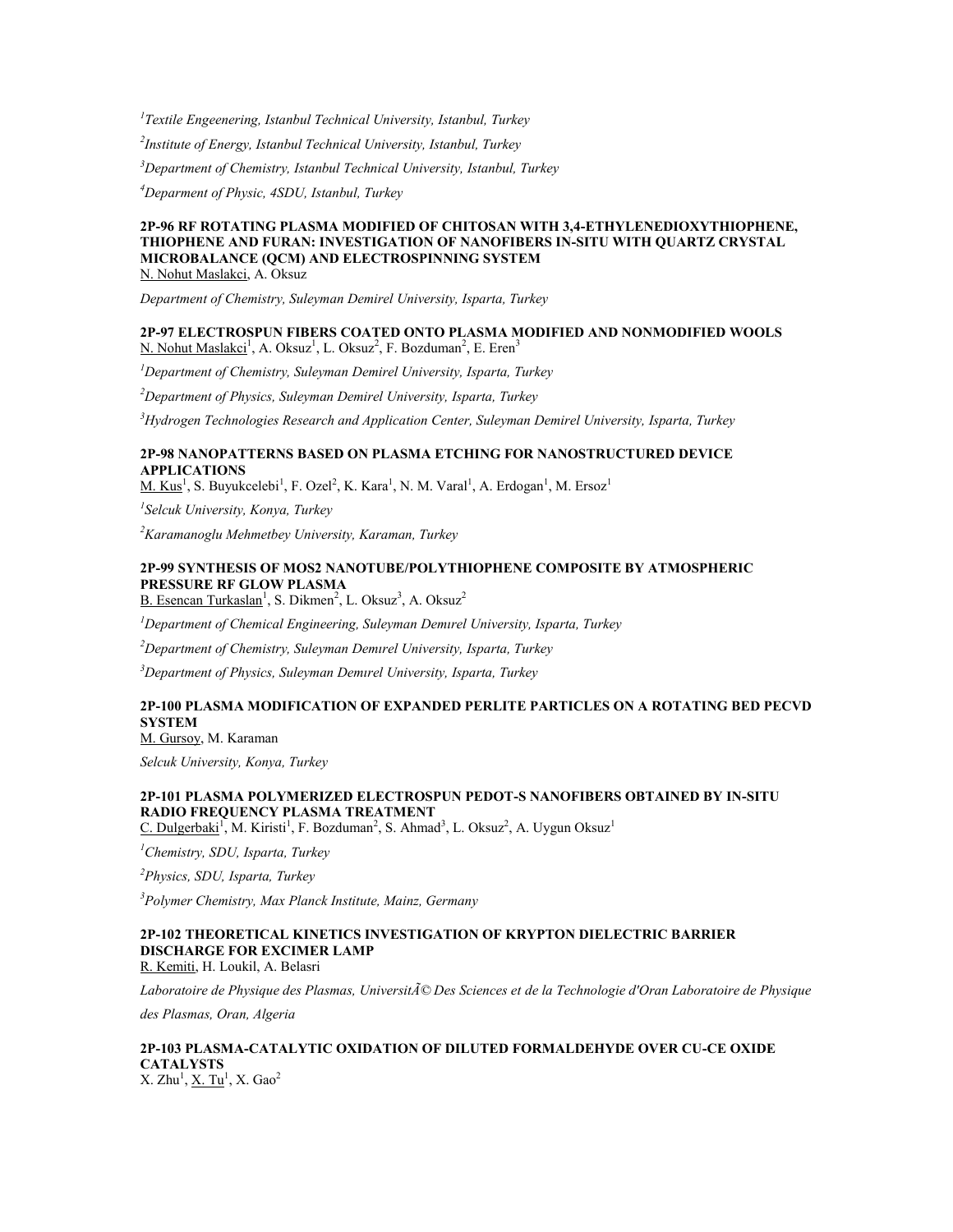*Textile Engeenering, Istanbul Technical University, Istanbul, Turkey Institute of Energy, Istanbul Technical University, Istanbul, Turkey Department of Chemistry, Istanbul Technical University, Istanbul, Turkey Deparment of Physic, 4SDU, Istanbul, Turkey*

#### **2P-96 RF ROTATING PLASMA MODIFIED OF CHITOSAN WITH 3,4-ETHYLENEDIOXYTHIOPHENE, THIOPHENE AND FURAN: INVESTIGATION OF NANOFIBERS IN-SITU WITH QUARTZ CRYSTAL MICROBALANCE (QCM) AND ELECTROSPINNING SYSTEM** N. Nohut Maslakci, A. Oksuz

*Department of Chemistry, Suleyman Demirel University, Isparta, Turkey*

#### **2P-97 ELECTROSPUN FIBERS COATED ONTO PLASMA MODIFIED AND NONMODIFIED WOOLS** N. Nohut Maslakci<sup>1</sup>, A. Oksuz<sup>1</sup>, L. Oksuz<sup>2</sup>, F. Bozduman<sup>2</sup>, E. Eren<sup>3</sup>

*<sup>1</sup>Department of Chemistry, Suleyman Demirel University, Isparta, Turkey*

*<sup>2</sup>Department of Physics, Suleyman Demirel University, Isparta, Turkey*

*<sup>3</sup>Hydrogen Technologies Research and Application Center, Suleyman Demirel University, Isparta, Turkey*

### **2P-98 NANOPATTERNS BASED ON PLASMA ETCHING FOR NANOSTRUCTURED DEVICE APPLICATIONS**

M. Kus<sup>1</sup>, S. Buyukcelebi<sup>1</sup>, F. Ozel<sup>2</sup>, K. Kara<sup>1</sup>, N. M. Varal<sup>1</sup>, A. Erdogan<sup>1</sup>, M. Ersoz<sup>1</sup>

*1 Selcuk University, Konya, Turkey*

*<sup>2</sup>Karamanoglu Mehmetbey University, Karaman, Turkey*

# **2P-99 SYNTHESIS OF MOS2 NANOTUBE/POLYTHIOPHENE COMPOSITE BY ATMOSPHERIC PRESSURE RF GLOW PLASMA**

 $B.$  Esencan Turkaslan<sup>1</sup>, S. Dikmen<sup>2</sup>, L. Oksuz<sup>3</sup>, A. Oksuz<sup>2</sup>

*<sup>1</sup>Department of Chemical Engineering, Suleyman Demırel University, Isparta, Turkey*

*<sup>2</sup>Department of Chemistry, Suleyman Demırel University, Isparta, Turkey*

*<sup>3</sup>Department of Physics, Suleyman Demırel University, Isparta, Turkey*

# **2P-100 PLASMA MODIFICATION OF EXPANDED PERLITE PARTICLES ON A ROTATING BED PECVD SYSTEM**

M. Gursoy, M. Karaman

*Selcuk University, Konya, Turkey*

# **2P-101 PLASMA POLYMERIZED ELECTROSPUN PEDOT-S NANOFIBERS OBTAINED BY IN-SITU RADIO FREQUENCY PLASMA TREATMENT**

C. Dulgerbaki<sup>1</sup>, M. Kiristi<sup>1</sup>, F. Bozduman<sup>2</sup>, S. Ahmad<sup>3</sup>, L. Oksuz<sup>2</sup>, A. Uygun Oksuz<sup>1</sup>

*<sup>1</sup>Chemistry, SDU, Isparta, Turkey*

*<sup>2</sup>Physics, SDU, Isparta, Turkey*

*<sup>3</sup>Polymer Chemistry, Max Planck Institute, Mainz, Germany*

# **2P-102 THEORETICAL KINETICS INVESTIGATION OF KRYPTON DIELECTRIC BARRIER DISCHARGE FOR EXCIMER LAMP**

R. Kemiti, H. Loukil, A. Belasri

*Laboratoire de Physique des Plasmas, Université Des Sciences et de la Technologie d'Oran Laboratoire de Physique* 

*des Plasmas, Oran, Algeria*

# **2P-103 PLASMA-CATALYTIC OXIDATION OF DILUTED FORMALDEHYDE OVER CU-CE OXIDE CATALYSTS**

X. Zhu<sup>1</sup>, <u>X. Tu</u><sup>1</sup>, X. Gao<sup>2</sup>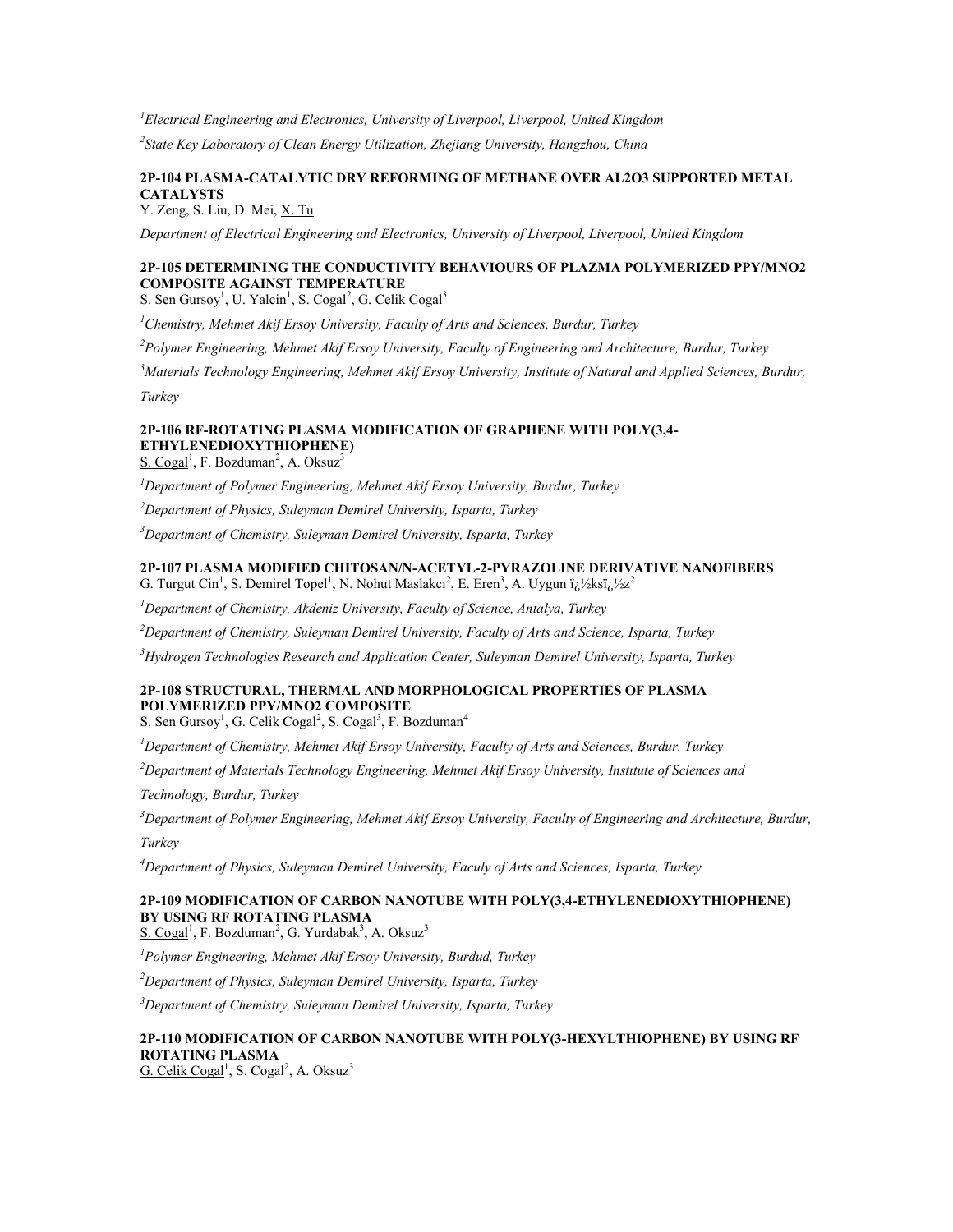*<sup>1</sup>Electrical Engineering and Electronics, University of Liverpool, Liverpool, United Kingdom*

*2 State Key Laboratory of Clean Energy Utilization, Zhejiang University, Hangzhou, China*

# **2P-104 PLASMA-CATALYTIC DRY REFORMING OF METHANE OVER AL2O3 SUPPORTED METAL CATALYSTS**

Y. Zeng, S. Liu, D. Mei, X. Tu

*Department of Electrical Engineering and Electronics, University of Liverpool, Liverpool, United Kingdom*

# **2P-105 DETERMINING THE CONDUCTIVITY BEHAVIOURS OF PLAZMA POLYMERIZED PPY/MNO2 COMPOSITE AGAINST TEMPERATURE**

S. Sen Gursoy<sup>1</sup>, U. Yalcin<sup>1</sup>, S. Cogal<sup>2</sup>, G. Celik Cogal<sup>3</sup>

*<sup>1</sup>Chemistry, Mehmet Akif Ersoy University, Faculty of Arts and Sciences, Burdur, Turkey*

*<sup>2</sup>Polymer Engineering, Mehmet Akif Ersoy University, Faculty of Engineering and Architecture, Burdur, Turkey*

*<sup>3</sup>Materials Technology Engineering, Mehmet Akif Ersoy University, Institute of Natural and Applied Sciences, Burdur,* 

*Turkey*

# **2P-106 RF-ROTATING PLASMA MODIFICATION OF GRAPHENE WITH POLY(3,4- ETHYLENEDIOXYTHIOPHENE)**

 $S. Cogal<sup>1</sup>$ , F. Bozduman<sup>2</sup>, A. Oksuz<sup>3</sup>

*<sup>1</sup>Department of Polymer Engineering, Mehmet Akif Ersoy University, Burdur, Turkey*

*<sup>2</sup>Department of Physics, Suleyman Demirel University, Isparta, Turkey*

*<sup>3</sup>Department of Chemistry, Suleyman Demirel University, Isparta, Turkey*

### **2P-107 PLASMA MODIFIED CHITOSAN/N-ACETYL-2-PYRAZOLINE DERIVATIVE NANOFIBERS** G. Turgut Cin<sup>1</sup>, S. Demirel Topel<sup>1</sup>, N. Nohut Maslakcı<sup>2</sup>, E. Eren<sup>3</sup>, A. Uygun ï<sub>(</sub>; '/zksï<sub>(</sub>; '/zz<sup>2</sup>

*<sup>1</sup>Department of Chemistry, Akdeniz University, Faculty of Science, Antalya, Turkey*

*<sup>2</sup>Department of Chemistry, Suleyman Demirel University, Faculty of Arts and Science, Isparta, Turkey*

*<sup>3</sup>Hydrogen Technologies Research and Application Center, Suleyman Demirel University, Isparta, Turkey*

# **2P-108 STRUCTURAL, THERMAL AND MORPHOLOGICAL PROPERTIES OF PLASMA POLYMERIZED PPY/MNO2 COMPOSITE**

S. Sen Gursoy<sup>1</sup>, G. Celik Cogal<sup>2</sup>, S. Cogal<sup>3</sup>, F. Bozduman<sup>4</sup>

*<sup>1</sup>Department of Chemistry, Mehmet Akif Ersoy University, Faculty of Arts and Sciences, Burdur, Turkey*

*<sup>2</sup>Department of Materials Technology Engineering, Mehmet Akif Ersoy University, Instıtute of Sciences and* 

*Technology, Burdur, Turkey*

*<sup>3</sup>Department of Polymer Engineering, Mehmet Akif Ersoy University, Faculty of Engineering and Architecture, Burdur, Turkey*

*<sup>4</sup>Department of Physics, Suleyman Demirel University, Faculy of Arts and Sciences, Isparta, Turkey*

# **2P-109 MODIFICATION OF CARBON NANOTUBE WITH POLY(3,4-ETHYLENEDIOXYTHIOPHENE) BY USING RF ROTATING PLASMA**

 $S. Cogal<sup>1</sup>$ , F. Bozduman<sup>2</sup>, G. Yurdabak<sup>3</sup>, A. Oksuz<sup>3</sup>

*<sup>1</sup>Polymer Engineering, Mehmet Akif Ersoy University, Burdud, Turkey*

*<sup>2</sup>Department of Physics, Suleyman Demirel University, Isparta, Turkey*

*<sup>3</sup>Department of Chemistry, Suleyman Demirel University, Isparta, Turkey*

# **2P-110 MODIFICATION OF CARBON NANOTUBE WITH POLY(3-HEXYLTHIOPHENE) BY USING RF ROTATING PLASMA**

 $G.$  Celik Cogal<sup>1</sup>, S. Cogal<sup>2</sup>, A. Oksuz<sup>3</sup>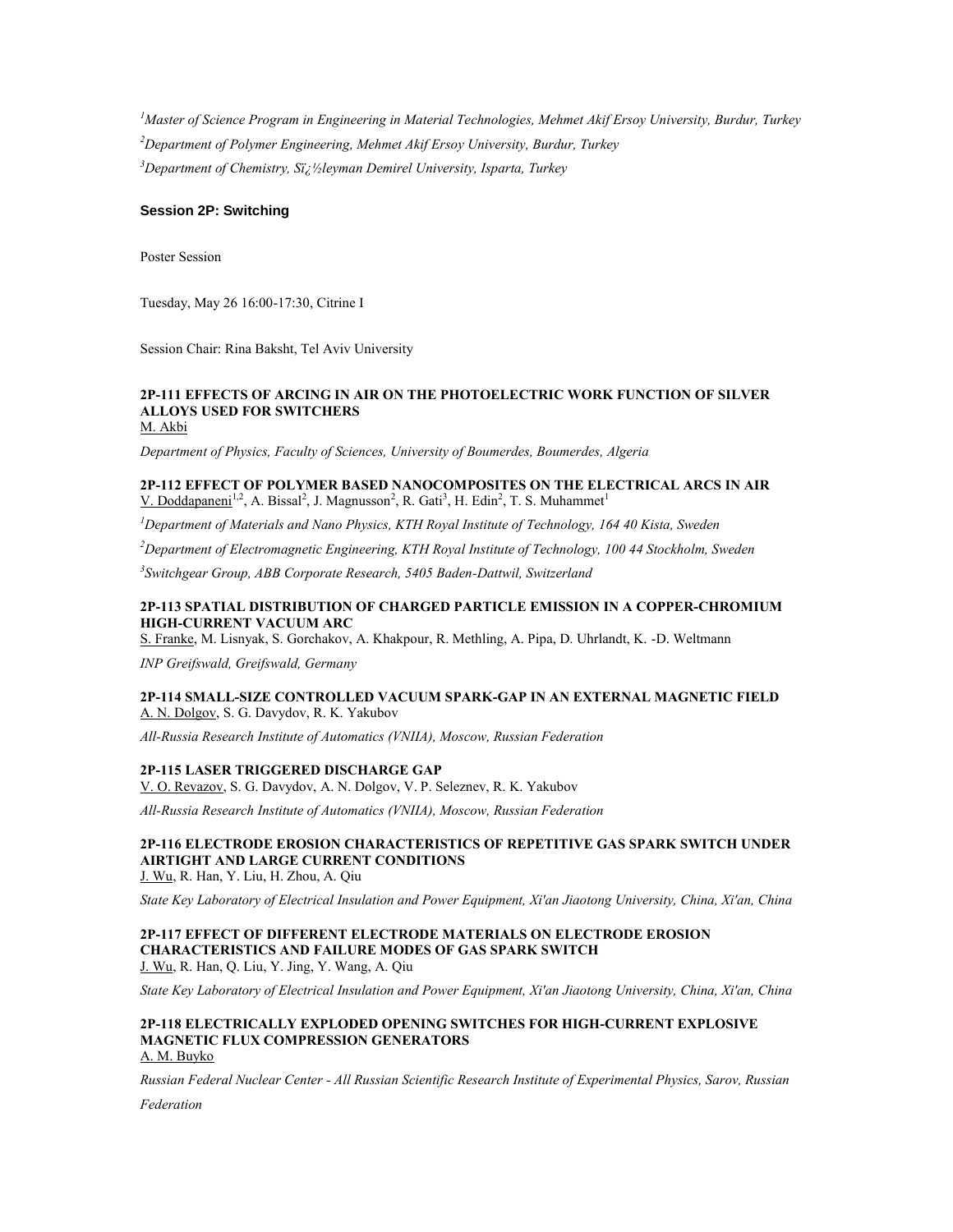*<sup>1</sup>Master of Science Program in Engineering in Material Technologies, Mehmet Akif Ersoy University, Burdur, Turkey <sup>2</sup>Department of Polymer Engineering, Mehmet Akif Ersoy University, Burdur, Turkey* <sup>3</sup>Department of Chemistry, Si<sub>z</sub><sup>1</sup>/<sub>2</sub>leyman Demirel University, Isparta, Turkey

### **Session 2P: Switching**

Poster Session

Tuesday, May 26 16:00-17:30, Citrine I

Session Chair: Rina Baksht, Tel Aviv University

# **2P-111 EFFECTS OF ARCING IN AIR ON THE PHOTOELECTRIC WORK FUNCTION OF SILVER ALLOYS USED FOR SWITCHERS**

M. Akbi

*Department of Physics, Faculty of Sciences, University of Boumerdes, Boumerdes, Algeria*

### **2P-112 EFFECT OF POLYMER BASED NANOCOMPOSITES ON THE ELECTRICAL ARCS IN AIR** V. Doddapaneni<sup>1,2</sup>, A. Bissal<sup>2</sup>, J. Magnusson<sup>2</sup>, R. Gati<sup>3</sup>, H. Edin<sup>2</sup>, T. S. Muhammet<sup>1</sup>

*<sup>1</sup>Department of Materials and Nano Physics, KTH Royal Institute of Technology, 164 40 Kista, Sweden*

*<sup>2</sup>Department of Electromagnetic Engineering, KTH Royal Institute of Technology, 100 44 Stockholm, Sweden*

*3 Switchgear Group, ABB Corporate Research, 5405 Baden-Dattwil, Switzerland*

### **2P-113 SPATIAL DISTRIBUTION OF CHARGED PARTICLE EMISSION IN A COPPER-CHROMIUM HIGH-CURRENT VACUUM ARC**

S. Franke, M. Lisnyak, S. Gorchakov, A. Khakpour, R. Methling, A. Pipa, D. Uhrlandt, K. -D. Weltmann

*INP Greifswald, Greifswald, Germany*

# **2P-114 SMALL-SIZE CONTROLLED VACUUM SPARK-GAP IN AN EXTERNAL MAGNETIC FIELD** A. N. Dolgov, S. G. Davydov, R. K. Yakubov

*All-Russia Research Institute of Automatics (VNIIA), Moscow, Russian Federation*

### **2P-115 LASER TRIGGERED DISCHARGE GAP**

V. O. Revazov, S. G. Davydov, A. N. Dolgov, V. P. Seleznev, R. K. Yakubov

*All-Russia Research Institute of Automatics (VNIIA), Moscow, Russian Federation*

# **2P-116 ELECTRODE EROSION CHARACTERISTICS OF REPETITIVE GAS SPARK SWITCH UNDER AIRTIGHT AND LARGE CURRENT CONDITIONS**

J. Wu, R. Han, Y. Liu, H. Zhou, A. Qiu

*State Key Laboratory of Electrical Insulation and Power Equipment, Xi'an Jiaotong University, China, Xi'an, China*

### **2P-117 EFFECT OF DIFFERENT ELECTRODE MATERIALS ON ELECTRODE EROSION CHARACTERISTICS AND FAILURE MODES OF GAS SPARK SWITCH** J. Wu, R. Han, Q. Liu, Y. Jing, Y. Wang, A. Qiu

*State Key Laboratory of Electrical Insulation and Power Equipment, Xi'an Jiaotong University, China, Xi'an, China*

#### **2P-118 ELECTRICALLY EXPLODED OPENING SWITCHES FOR HIGH-CURRENT EXPLOSIVE MAGNETIC FLUX COMPRESSION GENERATORS** A. M. Buyko

*Russian Federal Nuclear Center - All Russian Scientific Research Institute of Experimental Physics, Sarov, Russian* 

*Federation*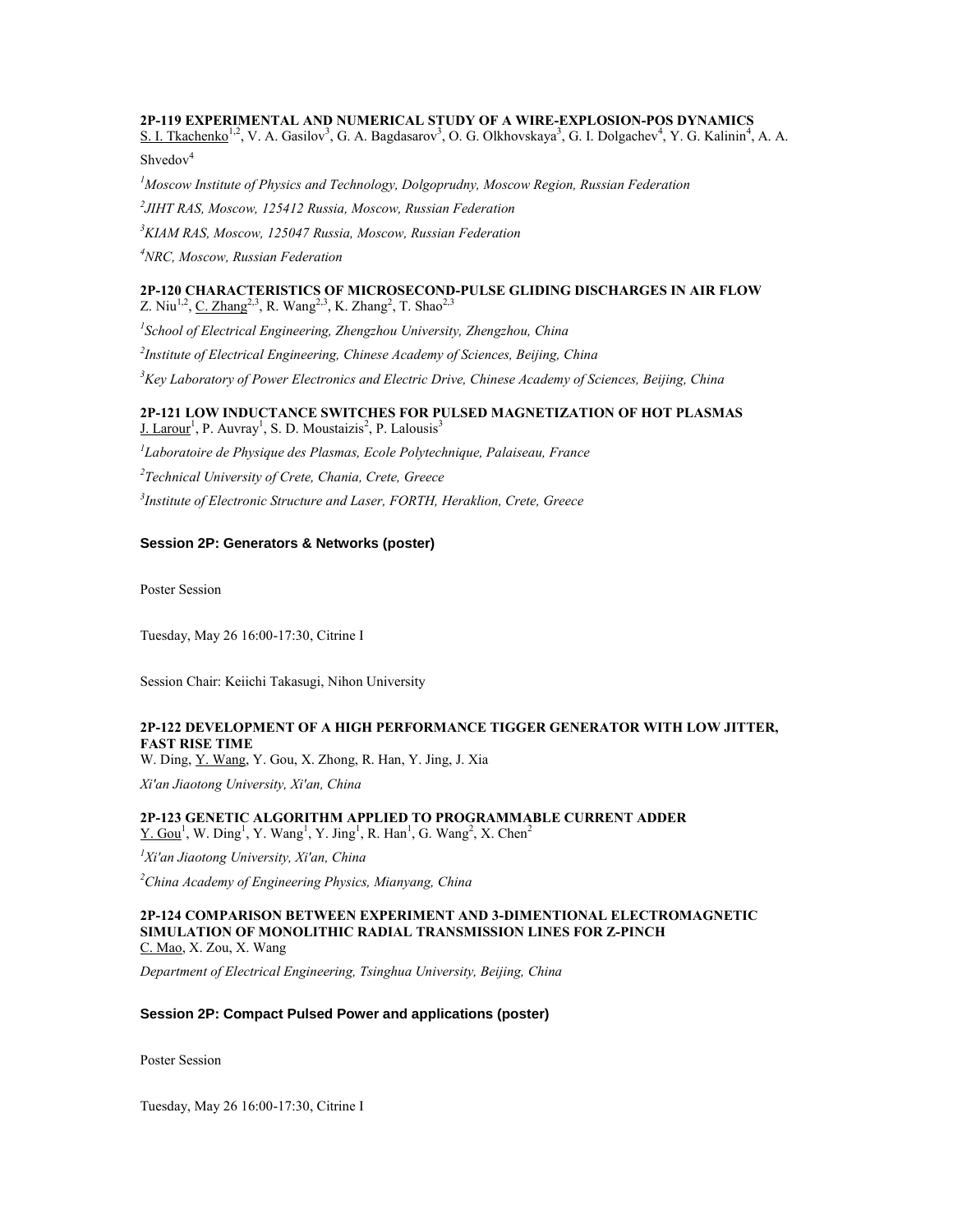#### **2P-119 EXPERIMENTAL AND NUMERICAL STUDY OF A WIRE-EXPLOSION-POS DYNAMICS**

S. I. Tkachenko<sup>1,2</sup>, V. A. Gasilov<sup>3</sup>, G. A. Bagdasarov<sup>3</sup>, O. G. Olkhovskaya<sup>3</sup>, G. I. Dolgachev<sup>4</sup>, Y. G. Kalinin<sup>4</sup>, A. A. Shvedov<sup>4</sup>

*Moscow Institute of Physics and Technology, Dolgoprudny, Moscow Region, Russian Federation JIHT RAS, Moscow, 125412 Russia, Moscow, Russian Federation KIAM RAS, Moscow, 125047 Russia, Moscow, Russian Federation NRC, Moscow, Russian Federation*

### **2P-120 CHARACTERISTICS OF MICROSECOND-PULSE GLIDING DISCHARGES IN AIR FLOW** Z. Niu<sup>1,2</sup>, <u>C. Zhang</u><sup>2,3</sup>, R. Wang<sup>2,3</sup>, K. Zhang<sup>2</sup>, T. Shao<sup>2,3</sup>

*1 School of Electrical Engineering, Zhengzhou University, Zhengzhou, China 2 Institute of Electrical Engineering, Chinese Academy of Sciences, Beijing, China*

*<sup>3</sup>Key Laboratory of Power Electronics and Electric Drive, Chinese Academy of Sciences, Beijing, China*

### **2P-121 LOW INDUCTANCE SWITCHES FOR PULSED MAGNETIZATION OF HOT PLASMAS** J. Larour<sup>1</sup>, P. Auvray<sup>1</sup>, S. D. Moustaizis<sup>2</sup>, P. Lalousis<sup>3</sup>

*1 Laboratoire de Physique des Plasmas, Ecole Polytechnique, Palaiseau, France*

*2 Technical University of Crete, Chania, Crete, Greece*

*3 Institute of Electronic Structure and Laser, FORTH, Heraklion, Crete, Greece*

# **Session 2P: Generators & Networks (poster)**

Poster Session

Tuesday, May 26 16:00-17:30, Citrine I

Session Chair: Keiichi Takasugi, Nihon University

# **2P-122 DEVELOPMENT OF A HIGH PERFORMANCE TIGGER GENERATOR WITH LOW JITTER, FAST RISE TIME**

W. Ding, Y. Wang, Y. Gou, X. Zhong, R. Han, Y. Jing, J. Xia

*Xi'an Jiaotong University, Xi'an, China*

**2P-123 GENETIC ALGORITHM APPLIED TO PROGRAMMABLE CURRENT ADDER**  $Y. Gou<sup>1</sup>, W. Ding<sup>1</sup>, Y. Wang<sup>1</sup>, Y. Jing<sup>1</sup>, R. Han<sup>1</sup>, G. Wang<sup>2</sup>, X. Chen<sup>2</sup>$ 

*<sup>1</sup>Xi'an Jiaotong University, Xi'an, China*

*<sup>2</sup>China Academy of Engineering Physics, Mianyang, China*

#### **2P-124 COMPARISON BETWEEN EXPERIMENT AND 3-DIMENTIONAL ELECTROMAGNETIC SIMULATION OF MONOLITHIC RADIAL TRANSMISSION LINES FOR Z-PINCH** C. Mao, X. Zou, X. Wang

*Department of Electrical Engineering, Tsinghua University, Beijing, China*

#### **Session 2P: Compact Pulsed Power and applications (poster)**

Poster Session

Tuesday, May 26 16:00-17:30, Citrine I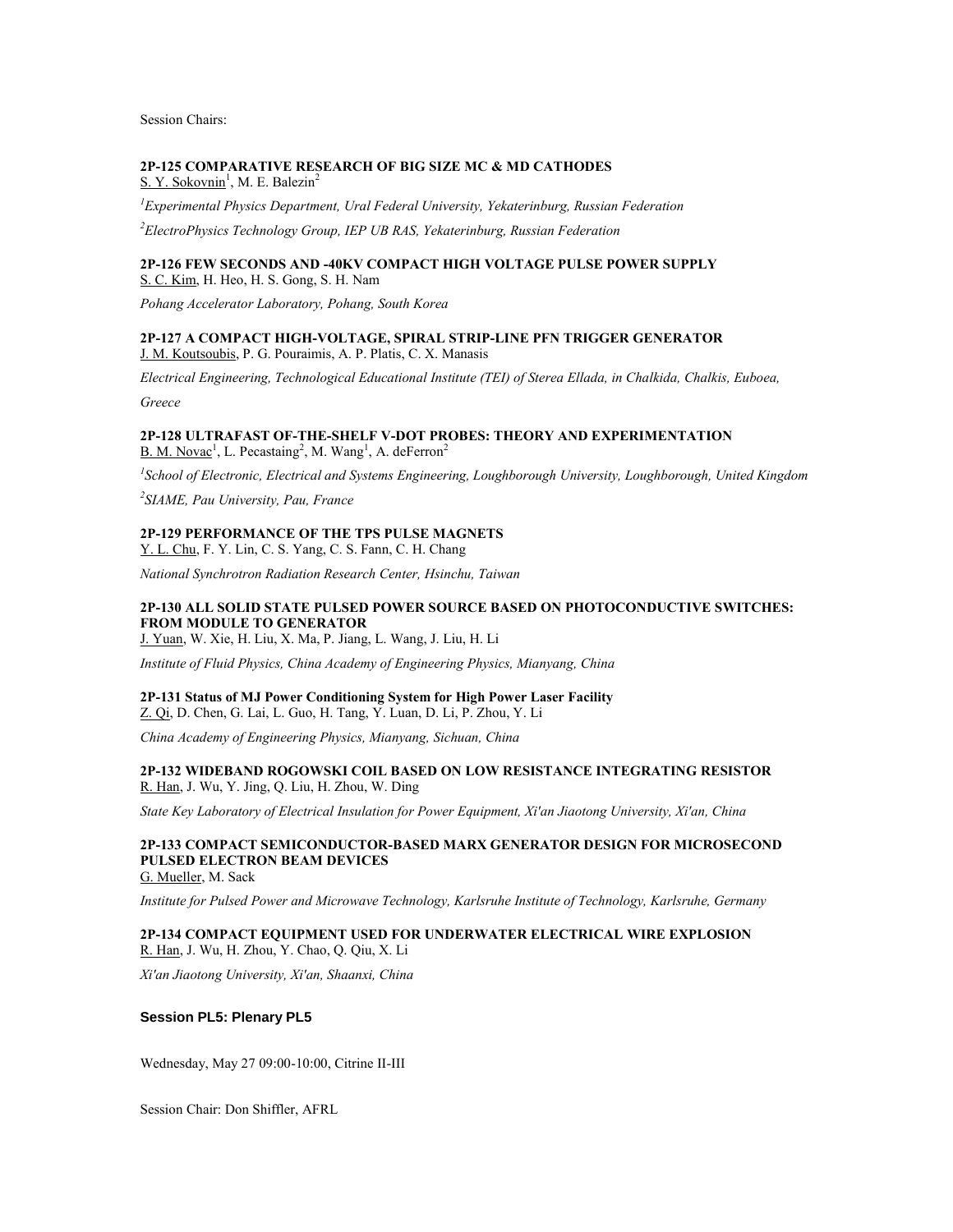Session Chairs:

# **2P-125 COMPARATIVE RESEARCH OF BIG SIZE MC & MD CATHODES**

S. Y. Sokovnin<sup>1</sup>, M. E. Balezin<sup>2</sup>

*<sup>1</sup>Experimental Physics Department, Ural Federal University, Yekaterinburg, Russian Federation*

*<sup>2</sup>ElectroPhysics Technology Group, IEP UB RAS, Yekaterinburg, Russian Federation*

# **2P-126 FEW SECONDS AND -40KV COMPACT HIGH VOLTAGE PULSE POWER SUPPLY**

S. C. Kim, H. Heo, H. S. Gong, S. H. Nam

*Pohang Accelerator Laboratory, Pohang, South Korea*

### **2P-127 A COMPACT HIGH-VOLTAGE, SPIRAL STRIP-LINE PFN TRIGGER GENERATOR** J. M. Koutsoubis, P. G. Pouraimis, A. P. Platis, C. X. Manasis

*Electrical Engineering, Technological Educational Institute (TEI) of Sterea Ellada, in Chalkida, Chalkis, Euboea,* 

*Greece*

### **2P-128 ULTRAFAST OF-THE-SHELF V-DOT PROBES: THEORY AND EXPERIMENTATION**  $B. M. Novac<sup>1</sup>, L. Pecastaing<sup>2</sup>, M. Wang<sup>1</sup>, A. deFerron<sup>2</sup>$

*1 School of Electronic, Electrical and Systems Engineering, Loughborough University, Loughborough, United Kingdom*

*2 SIAME, Pau University, Pau, France*

# **2P-129 PERFORMANCE OF THE TPS PULSE MAGNETS**

Y. L. Chu, F. Y. Lin, C. S. Yang, C. S. Fann, C. H. Chang

*National Synchrotron Radiation Research Center, Hsinchu, Taiwan*

# **2P-130 ALL SOLID STATE PULSED POWER SOURCE BASED ON PHOTOCONDUCTIVE SWITCHES: FROM MODULE TO GENERATOR**

J. Yuan, W. Xie, H. Liu, X. Ma, P. Jiang, L. Wang, J. Liu, H. Li

*Institute of Fluid Physics, China Academy of Engineering Physics, Mianyang, China*

# **2P-131 Status of MJ Power Conditioning System for High Power Laser Facility**

Z. Qi, D. Chen, G. Lai, L. Guo, H. Tang, Y. Luan, D. Li, P. Zhou, Y. Li

*China Academy of Engineering Physics, Mianyang, Sichuan, China*

### **2P-132 WIDEBAND ROGOWSKI COIL BASED ON LOW RESISTANCE INTEGRATING RESISTOR** R. Han, J. Wu, Y. Jing, Q. Liu, H. Zhou, W. Ding

*State Key Laboratory of Electrical Insulation for Power Equipment, Xi'an Jiaotong University, Xi'an, China*

# **2P-133 COMPACT SEMICONDUCTOR-BASED MARX GENERATOR DESIGN FOR MICROSECOND PULSED ELECTRON BEAM DEVICES**

G. Mueller, M. Sack

*Institute for Pulsed Power and Microwave Technology, Karlsruhe Institute of Technology, Karlsruhe, Germany*

# **2P-134 COMPACT EQUIPMENT USED FOR UNDERWATER ELECTRICAL WIRE EXPLOSION**

R. Han, J. Wu, H. Zhou, Y. Chao, Q. Qiu, X. Li

*Xi'an Jiaotong University, Xi'an, Shaanxi, China*

# **Session PL5: Plenary PL5**

Wednesday, May 27 09:00-10:00, Citrine II-III

Session Chair: Don Shiffler, AFRL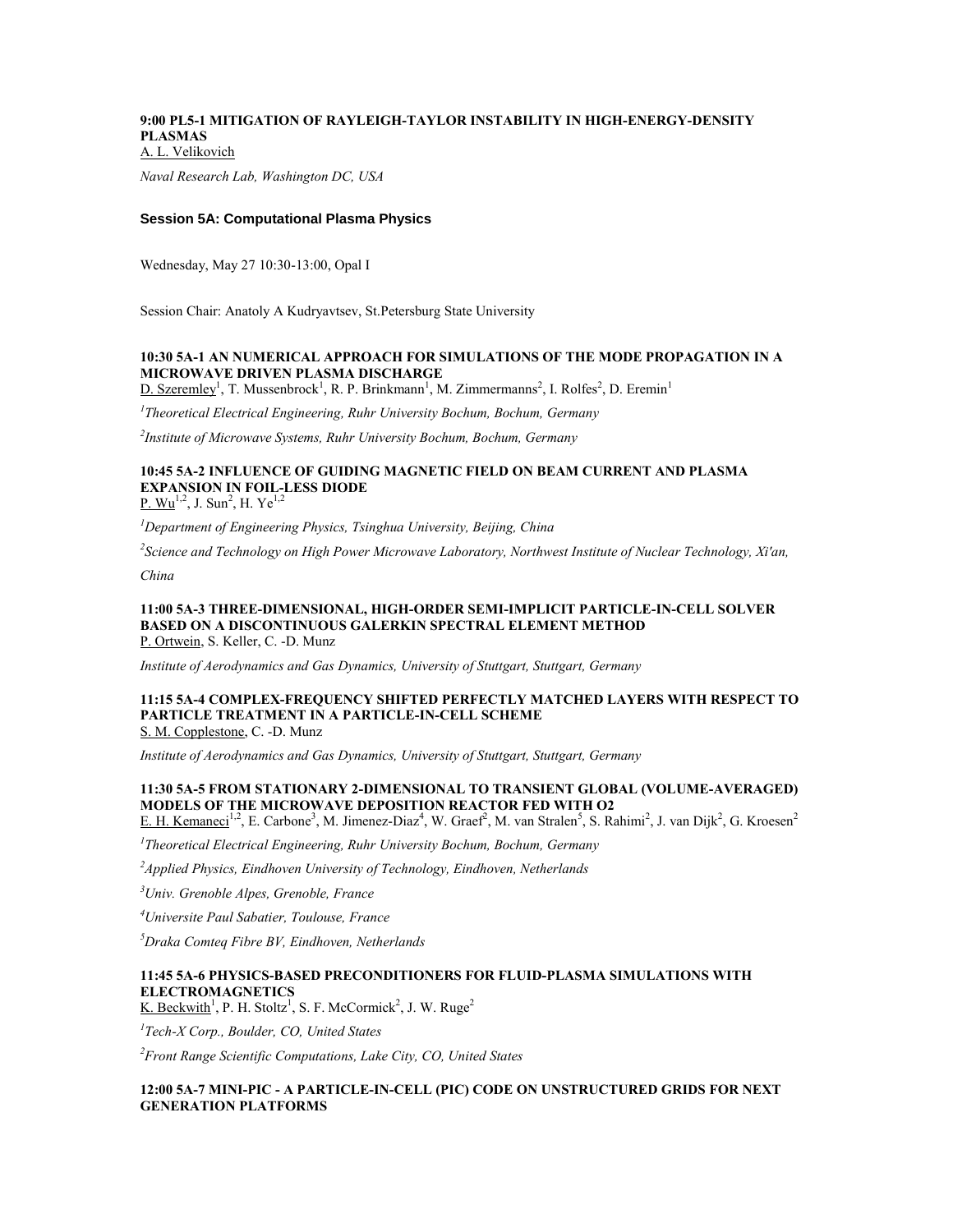# **9:00 PL5-1 MITIGATION OF RAYLEIGH-TAYLOR INSTABILITY IN HIGH-ENERGY-DENSITY PLASMAS**

A. L. Velikovich

*Naval Research Lab, Washington DC, USA*

# **Session 5A: Computational Plasma Physics**

Wednesday, May 27 10:30-13:00, Opal I

Session Chair: Anatoly A Kudryavtsev, St.Petersburg State University

# **10:30 5A-1 AN NUMERICAL APPROACH FOR SIMULATIONS OF THE MODE PROPAGATION IN A MICROWAVE DRIVEN PLASMA DISCHARGE**

 $D.$  Szeremley<sup>1</sup>, T. Mussenbrock<sup>1</sup>, R. P. Brinkmann<sup>1</sup>, M. Zimmermanns<sup>2</sup>, I. Rolfes<sup>2</sup>, D. Eremin<sup>1</sup>

*1 Theoretical Electrical Engineering, Ruhr University Bochum, Bochum, Germany*

*2 Institute of Microwave Systems, Ruhr University Bochum, Bochum, Germany*

# **10:45 5A-2 INFLUENCE OF GUIDING MAGNETIC FIELD ON BEAM CURRENT AND PLASMA EXPANSION IN FOIL-LESS DIODE**

P.  $Wu^{1,2}$ , J. Sun<sup>2</sup>, H. Ye<sup>1,2</sup>

*<sup>1</sup>Department of Engineering Physics, Tsinghua University, Beijing, China*

*2 Science and Technology on High Power Microwave Laboratory, Northwest Institute of Nuclear Technology, Xi'an,* 

*China*

#### **11:00 5A-3 THREE-DIMENSIONAL, HIGH-ORDER SEMI-IMPLICIT PARTICLE-IN-CELL SOLVER BASED ON A DISCONTINUOUS GALERKIN SPECTRAL ELEMENT METHOD** P. Ortwein, S. Keller, C. -D. Munz

*Institute of Aerodynamics and Gas Dynamics, University of Stuttgart, Stuttgart, Germany*

#### **11:15 5A-4 COMPLEX-FREQUENCY SHIFTED PERFECTLY MATCHED LAYERS WITH RESPECT TO PARTICLE TREATMENT IN A PARTICLE-IN-CELL SCHEME** S. M. Copplestone, C. -D. Munz

*Institute of Aerodynamics and Gas Dynamics, University of Stuttgart, Stuttgart, Germany*

# **11:30 5A-5 FROM STATIONARY 2-DIMENSIONAL TO TRANSIENT GLOBAL (VOLUME-AVERAGED) MODELS OF THE MICROWAVE DEPOSITION REACTOR FED WITH O2**

E. H. Kemaneci<sup>1,2</sup>, E. Carbone<sup>3</sup>, M. Jimenez-Diaz<sup>4</sup>, W. Graef<sup>2</sup>, M. van Stralen<sup>5</sup>, S. Rahimi<sup>2</sup>, J. van Dijk<sup>2</sup>, G. Kroesen<sup>2</sup>

*1 Theoretical Electrical Engineering, Ruhr University Bochum, Bochum, Germany*

*<sup>2</sup>Applied Physics, Eindhoven University of Technology, Eindhoven, Netherlands*

*<sup>3</sup>Univ. Grenoble Alpes, Grenoble, France*

*<sup>4</sup>Universite Paul Sabatier, Toulouse, France*

*<sup>5</sup>Draka Comteq Fibre BV, Eindhoven, Netherlands*

# **11:45 5A-6 PHYSICS-BASED PRECONDITIONERS FOR FLUID-PLASMA SIMULATIONS WITH ELECTROMAGNETICS**

K. Beckwith<sup>1</sup>, P. H. Stoltz<sup>1</sup>, S. F. McCormick<sup>2</sup>, J. W. Ruge<sup>2</sup>

*1 Tech-X Corp., Boulder, CO, United States*

*<sup>2</sup>Front Range Scientific Computations, Lake City, CO, United States*

### **12:00 5A-7 MINI-PIC - A PARTICLE-IN-CELL (PIC) CODE ON UNSTRUCTURED GRIDS FOR NEXT GENERATION PLATFORMS**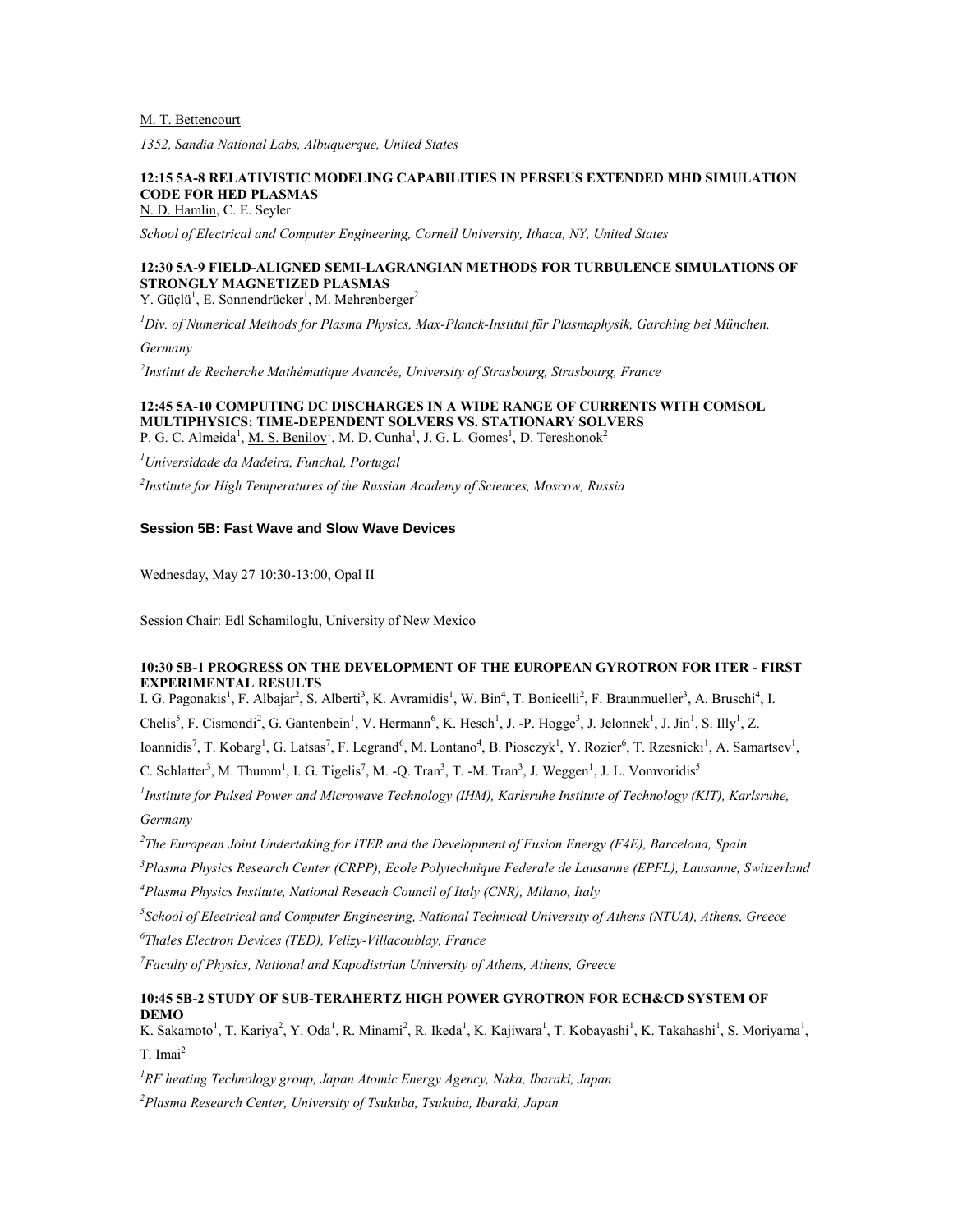# M. T. Bettencourt

*1352, Sandia National Labs, Albuquerque, United States*

# **12:15 5A-8 RELATIVISTIC MODELING CAPABILITIES IN PERSEUS EXTENDED MHD SIMULATION CODE FOR HED PLASMAS**

N. D. Hamlin, C. E. Seyler

*School of Electrical and Computer Engineering, Cornell University, Ithaca, NY, United States*

# **12:30 5A-9 FIELD-ALIGNED SEMI-LAGRANGIAN METHODS FOR TURBULENCE SIMULATIONS OF STRONGLY MAGNETIZED PLASMAS**

Y. Güçlü<sup>1</sup>, E. Sonnendrücker<sup>1</sup>, M. Mehrenberger<sup>2</sup>

*<sup>1</sup>Div. of Numerical Methods for Plasma Physics, Max-Planck-Institut für Plasmaphysik, Garching bei München,* 

*Germany*

*2 Institut de Recherche Mathématique Avancée, University of Strasbourg, Strasbourg, France*

**12:45 5A-10 COMPUTING DC DISCHARGES IN A WIDE RANGE OF CURRENTS WITH COMSOL MULTIPHYSICS: TIME-DEPENDENT SOLVERS VS. STATIONARY SOLVERS** P. G. C. Almeida<sup>1</sup>, <u>M. S. Benilov</u><sup>1</sup>, M. D. Cunha<sup>1</sup>, J. G. L. Gomes<sup>1</sup>, D. Tereshonok<sup>2</sup>

*<sup>1</sup>Universidade da Madeira, Funchal, Portugal*

*2 Institute for High Temperatures of the Russian Academy of Sciences, Moscow, Russia*

# **Session 5B: Fast Wave and Slow Wave Devices**

Wednesday, May 27 10:30-13:00, Opal II

Session Chair: Edl Schamiloglu, University of New Mexico

# **10:30 5B-1 PROGRESS ON THE DEVELOPMENT OF THE EUROPEAN GYROTRON FOR ITER - FIRST EXPERIMENTAL RESULTS**

I. G. Pagonakis<sup>1</sup>, F. Albajar<sup>2</sup>, S. Alberti<sup>3</sup>, K. Avramidis<sup>1</sup>, W. Bin<sup>4</sup>, T. Bonicelli<sup>2</sup>, F. Braunmueller<sup>3</sup>, A. Bruschi<sup>4</sup>, I. Chelis<sup>5</sup>, F. Cismondi<sup>2</sup>, G. Gantenbein<sup>1</sup>, V. Hermann<sup>6</sup>, K. Hesch<sup>1</sup>, J. -P. Hogge<sup>3</sup>, J. Jelonnek<sup>1</sup>, J. Jin<sup>1</sup>, S. Illy<sup>1</sup>, Z. Ioannidis<sup>7</sup>, T. Kobarg<sup>1</sup>, G. Latsas<sup>7</sup>, F. Legrand<sup>6</sup>, M. Lontano<sup>4</sup>, B. Piosczyk<sup>1</sup>, Y. Rozier<sup>6</sup>, T. Rzesnicki<sup>1</sup>, A. Samartsev<sup>1</sup>,

C. Schlatter<sup>3</sup>, M. Thumm<sup>1</sup>, I. G. Tigelis<sup>7</sup>, M. -Q. Tran<sup>3</sup>, T. -M. Tran<sup>3</sup>, J. Weggen<sup>1</sup>, J. L. Vomvoridis<sup>5</sup>

<sup>1</sup> Institute for Pulsed Power and Microwave Technology (IHM), Karlsruhe Institute of Technology (KIT), Karlsruhe, *Germany*

*2 The European Joint Undertaking for ITER and the Development of Fusion Energy (F4E), Barcelona, Spain*

*<sup>3</sup>Plasma Physics Research Center (CRPP), Ecole Polytechnique Federale de Lausanne (EPFL), Lausanne, Switzerland*

*<sup>4</sup>Plasma Physics Institute, National Reseach Council of Italy (CNR), Milano, Italy*

*5 School of Electrical and Computer Engineering, National Technical University of Athens (NTUA), Athens, Greece*

*6 Thales Electron Devices (TED), Velizy-Villacoublay, France*

*<sup>7</sup>Faculty of Physics, National and Kapodistrian University of Athens, Athens, Greece*

# **10:45 5B-2 STUDY OF SUB-TERAHERTZ HIGH POWER GYROTRON FOR ECH&CD SYSTEM OF DEMO**

K. Sakamoto<sup>1</sup>, T. Kariya<sup>2</sup>, Y. Oda<sup>1</sup>, R. Minami<sup>2</sup>, R. Ikeda<sup>1</sup>, K. Kajiwara<sup>1</sup>, T. Kobayashi<sup>1</sup>, K. Takahashi<sup>1</sup>, S. Moriyama<sup>1</sup>,  $T. Imai<sup>2</sup>$ 

*<sup>1</sup>RF heating Technology group, Japan Atomic Energy Agency, Naka, Ibaraki, Japan <sup>2</sup>Plasma Research Center, University of Tsukuba, Tsukuba, Ibaraki, Japan*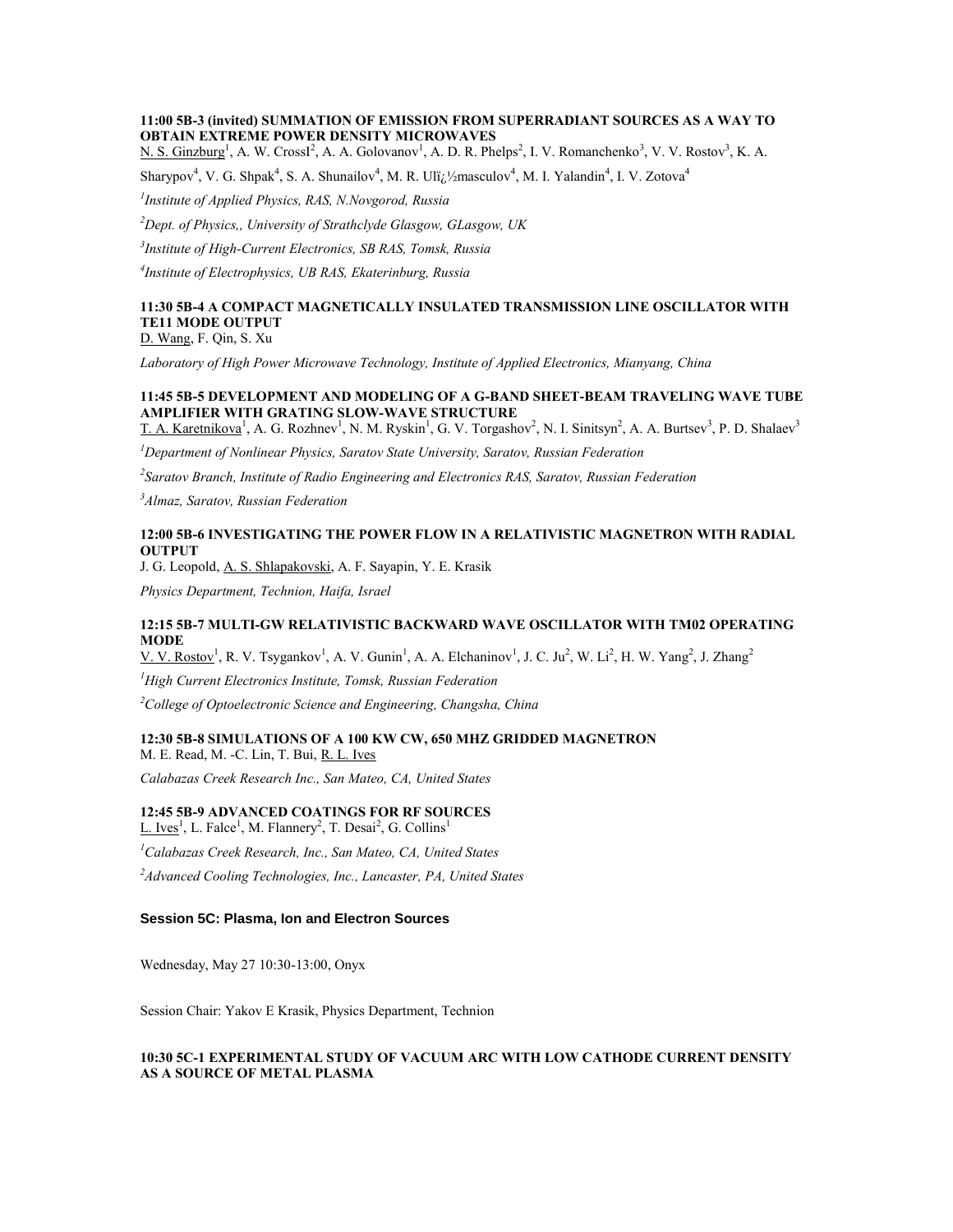# **11:00 5B-3 (invited) SUMMATION OF EMISSION FROM SUPERRADIANT SOURCES AS A WAY TO OBTAIN EXTREME POWER DENSITY MICROWAVES**

N. S. Ginzburg<sup>1</sup>, A. W. CrossI<sup>2</sup>, A. A. Golovanov<sup>1</sup>, A. D. R. Phelps<sup>2</sup>, I. V. Romanchenko<sup>3</sup>, V. V. Rostov<sup>3</sup>, K. A.

Sharypov<sup>4</sup>, V. G. Shpak<sup>4</sup>, S. A. Shunailov<sup>4</sup>, M. R. Ulï<sub>*i*</sub>.1/<sub>2</sub>masculov<sup>4</sup>, M. I. Yalandin<sup>4</sup>, I. V. Zotova<sup>4</sup>

*1 Institute of Applied Physics, RAS, N.Novgorod, Russia*

*<sup>2</sup>Dept. of Physics,, University of Strathclyde Glasgow, GLasgow, UK*

*3 Institute of High-Current Electronics, SB RAS, Tomsk, Russia*

*4 Institute of Electrophysics, UB RAS, Ekaterinburg, Russia*

#### **11:30 5B-4 A COMPACT MAGNETICALLY INSULATED TRANSMISSION LINE OSCILLATOR WITH TE11 MODE OUTPUT** D. Wang, F. Qin, S. Xu

*Laboratory of High Power Microwave Technology, Institute of Applied Electronics, Mianyang, China*

# **11:45 5B-5 DEVELOPMENT AND MODELING OF A G-BAND SHEET-BEAM TRAVELING WAVE TUBE AMPLIFIER WITH GRATING SLOW-WAVE STRUCTURE**

T. A. Karetnikova<sup>1</sup>, A. G. Rozhnev<sup>1</sup>, N. M. Ryskin<sup>1</sup>, G. V. Torgashov<sup>2</sup>, N. I. Sinitsyn<sup>2</sup>, A. A. Burtsev<sup>3</sup>, P. D. Shalaev<sup>3</sup>

*<sup>1</sup>Department of Nonlinear Physics, Saratov State University, Saratov, Russian Federation*

*2 Saratov Branch, Institute of Radio Engineering and Electronics RAS, Saratov, Russian Federation*

*<sup>3</sup>Almaz, Saratov, Russian Federation*

### **12:00 5B-6 INVESTIGATING THE POWER FLOW IN A RELATIVISTIC MAGNETRON WITH RADIAL OUTPUT**

J. G. Leopold, A. S. Shlapakovski, A. F. Sayapin, Y. E. Krasik

*Physics Department, Technion, Haifa, Israel*

# **12:15 5B-7 MULTI-GW RELATIVISTIC BACKWARD WAVE OSCILLATOR WITH TM02 OPERATING MODE**

V. V. Rostov<sup>1</sup>, R. V. Tsygankov<sup>1</sup>, A. V. Gunin<sup>1</sup>, A. A. Elchaninov<sup>1</sup>, J. C. Ju<sup>2</sup>, W. Li<sup>2</sup>, H. W. Yang<sup>2</sup>, J. Zhang<sup>2</sup>

*<sup>1</sup>High Current Electronics Institute, Tomsk, Russian Federation*

*<sup>2</sup>College of Optoelectronic Science and Engineering, Changsha, China*

#### **12:30 5B-8 SIMULATIONS OF A 100 KW CW, 650 MHZ GRIDDED MAGNETRON**

M. E. Read, M. -C. Lin, T. Bui, R. L. Ives *Calabazas Creek Research Inc., San Mateo, CA, United States*

#### **12:45 5B-9 ADVANCED COATINGS FOR RF SOURCES**

L. Ives<sup>1</sup>, L. Falce<sup>1</sup>, M. Flannery<sup>2</sup>, T. Desai<sup>2</sup>, G. Collins<sup>1</sup> *<sup>1</sup>Calabazas Creek Research, Inc., San Mateo, CA, United States <sup>2</sup>Advanced Cooling Technologies, Inc., Lancaster, PA, United States*

#### **Session 5C: Plasma, Ion and Electron Sources**

Wednesday, May 27 10:30-13:00, Onyx

Session Chair: Yakov E Krasik, Physics Department, Technion

# **10:30 5C-1 EXPERIMENTAL STUDY OF VACUUM ARC WITH LOW CATHODE CURRENT DENSITY AS A SOURCE OF METAL PLASMA**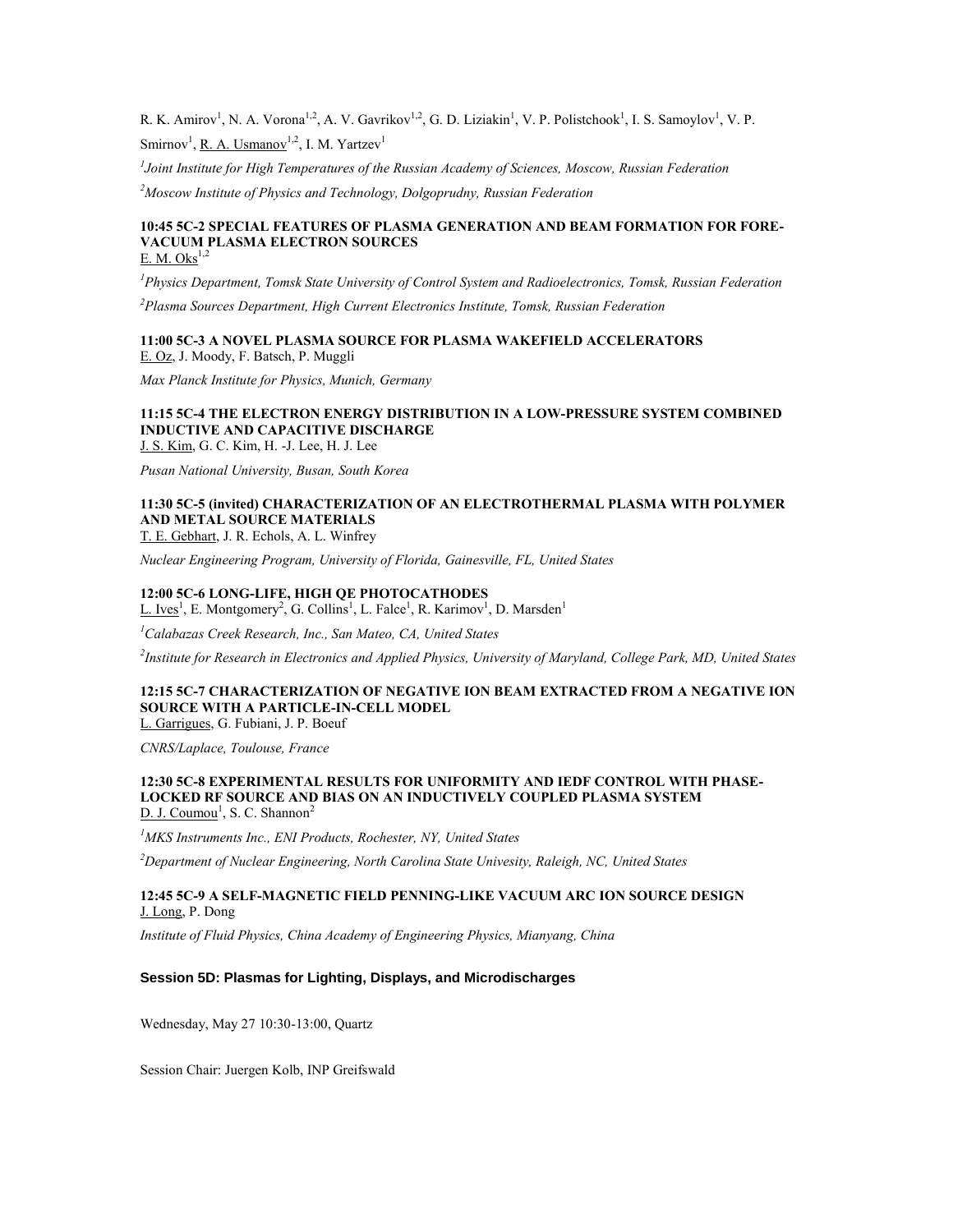R. K. Amirov<sup>1</sup>, N. A. Vorona<sup>1,2</sup>, A. V. Gavrikov<sup>1,2</sup>, G. D. Liziakin<sup>1</sup>, V. P. Polistchook<sup>1</sup>, I. S. Samoylov<sup>1</sup>, V. P. Smirnov<sup>1</sup>, R. A. Usmanov<sup>1,2</sup>, I. M. Yartzev<sup>1</sup>

*1 Joint Institute for High Temperatures of the Russian Academy of Sciences, Moscow, Russian Federation*

*<sup>2</sup>Moscow Institute of Physics and Technology, Dolgoprudny, Russian Federation*

#### **10:45 5C-2 SPECIAL FEATURES OF PLASMA GENERATION AND BEAM FORMATION FOR FORE-VACUUM PLASMA ELECTRON SOURCES** E. M. Oks $^{1,2}$

*<sup>1</sup>Physics Department, Tomsk State University of Control System and Radioelectronics, Tomsk, Russian Federation*

*<sup>2</sup>Plasma Sources Department, High Current Electronics Institute, Tomsk, Russian Federation*

#### **11:00 5C-3 A NOVEL PLASMA SOURCE FOR PLASMA WAKEFIELD ACCELERATORS** E. Oz, J. Moody, F. Batsch, P. Muggli

*Max Planck Institute for Physics, Munich, Germany*

#### **11:15 5C-4 THE ELECTRON ENERGY DISTRIBUTION IN A LOW-PRESSURE SYSTEM COMBINED INDUCTIVE AND CAPACITIVE DISCHARGE** J. S. Kim, G. C. Kim, H. -J. Lee, H. J. Lee

*Pusan National University, Busan, South Korea*

#### **11:30 5C-5 (invited) CHARACTERIZATION OF AN ELECTROTHERMAL PLASMA WITH POLYMER AND METAL SOURCE MATERIALS** T. E. Gebhart, J. R. Echols, A. L. Winfrey

*Nuclear Engineering Program, University of Florida, Gainesville, FL, United States*

### **12:00 5C-6 LONG-LIFE, HIGH QE PHOTOCATHODES**

L. Ives<sup>1</sup>, E. Montgomery<sup>2</sup>, G. Collins<sup>1</sup>, L. Falce<sup>1</sup>, R. Karimov<sup>1</sup>, D. Marsden<sup>1</sup>

*<sup>1</sup>Calabazas Creek Research, Inc., San Mateo, CA, United States*

*2 Institute for Research in Electronics and Applied Physics, University of Maryland, College Park, MD, United States*

#### **12:15 5C-7 CHARACTERIZATION OF NEGATIVE ION BEAM EXTRACTED FROM A NEGATIVE ION SOURCE WITH A PARTICLE-IN-CELL MODEL** L. Garrigues, G. Fubiani, J. P. Boeuf

*CNRS/Laplace, Toulouse, France*

#### **12:30 5C-8 EXPERIMENTAL RESULTS FOR UNIFORMITY AND IEDF CONTROL WITH PHASE-LOCKED RF SOURCE AND BIAS ON AN INDUCTIVELY COUPLED PLASMA SYSTEM** D. J. Coumou<sup>1</sup>, S. C. Shannon<sup>2</sup>

*<sup>1</sup>MKS Instruments Inc., ENI Products, Rochester, NY, United States*

*<sup>2</sup>Department of Nuclear Engineering, North Carolina State Univesity, Raleigh, NC, United States*

#### **12:45 5C-9 A SELF-MAGNETIC FIELD PENNING-LIKE VACUUM ARC ION SOURCE DESIGN** J. Long, P. Dong

*Institute of Fluid Physics, China Academy of Engineering Physics, Mianyang, China*

# **Session 5D: Plasmas for Lighting, Displays, and Microdischarges**

Wednesday, May 27 10:30-13:00, Quartz

Session Chair: Juergen Kolb, INP Greifswald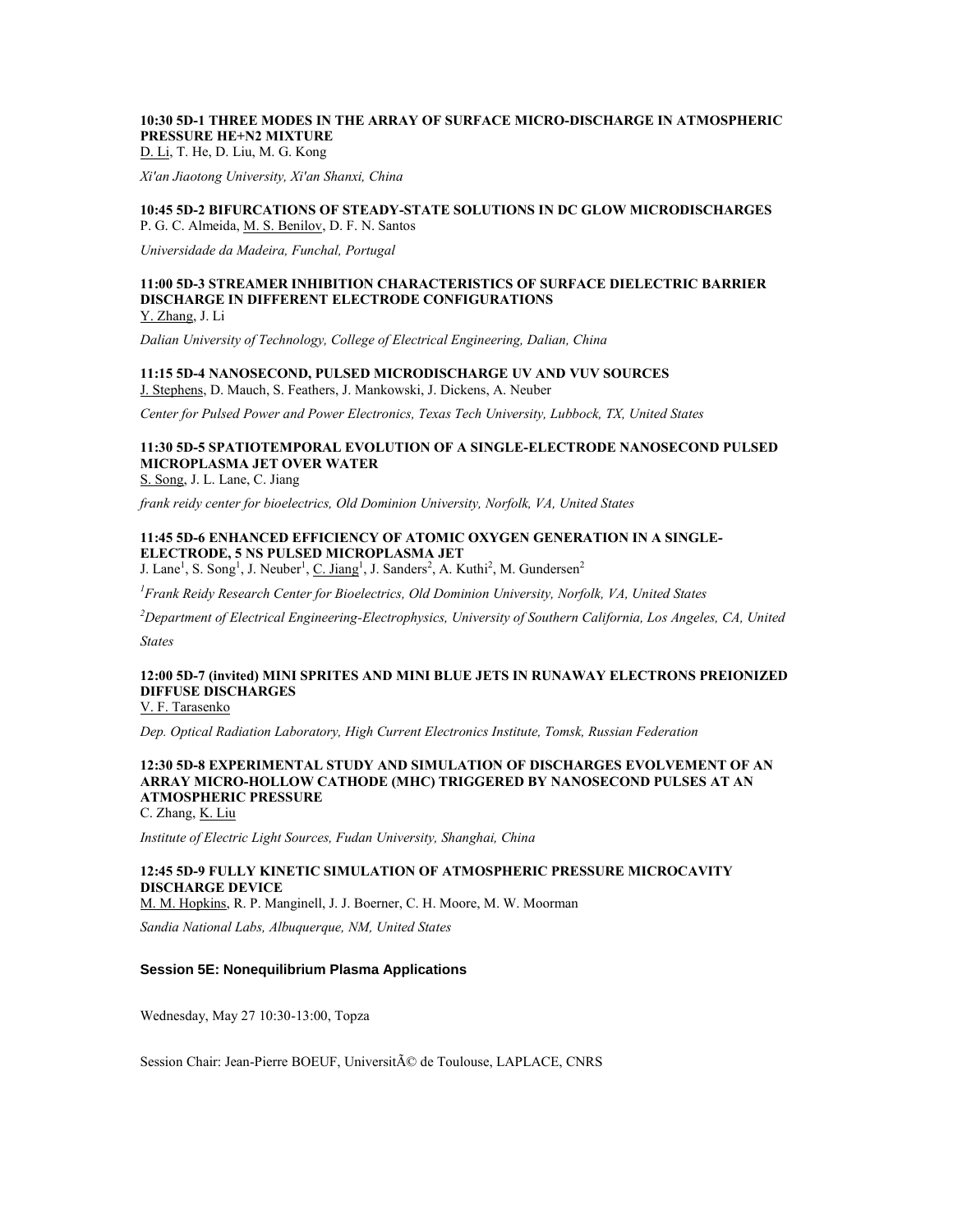# **10:30 5D-1 THREE MODES IN THE ARRAY OF SURFACE MICRO-DISCHARGE IN ATMOSPHERIC PRESSURE HE+N2 MIXTURE**

D. Li, T. He, D. Liu, M. G. Kong

*Xi'an Jiaotong University, Xi'an Shanxi, China*

#### **10:45 5D-2 BIFURCATIONS OF STEADY-STATE SOLUTIONS IN DC GLOW MICRODISCHARGES** P. G. C. Almeida, M. S. Benilov, D. F. N. Santos

*Universidade da Madeira, Funchal, Portugal*

# **11:00 5D-3 STREAMER INHIBITION CHARACTERISTICS OF SURFACE DIELECTRIC BARRIER DISCHARGE IN DIFFERENT ELECTRODE CONFIGURATIONS**

Y. Zhang, J. Li

*Dalian University of Technology, College of Electrical Engineering, Dalian, China*

#### **11:15 5D-4 NANOSECOND, PULSED MICRODISCHARGE UV AND VUV SOURCES** J. Stephens, D. Mauch, S. Feathers, J. Mankowski, J. Dickens, A. Neuber

*Center for Pulsed Power and Power Electronics, Texas Tech University, Lubbock, TX, United States*

# **11:30 5D-5 SPATIOTEMPORAL EVOLUTION OF A SINGLE-ELECTRODE NANOSECOND PULSED MICROPLASMA JET OVER WATER**

S. Song, J. L. Lane, C. Jiang

*frank reidy center for bioelectrics, Old Dominion University, Norfolk, VA, United States*

#### **11:45 5D-6 ENHANCED EFFICIENCY OF ATOMIC OXYGEN GENERATION IN A SINGLE-ELECTRODE, 5 NS PULSED MICROPLASMA JET**

J. Lane<sup>1</sup>, S. Song<sup>1</sup>, J. Neuber<sup>1</sup>, <u>C. Jiang</u><sup>1</sup>, J. Sanders<sup>2</sup>, A. Kuthi<sup>2</sup>, M. Gundersen<sup>2</sup>

*<sup>1</sup>Frank Reidy Research Center for Bioelectrics, Old Dominion University, Norfolk, VA, United States*

*<sup>2</sup>Department of Electrical Engineering-Electrophysics, University of Southern California, Los Angeles, CA, United* 

*States*

# **12:00 5D-7 (invited) MINI SPRITES AND MINI BLUE JETS IN RUNAWAY ELECTRONS PREIONIZED DIFFUSE DISCHARGES**

V. F. Tarasenko

*Dep. Optical Radiation Laboratory, High Current Electronics Institute, Tomsk, Russian Federation*

# **12:30 5D-8 EXPERIMENTAL STUDY AND SIMULATION OF DISCHARGES EVOLVEMENT OF AN ARRAY MICRO-HOLLOW CATHODE (MHC) TRIGGERED BY NANOSECOND PULSES AT AN ATMOSPHERIC PRESSURE**

C. Zhang, K. Liu

*Institute of Electric Light Sources, Fudan University, Shanghai, China*

# **12:45 5D-9 FULLY KINETIC SIMULATION OF ATMOSPHERIC PRESSURE MICROCAVITY DISCHARGE DEVICE**

M. M. Hopkins, R. P. Manginell, J. J. Boerner, C. H. Moore, M. W. Moorman

*Sandia National Labs, Albuquerque, NM, United States*

#### **Session 5E: Nonequilibrium Plasma Applications**

Wednesday, May 27 10:30-13:00, Topza

Session Chair: Jean-Pierre BOEUF, Université de Toulouse, LAPLACE, CNRS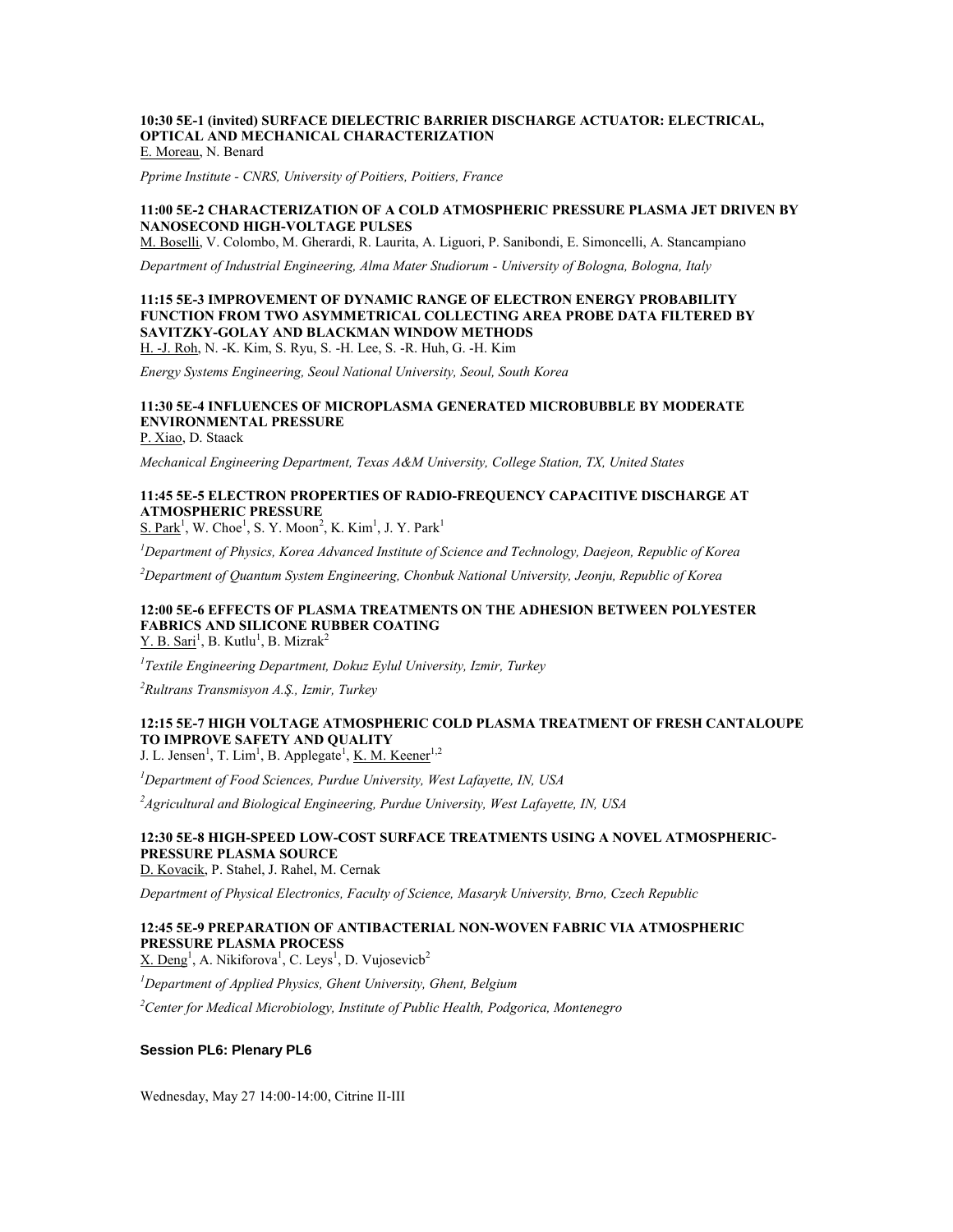#### **10:30 5E-1 (invited) SURFACE DIELECTRIC BARRIER DISCHARGE ACTUATOR: ELECTRICAL, OPTICAL AND MECHANICAL CHARACTERIZATION** E. Moreau, N. Benard

*Pprime Institute - CNRS, University of Poitiers, Poitiers, France*

#### **11:00 5E-2 CHARACTERIZATION OF A COLD ATMOSPHERIC PRESSURE PLASMA JET DRIVEN BY NANOSECOND HIGH-VOLTAGE PULSES**

M. Boselli, V. Colombo, M. Gherardi, R. Laurita, A. Liguori, P. Sanibondi, E. Simoncelli, A. Stancampiano

*Department of Industrial Engineering, Alma Mater Studiorum - University of Bologna, Bologna, Italy*

#### **11:15 5E-3 IMPROVEMENT OF DYNAMIC RANGE OF ELECTRON ENERGY PROBABILITY FUNCTION FROM TWO ASYMMETRICAL COLLECTING AREA PROBE DATA FILTERED BY SAVITZKY-GOLAY AND BLACKMAN WINDOW METHODS** H. -J. Roh, N. -K. Kim, S. Ryu, S. -H. Lee, S. -R. Huh, G. -H. Kim

*Energy Systems Engineering, Seoul National University, Seoul, South Korea*

#### **11:30 5E-4 INFLUENCES OF MICROPLASMA GENERATED MICROBUBBLE BY MODERATE ENVIRONMENTAL PRESSURE** P. Xiao, D. Staack

*Mechanical Engineering Department, Texas A&M University, College Station, TX, United States*

# **11:45 5E-5 ELECTRON PROPERTIES OF RADIO-FREQUENCY CAPACITIVE DISCHARGE AT ATMOSPHERIC PRESSURE**

 $S.$  Park<sup>1</sup>, W. Choe<sup>1</sup>, S. Y. Moon<sup>2</sup>, K. Kim<sup>1</sup>, J. Y. Park<sup>1</sup>

*<sup>1</sup>Department of Physics, Korea Advanced Institute of Science and Technology, Daejeon, Republic of Korea*

*<sup>2</sup>Department of Quantum System Engineering, Chonbuk National University, Jeonju, Republic of Korea*

### **12:00 5E-6 EFFECTS OF PLASMA TREATMENTS ON THE ADHESION BETWEEN POLYESTER FABRICS AND SILICONE RUBBER COATING**  $Y. B. Sari<sup>1</sup>$ , B. Kutlu<sup>1</sup>, B. Mizrak<sup>2</sup>

*1 Textile Engineering Department, Dokuz Eylul University, Izmir, Turkey*

*<sup>2</sup>Rultrans Transmisyon A.Ş., Izmir, Turkey*

# **12:15 5E-7 HIGH VOLTAGE ATMOSPHERIC COLD PLASMA TREATMENT OF FRESH CANTALOUPE TO IMPROVE SAFETY AND QUALITY**

J. L. Jensen<sup>1</sup>, T. Lim<sup>1</sup>, B. Applegate<sup>1</sup>, <u>K. M. Keener</u><sup>1,2</sup>

*<sup>1</sup>Department of Food Sciences, Purdue University, West Lafayette, IN, USA*

<sup>2</sup>*Agricultural and Biological Engineering, Purdue University, West Lafayette, IN, USA* 

# **12:30 5E-8 HIGH-SPEED LOW-COST SURFACE TREATMENTS USING A NOVEL ATMOSPHERIC-PRESSURE PLASMA SOURCE**

D. Kovacik, P. Stahel, J. Rahel, M. Cernak

*Department of Physical Electronics, Faculty of Science, Masaryk University, Brno, Czech Republic*

# **12:45 5E-9 PREPARATION OF ANTIBACTERIAL NON-WOVEN FABRIC VIA ATMOSPHERIC PRESSURE PLASMA PROCESS**

 $X.$  Deng<sup>1</sup>, A. Nikiforova<sup>1</sup>, C. Leys<sup>1</sup>, D. Vujosevicb<sup>2</sup>

*<sup>1</sup>Department of Applied Physics, Ghent University, Ghent, Belgium*

*<sup>2</sup>Center for Medical Microbiology, Institute of Public Health, Podgorica, Montenegro*

#### **Session PL6: Plenary PL6**

Wednesday, May 27 14:00-14:00, Citrine II-III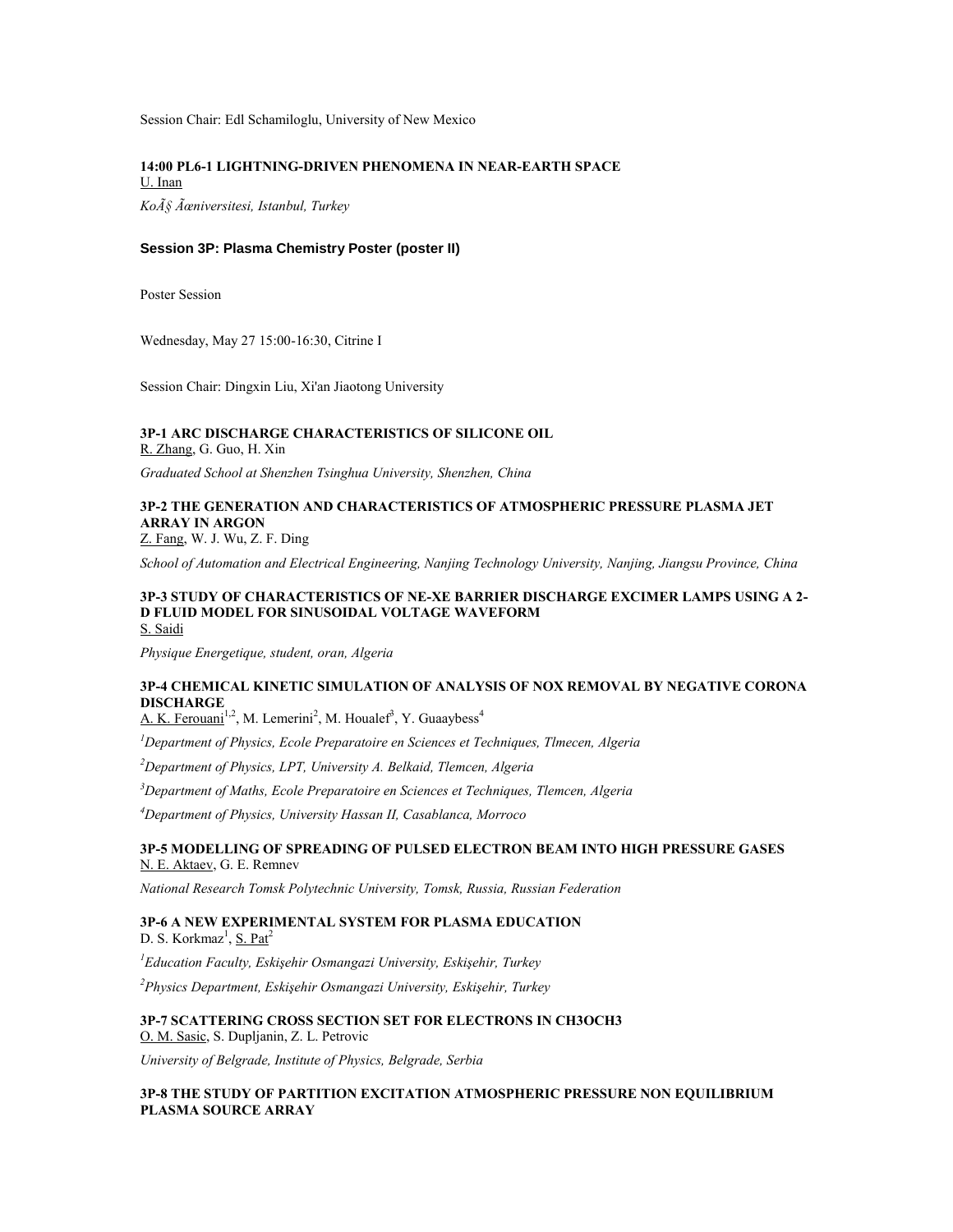Session Chair: Edl Schamiloglu, University of New Mexico

# **14:00 PL6-1 LIGHTNING-DRIVEN PHENOMENA IN NEAR-EARTH SPACE** U. Inan

*Koç Üniversitesi, Istanbul, Turkey*

# **Session 3P: Plasma Chemistry Poster (poster II)**

Poster Session

Wednesday, May 27 15:00-16:30, Citrine I

Session Chair: Dingxin Liu, Xi'an Jiaotong University

# **3P-1 ARC DISCHARGE CHARACTERISTICS OF SILICONE OIL**

R. Zhang, G. Guo, H. Xin

*Graduated School at Shenzhen Tsinghua University, Shenzhen, China*

# **3P-2 THE GENERATION AND CHARACTERISTICS OF ATMOSPHERIC PRESSURE PLASMA JET ARRAY IN ARGON**

Z. Fang, W. J. Wu, Z. F. Ding

*School of Automation and Electrical Engineering, Nanjing Technology University, Nanjing, Jiangsu Province, China*

#### **3P-3 STUDY OF CHARACTERISTICS OF NE-XE BARRIER DISCHARGE EXCIMER LAMPS USING A 2- D FLUID MODEL FOR SINUSOIDAL VOLTAGE WAVEFORM** S. Saidi

*Physique Energetique, student, oran, Algeria*

# **3P-4 CHEMICAL KINETIC SIMULATION OF ANALYSIS OF NOX REMOVAL BY NEGATIVE CORONA DISCHARGE**

A. K. Ferouani<sup>1,2</sup>, M. Lemerini<sup>2</sup>, M. Houalef<sup>3</sup>, Y. Guaaybess<sup>4</sup>

*<sup>1</sup>Department of Physics, Ecole Preparatoire en Sciences et Techniques, Tlmecen, Algeria*

*<sup>2</sup>Department of Physics, LPT, University A. Belkaid, Tlemcen, Algeria*

*<sup>3</sup>Department of Maths, Ecole Preparatoire en Sciences et Techniques, Tlemcen, Algeria*

*<sup>4</sup>Department of Physics, University Hassan II, Casablanca, Morroco*

### **3P-5 MODELLING OF SPREADING OF PULSED ELECTRON BEAM INTO HIGH PRESSURE GASES** N. E. Aktaev, G. E. Remnev

*National Research Tomsk Polytechnic University, Tomsk, Russia, Russian Federation*

#### **3P-6 A NEW EXPERIMENTAL SYSTEM FOR PLASMA EDUCATION** D. S. Korkmaz<sup>1</sup>, S. Pat<sup>2</sup>

*<sup>1</sup>Education Faculty, Eskişehir Osmangazi University, Eskişehir, Turkey*

*<sup>2</sup>Physics Department, Eskişehir Osmangazi University, Eskişehir, Turkey*

**3P-7 SCATTERING CROSS SECTION SET FOR ELECTRONS IN CH3OCH3** O. M. Sasic, S. Dupljanin, Z. L. Petrovic

*University of Belgrade, Institute of Physics, Belgrade, Serbia*

### **3P-8 THE STUDY OF PARTITION EXCITATION ATMOSPHERIC PRESSURE NON EQUILIBRIUM PLASMA SOURCE ARRAY**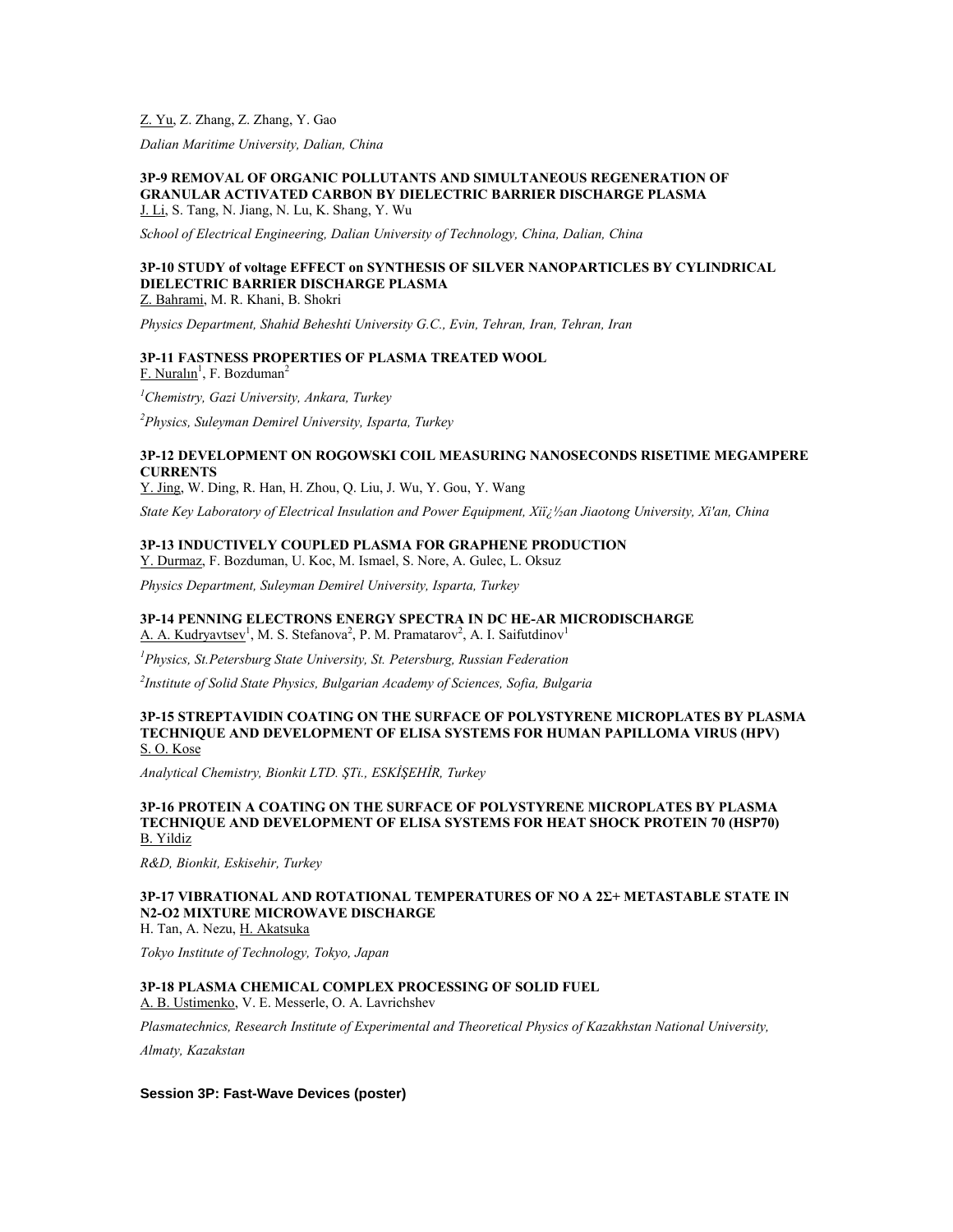# Z. Yu, Z. Zhang, Z. Zhang, Y. Gao

*Dalian Maritime University, Dalian, China*

#### **3P-9 REMOVAL OF ORGANIC POLLUTANTS AND SIMULTANEOUS REGENERATION OF GRANULAR ACTIVATED CARBON BY DIELECTRIC BARRIER DISCHARGE PLASMA** J. Li, S. Tang, N. Jiang, N. Lu, K. Shang, Y. Wu

*School of Electrical Engineering, Dalian University of Technology, China, Dalian, China*

# **3P-10 STUDY of voltage EFFECT on SYNTHESIS OF SILVER NANOPARTICLES BY CYLINDRICAL DIELECTRIC BARRIER DISCHARGE PLASMA**

Z. Bahrami, M. R. Khani, B. Shokri

*Physics Department, Shahid Beheshti University G.C., Evin, Tehran, Iran, Tehran, Iran*

# **3P-11 FASTNESS PROPERTIES OF PLASMA TREATED WOOL**

F. Nuralın<sup>1</sup>, F. Bozduman<sup>2</sup>

*<sup>1</sup>Chemistry, Gazi University, Ankara, Turkey*

*<sup>2</sup>Physics, Suleyman Demirel University, Isparta, Turkey*

### **3P-12 DEVELOPMENT ON ROGOWSKI COIL MEASURING NANOSECONDS RISETIME MEGAMPERE CURRENTS**

Y. Jing, W. Ding, R. Han, H. Zhou, Q. Liu, J. Wu, Y. Gou, Y. Wang

*State Key Laboratory of Electrical Insulation and Power Equipment, Xii;*  $\frac{1}{2}$ *an Jiaotong University, Xi'an, China* 

# **3P-13 INDUCTIVELY COUPLED PLASMA FOR GRAPHENE PRODUCTION**

Y. Durmaz, F. Bozduman, U. Koc, M. Ismael, S. Nore, A. Gulec, L. Oksuz

*Physics Department, Suleyman Demirel University, Isparta, Turkey*

#### **3P-14 PENNING ELECTRONS ENERGY SPECTRA IN DC HE-AR MICRODISCHARGE** A. A. Kudryavtsev<sup>1</sup>, M. S. Stefanova<sup>2</sup>, P. M. Pramatarov<sup>2</sup>, A. I. Saifutdinov<sup>1</sup>

*<sup>1</sup>Physics, St.Petersburg State University, St. Petersburg, Russian Federation*

*2 Institute of Solid State Physics, Bulgarian Academy of Sciences, Sofia, Bulgaria*

#### **3P-15 STREPTAVIDIN COATING ON THE SURFACE OF POLYSTYRENE MICROPLATES BY PLASMA TECHNIQUE AND DEVELOPMENT OF ELISA SYSTEMS FOR HUMAN PAPILLOMA VIRUS (HPV)** S. O. Kose

*Analytical Chemistry, Bionkit LTD. ŞTi., ESKİŞEHİR, Turkey*

#### **3P-16 PROTEIN A COATING ON THE SURFACE OF POLYSTYRENE MICROPLATES BY PLASMA TECHNIQUE AND DEVELOPMENT OF ELISA SYSTEMS FOR HEAT SHOCK PROTEIN 70 (HSP70)** B. Yildiz

*R&D, Bionkit, Eskisehir, Turkey*

# **3P-17 VIBRATIONAL AND ROTATIONAL TEMPERATURES OF NO A 2Σ+ METASTABLE STATE IN N2-O2 MIXTURE MICROWAVE DISCHARGE**

H. Tan, A. Nezu, H. Akatsuka

*Tokyo Institute of Technology, Tokyo, Japan*

# **3P-18 PLASMA CHEMICAL COMPLEX PROCESSING OF SOLID FUEL**

A. B. Ustimenko, V. E. Messerle, O. A. Lavrichshev

*Plasmatechnics, Research Institute of Experimental and Theoretical Physics of Kazakhstan National University,* 

*Almaty, Kazakstan*

### **Session 3P: Fast-Wave Devices (poster)**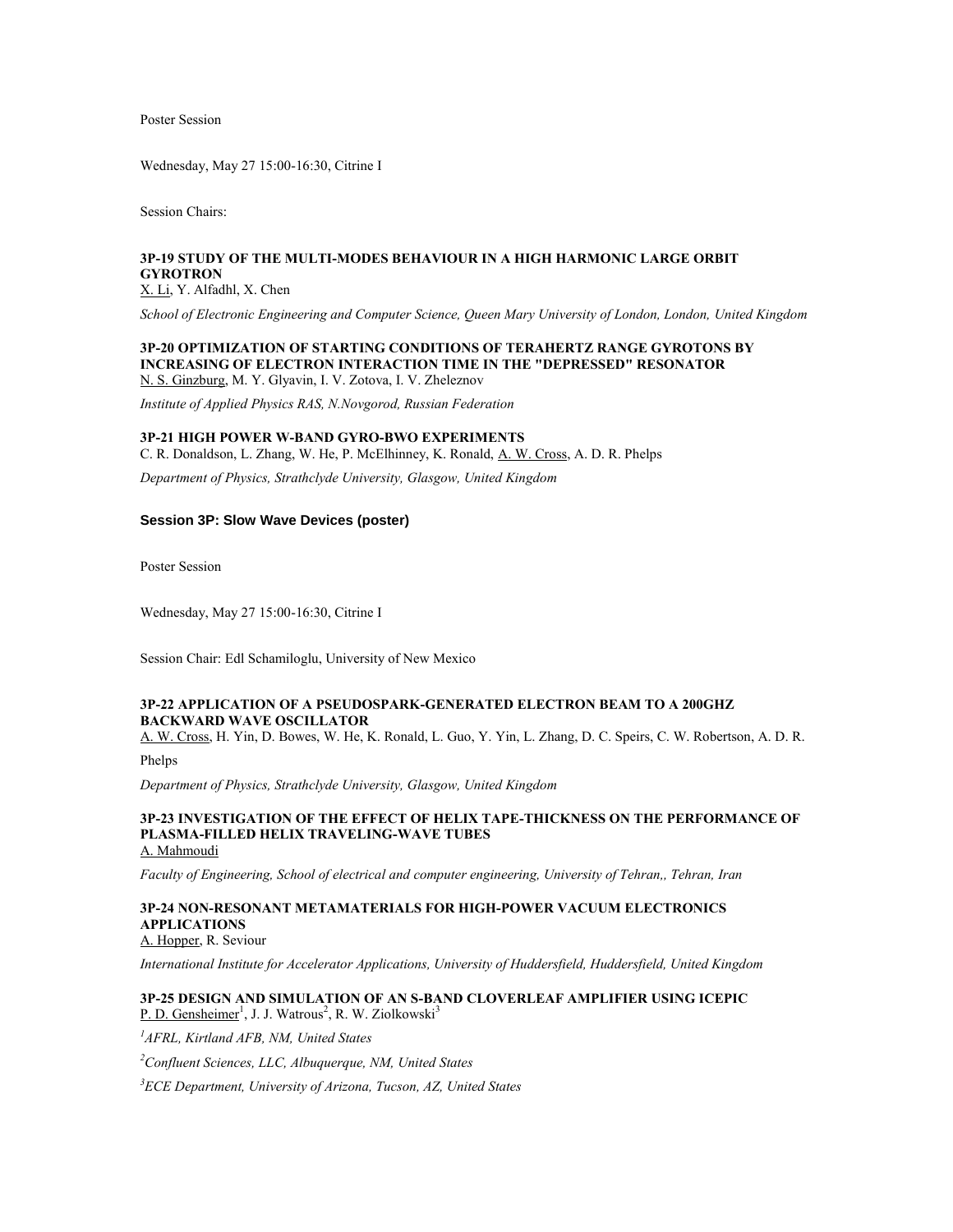Poster Session

Wednesday, May 27 15:00-16:30, Citrine I

Session Chairs:

# **3P-19 STUDY OF THE MULTI-MODES BEHAVIOUR IN A HIGH HARMONIC LARGE ORBIT GYROTRON**

X. Li, Y. Alfadhl, X. Chen

*School of Electronic Engineering and Computer Science, Queen Mary University of London, London, United Kingdom*

#### **3P-20 OPTIMIZATION OF STARTING CONDITIONS OF TERAHERTZ RANGE GYROTONS BY INCREASING OF ELECTRON INTERACTION TIME IN THE "DEPRESSED" RESONATOR** N. S. Ginzburg, M. Y. Glyavin, I. V. Zotova, I. V. Zheleznov

*Institute of Applied Physics RAS, N.Novgorod, Russian Federation*

### **3P-21 HIGH POWER W-BAND GYRO-BWO EXPERIMENTS**

C. R. Donaldson, L. Zhang, W. He, P. McElhinney, K. Ronald, A. W. Cross, A. D. R. Phelps

*Department of Physics, Strathclyde University, Glasgow, United Kingdom*

#### **Session 3P: Slow Wave Devices (poster)**

Poster Session

Wednesday, May 27 15:00-16:30, Citrine I

Session Chair: Edl Schamiloglu, University of New Mexico

# **3P-22 APPLICATION OF A PSEUDOSPARK-GENERATED ELECTRON BEAM TO A 200GHZ BACKWARD WAVE OSCILLATOR**

A. W. Cross, H. Yin, D. Bowes, W. He, K. Ronald, L. Guo, Y. Yin, L. Zhang, D. C. Speirs, C. W. Robertson, A. D. R.

Phelps

*Department of Physics, Strathclyde University, Glasgow, United Kingdom*

#### **3P-23 INVESTIGATION OF THE EFFECT OF HELIX TAPE-THICKNESS ON THE PERFORMANCE OF PLASMA-FILLED HELIX TRAVELING-WAVE TUBES** A. Mahmoudi

*Faculty of Engineering, School of electrical and computer engineering, University of Tehran,, Tehran, Iran*

# **3P-24 NON-RESONANT METAMATERIALS FOR HIGH-POWER VACUUM ELECTRONICS APPLICATIONS**

A. Hopper, R. Seviour

*International Institute for Accelerator Applications, University of Huddersfield, Huddersfield, United Kingdom*

### **3P-25 DESIGN AND SIMULATION OF AN S-BAND CLOVERLEAF AMPLIFIER USING ICEPIC** P. D. Gensheimer<sup>1</sup>, J. J. Watrous<sup>2</sup>, R. W. Ziolkowski<sup>3</sup>

*<sup>1</sup>AFRL, Kirtland AFB, NM, United States*

*<sup>2</sup>Confluent Sciences, LLC, Albuquerque, NM, United States*

*<sup>3</sup>ECE Department, University of Arizona, Tucson, AZ, United States*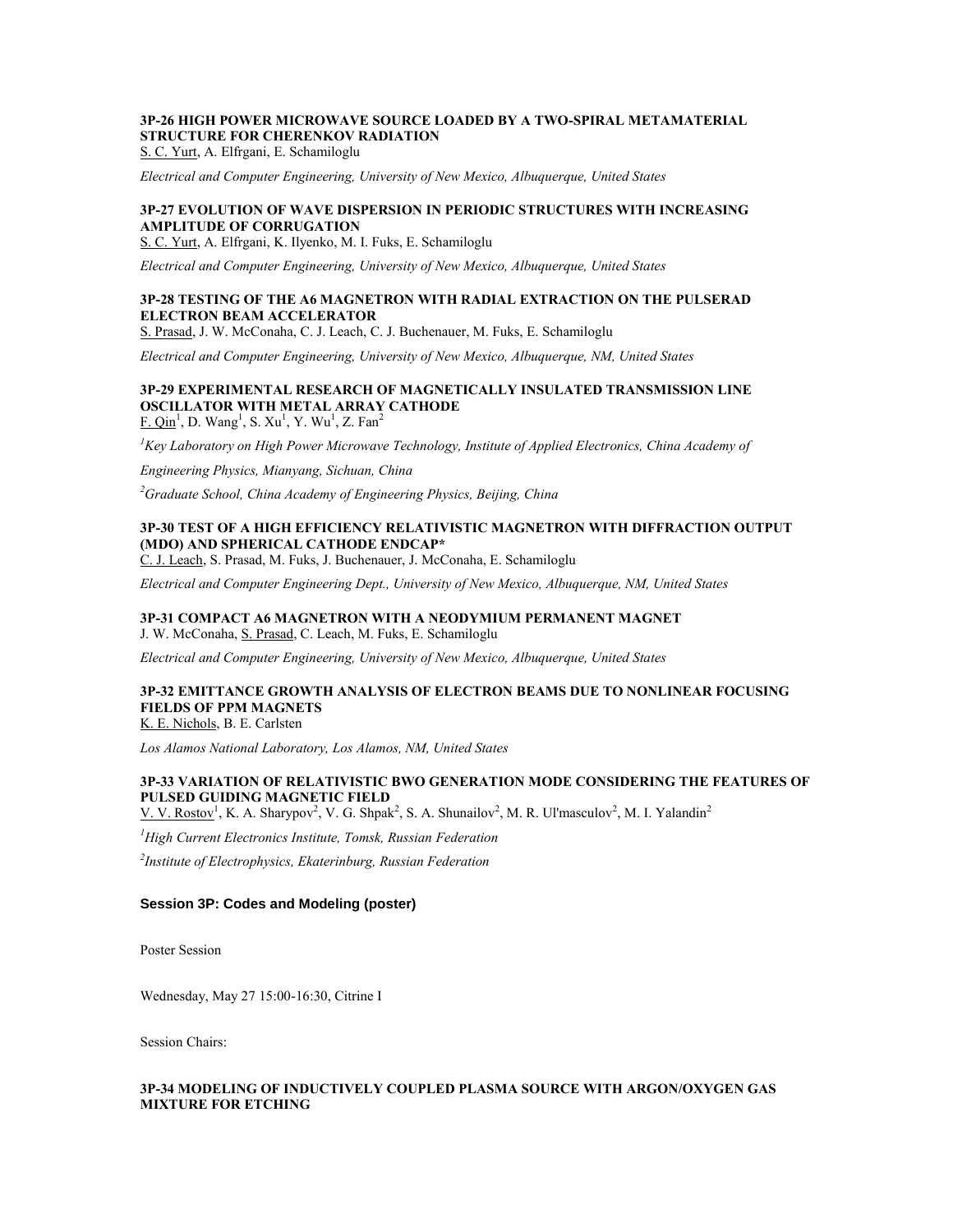# **3P-26 HIGH POWER MICROWAVE SOURCE LOADED BY A TWO-SPIRAL METAMATERIAL STRUCTURE FOR CHERENKOV RADIATION**

S. C. Yurt, A. Elfrgani, E. Schamiloglu

*Electrical and Computer Engineering, University of New Mexico, Albuquerque, United States*

### **3P-27 EVOLUTION OF WAVE DISPERSION IN PERIODIC STRUCTURES WITH INCREASING AMPLITUDE OF CORRUGATION**

S. C. Yurt, A. Elfrgani, K. Ilyenko, M. I. Fuks, E. Schamiloglu

*Electrical and Computer Engineering, University of New Mexico, Albuquerque, United States*

### **3P-28 TESTING OF THE A6 MAGNETRON WITH RADIAL EXTRACTION ON THE PULSERAD ELECTRON BEAM ACCELERATOR**

S. Prasad, J. W. McConaha, C. J. Leach, C. J. Buchenauer, M. Fuks, E. Schamiloglu

*Electrical and Computer Engineering, University of New Mexico, Albuquerque, NM, United States*

#### **3P-29 EXPERIMENTAL RESEARCH OF MAGNETICALLY INSULATED TRANSMISSION LINE OSCILLATOR WITH METAL ARRAY CATHODE**  $F. Qin<sup>1</sup>, D. Wang<sup>1</sup>, S. Xu<sup>1</sup>, Y. Wu<sup>1</sup>, Z. Fan<sup>2</sup>$

*<sup>1</sup>Key Laboratory on High Power Microwave Technology, Institute of Applied Electronics, China Academy of* 

*Engineering Physics, Mianyang, Sichuan, China*

*<sup>2</sup>Graduate School, China Academy of Engineering Physics, Beijing, China*

### **3P-30 TEST OF A HIGH EFFICIENCY RELATIVISTIC MAGNETRON WITH DIFFRACTION OUTPUT (MDO) AND SPHERICAL CATHODE ENDCAP\***

C. J. Leach, S. Prasad, M. Fuks, J. Buchenauer, J. McConaha, E. Schamiloglu

*Electrical and Computer Engineering Dept., University of New Mexico, Albuquerque, NM, United States*

### **3P-31 COMPACT A6 MAGNETRON WITH A NEODYMIUM PERMANENT MAGNET** J. W. McConaha, S. Prasad, C. Leach, M. Fuks, E. Schamiloglu

*Electrical and Computer Engineering, University of New Mexico, Albuquerque, United States*

# **3P-32 EMITTANCE GROWTH ANALYSIS OF ELECTRON BEAMS DUE TO NONLINEAR FOCUSING FIELDS OF PPM MAGNETS**

K. E. Nichols, B. E. Carlsten

*Los Alamos National Laboratory, Los Alamos, NM, United States*

# **3P-33 VARIATION OF RELATIVISTIC BWO GENERATION MODE CONSIDERING THE FEATURES OF PULSED GUIDING MAGNETIC FIELD**

V. V. Rostov<sup>1</sup>, K. A. Sharypov<sup>2</sup>, V. G. Shpak<sup>2</sup>, S. A. Shunailov<sup>2</sup>, M. R. Ul'masculov<sup>2</sup>, M. I. Yalandin<sup>2</sup>

*<sup>1</sup>High Current Electronics Institute, Tomsk, Russian Federation*

*2 Institute of Electrophysics, Ekaterinburg, Russian Federation*

#### **Session 3P: Codes and Modeling (poster)**

Poster Session

Wednesday, May 27 15:00-16:30, Citrine I

Session Chairs:

### **3P-34 MODELING OF INDUCTIVELY COUPLED PLASMA SOURCE WITH ARGON/OXYGEN GAS MIXTURE FOR ETCHING**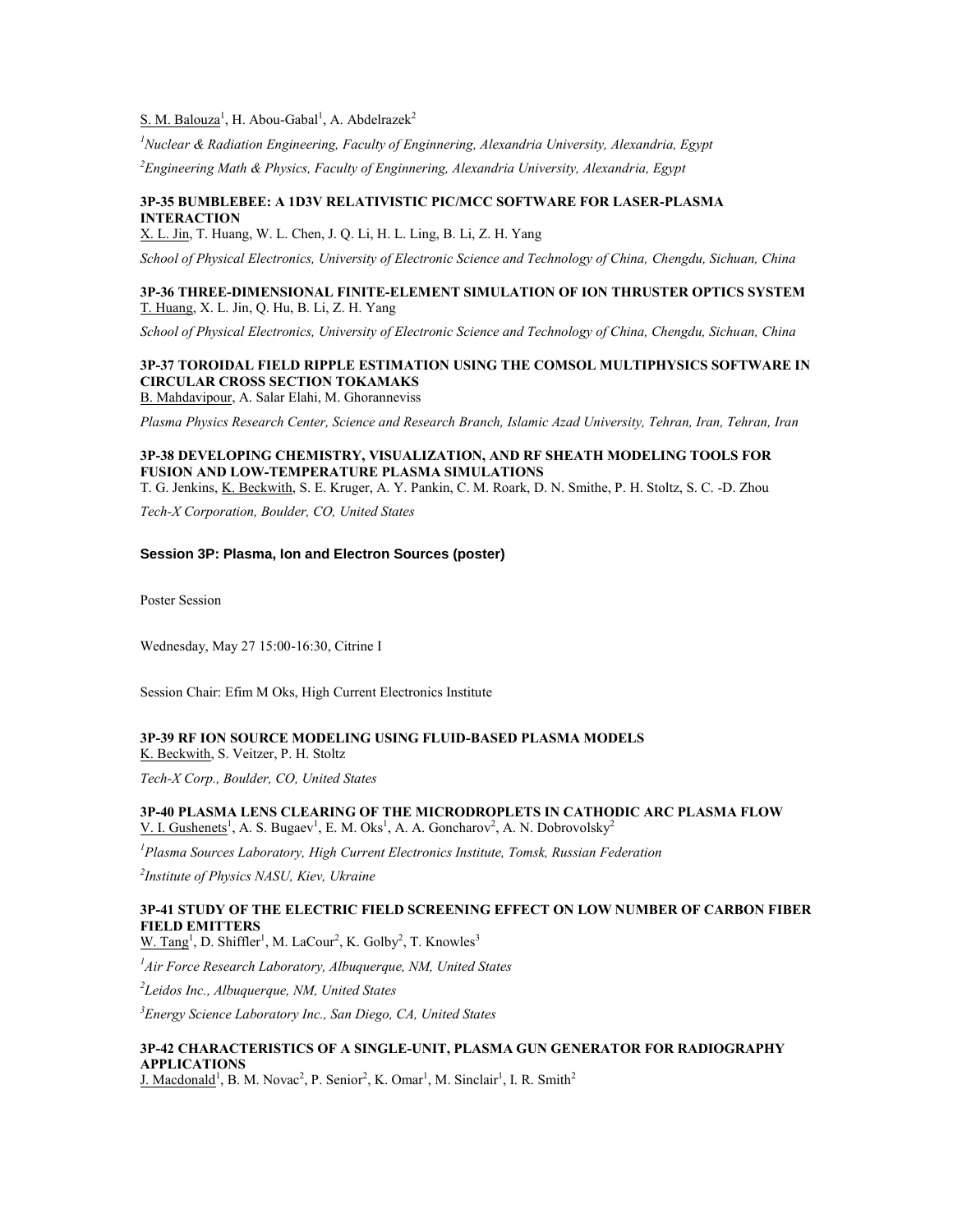S. M. Balouza<sup>1</sup>, H. Abou-Gabal<sup>1</sup>, A. Abdelrazek<sup>2</sup>

*<sup>1</sup>Nuclear & Radiation Engineering, Faculty of Enginnering, Alexandria University, Alexandria, Egypt*

*<sup>2</sup>Engineering Math & Physics, Faculty of Enginnering, Alexandria University, Alexandria, Egypt*

### **3P-35 BUMBLEBEE: A 1D3V RELATIVISTIC PIC/MCC SOFTWARE FOR LASER-PLASMA INTERACTION**

X. L. Jin, T. Huang, W. L. Chen, J. Q. Li, H. L. Ling, B. Li, Z. H. Yang

*School of Physical Electronics, University of Electronic Science and Technology of China, Chengdu, Sichuan, China*

# **3P-36 THREE-DIMENSIONAL FINITE-ELEMENT SIMULATION OF ION THRUSTER OPTICS SYSTEM** T. Huang, X. L. Jin, Q. Hu, B. Li, Z. H. Yang

*School of Physical Electronics, University of Electronic Science and Technology of China, Chengdu, Sichuan, China*

# **3P-37 TOROIDAL FIELD RIPPLE ESTIMATION USING THE COMSOL MULTIPHYSICS SOFTWARE IN CIRCULAR CROSS SECTION TOKAMAKS**

B. Mahdavipour, A. Salar Elahi, M. Ghoranneviss

*Plasma Physics Research Center, Science and Research Branch, Islamic Azad University, Tehran, Iran, Tehran, Iran*

### **3P-38 DEVELOPING CHEMISTRY, VISUALIZATION, AND RF SHEATH MODELING TOOLS FOR FUSION AND LOW-TEMPERATURE PLASMA SIMULATIONS**

T. G. Jenkins, K. Beckwith, S. E. Kruger, A. Y. Pankin, C. M. Roark, D. N. Smithe, P. H. Stoltz, S. C. -D. Zhou

*Tech-X Corporation, Boulder, CO, United States*

#### **Session 3P: Plasma, Ion and Electron Sources (poster)**

Poster Session

Wednesday, May 27 15:00-16:30, Citrine I

Session Chair: Efim M Oks, High Current Electronics Institute

### **3P-39 RF ION SOURCE MODELING USING FLUID-BASED PLASMA MODELS** K. Beckwith, S. Veitzer, P. H. Stoltz

*Tech-X Corp., Boulder, CO, United States*

### **3P-40 PLASMA LENS CLEARING OF THE MICRODROPLETS IN CATHODIC ARC PLASMA FLOW** V. I. Gushenets<sup>1</sup>, A. S. Bugaev<sup>1</sup>, E. M. Oks<sup>1</sup>, A. A. Goncharov<sup>2</sup>, A. N. Dobrovolsky<sup>2</sup>

*<sup>1</sup>Plasma Sources Laboratory, High Current Electronics Institute, Tomsk, Russian Federation*

*2 Institute of Physics NASU, Kiev, Ukraine*

# **3P-41 STUDY OF THE ELECTRIC FIELD SCREENING EFFECT ON LOW NUMBER OF CARBON FIBER FIELD EMITTERS**

W. Tang<sup>1</sup>, D. Shiffler<sup>1</sup>, M. LaCour<sup>2</sup>, K. Golby<sup>2</sup>, T. Knowles<sup>3</sup>

*<sup>1</sup>Air Force Research Laboratory, Albuquerque, NM, United States*

*2 Leidos Inc., Albuquerque, NM, United States*

*<sup>3</sup>Energy Science Laboratory Inc., San Diego, CA, United States*

# **3P-42 CHARACTERISTICS OF A SINGLE-UNIT, PLASMA GUN GENERATOR FOR RADIOGRAPHY APPLICATIONS**

J. Macdonald<sup>1</sup>, B. M. Novac<sup>2</sup>, P. Senior<sup>2</sup>, K. Omar<sup>1</sup>, M. Sinclair<sup>1</sup>, I. R. Smith<sup>2</sup>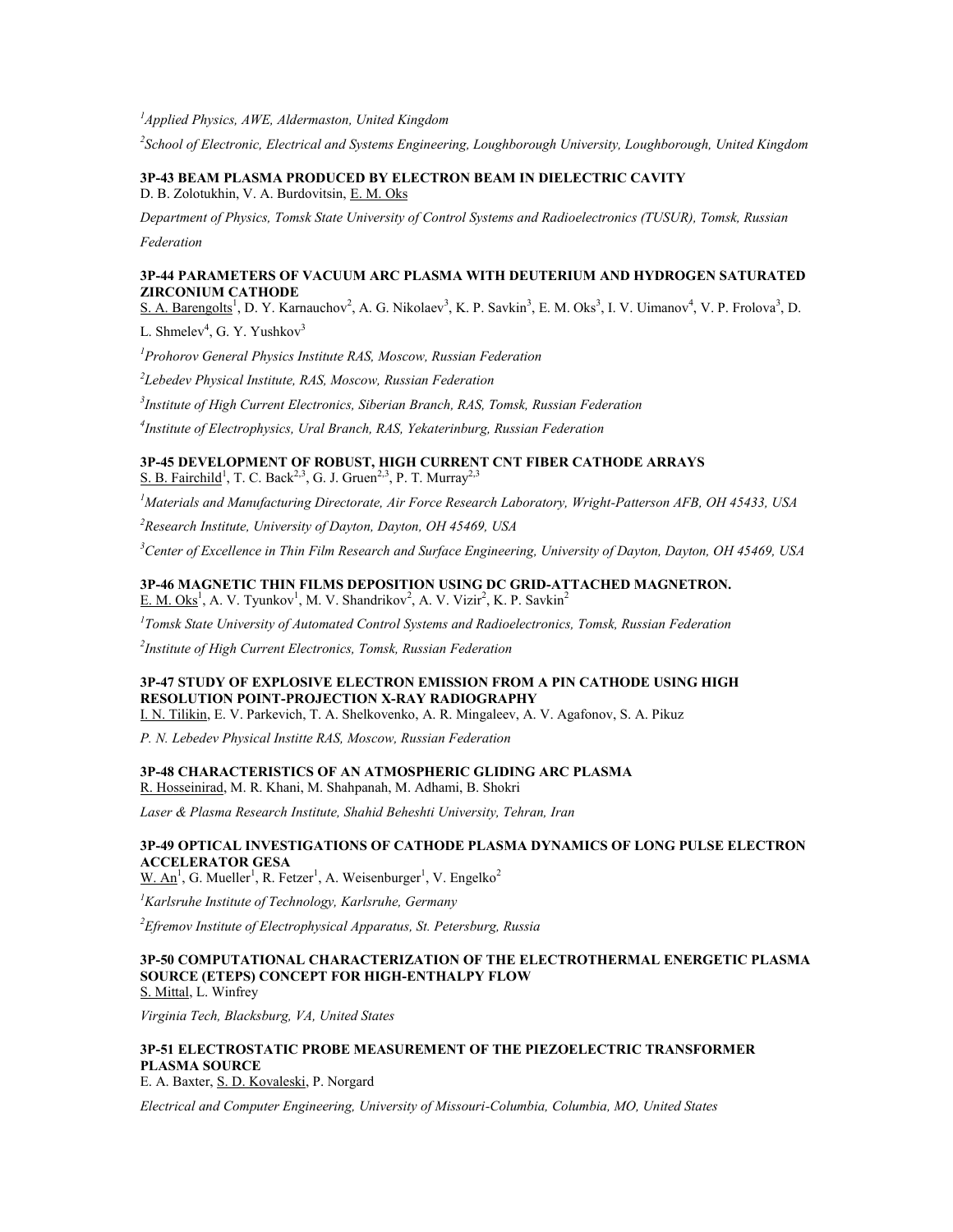*<sup>1</sup>Applied Physics, AWE, Aldermaston, United Kingdom*

*2 School of Electronic, Electrical and Systems Engineering, Loughborough University, Loughborough, United Kingdom*

**3P-43 BEAM PLASMA PRODUCED BY ELECTRON BEAM IN DIELECTRIC CAVITY** D. B. Zolotukhin, V. A. Burdovitsin, E. M. Oks

*Department of Physics, Tomsk State University of Control Systems and Radioelectronics (TUSUR), Tomsk, Russian* 

*Federation*

### **3P-44 PARAMETERS OF VACUUM ARC PLASMA WITH DEUTERIUM AND HYDROGEN SATURATED ZIRCONIUM CATHODE**

S. A. Barengolts<sup>1</sup>, D. Y. Karnauchov<sup>2</sup>, A. G. Nikolaev<sup>3</sup>, K. P. Savkin<sup>3</sup>, E. M. Oks<sup>3</sup>, I. V. Uimanov<sup>4</sup>, V. P. Frolova<sup>3</sup>, D.

L. Shmelev<sup>4</sup>, G. Y. Yushkov<sup>3</sup>

*<sup>1</sup>Prohorov General Physics Institute RAS, Moscow, Russian Federation*

*2 Lebedev Physical Institute, RAS, Moscow, Russian Federation*

*3 Institute of High Current Electronics, Siberian Branch, RAS, Tomsk, Russian Federation*

*4 Institute of Electrophysics, Ural Branch, RAS, Yekaterinburg, Russian Federation*

# **3P-45 DEVELOPMENT OF ROBUST, HIGH CURRENT CNT FIBER CATHODE ARRAYS** S. B. Fairchild<sup>1</sup>, T. C. Back<sup>2,3</sup>, G. J. Gruen<sup>2,3</sup>, P. T. Murray<sup>2,3</sup>

*<sup>1</sup>Materials and Manufacturing Directorate, Air Force Research Laboratory, Wright-Patterson AFB, OH 45433, USA*

*<sup>2</sup>Research Institute, University of Dayton, Dayton, OH 45469, USA*

*<sup>3</sup>Center of Excellence in Thin Film Research and Surface Engineering, University of Dayton, Dayton, OH 45469, USA*

#### **3P-46 MAGNETIC THIN FILMS DEPOSITION USING DC GRID-ATTACHED MAGNETRON.** E. M. Oks<sup>1</sup>, A. V. Tyunkov<sup>1</sup>, M. V. Shandrikov<sup>2</sup>, A. V. Vizir<sup>2</sup>, K. P. Savkin<sup>2</sup>

*1 Tomsk State University of Automated Control Systems and Radioelectronics, Tomsk, Russian Federation*

*2 Institute of High Current Electronics, Tomsk, Russian Federation*

### **3P-47 STUDY OF EXPLOSIVE ELECTRON EMISSION FROM A PIN CATHODE USING HIGH RESOLUTION POINT-PROJECTION X-RAY RADIOGRAPHY**

I. N. Tilikin, E. V. Parkevich, T. A. Shelkovenko, A. R. Mingaleev, A. V. Agafonov, S. A. Pikuz

*P. N. Lebedev Physical Institte RAS, Moscow, Russian Federation*

#### **3P-48 CHARACTERISTICS OF AN ATMOSPHERIC GLIDING ARC PLASMA** R. Hosseinirad, M. R. Khani, M. Shahpanah, M. Adhami, B. Shokri

*Laser & Plasma Research Institute, Shahid Beheshti University, Tehran, Iran*

# **3P-49 OPTICAL INVESTIGATIONS OF CATHODE PLASMA DYNAMICS OF LONG PULSE ELECTRON ACCELERATOR GESA**

 $W.$  An<sup>1</sup>, G. Mueller<sup>1</sup>, R. Fetzer<sup>1</sup>, A. Weisenburger<sup>1</sup>, V. Engelko<sup>2</sup>

*<sup>1</sup>Karlsruhe Institute of Technology, Karlsruhe, Germany*

*<sup>2</sup>Efremov Institute of Electrophysical Apparatus, St. Petersburg, Russia*

#### **3P-50 COMPUTATIONAL CHARACTERIZATION OF THE ELECTROTHERMAL ENERGETIC PLASMA SOURCE (ETEPS) CONCEPT FOR HIGH-ENTHALPY FLOW** S. Mittal, L. Winfrey

*Virginia Tech, Blacksburg, VA, United States*

# **3P-51 ELECTROSTATIC PROBE MEASUREMENT OF THE PIEZOELECTRIC TRANSFORMER PLASMA SOURCE**

E. A. Baxter, S. D. Kovaleski, P. Norgard

*Electrical and Computer Engineering, University of Missouri-Columbia, Columbia, MO, United States*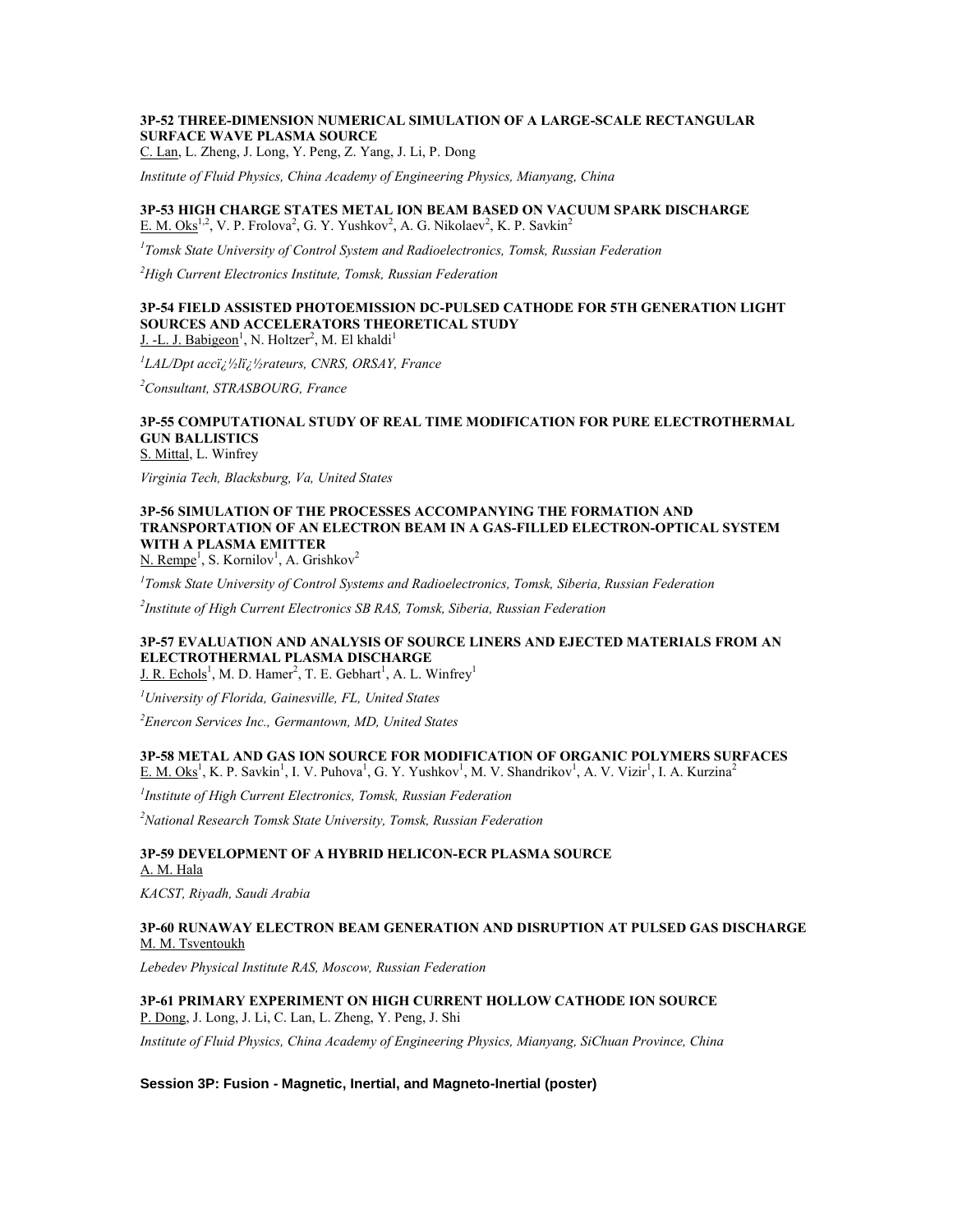# **3P-52 THREE-DIMENSION NUMERICAL SIMULATION OF A LARGE-SCALE RECTANGULAR SURFACE WAVE PLASMA SOURCE**

C. Lan, L. Zheng, J. Long, Y. Peng, Z. Yang, J. Li, P. Dong

*Institute of Fluid Physics, China Academy of Engineering Physics, Mianyang, China*

# **3P-53 HIGH CHARGE STATES METAL ION BEAM BASED ON VACUUM SPARK DISCHARGE** E. M. Oks<sup>1,2</sup>, V. P. Frolova<sup>2</sup>, G. Y. Yushkov<sup>2</sup>, A. G. Nikolaev<sup>2</sup>, K. P. Savkin<sup>2</sup>

*1 Tomsk State University of Control System and Radioelectronics, Tomsk, Russian Federation*

*<sup>2</sup>High Current Electronics Institute, Tomsk, Russian Federation*

#### **3P-54 FIELD ASSISTED PHOTOEMISSION DC-PULSED CATHODE FOR 5TH GENERATION LIGHT SOURCES AND ACCELERATORS THEORETICAL STUDY** J. -L. J. Babigeon<sup>1</sup>, N. Holtzer<sup>2</sup>, M. El khaldi<sup>1</sup>

*1 LAL/Dpt acc�l�rateurs, CNRS, ORSAY, France*

*<sup>2</sup>Consultant, STRASBOURG, France*

#### **3P-55 COMPUTATIONAL STUDY OF REAL TIME MODIFICATION FOR PURE ELECTROTHERMAL GUN BALLISTICS** S. Mittal, L. Winfrey

*Virginia Tech, Blacksburg, Va, United States*

# **3P-56 SIMULATION OF THE PROCESSES ACCOMPANYING THE FORMATION AND TRANSPORTATION OF AN ELECTRON BEAM IN A GAS-FILLED ELECTRON-OPTICAL SYSTEM WITH A PLASMA EMITTER**

N. Rempe<sup>1</sup>, S. Kornilov<sup>1</sup>, A. Grishkov<sup>2</sup>

*1 Tomsk State University of Control Systems and Radioelectronics, Tomsk, Siberia, Russian Federation*

*2 Institute of High Current Electronics SB RAS, Tomsk, Siberia, Russian Federation*

# **3P-57 EVALUATION AND ANALYSIS OF SOURCE LINERS AND EJECTED MATERIALS FROM AN ELECTROTHERMAL PLASMA DISCHARGE**

J. R. Echols<sup>1</sup>, M. D. Hamer<sup>2</sup>, T. E. Gebhart<sup>1</sup>, A. L. Winfrey<sup>1</sup>

*<sup>1</sup>University of Florida, Gainesville, FL, United States*

*<sup>2</sup>Enercon Services Inc., Germantown, MD, United States*

### **3P-58 METAL AND GAS ION SOURCE FOR MODIFICATION OF ORGANIC POLYMERS SURFACES** E. M. Oks<sup>1</sup>, K. P. Savkin<sup>1</sup>, I. V. Puhova<sup>1</sup>, G. Y. Yushkov<sup>1</sup>, M. V. Shandrikov<sup>1</sup>, A. V. Vizir<sup>1</sup>, I. A. Kurzina<sup>2</sup>

*1 Institute of High Current Electronics, Tomsk, Russian Federation*

*<sup>2</sup>National Research Tomsk State University, Tomsk, Russian Federation*

#### **3P-59 DEVELOPMENT OF A HYBRID HELICON-ECR PLASMA SOURCE** A. M. Hala

*KACST, Riyadh, Saudi Arabia*

#### **3P-60 RUNAWAY ELECTRON BEAM GENERATION AND DISRUPTION AT PULSED GAS DISCHARGE** M. M. Tsventoukh

*Lebedev Physical Institute RAS, Moscow, Russian Federation*

### **3P-61 PRIMARY EXPERIMENT ON HIGH CURRENT HOLLOW CATHODE ION SOURCE** P. Dong, J. Long, J. Li, C. Lan, L. Zheng, Y. Peng, J. Shi

*Institute of Fluid Physics, China Academy of Engineering Physics, Mianyang, SiChuan Province, China*

#### **Session 3P: Fusion - Magnetic, Inertial, and Magneto-Inertial (poster)**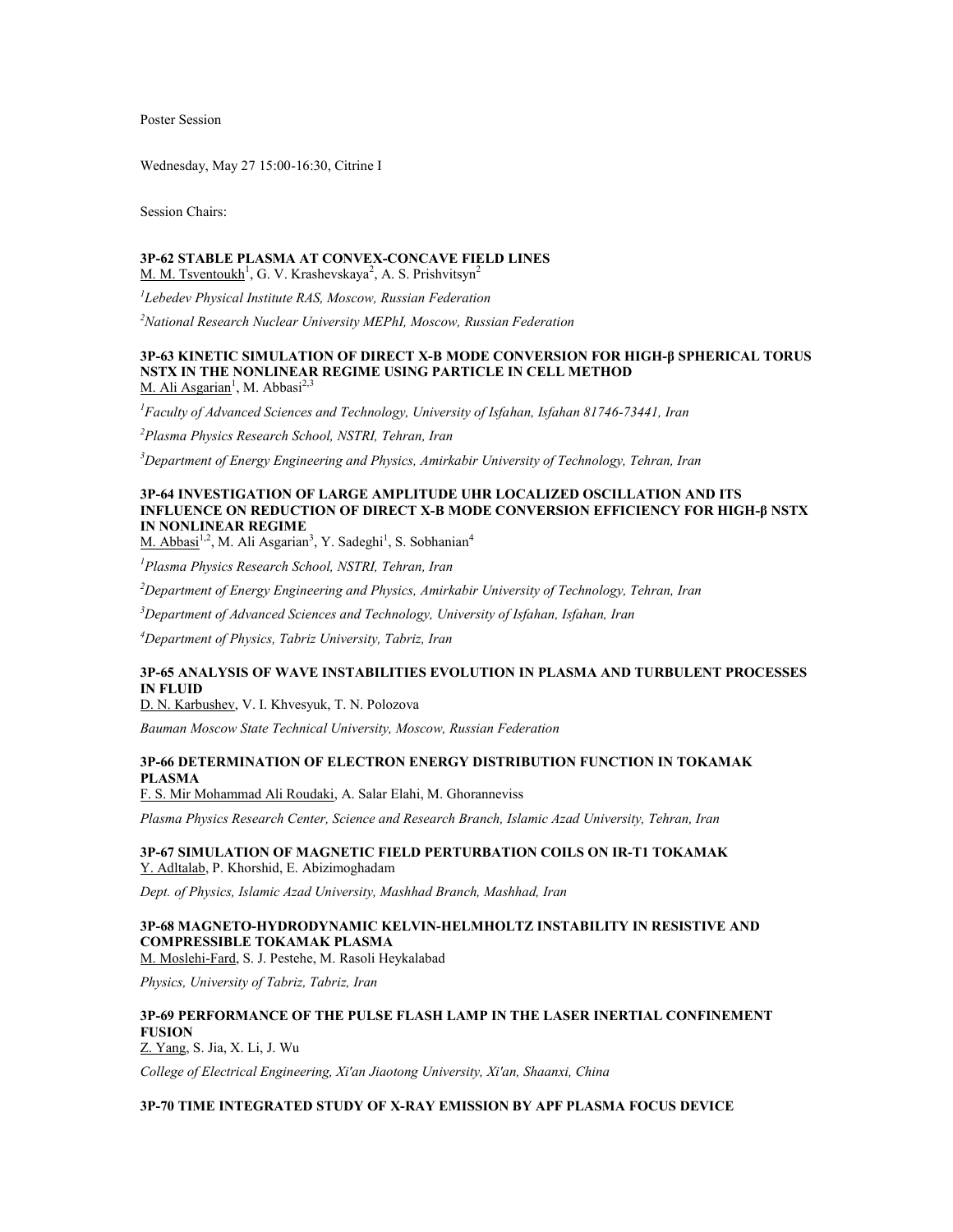Poster Session

Wednesday, May 27 15:00-16:30, Citrine I

Session Chairs:

# **3P-62 STABLE PLASMA AT CONVEX-CONCAVE FIELD LINES**

M. M. Tsventoukh<sup>1</sup>, G. V. Krashevskaya<sup>2</sup>, A. S. Prishvitsyn<sup>2</sup>

*1 Lebedev Physical Institute RAS, Moscow, Russian Federation*

*<sup>2</sup>National Research Nuclear University MEPhI, Moscow, Russian Federation*

### **3P-63 KINETIC SIMULATION OF DIRECT X-B MODE CONVERSION FOR HIGH-β SPHERICAL TORUS NSTX IN THE NONLINEAR REGIME USING PARTICLE IN CELL METHOD** M. Ali Asgarian<sup>1</sup>, M. Abbasi<sup>2,3</sup>

*<sup>1</sup>Faculty of Advanced Sciences and Technology, University of Isfahan, Isfahan 81746-73441, Iran*

*<sup>2</sup>Plasma Physics Research School, NSTRI, Tehran, Iran*

*<sup>3</sup>Department of Energy Engineering and Physics, Amirkabir University of Technology, Tehran, Iran*

# **3P-64 INVESTIGATION OF LARGE AMPLITUDE UHR LOCALIZED OSCILLATION AND ITS INFLUENCE ON REDUCTION OF DIRECT X-B MODE CONVERSION EFFICIENCY FOR HIGH-β NSTX IN NONLINEAR REGIME**

M. Abbasi<sup>1,2</sup>, M. Ali Asgarian<sup>3</sup>, Y. Sadeghi<sup>1</sup>, S. Sobhanian<sup>4</sup>

*<sup>1</sup>Plasma Physics Research School, NSTRI, Tehran, Iran*

*<sup>2</sup>Department of Energy Engineering and Physics, Amirkabir University of Technology, Tehran, Iran*

*<sup>3</sup>Department of Advanced Sciences and Technology, University of Isfahan, Isfahan, Iran*

*<sup>4</sup>Department of Physics, Tabriz University, Tabriz, Iran*

### **3P-65 ANALYSIS OF WAVE INSTABILITIES EVOLUTION IN PLASMA AND TURBULENT PROCESSES IN FLUID**

D. N. Karbushev, V. I. Khvesyuk, T. N. Polozova

*Bauman Moscow State Technical University, Moscow, Russian Federation*

# **3P-66 DETERMINATION OF ELECTRON ENERGY DISTRIBUTION FUNCTION IN TOKAMAK PLASMA**

F. S. Mir Mohammad Ali Roudaki, A. Salar Elahi, M. Ghoranneviss

*Plasma Physics Research Center, Science and Research Branch, Islamic Azad University, Tehran, Iran*

### **3P-67 SIMULATION OF MAGNETIC FIELD PERTURBATION COILS ON IR-T1 TOKAMAK** Y. Adltalab, P. Khorshid, E. Abizimoghadam

*Dept. of Physics, Islamic Azad University, Mashhad Branch, Mashhad, Iran*

#### **3P-68 MAGNETO-HYDRODYNAMIC KELVIN-HELMHOLTZ INSTABILITY IN RESISTIVE AND COMPRESSIBLE TOKAMAK PLASMA** M. Moslehi-Fard, S. J. Pestehe, M. Rasoli Heykalabad

*Physics, University of Tabriz, Tabriz, Iran*

# **3P-69 PERFORMANCE OF THE PULSE FLASH LAMP IN THE LASER INERTIAL CONFINEMENT FUSION**

Z. Yang, S. Jia, X. Li, J. Wu

*College of Electrical Engineering, Xi'an Jiaotong University, Xi'an, Shaanxi, China*

# **3P-70 TIME INTEGRATED STUDY OF X-RAY EMISSION BY APF PLASMA FOCUS DEVICE**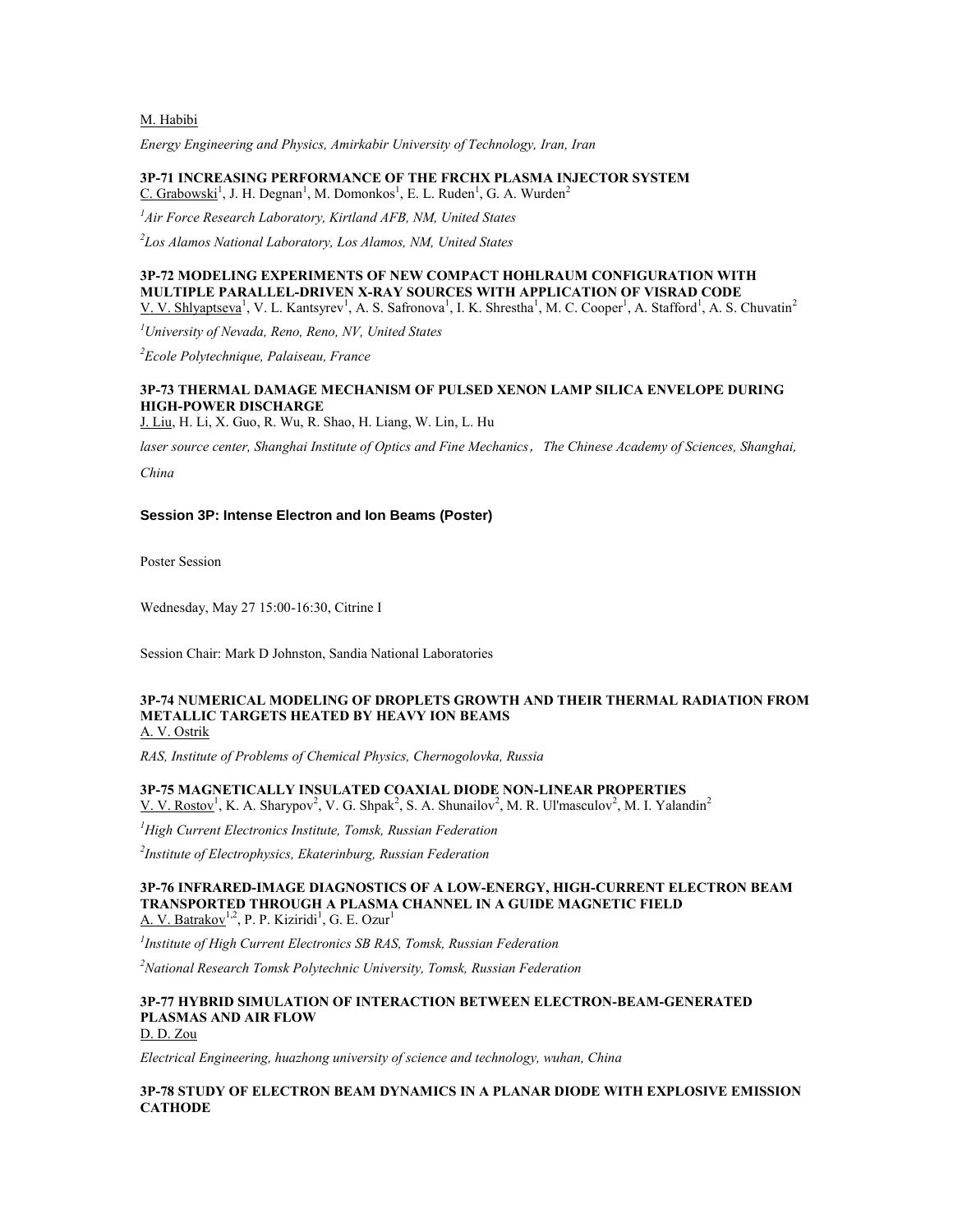M. Habibi

*Energy Engineering and Physics, Amirkabir University of Technology, Iran, Iran*

**3P-71 INCREASING PERFORMANCE OF THE FRCHX PLASMA INJECTOR SYSTEM**  $C.$  Grabowski<sup>1</sup>, J. H. Degnan<sup>1</sup>, M. Domonkos<sup>1</sup>, E. L. Ruden<sup>1</sup>, G. A. Wurden<sup>2</sup>

*<sup>1</sup>Air Force Research Laboratory, Kirtland AFB, NM, United States*

*2 Los Alamos National Laboratory, Los Alamos, NM, United States*

#### **3P-72 MODELING EXPERIMENTS OF NEW COMPACT HOHLRAUM CONFIGURATION WITH MULTIPLE PARALLEL-DRIVEN X-RAY SOURCES WITH APPLICATION OF VISRAD CODE** V. V. Shlyaptseva<sup>1</sup>, V. L. Kantsyrev<sup>1</sup>, A. S. Safronova<sup>1</sup>, I. K. Shrestha<sup>1</sup>, M. C. Cooper<sup>1</sup>, A. Stafford<sup>1</sup>, A. S. Chuvatin<sup>2</sup>

*<sup>1</sup>University of Nevada, Reno, Reno, NV, United States*

*<sup>2</sup>Ecole Polytechnique, Palaiseau, France*

# **3P-73 THERMAL DAMAGE MECHANISM OF PULSED XENON LAMP SILICA ENVELOPE DURING HIGH-POWER DISCHARGE**

J. Liu, H. Li, X. Guo, R. Wu, R. Shao, H. Liang, W. Lin, L. Hu

*laser source center, Shanghai Institute of Optics and Fine Mechanics*,*The Chinese Academy of Sciences, Shanghai,* 

*China*

### **Session 3P: Intense Electron and Ion Beams (Poster)**

Poster Session

Wednesday, May 27 15:00-16:30, Citrine I

Session Chair: Mark D Johnston, Sandia National Laboratories

#### **3P-74 NUMERICAL MODELING OF DROPLETS GROWTH AND THEIR THERMAL RADIATION FROM METALLIC TARGETS HEATED BY HEAVY ION BEAMS** A. V. Ostrik

*RAS, Institute of Problems of Chemical Physics, Chernogolovka, Russia*

### **3P-75 MAGNETICALLY INSULATED COAXIAL DIODE NON-LINEAR PROPERTIES**

V. V. Rostov<sup>1</sup>, K. A. Sharypov<sup>2</sup>, V. G. Shpak<sup>2</sup>, S. A. Shunailov<sup>2</sup>, M. R. Ul'masculov<sup>2</sup>, M. I. Yalandin<sup>2</sup>

*<sup>1</sup>High Current Electronics Institute, Tomsk, Russian Federation*

*2 Institute of Electrophysics, Ekaterinburg, Russian Federation*

#### **3P-76 INFRARED-IMAGE DIAGNOSTICS OF A LOW-ENERGY, HIGH-CURRENT ELECTRON BEAM TRANSPORTED THROUGH A PLASMA CHANNEL IN A GUIDE MAGNETIC FIELD** A. V. Batrakov<sup>1,2</sup>, P. P. Kiziridi<sup>1</sup>, G. E. Ozur<sup>1</sup>

*1 Institute of High Current Electronics SB RAS, Tomsk, Russian Federation*

*<sup>2</sup>National Research Tomsk Polytechnic University, Tomsk, Russian Federation*

#### **3P-77 HYBRID SIMULATION OF INTERACTION BETWEEN ELECTRON-BEAM-GENERATED PLASMAS AND AIR FLOW** D. D. Zou

*Electrical Engineering, huazhong university of science and technology, wuhan, China*

### **3P-78 STUDY OF ELECTRON BEAM DYNAMICS IN A PLANAR DIODE WITH EXPLOSIVE EMISSION CATHODE**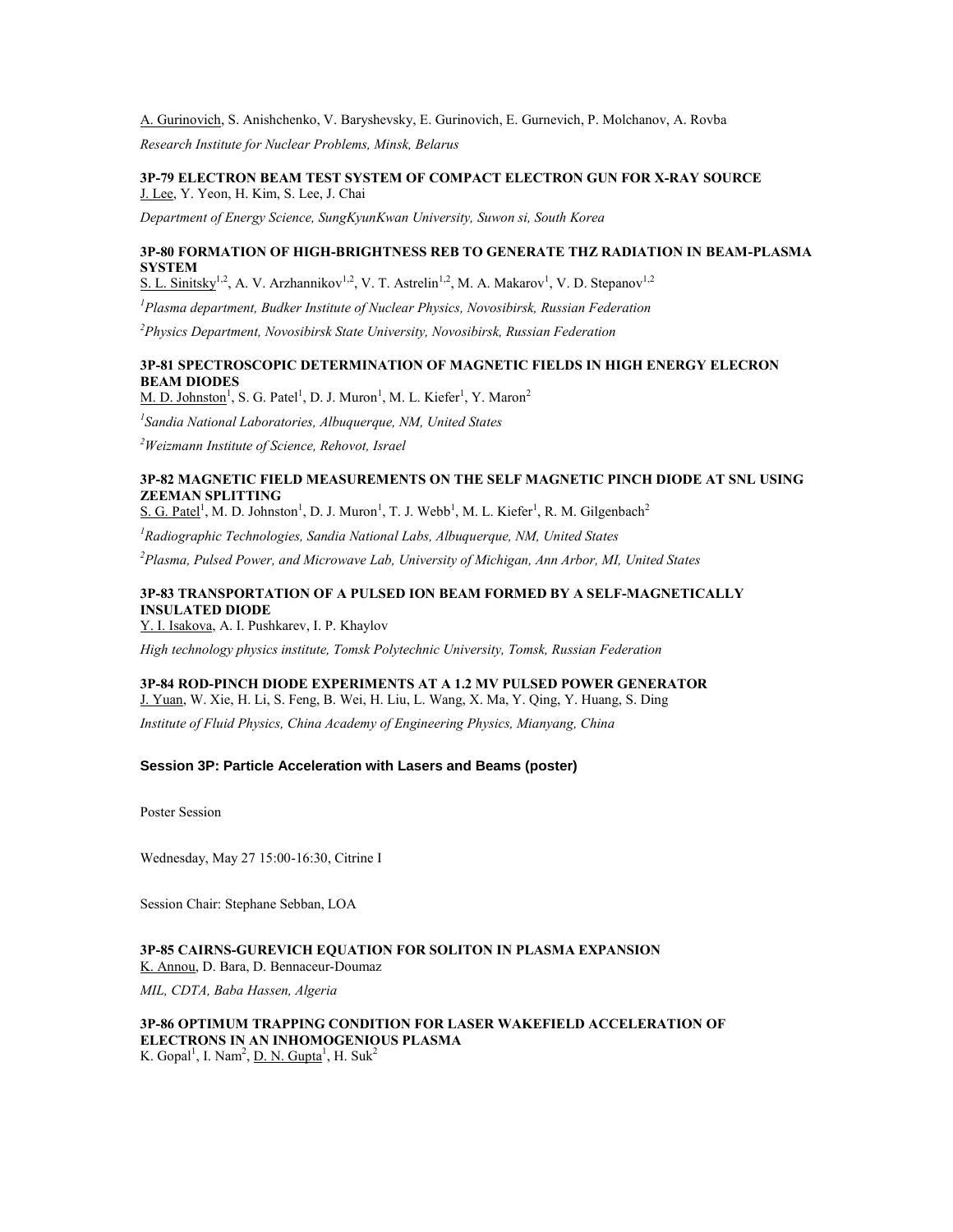### A. Gurinovich, S. Anishchenko, V. Baryshevsky, E. Gurinovich, E. Gurnevich, P. Molchanov, A. Rovba

*Research Institute for Nuclear Problems, Minsk, Belarus*

### **3P-79 ELECTRON BEAM TEST SYSTEM OF COMPACT ELECTRON GUN FOR X-RAY SOURCE** J. Lee, Y. Yeon, H. Kim, S. Lee, J. Chai

*Department of Energy Science, SungKyunKwan University, Suwon si, South Korea*

### **3P-80 FORMATION OF HIGH-BRIGHTNESS REB TO GENERATE THZ RADIATION IN BEAM-PLASMA SYSTEM**

S. L. Sinitsky<sup>1,2</sup>, A. V. Arzhannikov<sup>1,2</sup>, V. T. Astrelin<sup>1,2</sup>, M. A. Makarov<sup>1</sup>, V. D. Stepanov<sup>1,2</sup>

*<sup>1</sup>Plasma department, Budker Institute of Nuclear Physics, Novosibirsk, Russian Federation*

*<sup>2</sup>Physics Department, Novosibirsk State University, Novosibirsk, Russian Federation*

# **3P-81 SPECTROSCOPIC DETERMINATION OF MAGNETIC FIELDS IN HIGH ENERGY ELECRON BEAM DIODES**

 $M$ . D. Johnston<sup>1</sup>, S. G. Patel<sup>1</sup>, D. J. Muron<sup>1</sup>, M. L. Kiefer<sup>1</sup>, Y. Maron<sup>2</sup>

*1 Sandia National Laboratories, Albuquerque, NM, United States*

*<sup>2</sup>Weizmann Institute of Science, Rehovot, Israel*

### **3P-82 MAGNETIC FIELD MEASUREMENTS ON THE SELF MAGNETIC PINCH DIODE AT SNL USING ZEEMAN SPLITTING**

S. G. Patel<sup>1</sup>, M. D. Johnston<sup>1</sup>, D. J. Muron<sup>1</sup>, T. J. Webb<sup>1</sup>, M. L. Kiefer<sup>1</sup>, R. M. Gilgenbach<sup>2</sup>

*<sup>1</sup>Radiographic Technologies, Sandia National Labs, Albuquerque, NM, United States*

*<sup>2</sup>Plasma, Pulsed Power, and Microwave Lab, University of Michigan, Ann Arbor, MI, United States*

# **3P-83 TRANSPORTATION OF A PULSED ION BEAM FORMED BY A SELF-MAGNETICALLY INSULATED DIODE**

Y. I. Isakova, A. I. Pushkarev, I. P. Khaylov

*High technology physics institute, Tomsk Polytechnic University, Tomsk, Russian Federation*

# **3P-84 ROD-PINCH DIODE EXPERIMENTS AT A 1.2 MV PULSED POWER GENERATOR**

J. Yuan, W. Xie, H. Li, S. Feng, B. Wei, H. Liu, L. Wang, X. Ma, Y. Qing, Y. Huang, S. Ding

*Institute of Fluid Physics, China Academy of Engineering Physics, Mianyang, China*

### **Session 3P: Particle Acceleration with Lasers and Beams (poster)**

Poster Session

Wednesday, May 27 15:00-16:30, Citrine I

Session Chair: Stephane Sebban, LOA

### **3P-85 CAIRNS-GUREVICH EQUATION FOR SOLITON IN PLASMA EXPANSION** K. Annou, D. Bara, D. Bennaceur-Doumaz

*MIL, CDTA, Baba Hassen, Algeria*

### **3P-86 OPTIMUM TRAPPING CONDITION FOR LASER WAKEFIELD ACCELERATION OF ELECTRONS IN AN INHOMOGENIOUS PLASMA** K. Gopal<sup>1</sup>, I. Nam<sup>2</sup>, <u>D. N. Gupta</u><sup>1</sup>, H. Suk<sup>2</sup>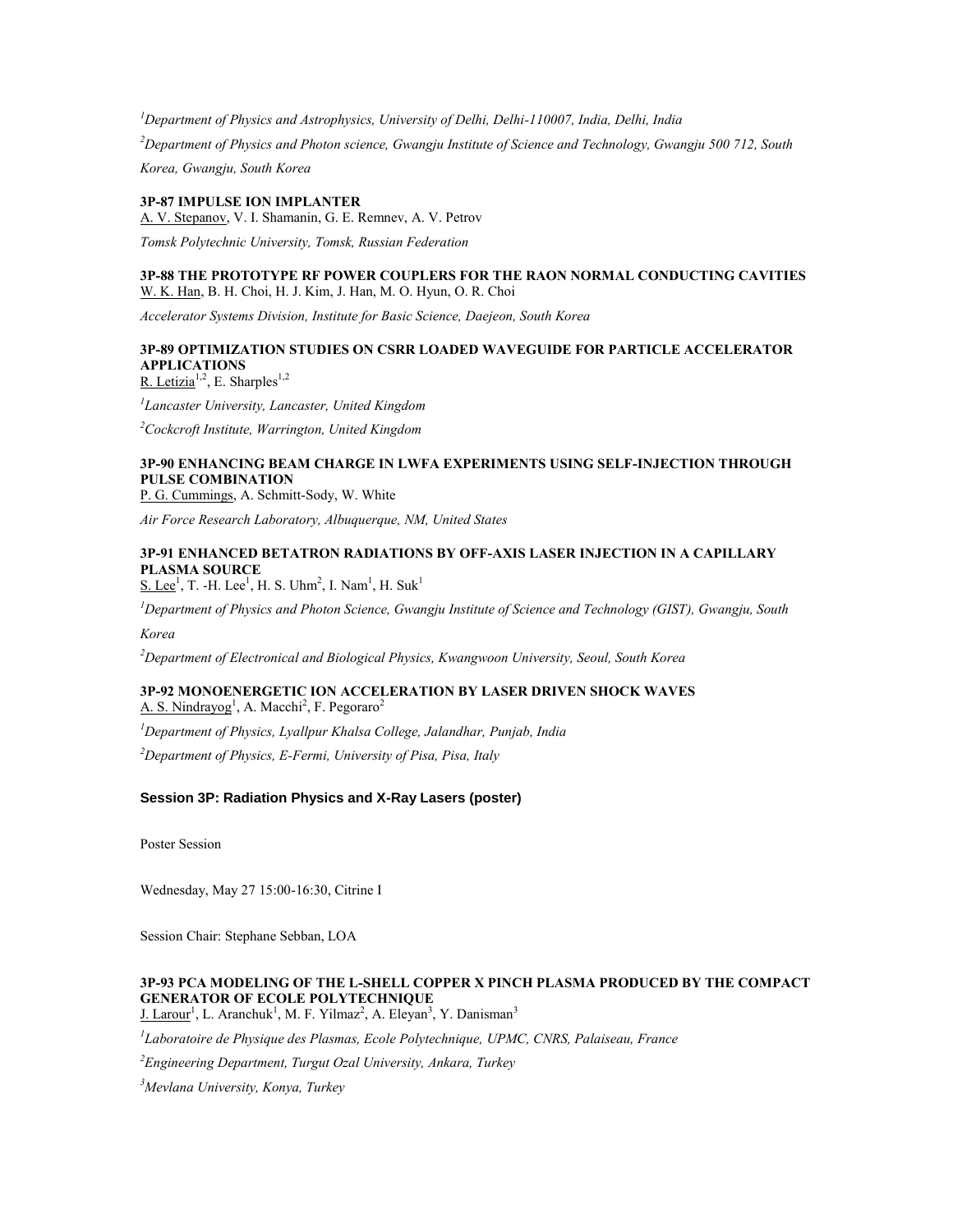*<sup>1</sup>Department of Physics and Astrophysics, University of Delhi, Delhi-110007, India, Delhi, India*

*<sup>2</sup>Department of Physics and Photon science, Gwangju Institute of Science and Technology, Gwangju 500 712, South Korea, Gwangju, South Korea*

**3P-87 IMPULSE ION IMPLANTER**

A. V. Stepanov, V. I. Shamanin, G. E. Remnev, A. V. Petrov

*Tomsk Polytechnic University, Tomsk, Russian Federation*

### **3P-88 THE PROTOTYPE RF POWER COUPLERS FOR THE RAON NORMAL CONDUCTING CAVITIES** W. K. Han, B. H. Choi, H. J. Kim, J. Han, M. O. Hyun, O. R. Choi

*Accelerator Systems Division, Institute for Basic Science, Daejeon, South Korea*

#### **3P-89 OPTIMIZATION STUDIES ON CSRR LOADED WAVEGUIDE FOR PARTICLE ACCELERATOR APPLICATIONS** R. Letizia<sup>1,2</sup>, E. Sharples<sup>1,2</sup>

*1 Lancaster University, Lancaster, United Kingdom*

*<sup>2</sup>Cockcroft Institute, Warrington, United Kingdom*

# **3P-90 ENHANCING BEAM CHARGE IN LWFA EXPERIMENTS USING SELF-INJECTION THROUGH PULSE COMBINATION**

P. G. Cummings, A. Schmitt-Sody, W. White

*Air Force Research Laboratory, Albuquerque, NM, United States*

# **3P-91 ENHANCED BETATRON RADIATIONS BY OFF-AXIS LASER INJECTION IN A CAPILLARY PLASMA SOURCE**

 $S.$  Lee<sup>1</sup>, T. -H. Lee<sup>1</sup>, H. S. Uhm<sup>2</sup>, I. Nam<sup>1</sup>, H. Suk<sup>1</sup>

*<sup>1</sup>Department of Physics and Photon Science, Gwangju Institute of Science and Technology (GIST), Gwangju, South* 

*Korea*

*<sup>2</sup>Department of Electronical and Biological Physics, Kwangwoon University, Seoul, South Korea*

### **3P-92 MONOENERGETIC ION ACCELERATION BY LASER DRIVEN SHOCK WAVES** A. S. Nindrayog<sup>1</sup>, A. Macchi<sup>2</sup>, F. Pegoraro<sup>2</sup>

*<sup>1</sup>Department of Physics, Lyallpur Khalsa College, Jalandhar, Punjab, India*

*<sup>2</sup>Department of Physics, E-Fermi, University of Pisa, Pisa, Italy*

### **Session 3P: Radiation Physics and X-Ray Lasers (poster)**

Poster Session

Wednesday, May 27 15:00-16:30, Citrine I

Session Chair: Stephane Sebban, LOA

# **3P-93 PCA MODELING OF THE L-SHELL COPPER X PINCH PLASMA PRODUCED BY THE COMPACT GENERATOR OF ECOLE POLYTECHNIQUE**

J. Larour<sup>1</sup>, L. Aranchuk<sup>1</sup>, M. F. Yilmaz<sup>2</sup>, A. Eleyan<sup>3</sup>, Y. Danisman<sup>3</sup>

*1 Laboratoire de Physique des Plasmas, Ecole Polytechnique, UPMC, CNRS, Palaiseau, France*

*<sup>2</sup>Engineering Department, Turgut Ozal University, Ankara, Turkey*

*<sup>3</sup>Mevlana University, Konya, Turkey*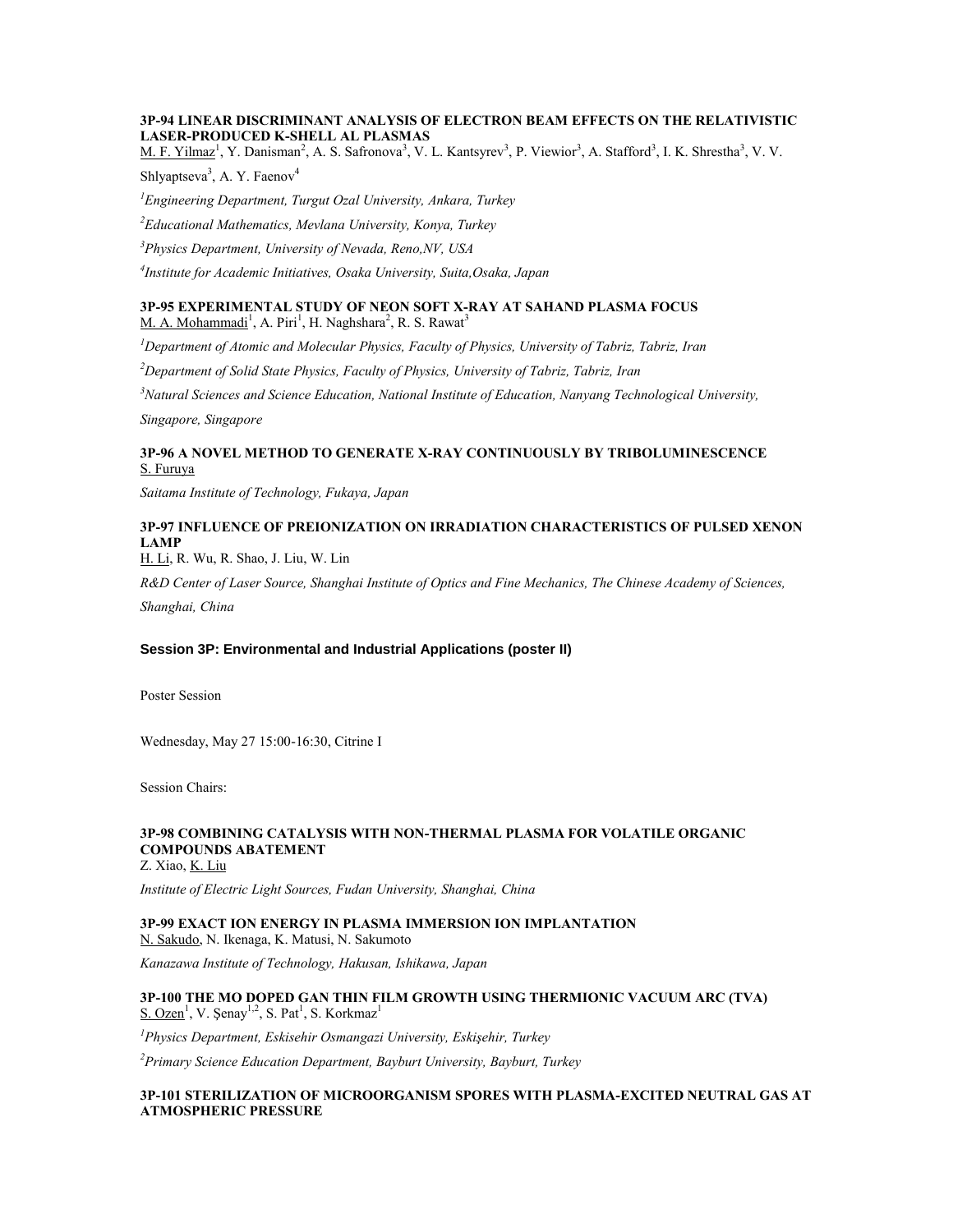### **3P-94 LINEAR DISCRIMINANT ANALYSIS OF ELECTRON BEAM EFFECTS ON THE RELATIVISTIC LASER-PRODUCED K-SHELL AL PLASMAS**

M. F. Yilmaz<sup>1</sup>, Y. Danisman<sup>2</sup>, A. S. Safronova<sup>3</sup>, V. L. Kantsyrev<sup>3</sup>, P. Viewior<sup>3</sup>, A. Stafford<sup>3</sup>, I. K. Shrestha<sup>3</sup>, V. V.

Shlyaptseva<sup>3</sup>, A. Y. Faenov<sup>4</sup>

*<sup>1</sup>Engineering Department, Turgut Ozal University, Ankara, Turkey*

*<sup>2</sup>Educational Mathematics, Mevlana University, Konya, Turkey*

*<sup>3</sup>Physics Department, University of Nevada, Reno,NV, USA*

*4 Institute for Academic Initiatives, Osaka University, Suita,Osaka, Japan*

### **3P-95 EXPERIMENTAL STUDY OF NEON SOFT X-RAY AT SAHAND PLASMA FOCUS** M. A. Mohammadi<sup>1</sup>, A. Piri<sup>1</sup>, H. Naghshara<sup>2</sup>, R. S. Rawat<sup>3</sup>

*<sup>1</sup>Department of Atomic and Molecular Physics, Faculty of Physics, University of Tabriz, Tabriz, Iran*

*<sup>2</sup>Department of Solid State Physics, Faculty of Physics, University of Tabriz, Tabriz, Iran*

*<sup>3</sup>Natural Sciences and Science Education, National Institute of Education, Nanyang Technological University,* 

*Singapore, Singapore*

### **3P-96 A NOVEL METHOD TO GENERATE X-RAY CONTINUOUSLY BY TRIBOLUMINESCENCE** S. Furuya

*Saitama Institute of Technology, Fukaya, Japan*

# **3P-97 INFLUENCE OF PREIONIZATION ON IRRADIATION CHARACTERISTICS OF PULSED XENON LAMP**

H. Li, R. Wu, R. Shao, J. Liu, W. Lin

*R&D Center of Laser Source, Shanghai Institute of Optics and Fine Mechanics, The Chinese Academy of Sciences, Shanghai, China*

# **Session 3P: Environmental and Industrial Applications (poster II)**

Poster Session

Wednesday, May 27 15:00-16:30, Citrine I

Session Chairs:

# **3P-98 COMBINING CATALYSIS WITH NON-THERMAL PLASMA FOR VOLATILE ORGANIC COMPOUNDS ABATEMENT**

Z. Xiao, K. Liu

*Institute of Electric Light Sources, Fudan University, Shanghai, China*

# **3P-99 EXACT ION ENERGY IN PLASMA IMMERSION ION IMPLANTATION**

N. Sakudo, N. Ikenaga, K. Matusi, N. Sakumoto

*Kanazawa Institute of Technology, Hakusan, Ishikawa, Japan*

### **3P-100 THE MO DOPED GAN THIN FILM GROWTH USING THERMIONIC VACUUM ARC (TVA)**  $S. Ozen<sup>1</sup>$ , V. Şenay<sup>1,2</sup>, S. Pat<sup>1</sup>, S. Korkmaz<sup>1</sup>

*<sup>1</sup>Physics Department, Eskisehir Osmangazi University, Eskişehir, Turkey*

*<sup>2</sup>Primary Science Education Department, Bayburt University, Bayburt, Turkey*

### **3P-101 STERILIZATION OF MICROORGANISM SPORES WITH PLASMA-EXCITED NEUTRAL GAS AT ATMOSPHERIC PRESSURE**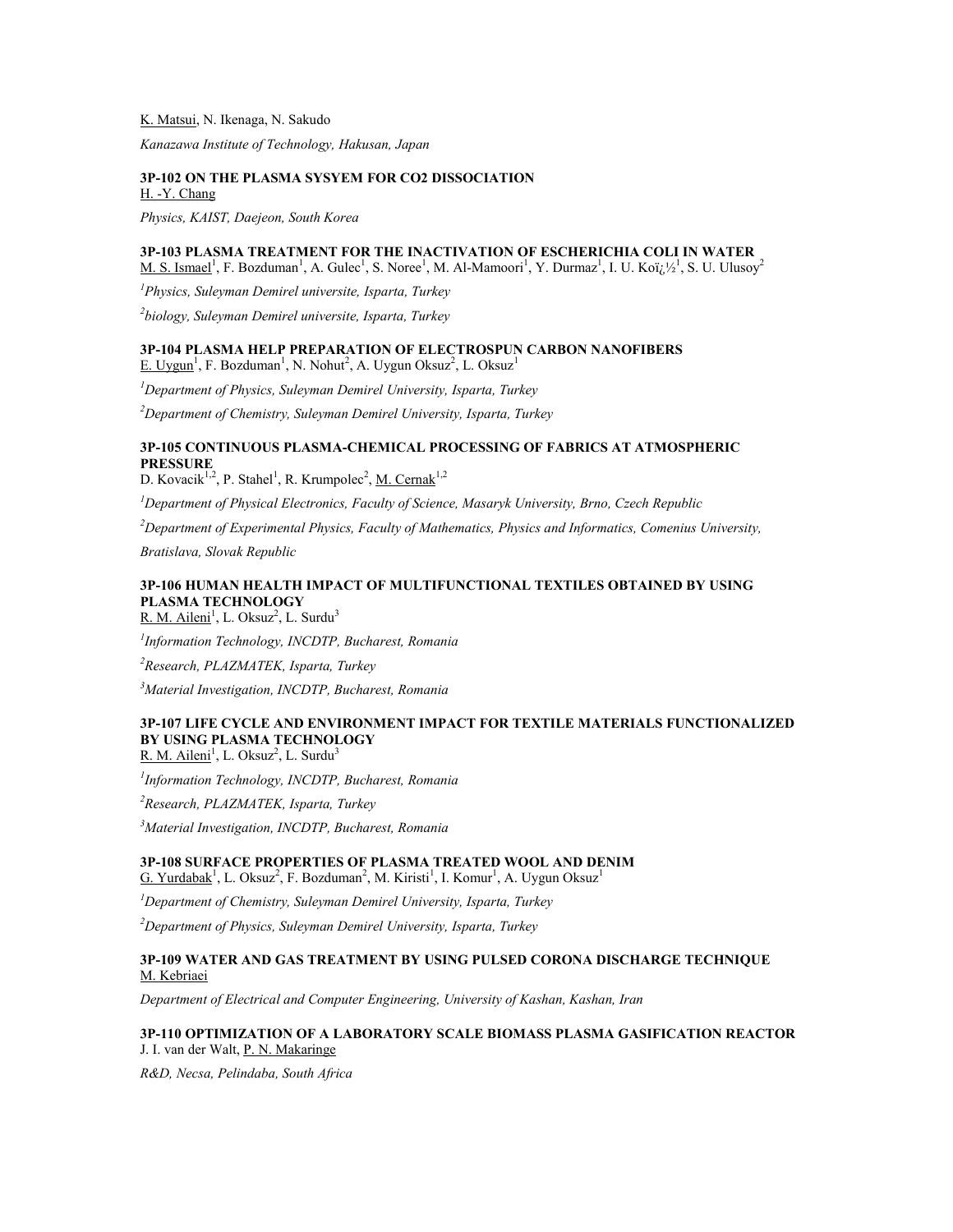K. Matsui, N. Ikenaga, N. Sakudo

*Kanazawa Institute of Technology, Hakusan, Japan*

#### **3P-102 ON THE PLASMA SYSYEM FOR CO2 DISSOCIATION** H. -Y. Chang

*Physics, KAIST, Daejeon, South Korea*

# **3P-103 PLASMA TREATMENT FOR THE INACTIVATION OF ESCHERICHIA COLI IN WATER**

M. S. Ismael<sup>1</sup>, F. Bozduman<sup>1</sup>, A. Gulec<sup>1</sup>, S. Noree<sup>1</sup>, M. Al-Mamoori<sup>1</sup>, Y. Durmaz<sup>1</sup>, I. U. Koï<sub>(</sub>;  $\frac{1}{2}$ <sup>1</sup>, S. U. Ulusoy<sup>2</sup>

*<sup>1</sup>Physics, Suleyman Demirel universite, Isparta, Turkey*

*2 biology, Suleyman Demirel universite, Isparta, Turkey*

# **3P-104 PLASMA HELP PREPARATION OF ELECTROSPUN CARBON NANOFIBERS**

 $E. Uygun<sup>1</sup>, F. Bozduman<sup>1</sup>, N. Nohut<sup>2</sup>, A. Uygun Oksuz<sup>2</sup>, L. Oksuz<sup>1</sup>$ 

*<sup>1</sup>Department of Physics, Suleyman Demirel University, Isparta, Turkey*

*<sup>2</sup>Department of Chemistry, Suleyman Demirel University, Isparta, Turkey*

# **3P-105 CONTINUOUS PLASMA-CHEMICAL PROCESSING OF FABRICS AT ATMOSPHERIC PRESSURE**

D. Kovacik<sup>1,2</sup>, P. Stahel<sup>1</sup>, R. Krumpolec<sup>2</sup>, <u>M. Cernak</u><sup>1,2</sup>

*<sup>1</sup>Department of Physical Electronics, Faculty of Science, Masaryk University, Brno, Czech Republic*

*<sup>2</sup>Department of Experimental Physics, Faculty of Mathematics, Physics and Informatics, Comenius University,* 

*Bratislava, Slovak Republic*

# **3P-106 HUMAN HEALTH IMPACT OF MULTIFUNCTIONAL TEXTILES OBTAINED BY USING PLASMA TECHNOLOGY**

R. M. Aileni<sup>1</sup>, L. Oksuz<sup>2</sup>, L. Surdu<sup>3</sup>

*1 Information Technology, INCDTP, Bucharest, Romania*

*<sup>2</sup>Research, PLAZMATEK, Isparta, Turkey*

*<sup>3</sup>Material Investigation, INCDTP, Bucharest, Romania*

# **3P-107 LIFE CYCLE AND ENVIRONMENT IMPACT FOR TEXTILE MATERIALS FUNCTIONALIZED BY USING PLASMA TECHNOLOGY**

R. M. Aileni<sup>1</sup>, L. Oksuz<sup>2</sup>, L. Surdu<sup>3</sup>

*1 Information Technology, INCDTP, Bucharest, Romania*

*<sup>2</sup>Research, PLAZMATEK, Isparta, Turkey*

*<sup>3</sup>Material Investigation, INCDTP, Bucharest, Romania*

#### **3P-108 SURFACE PROPERTIES OF PLASMA TREATED WOOL AND DENIM**  $G.$  Yurdabak<sup>1</sup>, L. Oksuz<sup>2</sup>, F. Bozduman<sup>2</sup>, M. Kiristi<sup>1</sup>, I. Komur<sup>1</sup>, A. Uygun Oksuz<sup>1</sup>

*<sup>1</sup>Department of Chemistry, Suleyman Demirel University, Isparta, Turkey*

*<sup>2</sup>Department of Physics, Suleyman Demirel University, Isparta, Turkey*

### **3P-109 WATER AND GAS TREATMENT BY USING PULSED CORONA DISCHARGE TECHNIQUE** M. Kebriaei

*Department of Electrical and Computer Engineering, University of Kashan, Kashan, Iran*

#### **3P-110 OPTIMIZATION OF A LABORATORY SCALE BIOMASS PLASMA GASIFICATION REACTOR** J. I. van der Walt, P. N. Makaringe

*R&D, Necsa, Pelindaba, South Africa*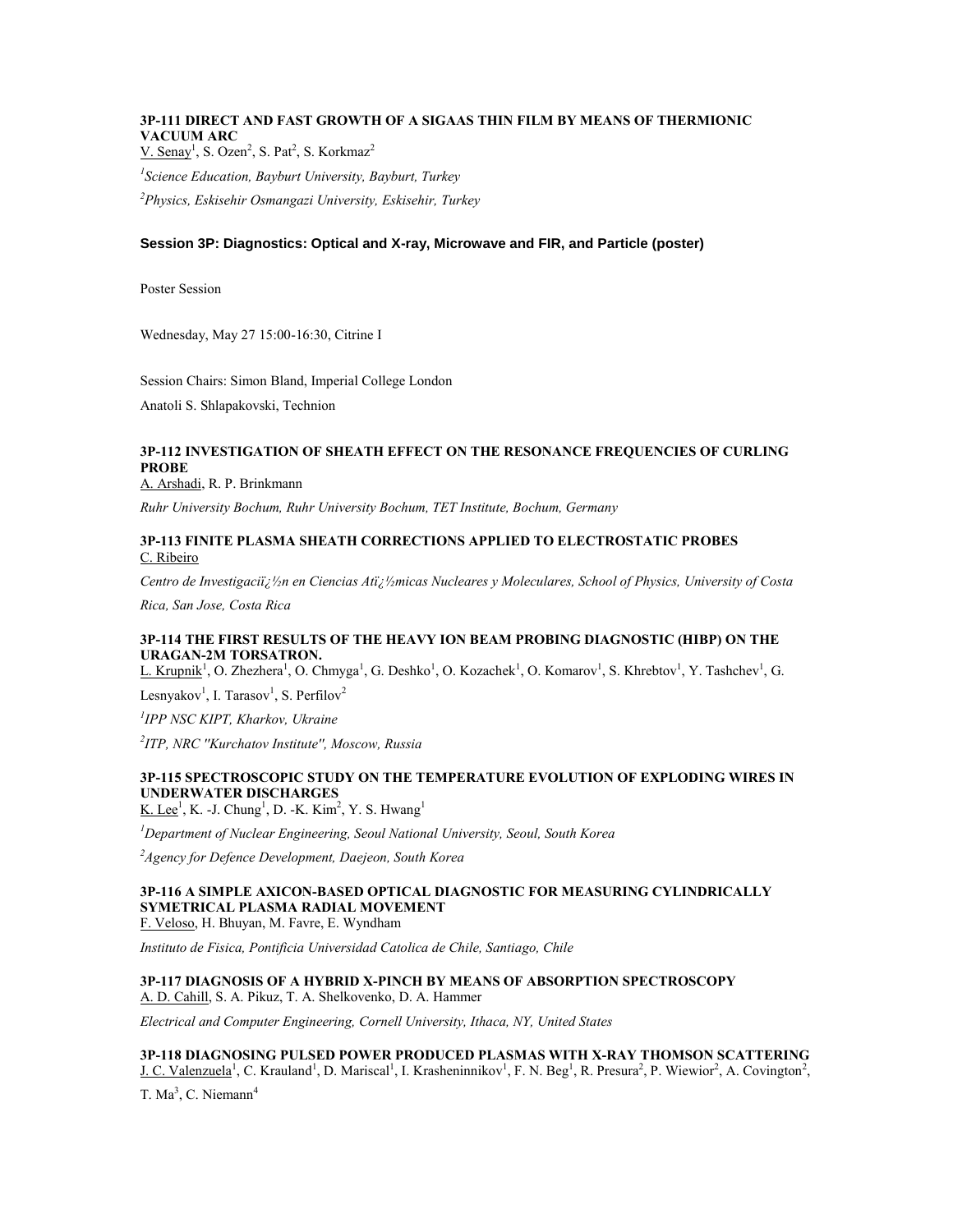# **3P-111 DIRECT AND FAST GROWTH OF A SIGAAS THIN FILM BY MEANS OF THERMIONIC VACUUM ARC**

 $V.$  Senay<sup>1</sup>, S. Ozen<sup>2</sup>, S. Pat<sup>2</sup>, S. Korkmaz<sup>2</sup>

*1 Science Education, Bayburt University, Bayburt, Turkey <sup>2</sup>Physics, Eskisehir Osmangazi University, Eskisehir, Turkey*

## **Session 3P: Diagnostics: Optical and X-ray, Microwave and FIR, and Particle (poster)**

Poster Session

Wednesday, May 27 15:00-16:30, Citrine I

Session Chairs: Simon Bland, Imperial College London Anatoli S. Shlapakovski, Technion

## **3P-112 INVESTIGATION OF SHEATH EFFECT ON THE RESONANCE FREQUENCIES OF CURLING PROBE**

A. Arshadi, R. P. Brinkmann

*Ruhr University Bochum, Ruhr University Bochum, TET Institute, Bochum, Germany*

### **3P-113 FINITE PLASMA SHEATH CORRECTIONS APPLIED TO ELECTROSTATIC PROBES** C. Ribeiro

*Centro de Investigaciï*; 1/2n en Ciencias Ati; 1/2micas Nucleares y Moleculares, School of Physics, University of Costa

*Rica, San Jose, Costa Rica*

## **3P-114 THE FIRST RESULTS OF THE HEAVY ION BEAM PROBING DIAGNOSTIC (HIBP) ON THE URAGAN-2M TORSATRON.**

L. Krupnik<sup>1</sup>, O. Zhezhera<sup>1</sup>, O. Chmyga<sup>1</sup>, G. Deshko<sup>1</sup>, O. Kozachek<sup>1</sup>, O. Komarov<sup>1</sup>, S. Khrebtov<sup>1</sup>, Y. Tashchev<sup>1</sup>, G.

Lesnyakov<sup>1</sup>, I. Tarasov<sup>1</sup>, S. Perfilov<sup>2</sup>

*1 IPP NSC KIPT, Kharkov, Ukraine*

*2 ITP, NRC ''Kurchatov Institute'', Moscow, Russia*

## **3P-115 SPECTROSCOPIC STUDY ON THE TEMPERATURE EVOLUTION OF EXPLODING WIRES IN UNDERWATER DISCHARGES**

 $K.$  Lee<sup>1</sup>, K. -J. Chung<sup>1</sup>, D. -K. Kim<sup>2</sup>, Y. S. Hwang<sup>1</sup>

*<sup>1</sup>Department of Nuclear Engineering, Seoul National University, Seoul, South Korea*

*<sup>2</sup>Agency for Defence Development, Daejeon, South Korea*

# **3P-116 A SIMPLE AXICON-BASED OPTICAL DIAGNOSTIC FOR MEASURING CYLINDRICALLY SYMETRICAL PLASMA RADIAL MOVEMENT**

F. Veloso, H. Bhuyan, M. Favre, E. Wyndham

*Instituto de Fisica, Pontificia Universidad Catolica de Chile, Santiago, Chile*

#### **3P-117 DIAGNOSIS OF A HYBRID X-PINCH BY MEANS OF ABSORPTION SPECTROSCOPY** A. D. Cahill, S. A. Pikuz, T. A. Shelkovenko, D. A. Hammer

*Electrical and Computer Engineering, Cornell University, Ithaca, NY, United States*

**3P-118 DIAGNOSING PULSED POWER PRODUCED PLASMAS WITH X-RAY THOMSON SCATTERING**

J. C. Valenzuela<sup>1</sup>, C. Krauland<sup>1</sup>, D. Mariscal<sup>1</sup>, I. Krasheninnikov<sup>1</sup>, F. N. Beg<sup>1</sup>, R. Presura<sup>2</sup>, P. Wiewior<sup>2</sup>, A. Covington<sup>2</sup>, T.  $Ma^3$ , C. Niemann<sup>4</sup>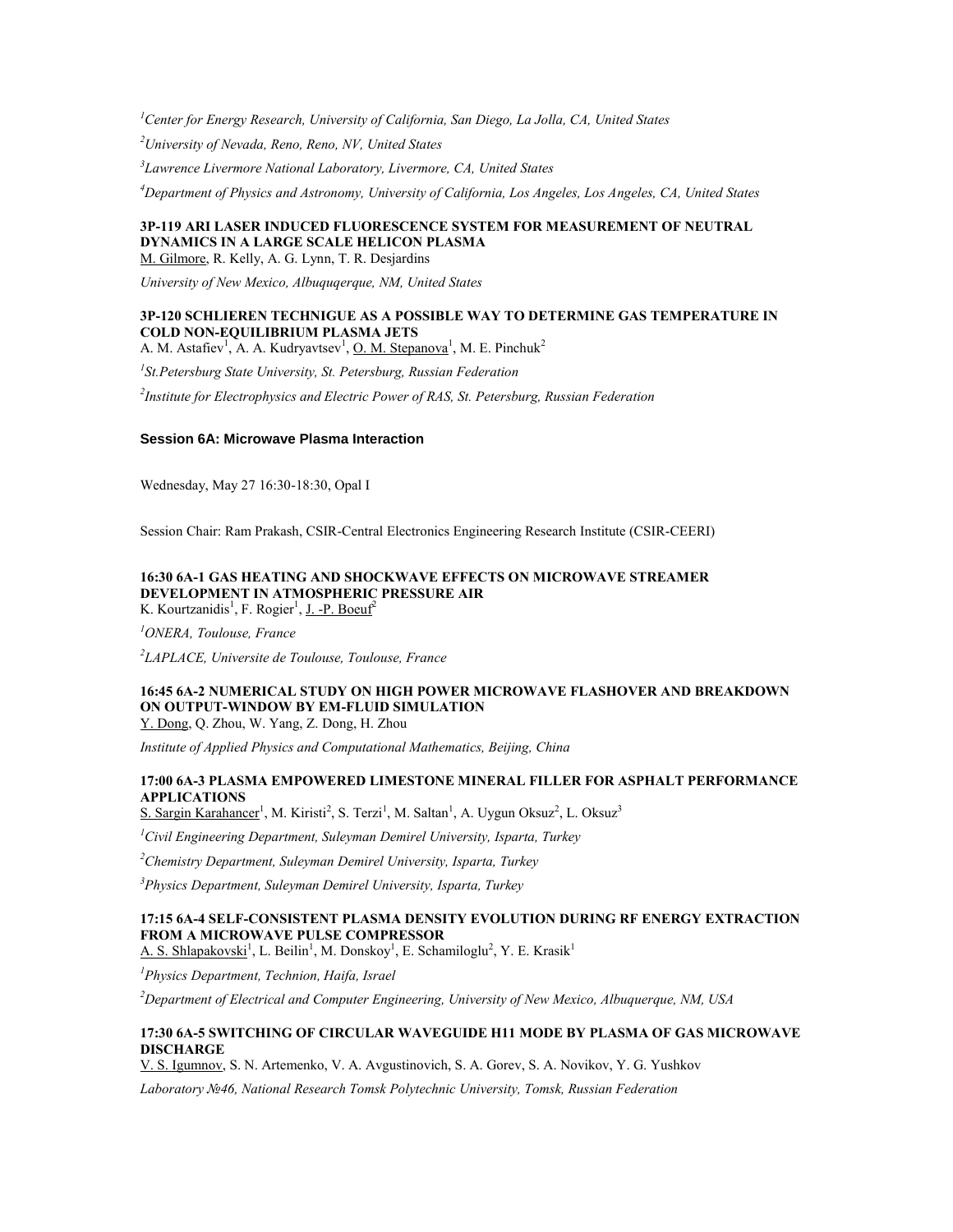*<sup>1</sup>Center for Energy Research, University of California, San Diego, La Jolla, CA, United States*

*<sup>2</sup>University of Nevada, Reno, Reno, NV, United States*

*3 Lawrence Livermore National Laboratory, Livermore, CA, United States*

*<sup>4</sup>Department of Physics and Astronomy, University of California, Los Angeles, Los Angeles, CA, United States*

## **3P-119 ARI LASER INDUCED FLUORESCENCE SYSTEM FOR MEASUREMENT OF NEUTRAL DYNAMICS IN A LARGE SCALE HELICON PLASMA**

M. Gilmore, R. Kelly, A. G. Lynn, T. R. Desjardins

*University of New Mexico, Albuquqerque, NM, United States*

## **3P-120 SCHLIEREN TECHNIGUE AS A POSSIBLE WAY TO DETERMINE GAS TEMPERATURE IN COLD NON-EQUILIBRIUM PLASMA JETS**

A. M. Astafiev<sup>1</sup>, A. A. Kudryavtsev<sup>1</sup>, <u>O. M. Stepanova<sup>1</sup>, M. E. Pinchuk</u><sup>2</sup>

*1 St.Petersburg State University, St. Petersburg, Russian Federation*

*2 Institute for Electrophysics and Electric Power of RAS, St. Petersburg, Russian Federation*

## **Session 6A: Microwave Plasma Interaction**

Wednesday, May 27 16:30-18:30, Opal I

Session Chair: Ram Prakash, CSIR-Central Electronics Engineering Research Institute (CSIR-CEERI)

### **16:30 6A-1 GAS HEATING AND SHOCKWAVE EFFECTS ON MICROWAVE STREAMER DEVELOPMENT IN ATMOSPHERIC PRESSURE AIR** K. Kourtzanidis<sup>1</sup>, F. Rogier<sup>1</sup>, J. -P. Boeuf<sup>2</sup>

*<sup>1</sup>ONERA, Toulouse, France*

*2 LAPLACE, Universite de Toulouse, Toulouse, France*

## **16:45 6A-2 NUMERICAL STUDY ON HIGH POWER MICROWAVE FLASHOVER AND BREAKDOWN ON OUTPUT-WINDOW BY EM-FLUID SIMULATION**

Y. Dong, Q. Zhou, W. Yang, Z. Dong, H. Zhou

*Institute of Applied Physics and Computational Mathematics, Beijing, China*

## **17:00 6A-3 PLASMA EMPOWERED LIMESTONE MINERAL FILLER FOR ASPHALT PERFORMANCE APPLICATIONS**

S. Sargin Karahancer<sup>1</sup>, M. Kiristi<sup>2</sup>, S. Terzi<sup>1</sup>, M. Saltan<sup>1</sup>, A. Uygun Oksuz<sup>2</sup>, L. Oksuz<sup>3</sup>

*<sup>1</sup>Civil Engineering Department, Suleyman Demirel University, Isparta, Turkey*

*<sup>2</sup>Chemistry Department, Suleyman Demirel University, Isparta, Turkey*

*<sup>3</sup>Physics Department, Suleyman Demirel University, Isparta, Turkey*

### **17:15 6A-4 SELF-CONSISTENT PLASMA DENSITY EVOLUTION DURING RF ENERGY EXTRACTION FROM A MICROWAVE PULSE COMPRESSOR**

A. S. Shlapakovski<sup>1</sup>, L. Beilin<sup>1</sup>, M. Donskoy<sup>1</sup>, E. Schamiloglu<sup>2</sup>, Y. E. Krasik<sup>1</sup>

*<sup>1</sup>Physics Department, Technion, Haifa, Israel*

*<sup>2</sup>Department of Electrical and Computer Engineering, University of New Mexico, Albuquerque, NM, USA*

### **17:30 6A-5 SWITCHING OF CIRCULAR WAVEGUIDE H11 MODE BY PLASMA OF GAS MICROWAVE DISCHARGE**

V. S. Igumnov, S. N. Artemenko, V. A. Avgustinovich, S. A. Gorev, S. A. Novikov, Y. G. Yushkov

*Laboratory №46, National Research Tomsk Polytechnic University, Tomsk, Russian Federation*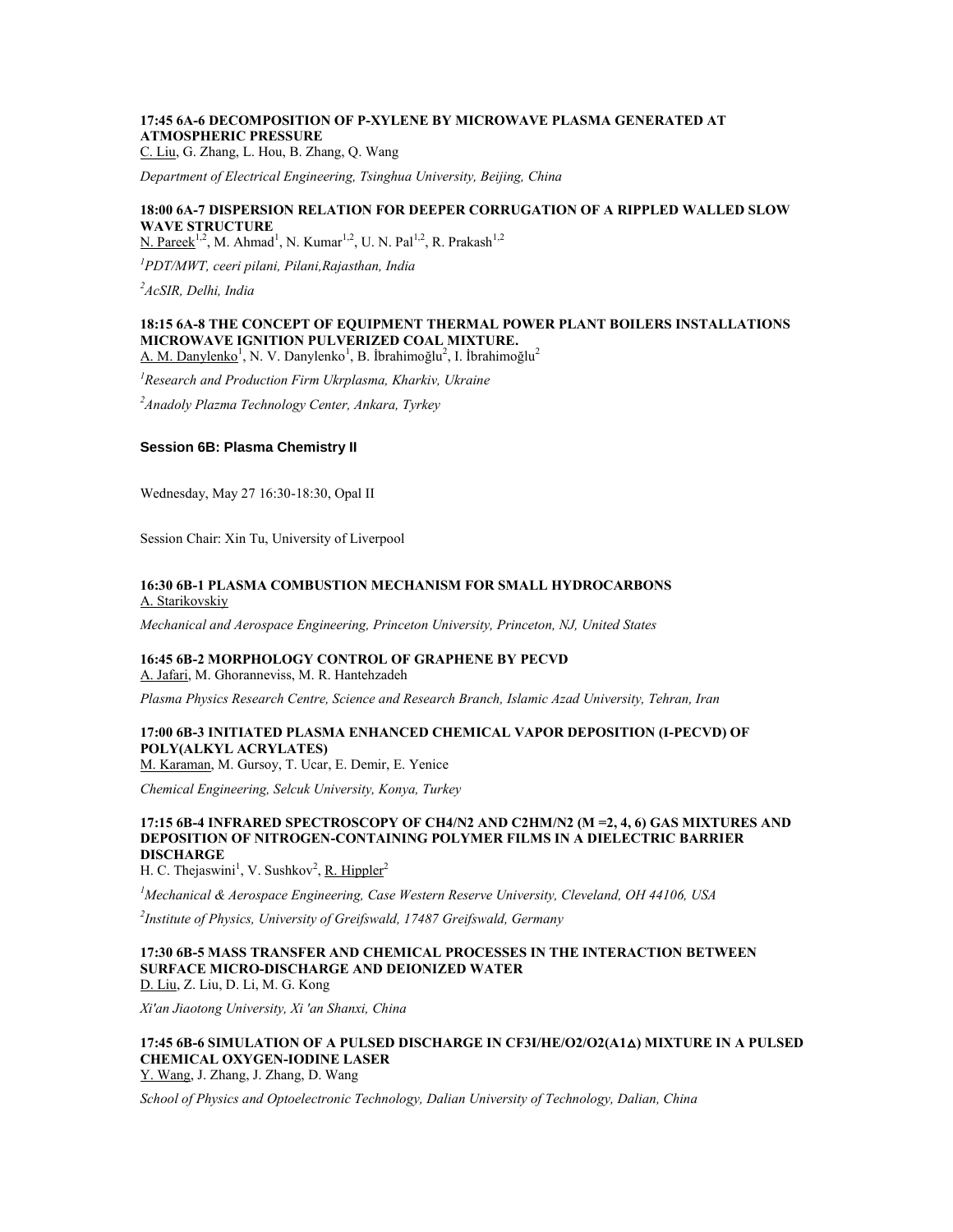## **17:45 6A-6 DECOMPOSITION OF P-XYLENE BY MICROWAVE PLASMA GENERATED AT ATMOSPHERIC PRESSURE**

C. Liu, G. Zhang, L. Hou, B. Zhang, Q. Wang

*Department of Electrical Engineering, Tsinghua University, Beijing, China*

## **18:00 6A-7 DISPERSION RELATION FOR DEEPER CORRUGATION OF A RIPPLED WALLED SLOW WAVE STRUCTURE**

N. Pareek<sup>1,2</sup>, M. Ahmad<sup>1</sup>, N. Kumar<sup>1,2</sup>, U. N. Pal<sup>1,2</sup>, R. Prakash<sup>1,2</sup>

*<sup>1</sup>PDT/MWT, ceeri pilani, Pilani,Rajasthan, India*

*<sup>2</sup>AcSIR, Delhi, India*

## **18:15 6A-8 THE CONCEPT OF EQUIPMENT THERMAL POWER PLANT BOILERS INSTALLATIONS MICROWAVE IGNITION PULVERIZED COAL MIXTURE.**

A. M. Danylenko<sup>1</sup>, N. V. Danylenko<sup>1</sup>, B. İbrahimoğlu<sup>2</sup>, I. İbrahimoğlu<sup>2</sup>

*<sup>1</sup>Research and Production Firm Ukrplasma, Kharkiv, Ukraine*

*<sup>2</sup>Anadoly Plazma Technology Center, Ankara, Tyrkey*

#### **Session 6B: Plasma Chemistry II**

Wednesday, May 27 16:30-18:30, Opal II

Session Chair: Xin Tu, University of Liverpool

#### **16:30 6B-1 PLASMA COMBUSTION MECHANISM FOR SMALL HYDROCARBONS** A. Starikovskiy

*Mechanical and Aerospace Engineering, Princeton University, Princeton, NJ, United States*

# **16:45 6B-2 MORPHOLOGY CONTROL OF GRAPHENE BY PECVD**

A. Jafari, M. Ghoranneviss, M. R. Hantehzadeh

*Plasma Physics Research Centre, Science and Research Branch, Islamic Azad University, Tehran, Iran*

## **17:00 6B-3 INITIATED PLASMA ENHANCED CHEMICAL VAPOR DEPOSITION (I-PECVD) OF POLY(ALKYL ACRYLATES)**

M. Karaman, M. Gursoy, T. Ucar, E. Demir, E. Yenice

*Chemical Engineering, Selcuk University, Konya, Turkey*

## **17:15 6B-4 INFRARED SPECTROSCOPY OF CH4/N2 AND C2HM/N2 (M =2, 4, 6) GAS MIXTURES AND DEPOSITION OF NITROGEN-CONTAINING POLYMER FILMS IN A DIELECTRIC BARRIER DISCHARGE**

H. C. Thejaswini<sup>1</sup>, V. Sushkov<sup>2</sup>, <u>R. Hippler</u><sup>2</sup>

*<sup>1</sup>Mechanical & Aerospace Engineering, Case Western Reserve University, Cleveland, OH 44106, USA*

*2 Institute of Physics, University of Greifswald, 17487 Greifswald, Germany*

#### **17:30 6B-5 MASS TRANSFER AND CHEMICAL PROCESSES IN THE INTERACTION BETWEEN SURFACE MICRO-DISCHARGE AND DEIONIZED WATER** D. Liu, Z. Liu, D. Li, M. G. Kong

*Xi'an Jiaotong University, Xi 'an Shanxi, China*

#### **17:45 6B-6 SIMULATION OF A PULSED DISCHARGE IN CF3I/HE/O2/O2(A1**△**) MIXTURE IN A PULSED CHEMICAL OXYGEN-IODINE LASER** Y. Wang, J. Zhang, J. Zhang, D. Wang

*School of Physics and Optoelectronic Technology, Dalian University of Technology, Dalian, China*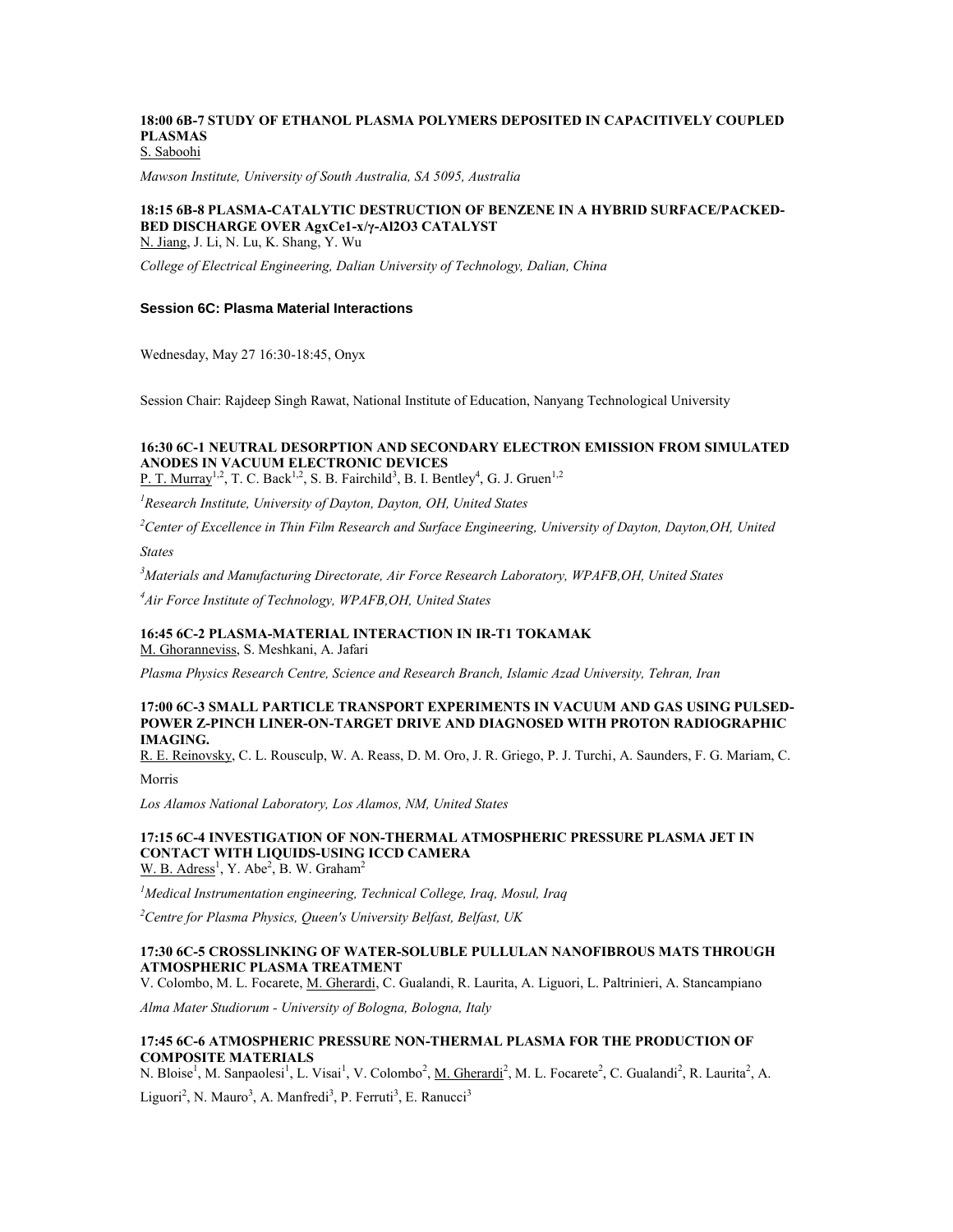#### **18:00 6B-7 STUDY OF ETHANOL PLASMA POLYMERS DEPOSITED IN CAPACITIVELY COUPLED PLASMAS** S. Saboohi

*Mawson Institute, University of South Australia, SA 5095, Australia*

## **18:15 6B-8 PLASMA-CATALYTIC DESTRUCTION OF BENZENE IN A HYBRID SURFACE/PACKED-BED DISCHARGE OVER AgxCe1-x/γ-Al2O3 CATALYST**

N. Jiang, J. Li, N. Lu, K. Shang, Y. Wu

*College of Electrical Engineering, Dalian University of Technology, Dalian, China*

## **Session 6C: Plasma Material Interactions**

Wednesday, May 27 16:30-18:45, Onyx

Session Chair: Rajdeep Singh Rawat, National Institute of Education, Nanyang Technological University

## **16:30 6C-1 NEUTRAL DESORPTION AND SECONDARY ELECTRON EMISSION FROM SIMULATED ANODES IN VACUUM ELECTRONIC DEVICES**

P. T. Murray<sup>1,2</sup>, T. C. Back<sup>1,2</sup>, S. B. Fairchild<sup>3</sup>, B. I. Bentley<sup>4</sup>, G. J. Gruen<sup>1,2</sup>

*<sup>1</sup>Research Institute, University of Dayton, Dayton, OH, United States*

*<sup>2</sup>Center of Excellence in Thin Film Research and Surface Engineering, University of Dayton, Dayton,OH, United* 

*States*

*<sup>3</sup>Materials and Manufacturing Directorate, Air Force Research Laboratory, WPAFB,OH, United States*

*<sup>4</sup>Air Force Institute of Technology, WPAFB,OH, United States*

# **16:45 6C-2 PLASMA-MATERIAL INTERACTION IN IR-T1 TOKAMAK**

M. Ghoranneviss, S. Meshkani, A. Jafari

*Plasma Physics Research Centre, Science and Research Branch, Islamic Azad University, Tehran, Iran*

#### **17:00 6C-3 SMALL PARTICLE TRANSPORT EXPERIMENTS IN VACUUM AND GAS USING PULSED-POWER Z-PINCH LINER-ON-TARGET DRIVE AND DIAGNOSED WITH PROTON RADIOGRAPHIC IMAGING.**

R. E. Reinovsky, C. L. Rousculp, W. A. Reass, D. M. Oro, J. R. Griego, P. J. Turchi, A. Saunders, F. G. Mariam, C.

Morris

*Los Alamos National Laboratory, Los Alamos, NM, United States*

#### **17:15 6C-4 INVESTIGATION OF NON-THERMAL ATMOSPHERIC PRESSURE PLASMA JET IN CONTACT WITH LIQUIDS-USING ICCD CAMERA**  $W. B. Adress<sup>1</sup>, Y. Abe<sup>2</sup>, B. W. Graham<sup>2</sup>$

*<sup>1</sup>Medical Instrumentation engineering, Technical College, Iraq, Mosul, Iraq*

*<sup>2</sup>Centre for Plasma Physics, Queen's University Belfast, Belfast, UK*

### **17:30 6C-5 CROSSLINKING OF WATER-SOLUBLE PULLULAN NANOFIBROUS MATS THROUGH ATMOSPHERIC PLASMA TREATMENT**

V. Colombo, M. L. Focarete, M. Gherardi, C. Gualandi, R. Laurita, A. Liguori, L. Paltrinieri, A. Stancampiano

*Alma Mater Studiorum - University of Bologna, Bologna, Italy*

### **17:45 6C-6 ATMOSPHERIC PRESSURE NON-THERMAL PLASMA FOR THE PRODUCTION OF COMPOSITE MATERIALS**

N. Bloise<sup>1</sup>, M. Sanpaolesi<sup>1</sup>, L. Visai<sup>1</sup>, V. Colombo<sup>2</sup>, <u>M. Gherardi</u><sup>2</sup>, M. L. Focarete<sup>2</sup>, C. Gualandi<sup>2</sup>, R. Laurita<sup>2</sup>, A. Liguori<sup>2</sup>, N. Mauro<sup>3</sup>, A. Manfredi<sup>3</sup>, P. Ferruti<sup>3</sup>, E. Ranucci<sup>3</sup>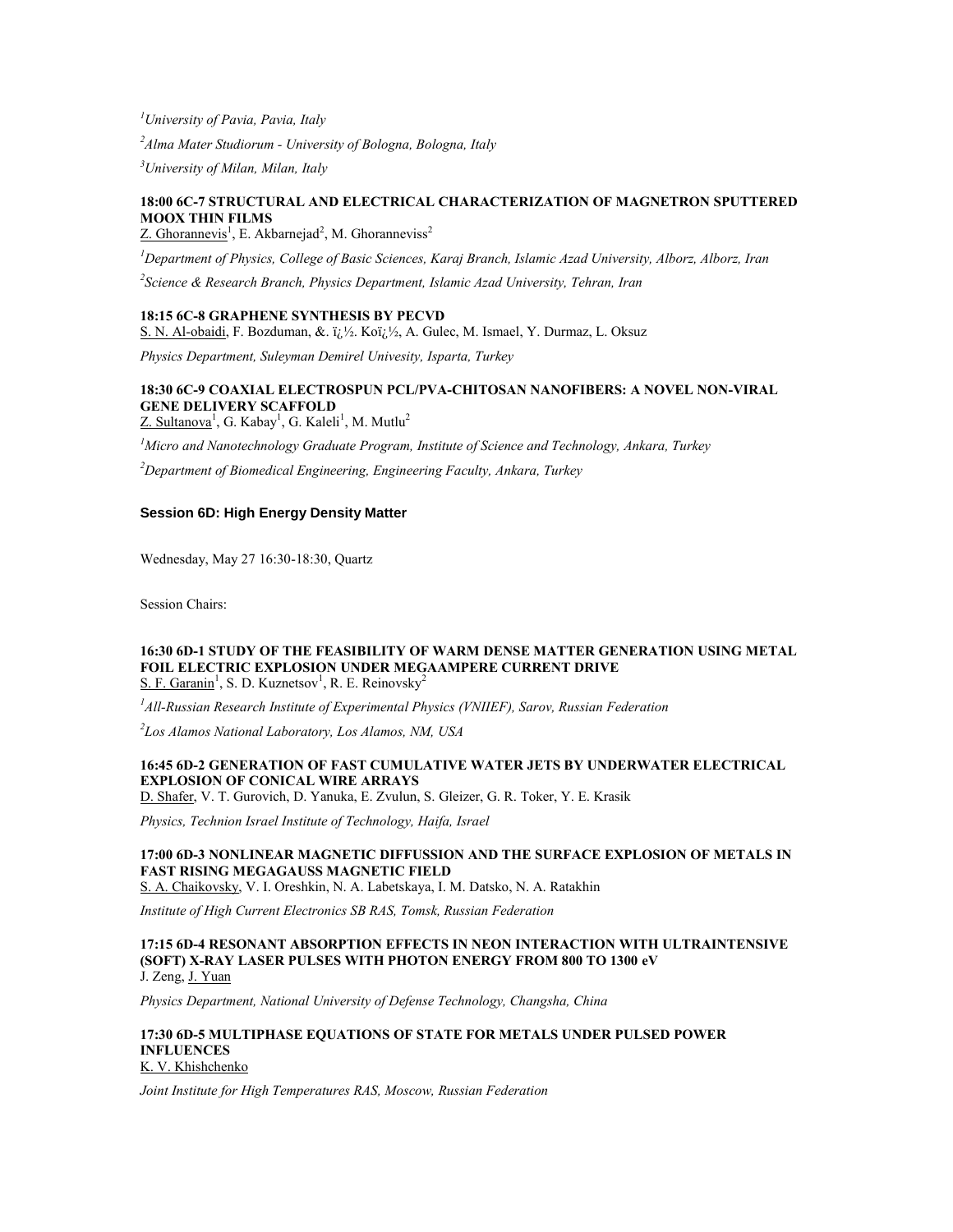*<sup>1</sup>University of Pavia, Pavia, Italy*

*<sup>2</sup>Alma Mater Studiorum - University of Bologna, Bologna, Italy*

*<sup>3</sup>University of Milan, Milan, Italy*

## **18:00 6C-7 STRUCTURAL AND ELECTRICAL CHARACTERIZATION OF MAGNETRON SPUTTERED MOOX THIN FILMS**

Z. Ghorannevis<sup>1</sup>, E. Akbarnejad<sup>2</sup>, M. Ghoranneviss<sup>2</sup>

*<sup>1</sup>Department of Physics, College of Basic Sciences, Karaj Branch, Islamic Azad University, Alborz, Alborz, Iran*

*2 Science & Research Branch, Physics Department, Islamic Azad University, Tehran, Iran*

### **18:15 6C-8 GRAPHENE SYNTHESIS BY PECVD**

S. N. Al-obaidi, F. Bozduman, &. i<sub>(i</sub><sup>1</sup>/<sub>2</sub>. Koï<sub>(i</sub><sup>1</sup>/<sub>2</sub>, A. Gulec, M. Ismael, Y. Durmaz, L. Oksuz

*Physics Department, Suleyman Demirel Univesity, Isparta, Turkey*

### **18:30 6C-9 COAXIAL ELECTROSPUN PCL/PVA-CHITOSAN NANOFIBERS: A NOVEL NON-VIRAL GENE DELIVERY SCAFFOLD** Z. Sultanova<sup>1</sup>, G. Kabay<sup>1</sup>, G. Kaleli<sup>1</sup>, M. Mutlu<sup>2</sup>

*<sup>1</sup>Micro and Nanotechnology Graduate Program, Institute of Science and Technology, Ankara, Turkey*

*<sup>2</sup>Department of Biomedical Engineering, Engineering Faculty, Ankara, Turkey*

## **Session 6D: High Energy Density Matter**

Wednesday, May 27 16:30-18:30, Quartz

Session Chairs:

#### **16:30 6D-1 STUDY OF THE FEASIBILITY OF WARM DENSE MATTER GENERATION USING METAL FOIL ELECTRIC EXPLOSION UNDER MEGAAMPERE CURRENT DRIVE** S. F. Garanin<sup>1</sup>, S. D. Kuznetsov<sup>1</sup>, R. E. Reinovsky<sup>2</sup>

*<sup>1</sup>All-Russian Research Institute of Experimental Physics (VNIIEF), Sarov, Russian Federation*

*2 Los Alamos National Laboratory, Los Alamos, NM, USA*

## **16:45 6D-2 GENERATION OF FAST CUMULATIVE WATER JETS BY UNDERWATER ELECTRICAL EXPLOSION OF CONICAL WIRE ARRAYS**

D. Shafer, V. T. Gurovich, D. Yanuka, E. Zvulun, S. Gleizer, G. R. Toker, Y. E. Krasik

*Physics, Technion Israel Institute of Technology, Haifa, Israel*

## **17:00 6D-3 NONLINEAR MAGNETIC DIFFUSSION AND THE SURFACE EXPLOSION OF METALS IN FAST RISING MEGAGAUSS MAGNETIC FIELD**

S. A. Chaikovsky, V. I. Oreshkin, N. A. Labetskaya, I. M. Datsko, N. A. Ratakhin

*Institute of High Current Electronics SB RAS, Tomsk, Russian Federation*

#### **17:15 6D-4 RESONANT ABSORPTION EFFECTS IN NEON INTERACTION WITH ULTRAINTENSIVE (SOFT) X-RAY LASER PULSES WITH PHOTON ENERGY FROM 800 TO 1300 eV** J. Zeng, J. Yuan

*Physics Department, National University of Defense Technology, Changsha, China*

#### **17:30 6D-5 MULTIPHASE EQUATIONS OF STATE FOR METALS UNDER PULSED POWER INFLUENCES** K. V. Khishchenko

*Joint Institute for High Temperatures RAS, Moscow, Russian Federation*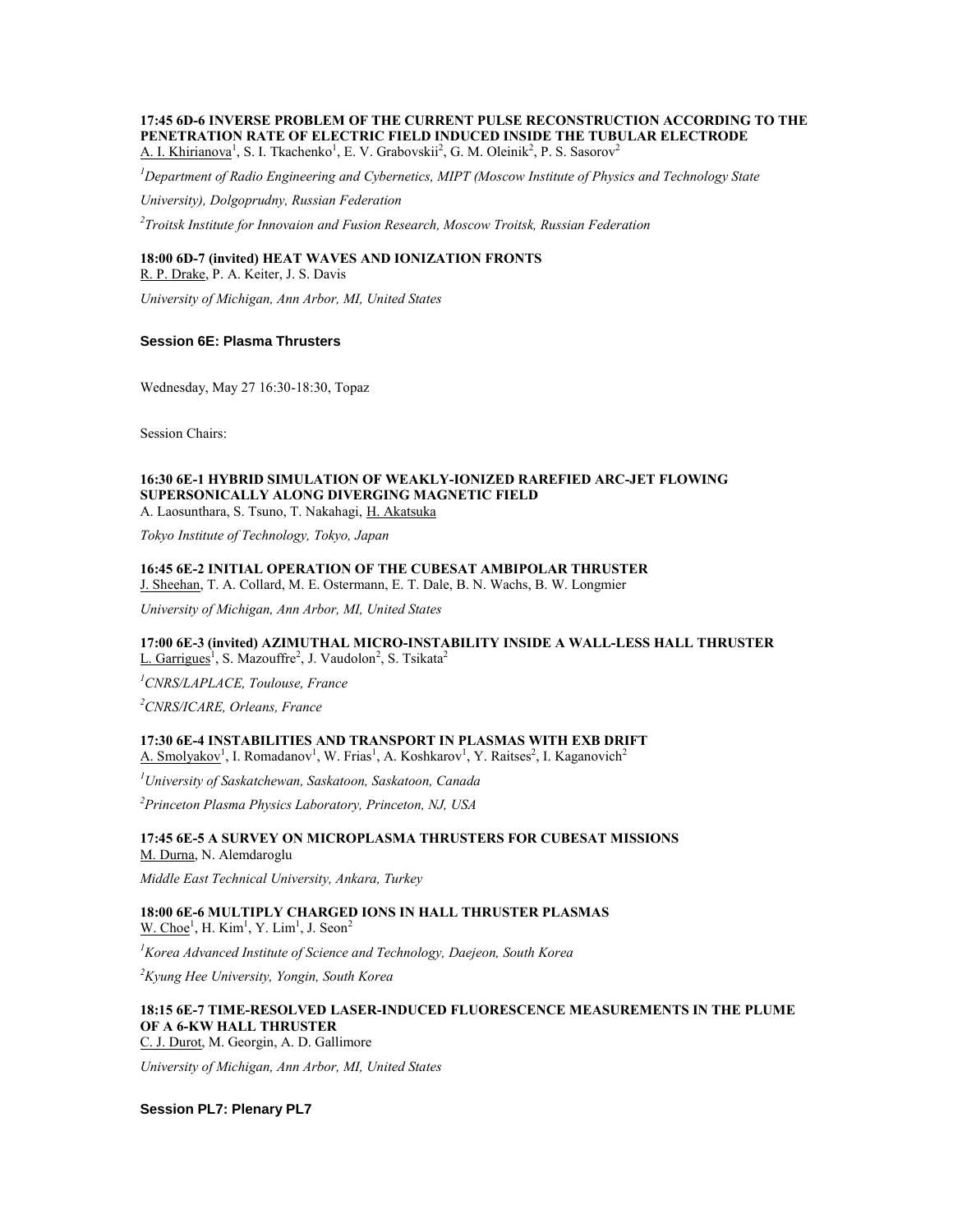# **17:45 6D-6 INVERSE PROBLEM OF THE CURRENT PULSE RECONSTRUCTION ACCORDING TO THE PENETRATION RATE OF ELECTRIC FIELD INDUCED INSIDE THE TUBULAR ELECTRODE**

A. I. Khirianova<sup>1</sup>, S. I. Tkachenko<sup>1</sup>, E. V. Grabovskii<sup>2</sup>, G. M. Oleinik<sup>2</sup>, P. S. Sasorov<sup>2</sup>

*<sup>1</sup>Department of Radio Engineering and Cybernetics, MIPT (Moscow Institute of Physics and Technology State* 

*University), Dolgoprudny, Russian Federation*

*2 Troitsk Institute for Innovaion and Fusion Research, Moscow Troitsk, Russian Federation*

## **18:00 6D-7 (invited) HEAT WAVES AND IONIZATION FRONTS**

R. P. Drake, P. A. Keiter, J. S. Davis

*University of Michigan, Ann Arbor, MI, United States*

## **Session 6E: Plasma Thrusters**

Wednesday, May 27 16:30-18:30, Topaz

Session Chairs:

#### **16:30 6E-1 HYBRID SIMULATION OF WEAKLY-IONIZED RAREFIED ARC-JET FLOWING SUPERSONICALLY ALONG DIVERGING MAGNETIC FIELD** A. Laosunthara, S. Tsuno, T. Nakahagi, H. Akatsuka

*Tokyo Institute of Technology, Tokyo, Japan*

# **16:45 6E-2 INITIAL OPERATION OF THE CUBESAT AMBIPOLAR THRUSTER**

J. Sheehan, T. A. Collard, M. E. Ostermann, E. T. Dale, B. N. Wachs, B. W. Longmier

*University of Michigan, Ann Arbor, MI, United States*

### **17:00 6E-3 (invited) AZIMUTHAL MICRO-INSTABILITY INSIDE A WALL-LESS HALL THRUSTER** L. Garrigues<sup>1</sup>, S. Mazouffre<sup>2</sup>, J. Vaudolon<sup>2</sup>, S. Tsikata<sup>2</sup>

*<sup>1</sup>CNRS/LAPLACE, Toulouse, France*

*<sup>2</sup>CNRS/ICARE, Orleans, France*

# **17:30 6E-4 INSTABILITIES AND TRANSPORT IN PLASMAS WITH EXB DRIFT**

A. Smolyakov<sup>1</sup>, I. Romadanov<sup>1</sup>, W. Frias<sup>1</sup>, A. Koshkarov<sup>1</sup>, Y. Raitses<sup>2</sup>, I. Kaganovich<sup>2</sup>

*<sup>1</sup>University of Saskatchewan, Saskatoon, Saskatoon, Canada*

*<sup>2</sup>Princeton Plasma Physics Laboratory, Princeton, NJ, USA*

## **17:45 6E-5 A SURVEY ON MICROPLASMA THRUSTERS FOR CUBESAT MISSIONS** M. Durna, N. Alemdaroglu

*Middle East Technical University, Ankara, Turkey*

#### **18:00 6E-6 MULTIPLY CHARGED IONS IN HALL THRUSTER PLASMAS**  $W. Choe<sup>1</sup>, H. Kim<sup>1</sup>, Y. Lim<sup>1</sup>, J. Seon<sup>2</sup>$

*<sup>1</sup>Korea Advanced Institute of Science and Technology, Daejeon, South Korea*

*<sup>2</sup>Kyung Hee University, Yongin, South Korea*

#### **18:15 6E-7 TIME-RESOLVED LASER-INDUCED FLUORESCENCE MEASUREMENTS IN THE PLUME OF A 6-KW HALL THRUSTER** C. J. Durot, M. Georgin, A. D. Gallimore

*University of Michigan, Ann Arbor, MI, United States*

**Session PL7: Plenary PL7**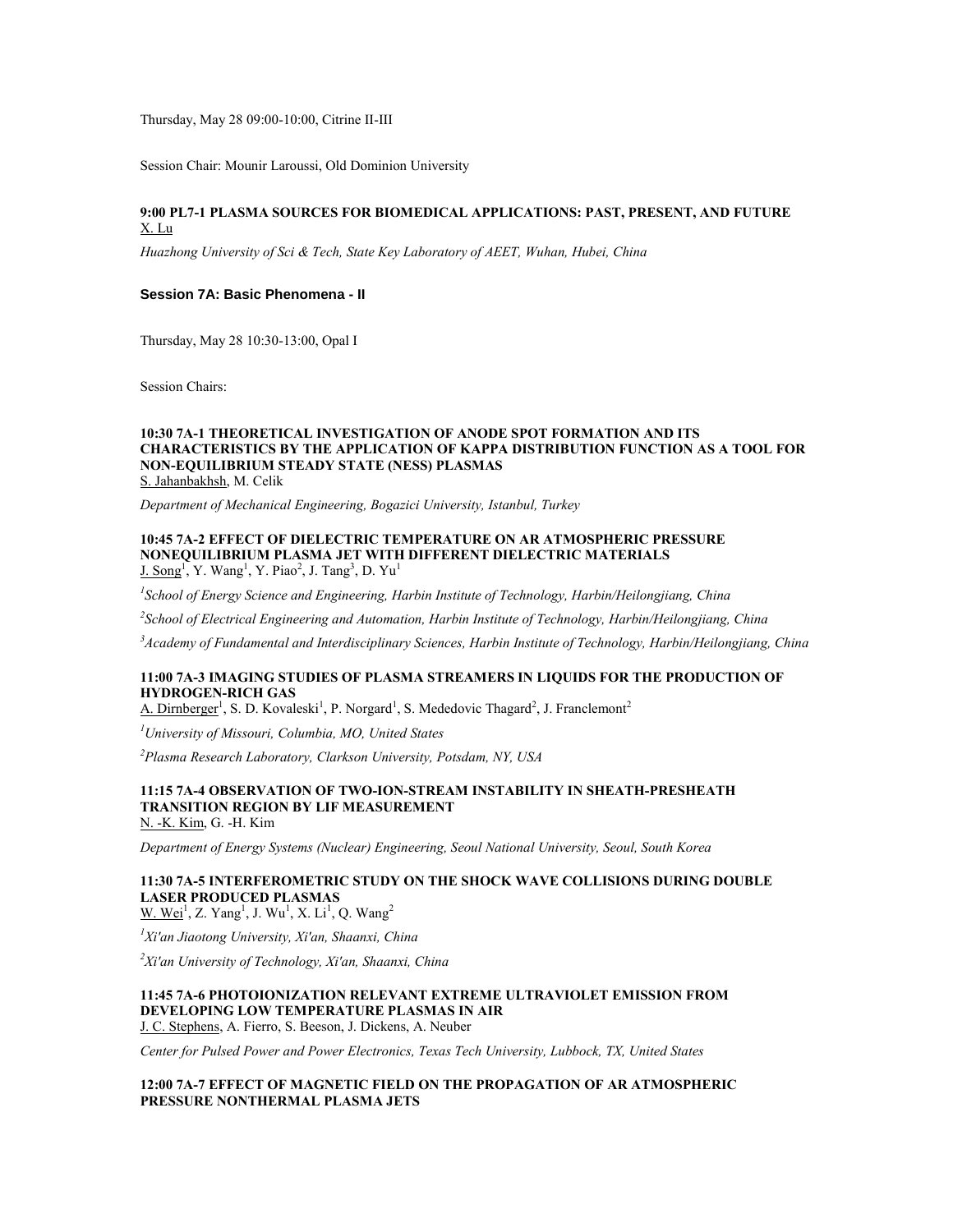Thursday, May 28 09:00-10:00, Citrine II-III

Session Chair: Mounir Laroussi, Old Dominion University

### **9:00 PL7-1 PLASMA SOURCES FOR BIOMEDICAL APPLICATIONS: PAST, PRESENT, AND FUTURE** X. Lu

*Huazhong University of Sci & Tech, State Key Laboratory of AEET, Wuhan, Hubei, China*

#### **Session 7A: Basic Phenomena - II**

Thursday, May 28 10:30-13:00, Opal I

Session Chairs:

#### **10:30 7A-1 THEORETICAL INVESTIGATION OF ANODE SPOT FORMATION AND ITS CHARACTERISTICS BY THE APPLICATION OF KAPPA DISTRIBUTION FUNCTION AS A TOOL FOR NON-EQUILIBRIUM STEADY STATE (NESS) PLASMAS** S. Jahanbakhsh, M. Celik

*Department of Mechanical Engineering, Bogazici University, Istanbul, Turkey*

#### **10:45 7A-2 EFFECT OF DIELECTRIC TEMPERATURE ON AR ATMOSPHERIC PRESSURE NONEQUILIBRIUM PLASMA JET WITH DIFFERENT DIELECTRIC MATERIALS**  $J.$   $\text{Song}^1$ , Y. Wang<sup>1</sup>, Y. Piao<sup>2</sup>, J. Tang<sup>3</sup>, D. Yu<sup>1</sup>

*1 School of Energy Science and Engineering, Harbin Institute of Technology, Harbin/Heilongjiang, China*

*2 School of Electrical Engineering and Automation, Harbin Institute of Technology, Harbin/Heilongjiang, China*

*<sup>3</sup>Academy of Fundamental and Interdisciplinary Sciences, Harbin Institute of Technology, Harbin/Heilongjiang, China*

## **11:00 7A-3 IMAGING STUDIES OF PLASMA STREAMERS IN LIQUIDS FOR THE PRODUCTION OF HYDROGEN-RICH GAS**

A. Dirnberger<sup>1</sup>, S. D. Kovaleski<sup>1</sup>, P. Norgard<sup>1</sup>, S. Mededovic Thagard<sup>2</sup>, J. Franclemont<sup>2</sup>

*<sup>1</sup>University of Missouri, Columbia, MO, United States*

*<sup>2</sup>Plasma Research Laboratory, Clarkson University, Potsdam, NY, USA*

## **11:15 7A-4 OBSERVATION OF TWO-ION-STREAM INSTABILITY IN SHEATH-PRESHEATH TRANSITION REGION BY LIF MEASUREMENT**

N. -K. Kim, G. -H. Kim

*Department of Energy Systems (Nuclear) Engineering, Seoul National University, Seoul, South Korea*

# **11:30 7A-5 INTERFEROMETRIC STUDY ON THE SHOCK WAVE COLLISIONS DURING DOUBLE LASER PRODUCED PLASMAS**

W. Wei<sup>1</sup>, Z. Yang<sup>1</sup>, J. Wu<sup>1</sup>, X. Li<sup>1</sup>, Q. Wang<sup>2</sup>

*<sup>1</sup>Xi'an Jiaotong University, Xi'an, Shaanxi, China*

*<sup>2</sup>Xi'an University of Technology, Xi'an, Shaanxi, China*

## **11:45 7A-6 PHOTOIONIZATION RELEVANT EXTREME ULTRAVIOLET EMISSION FROM DEVELOPING LOW TEMPERATURE PLASMAS IN AIR**

J. C. Stephens, A. Fierro, S. Beeson, J. Dickens, A. Neuber

*Center for Pulsed Power and Power Electronics, Texas Tech University, Lubbock, TX, United States*

#### **12:00 7A-7 EFFECT OF MAGNETIC FIELD ON THE PROPAGATION OF AR ATMOSPHERIC PRESSURE NONTHERMAL PLASMA JETS**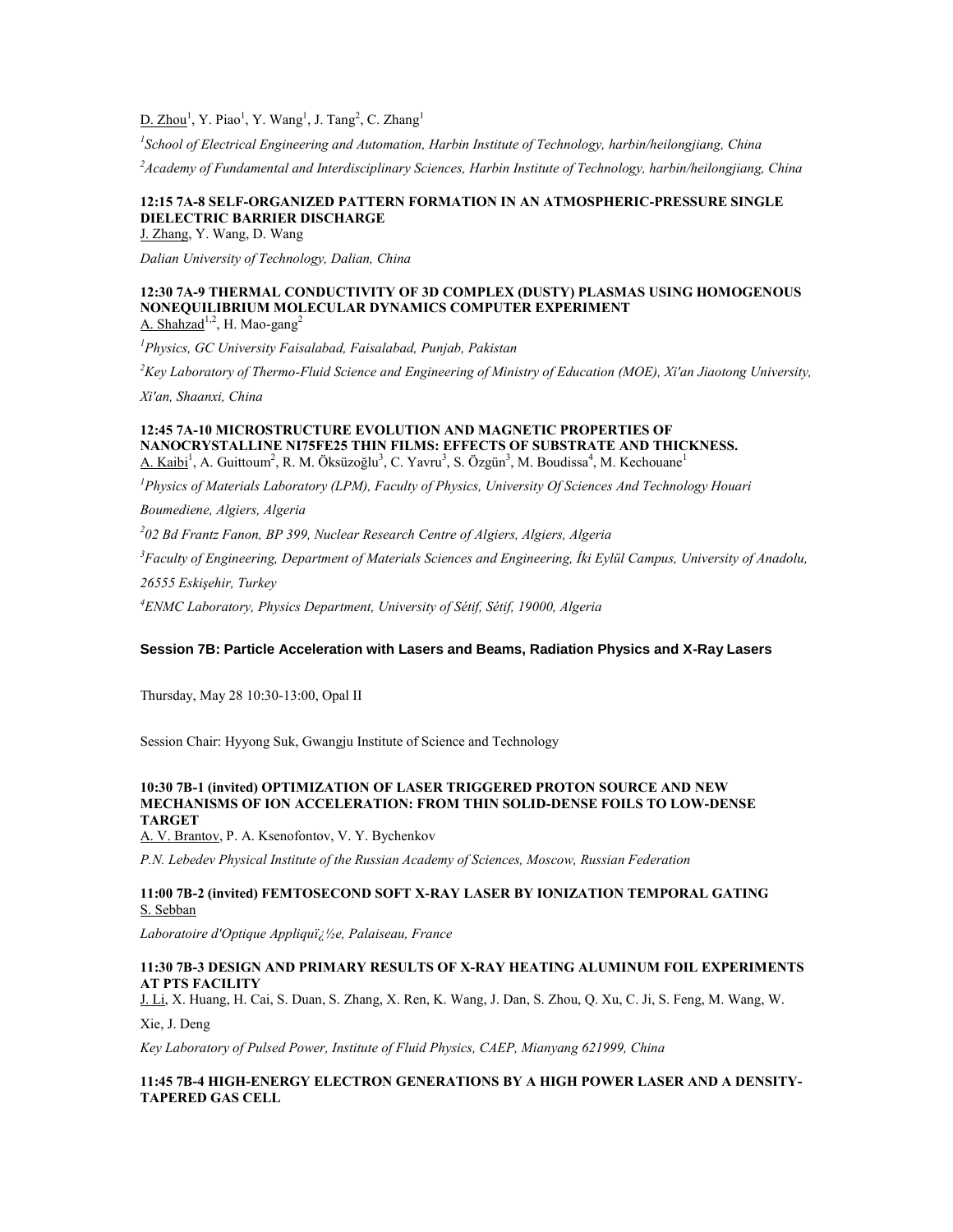$D.$  Zhou<sup>1</sup>, Y. Piao<sup>1</sup>, Y. Wang<sup>1</sup>, J. Tang<sup>2</sup>, C. Zhang<sup>1</sup>

*1 School of Electrical Engineering and Automation, Harbin Institute of Technology, harbin/heilongjiang, China <sup>2</sup>Academy of Fundamental and Interdisciplinary Sciences, Harbin Institute of Technology, harbin/heilongjiang, China*

## **12:15 7A-8 SELF-ORGANIZED PATTERN FORMATION IN AN ATMOSPHERIC-PRESSURE SINGLE DIELECTRIC BARRIER DISCHARGE**

J. Zhang, Y. Wang, D. Wang

*Dalian University of Technology, Dalian, China*

### **12:30 7A-9 THERMAL CONDUCTIVITY OF 3D COMPLEX (DUSTY) PLASMAS USING HOMOGENOUS NONEQUILIBRIUM MOLECULAR DYNAMICS COMPUTER EXPERIMENT** A. Shahzad<sup>1,2</sup>, H. Mao-gang<sup>2</sup>

*<sup>1</sup>Physics, GC University Faisalabad, Faisalabad, Punjab, Pakistan*

*<sup>2</sup>Key Laboratory of Thermo-Fluid Science and Engineering of Ministry of Education (MOE), Xi'an Jiaotong University,* 

*Xi'an, Shaanxi, China*

#### **12:45 7A-10 MICROSTRUCTURE EVOLUTION AND MAGNETIC PROPERTIES OF NANOCRYSTALLINE NI75FE25 THIN FILMS: EFFECTS OF SUBSTRATE AND THICKNESS.** A. Kaibi<sup>1</sup>, A. Guittoum<sup>2</sup>, R. M. Öksüzoğlu<sup>3</sup>, C. Yavru<sup>3</sup>, S. Özgün<sup>3</sup>, M. Boudissa<sup>4</sup>, M. Kechouane<sup>1</sup>

*<sup>1</sup>Physics of Materials Laboratory (LPM), Faculty of Physics, University Of Sciences And Technology Houari* 

*Boumediene, Algiers, Algeria*

*2 02 Bd Frantz Fanon, BP 399, Nuclear Research Centre of Algiers, Algiers, Algeria*

*<sup>3</sup>Faculty of Engineering, Department of Materials Sciences and Engineering, İki Eylül Campus, University of Anadolu,* 

*26555 Eskişehir, Turkey*

*<sup>4</sup>ENMC Laboratory, Physics Department, University of Sétif, Sétif, 19000, Algeria*

## **Session 7B: Particle Acceleration with Lasers and Beams, Radiation Physics and X-Ray Lasers**

Thursday, May 28 10:30-13:00, Opal II

Session Chair: Hyyong Suk, Gwangju Institute of Science and Technology

#### **10:30 7B-1 (invited) OPTIMIZATION OF LASER TRIGGERED PROTON SOURCE AND NEW MECHANISMS OF ION ACCELERATION: FROM THIN SOLID-DENSE FOILS TO LOW-DENSE TARGET**

A. V. Brantov, P. A. Ksenofontov, V. Y. Bychenkov

*P.N. Lebedev Physical Institute of the Russian Academy of Sciences, Moscow, Russian Federation*

## **11:00 7B-2 (invited) FEMTOSECOND SOFT X-RAY LASER BY IONIZATION TEMPORAL GATING** S. Sebban

*Laboratoire d'Optique Appliqu�e, Palaiseau, France*

### **11:30 7B-3 DESIGN AND PRIMARY RESULTS OF X-RAY HEATING ALUMINUM FOIL EXPERIMENTS AT PTS FACILITY**

J. Li, X. Huang, H. Cai, S. Duan, S. Zhang, X. Ren, K. Wang, J. Dan, S. Zhou, Q. Xu, C. Ji, S. Feng, M. Wang, W.

Xie, J. Deng

*Key Laboratory of Pulsed Power, Institute of Fluid Physics, CAEP, Mianyang 621999, China*

## **11:45 7B-4 HIGH-ENERGY ELECTRON GENERATIONS BY A HIGH POWER LASER AND A DENSITY-TAPERED GAS CELL**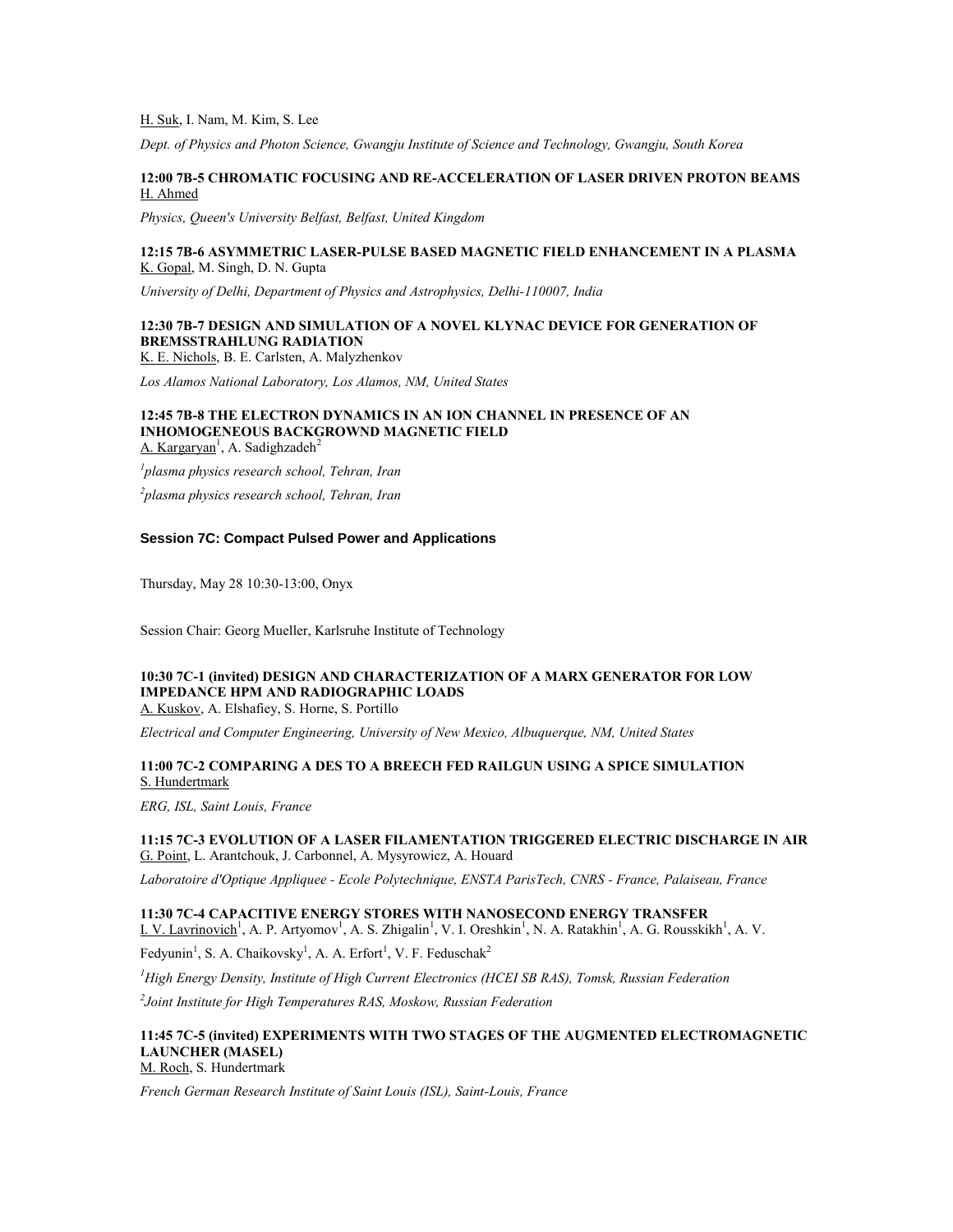### H. Suk, I. Nam, M. Kim, S. Lee

*Dept. of Physics and Photon Science, Gwangju Institute of Science and Technology, Gwangju, South Korea*

#### **12:00 7B-5 CHROMATIC FOCUSING AND RE-ACCELERATION OF LASER DRIVEN PROTON BEAMS** H. Ahmed

*Physics, Queen's University Belfast, Belfast, United Kingdom*

#### **12:15 7B-6 ASYMMETRIC LASER-PULSE BASED MAGNETIC FIELD ENHANCEMENT IN A PLASMA** K. Gopal, M. Singh, D. N. Gupta

*University of Delhi, Department of Physics and Astrophysics, Delhi-110007, India*

# **12:30 7B-7 DESIGN AND SIMULATION OF A NOVEL KLYNAC DEVICE FOR GENERATION OF BREMSSTRAHLUNG RADIATION**

K. E. Nichols, B. E. Carlsten, A. Malyzhenkov

*Los Alamos National Laboratory, Los Alamos, NM, United States*

#### **12:45 7B-8 THE ELECTRON DYNAMICS IN AN ION CHANNEL IN PRESENCE OF AN INHOMOGENEOUS BACKGROWND MAGNETIC FIELD** A. Kargaryan<sup>1</sup>, A. Sadighzadeh<sup>2</sup>

*1 plasma physics research school, Tehran, Iran*

*2 plasma physics research school, Tehran, Iran*

#### **Session 7C: Compact Pulsed Power and Applications**

Thursday, May 28 10:30-13:00, Onyx

Session Chair: Georg Mueller, Karlsruhe Institute of Technology

# **10:30 7C-1 (invited) DESIGN AND CHARACTERIZATION OF A MARX GENERATOR FOR LOW IMPEDANCE HPM AND RADIOGRAPHIC LOADS**

A. Kuskov, A. Elshafiey, S. Horne, S. Portillo

*Electrical and Computer Engineering, University of New Mexico, Albuquerque, NM, United States*

## **11:00 7C-2 COMPARING A DES TO A BREECH FED RAILGUN USING A SPICE SIMULATION** S. Hundertmark

*ERG, ISL, Saint Louis, France*

## **11:15 7C-3 EVOLUTION OF A LASER FILAMENTATION TRIGGERED ELECTRIC DISCHARGE IN AIR** G. Point, L. Arantchouk, J. Carbonnel, A. Mysyrowicz, A. Houard

*Laboratoire d'Optique Appliquee - Ecole Polytechnique, ENSTA ParisTech, CNRS - France, Palaiseau, France*

**11:30 7C-4 CAPACITIVE ENERGY STORES WITH NANOSECOND ENERGY TRANSFER** I. V. Lavrinovich<sup>1</sup>, A. P. Artyomov<sup>1</sup>, A. S. Zhigalin<sup>1</sup>, V. I. Oreshkin<sup>1</sup>, N. A. Ratakhin<sup>1</sup>, A. G. Rousskikh<sup>1</sup>, A. V.

Fedyunin<sup>1</sup>, S. A. Chaikovsky<sup>1</sup>, A. A. Erfort<sup>1</sup>, V. F. Feduschak<sup>2</sup>

*<sup>1</sup>High Energy Density, Institute of High Current Electronics (HCEI SB RAS), Tomsk, Russian Federation*

*2 Joint Institute for High Temperatures RAS, Moskow, Russian Federation*

#### **11:45 7C-5 (invited) EXPERIMENTS WITH TWO STAGES OF THE AUGMENTED ELECTROMAGNETIC LAUNCHER (MASEL)** M. Roch, S. Hundertmark

*French German Research Institute of Saint Louis (ISL), Saint-Louis, France*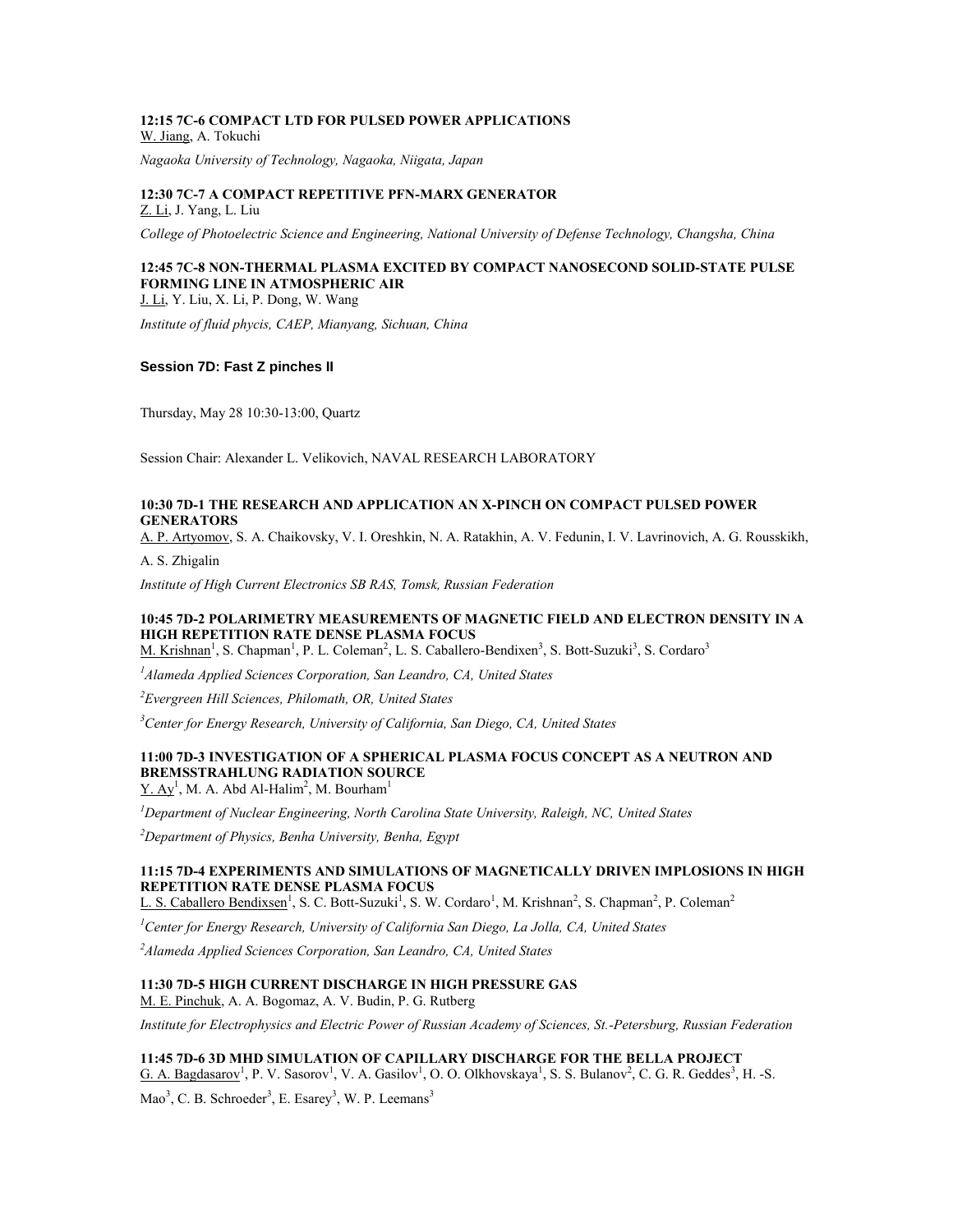#### **12:15 7C-6 COMPACT LTD FOR PULSED POWER APPLICATIONS** W. Jiang, A. Tokuchi

*Nagaoka University of Technology, Nagaoka, Niigata, Japan*

#### **12:30 7C-7 A COMPACT REPETITIVE PFN-MARX GENERATOR** Z. Li, J. Yang, L. Liu

*College of Photoelectric Science and Engineering, National University of Defense Technology, Changsha, China*

## **12:45 7C-8 NON-THERMAL PLASMA EXCITED BY COMPACT NANOSECOND SOLID-STATE PULSE FORMING LINE IN ATMOSPHERIC AIR**

J. Li, Y. Liu, X. Li, P. Dong, W. Wang

*Institute of fluid phycis, CAEP, Mianyang, Sichuan, China*

## **Session 7D: Fast Z pinches II**

Thursday, May 28 10:30-13:00, Quartz

Session Chair: Alexander L. Velikovich, NAVAL RESEARCH LABORATORY

#### **10:30 7D-1 THE RESEARCH AND APPLICATION AN X-PINCH ON COMPACT PULSED POWER GENERATORS**

A. P. Artyomov, S. A. Chaikovsky, V. I. Oreshkin, N. A. Ratakhin, A. V. Fedunin, I. V. Lavrinovich, A. G. Rousskikh,

A. S. Zhigalin

*Institute of High Current Electronics SB RAS, Tomsk, Russian Federation*

## **10:45 7D-2 POLARIMETRY MEASUREMENTS OF MAGNETIC FIELD AND ELECTRON DENSITY IN A HIGH REPETITION RATE DENSE PLASMA FOCUS**

M. Krishnan<sup>1</sup>, S. Chapman<sup>1</sup>, P. L. Coleman<sup>2</sup>, L. S. Caballero-Bendixen<sup>3</sup>, S. Bott-Suzuki<sup>3</sup>, S. Cordaro<sup>3</sup>

*<sup>1</sup>Alameda Applied Sciences Corporation, San Leandro, CA, United States*

*<sup>2</sup>Evergreen Hill Sciences, Philomath, OR, United States*

*<sup>3</sup>Center for Energy Research, University of California, San Diego, CA, United States*

### **11:00 7D-3 INVESTIGATION OF A SPHERICAL PLASMA FOCUS CONCEPT AS A NEUTRON AND BREMSSTRAHLUNG RADIATION SOURCE**  $Y. Av<sup>1</sup>, M. A. Abd Al-Halim<sup>2</sup>, M. Bourham<sup>1</sup>$

*<sup>1</sup>Department of Nuclear Engineering, North Carolina State University, Raleigh, NC, United States*

*<sup>2</sup>Department of Physics, Benha University, Benha, Egypt*

### **11:15 7D-4 EXPERIMENTS AND SIMULATIONS OF MAGNETICALLY DRIVEN IMPLOSIONS IN HIGH REPETITION RATE DENSE PLASMA FOCUS**

L. S. Caballero Bendixsen<sup>1</sup>, S. C. Bott-Suzuki<sup>1</sup>, S. W. Cordaro<sup>1</sup>, M. Krishnan<sup>2</sup>, S. Chapman<sup>2</sup>, P. Coleman<sup>2</sup>

*<sup>1</sup>Center for Energy Research, University of California San Diego, La Jolla, CA, United States*

*<sup>2</sup>Alameda Applied Sciences Corporation, San Leandro, CA, United States*

## **11:30 7D-5 HIGH CURRENT DISCHARGE IN HIGH PRESSURE GAS**

M. E. Pinchuk, A. A. Bogomaz, A. V. Budin, P. G. Rutberg

*Institute for Electrophysics and Electric Power of Russian Academy of Sciences, St.-Petersburg, Russian Federation*

#### **11:45 7D-6 3D MHD SIMULATION OF CAPILLARY DISCHARGE FOR THE BELLA PROJECT**

 $G. A.$  Bagdasarov<sup>1</sup>, P. V. Sasorov<sup>1</sup>, V. A. Gasilov<sup>1</sup>, O. O. Olkhovskaya<sup>1</sup>, S. S. Bulanov<sup>2</sup>, C. G. R. Geddes<sup>3</sup>, H. -S.

Mao<sup>3</sup>, C. B. Schroeder<sup>3</sup>, E. Esarey<sup>3</sup>, W. P. Leemans<sup>3</sup>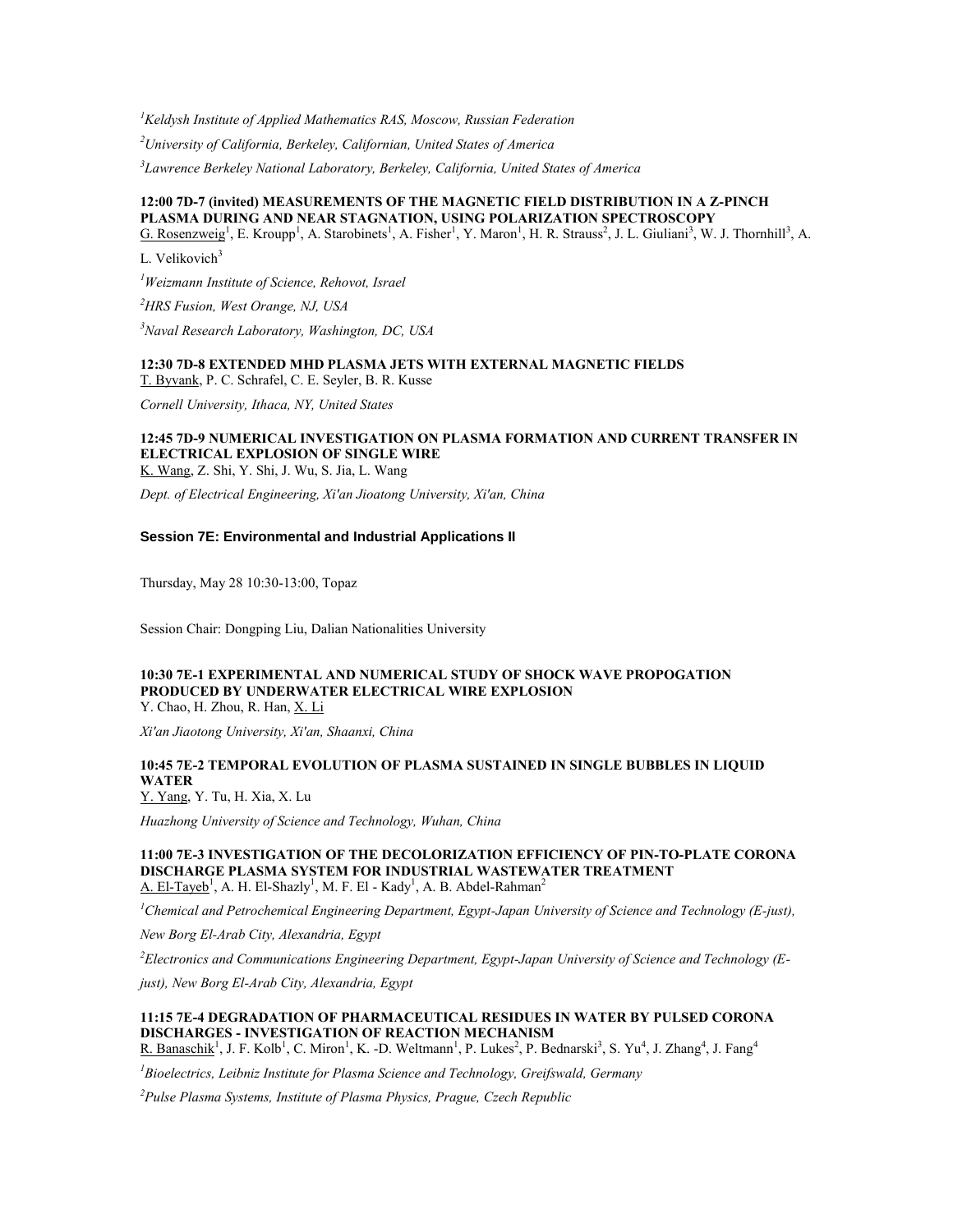*<sup>1</sup>Keldysh Institute of Applied Mathematics RAS, Moscow, Russian Federation*

*<sup>2</sup>University of California, Berkeley, Californian, United States of America*

*3 Lawrence Berkeley National Laboratory, Berkeley, California, United States of America*

### **12:00 7D-7 (invited) MEASUREMENTS OF THE MAGNETIC FIELD DISTRIBUTION IN A Z-PINCH PLASMA DURING AND NEAR STAGNATION, USING POLARIZATION SPECTROSCOPY**

G. Rosenzweig<sup>1</sup>, E. Kroupp<sup>1</sup>, A. Starobinets<sup>1</sup>, A. Fisher<sup>1</sup>, Y. Maron<sup>1</sup>, H. R. Strauss<sup>2</sup>, J. L. Giuliani<sup>3</sup>, W. J. Thornhill<sup>3</sup>, A.

L. Velikovich<sup>3</sup>

*<sup>1</sup>Weizmann Institute of Science, Rehovot, Israel*

*<sup>2</sup>HRS Fusion, West Orange, NJ, USA*

*<sup>3</sup>Naval Research Laboratory, Washington, DC, USA*

#### **12:30 7D-8 EXTENDED MHD PLASMA JETS WITH EXTERNAL MAGNETIC FIELDS** T. Byvank, P. C. Schrafel, C. E. Seyler, B. R. Kusse

*Cornell University, Ithaca, NY, United States*

#### **12:45 7D-9 NUMERICAL INVESTIGATION ON PLASMA FORMATION AND CURRENT TRANSFER IN ELECTRICAL EXPLOSION OF SINGLE WIRE** K. Wang, Z. Shi, Y. Shi, J. Wu, S. Jia, L. Wang

*Dept. of Electrical Engineering, Xi'an Jioatong University, Xi'an, China*

#### **Session 7E: Environmental and Industrial Applications II**

Thursday, May 28 10:30-13:00, Topaz

Session Chair: Dongping Liu, Dalian Nationalities University

# **10:30 7E-1 EXPERIMENTAL AND NUMERICAL STUDY OF SHOCK WAVE PROPOGATION PRODUCED BY UNDERWATER ELECTRICAL WIRE EXPLOSION**

Y. Chao, H. Zhou, R. Han, X. Li

*Xi'an Jiaotong University, Xi'an, Shaanxi, China*

## **10:45 7E-2 TEMPORAL EVOLUTION OF PLASMA SUSTAINED IN SINGLE BUBBLES IN LIQUID WATER**

Y. Yang, Y. Tu, H. Xia, X. Lu

*Huazhong University of Science and Technology, Wuhan, China*

**11:00 7E-3 INVESTIGATION OF THE DECOLORIZATION EFFICIENCY OF PIN-TO-PLATE CORONA DISCHARGE PLASMA SYSTEM FOR INDUSTRIAL WASTEWATER TREATMENT** A. El-Tayeb<sup>1</sup>, A. H. El-Shazly<sup>1</sup>, M. F. El - Kady<sup>1</sup>, A. B. Abdel-Rahman<sup>2</sup>

*<sup>1</sup>Chemical and Petrochemical Engineering Department, Egypt-Japan University of Science and Technology (E-just),* 

*New Borg El-Arab City, Alexandria, Egypt*

*<sup>2</sup>Electronics and Communications Engineering Department, Egypt-Japan University of Science and Technology (E-*

*just), New Borg El-Arab City, Alexandria, Egypt*

## **11:15 7E-4 DEGRADATION OF PHARMACEUTICAL RESIDUES IN WATER BY PULSED CORONA DISCHARGES - INVESTIGATION OF REACTION MECHANISM**

R. Banaschik<sup>1</sup>, J. F. Kolb<sup>1</sup>, C. Miron<sup>1</sup>, K. -D. Weltmann<sup>1</sup>, P. Lukes<sup>2</sup>, P. Bednarski<sup>3</sup>, S. Yu<sup>4</sup>, J. Zhang<sup>4</sup>, J. Fang<sup>4</sup>

*<sup>1</sup>Bioelectrics, Leibniz Institute for Plasma Science and Technology, Greifswald, Germany*

*<sup>2</sup>Pulse Plasma Systems, Institute of Plasma Physics, Prague, Czech Republic*